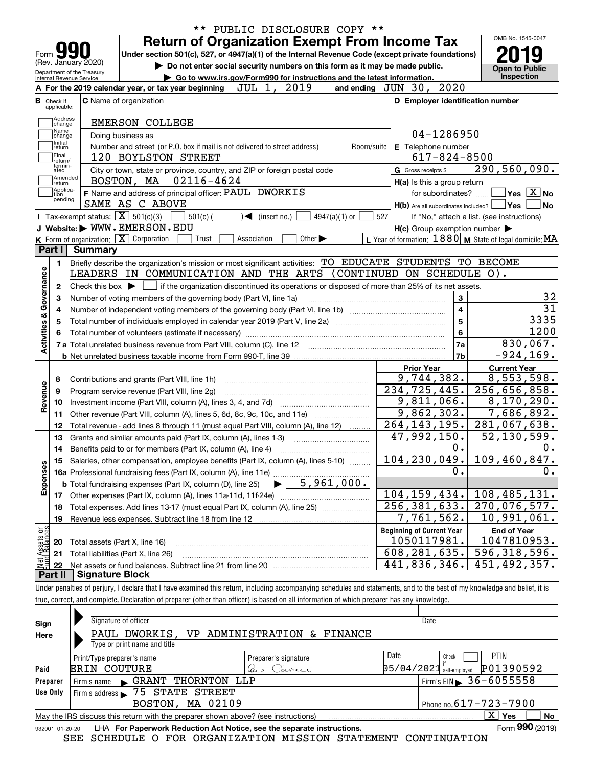|                                                        | PUBLIC DISCLOSURE COPY **                                                                                                                                  |            |                                                         | OMB No. 1545-0047                                            |
|--------------------------------------------------------|------------------------------------------------------------------------------------------------------------------------------------------------------------|------------|---------------------------------------------------------|--------------------------------------------------------------|
| Form <b>y</b>                                          | <b>Return of Organization Exempt From Income Tax</b><br>Under section 501(c), 527, or 4947(a)(1) of the Internal Revenue Code (except private foundations) |            |                                                         |                                                              |
| (Rev. January 2020)                                    | Do not enter social security numbers on this form as it may be made public.                                                                                |            |                                                         |                                                              |
| Department of the Treasury<br>Internal Revenue Service | Go to www.irs.gov/Form990 for instructions and the latest information.                                                                                     |            |                                                         | <b>Open to Public</b><br>Inspection                          |
|                                                        | A For the 2019 calendar year, or tax year beginning<br>JUL 1,<br>2019                                                                                      |            | 2020<br>and ending $JUN$ 30,                            |                                                              |
| <b>B</b> Check if<br>applicable:                       | <b>C</b> Name of organization                                                                                                                              |            | D Employer identification number                        |                                                              |
| Address                                                | <b>EMERSON COLLEGE</b>                                                                                                                                     |            |                                                         |                                                              |
| change<br>Name                                         | Doing business as                                                                                                                                          |            | 04-1286950                                              |                                                              |
| change<br>Initial<br>return                            | Number and street (or P.O. box if mail is not delivered to street address)                                                                                 | Room/suite | <b>E</b> Telephone number                               |                                                              |
| Final                                                  | 120 BOYLSTON STREET                                                                                                                                        |            | $617 - 824 - 8500$                                      |                                                              |
| return/<br>termin-<br>ated                             | City or town, state or province, country, and ZIP or foreign postal code                                                                                   |            | G Gross receipts \$                                     | 290,560,090.                                                 |
| Amended<br>return                                      | BOSTON, MA 02116-4624                                                                                                                                      |            | H(a) Is this a group return                             |                                                              |
| Applica-<br>Ition                                      | F Name and address of principal officer: PAUL DWORKIS                                                                                                      |            | for subordinates? $\Box$                                | $ {\mathsf Y}{\mathsf e}{\mathsf s} \ \overline{{\rm X}}$ No |
| pending                                                | SAME AS C ABOVE                                                                                                                                            |            | $H(b)$ Are all subordinates included? $\Box$ Yes $\Box$ | No                                                           |
|                                                        | <b>Tax-exempt status:</b> $\boxed{\mathbf{X}}$ 501(c)(3)<br>$501(c)$ (<br>$\sqrt{\frac{2}{1}}$ (insert no.)<br>4947(a)(1) or                               | 527        |                                                         | If "No," attach a list. (see instructions)                   |
|                                                        | J Website: WWW.EMERSON.EDU                                                                                                                                 |            | $H(c)$ Group exemption number $\blacktriangleright$     |                                                              |
|                                                        | K Form of organization: X Corporation<br>Other $\blacktriangleright$<br>Trust<br>Association                                                               |            |                                                         | L Year of formation: $1880$ M State of legal domicile: MA    |
| Part I                                                 | <b>Summary</b>                                                                                                                                             |            |                                                         |                                                              |
| 1.                                                     | Briefly describe the organization's mission or most significant activities: TO EDUCATE STUDENTS TO BECOME                                                  |            |                                                         |                                                              |
| Governance                                             | LEADERS IN COMMUNICATION AND THE ARTS (CONTINUED ON SCHEDULE O).                                                                                           |            |                                                         |                                                              |
| 2                                                      | Check this box $\blacktriangleright$ $\Box$ if the organization discontinued its operations or disposed of more than 25% of its net assets.                |            |                                                         |                                                              |
| з                                                      | Number of voting members of the governing body (Part VI, line 1a)                                                                                          |            | 3                                                       | 32                                                           |
| 4                                                      |                                                                                                                                                            |            | $\overline{\mathbf{4}}$                                 | $\overline{31}$                                              |
| 5                                                      |                                                                                                                                                            |            | 5                                                       | 3335                                                         |
| 6                                                      |                                                                                                                                                            |            | 6                                                       | 1200                                                         |
| <b>Activities &amp;</b>                                |                                                                                                                                                            |            | 7a                                                      | 830,067.                                                     |
|                                                        |                                                                                                                                                            |            | 7b                                                      | $-924, 169.$                                                 |
|                                                        |                                                                                                                                                            |            | <b>Prior Year</b>                                       | <b>Current Year</b>                                          |
| 8                                                      | Contributions and grants (Part VIII, line 1h)                                                                                                              |            | 9,744,382.                                              | 8,553,598.                                                   |
| evenue<br>9                                            | Program service revenue (Part VIII, line 2g)                                                                                                               |            | $\overline{234}$ , 725, 445.                            | 256,656,858.                                                 |
| 10<br>œ                                                |                                                                                                                                                            |            | 9,811,066.                                              | 8,170,290.                                                   |
| 11                                                     | Other revenue (Part VIII, column (A), lines 5, 6d, 8c, 9c, 10c, and 11e)                                                                                   |            | 9,862,302.                                              | 7,686,892.                                                   |
| 12                                                     | Total revenue - add lines 8 through 11 (must equal Part VIII, column (A), line 12)                                                                         |            | $\overline{264}$ , 143, 195.                            | 281,067,638.                                                 |
| 13                                                     | Grants and similar amounts paid (Part IX, column (A), lines 1-3)                                                                                           |            | 47,992,150.                                             | $\overline{52}$ , 130, 599.                                  |
| 14                                                     | Benefits paid to or for members (Part IX, column (A), line 4)                                                                                              |            | 0.                                                      | 0.                                                           |
| 15                                                     | Salaries, other compensation, employee benefits (Part IX, column (A), lines 5-10)                                                                          |            | 104, 230, 049.                                          | 109,460,847.                                                 |
| Expenses                                               |                                                                                                                                                            |            | 0.                                                      | 0.                                                           |
|                                                        |                                                                                                                                                            |            |                                                         |                                                              |
| 17                                                     |                                                                                                                                                            |            | 104, 159, 434.                                          | 108,485,131.                                                 |
| 18                                                     | Total expenses. Add lines 13-17 (must equal Part IX, column (A), line 25)                                                                                  |            | 256, 381, 633.                                          | 270,076,577.                                                 |
|                                                        |                                                                                                                                                            |            | 7,761,562.                                              | 10,991,061.                                                  |
| 19                                                     |                                                                                                                                                            |            | <b>Beginning of Current Year</b>                        | <b>End of Year</b>                                           |
|                                                        |                                                                                                                                                            |            |                                                         |                                                              |
| 20                                                     | Total assets (Part X, line 16)                                                                                                                             |            | 1050117981.                                             |                                                              |
| 21                                                     | Total liabilities (Part X, line 26)                                                                                                                        |            | 608, 281, 635.                                          | 1047810953.<br>596, 318, 596.                                |
| t Assets or<br>d Balances<br>22<br>Part II             | <b>Signature Block</b>                                                                                                                                     |            | 441,836,346.                                            | 451,492,357.                                                 |

| true, correct, and complete. Declaration of preparer (other than officer) is based on all information of which preparer has any knowledge. |  |
|--------------------------------------------------------------------------------------------------------------------------------------------|--|
|                                                                                                                                            |  |

| Sign<br>Here    | Signature of officer<br>PAUL DWORKIS,                                             | VP ADMINISTRATION & FINANCE |      | Date                       |                       |
|-----------------|-----------------------------------------------------------------------------------|-----------------------------|------|----------------------------|-----------------------|
|                 | Type or print name and title                                                      |                             |      |                            |                       |
|                 | Print/Type preparer's name                                                        | Preparer's signature        | Date | Check                      | <b>PTIN</b>           |
| Paid            | <b>ERIN COUTURE</b>                                                               | Corner                      |      | $05/04/2021$ self-employed | P01390592             |
| Preparer        | THORNTON LLP<br>Firm's name GRANT                                                 |                             |      |                            | Firm's EIN 36-6055558 |
| Use Only        | Firm's address 5 75 STATE STREET                                                  |                             |      |                            |                       |
|                 | BOSTON, MA 02109                                                                  |                             |      | Phone no. 617 - 723 - 7900 |                       |
|                 | May the IRS discuss this return with the preparer shown above? (see instructions) |                             |      |                            | X.<br>No<br>Yes       |
| 932001 01-20-20 | LHA For Paperwork Reduction Act Notice, see the separate instructions.            |                             |      |                            | Form 990 (2019)       |

SEE SCHEDULE O FOR ORGANIZATION MISSION STATEMENT CONTINUATION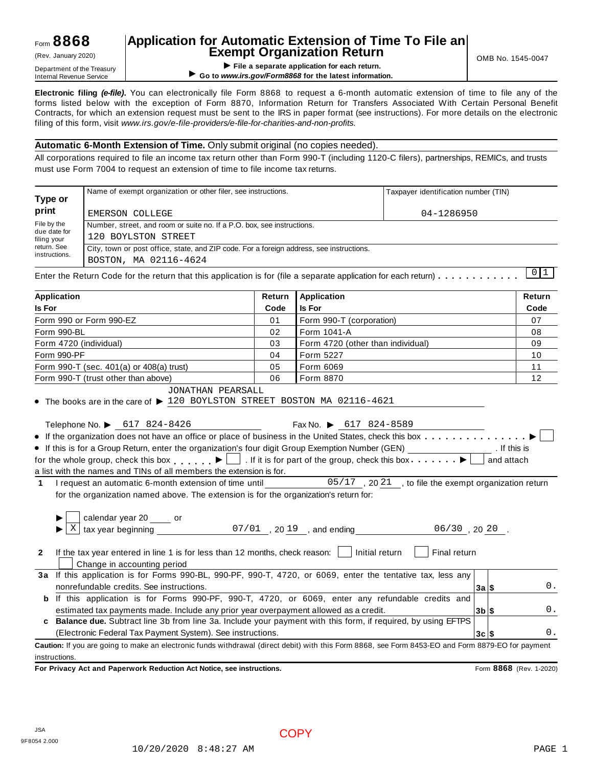# **Application for Automatic Extension of Time To File an Exempt Organization Return** (Rev. January 2020) OMB No. 1545-0047

**EXEMPL OF GETTICATION RETURNATION**<br>
Department of the Treasury<br>
Internal Revenue Service<br> **EXEMPLE OF SERVICE OF SERVICE OF SERVICE OF SERVICE OF SERVICE OF SERVICE OF SERVICE OF SERVICE OF SERVICE OF SERVICE OF SERVICE** ▶ Go to www.irs.gov/Form8868 for the latest information.

**Electronic filing** *(e-file)***.** You can electronically file Form 8868 to request a 6-month automatic extension of time to file any of the forms listed below with the exception of Form 8870, Information Return for Transfers Associated With Certain Personal Benefit Contracts, for which an extension request must be sent to the IRS in paper format (see instructions). For more details on the electronic filing of this form, visit *www.irs.gov/e-file-providers/e-file-for-charities-and-non-profits.*

### **Automatic 6-Month Extension of Time.** Only submit original (no copies needed).

All corporations required to file an income tax return other than Form 990-T (including 1120-C filers), partnerships, REMICs, and trusts must use Form 7004 to request an extension of time to file income tax returns.

| Type or                     | Name of exempt organization or other filer, see instructions.                                                                                                                                                                                                                                                                                                                    |        | Taxpayer identification number (TIN) |                         |        |
|-----------------------------|----------------------------------------------------------------------------------------------------------------------------------------------------------------------------------------------------------------------------------------------------------------------------------------------------------------------------------------------------------------------------------|--------|--------------------------------------|-------------------------|--------|
| print                       | EMERSON COLLEGE                                                                                                                                                                                                                                                                                                                                                                  |        | 04-1286950                           |                         |        |
| File by the                 | Number, street, and room or suite no. If a P.O. box, see instructions.                                                                                                                                                                                                                                                                                                           |        |                                      |                         |        |
| due date for<br>filing your | 120 BOYLSTON STREET                                                                                                                                                                                                                                                                                                                                                              |        |                                      |                         |        |
| return. See                 | City, town or post office, state, and ZIP code. For a foreign address, see instructions.                                                                                                                                                                                                                                                                                         |        |                                      |                         |        |
| instructions.               | BOSTON, MA 02116-4624                                                                                                                                                                                                                                                                                                                                                            |        |                                      |                         |        |
|                             | Enter the Return Code for the return that this application is for (file a separate application for each return) $\dots$                                                                                                                                                                                                                                                          |        |                                      |                         | 0 1    |
| Application                 |                                                                                                                                                                                                                                                                                                                                                                                  | Return | <b>Application</b>                   |                         | Return |
| <b>Is For</b>               |                                                                                                                                                                                                                                                                                                                                                                                  | Code   | <b>Is For</b>                        |                         | Code   |
|                             | Form 990 or Form 990-EZ                                                                                                                                                                                                                                                                                                                                                          | 01     | Form 990-T (corporation)             |                         | 07     |
| Form 990-BL                 |                                                                                                                                                                                                                                                                                                                                                                                  | 02     | Form 1041-A                          |                         | 08     |
|                             | Form 4720 (individual)                                                                                                                                                                                                                                                                                                                                                           | 03     | Form 4720 (other than individual)    |                         | 09     |
| Form 990-PF                 |                                                                                                                                                                                                                                                                                                                                                                                  | 04     | Form 5227                            |                         | 10     |
|                             | Form 990-T (sec. 401(a) or 408(a) trust)                                                                                                                                                                                                                                                                                                                                         | 05     | Form 6069                            |                         | 11     |
|                             | Form 990-T (trust other than above)                                                                                                                                                                                                                                                                                                                                              | 06     | Form 8870                            |                         | 12     |
| $\mathbf{1}$                | for the whole group, check this box $\Box$ . If it is for part of the group, check this box $\Box$<br>a list with the names and TINs of all members the extension is for.<br>I request an automatic 6-month extension of time until 05/17, 2021, to file the exempt organization return<br>for the organization named above. The extension is for the organization's return for: |        |                                      | and attach              |        |
| $\mathbf{X}$                | calendar year 20 _____ or                                                                                                                                                                                                                                                                                                                                                        |        |                                      |                         |        |
|                             |                                                                                                                                                                                                                                                                                                                                                                                  |        |                                      |                         |        |
| $\mathbf{2}$                | If the tax year entered in line 1 is for less than 12 months, check reason: $\vert$   Initial return<br>Change in accounting period                                                                                                                                                                                                                                              |        | Final return                         |                         |        |
|                             | 3a If this application is for Forms 990-BL, 990-PF, 990-T, 4720, or 6069, enter the tentative tax, less any                                                                                                                                                                                                                                                                      |        |                                      |                         |        |
|                             | nonrefundable credits. See instructions.                                                                                                                                                                                                                                                                                                                                         |        |                                      | $3a$ $\frac{1}{3}$      | 0.     |
|                             | b If this application is for Forms 990-PF, 990-T, 4720, or 6069, enter any refundable credits and                                                                                                                                                                                                                                                                                |        |                                      |                         |        |
|                             | estimated tax payments made. Include any prior year overpayment allowed as a credit.                                                                                                                                                                                                                                                                                             |        |                                      | $3b$ \$                 | 0.     |
| c                           | Balance due. Subtract line 3b from line 3a. Include your payment with this form, if required, by using EFTPS                                                                                                                                                                                                                                                                     |        |                                      |                         |        |
|                             | (Electronic Federal Tax Payment System). See instructions.                                                                                                                                                                                                                                                                                                                       |        |                                      | $3c$ $\sqrt{5}$         | 0.     |
|                             | Caution: If you are going to make an electronic funds withdrawal (direct debit) with this Form 8868, see Form 8453-EO and Form 8879-EO for payment                                                                                                                                                                                                                               |        |                                      |                         |        |
| instructions.               |                                                                                                                                                                                                                                                                                                                                                                                  |        |                                      |                         |        |
|                             | For Privacy Act and Paperwork Reduction Act Notice, see instructions.                                                                                                                                                                                                                                                                                                            |        |                                      | Form 8868 (Rev. 1-2020) |        |

JSA 9F8054 2.000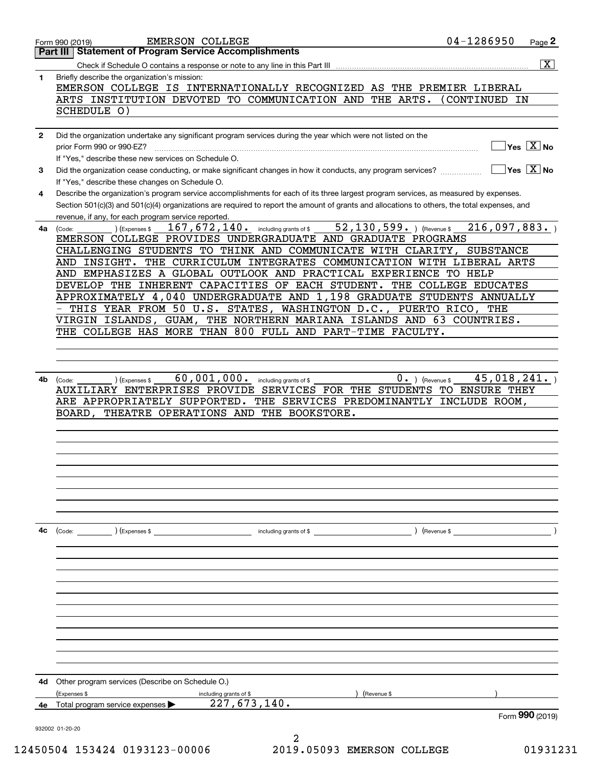|              | <b>EMERSON COLLEGE</b><br>Form 990 (2019)                                                                                                                                                                                                                                                                                                                                                                                                                                                                                                                                                                                                                                                                             | 04-1286950                                               | Page 2                                             |
|--------------|-----------------------------------------------------------------------------------------------------------------------------------------------------------------------------------------------------------------------------------------------------------------------------------------------------------------------------------------------------------------------------------------------------------------------------------------------------------------------------------------------------------------------------------------------------------------------------------------------------------------------------------------------------------------------------------------------------------------------|----------------------------------------------------------|----------------------------------------------------|
|              | <b>Statement of Program Service Accomplishments</b><br>Part III                                                                                                                                                                                                                                                                                                                                                                                                                                                                                                                                                                                                                                                       |                                                          |                                                    |
|              |                                                                                                                                                                                                                                                                                                                                                                                                                                                                                                                                                                                                                                                                                                                       |                                                          | $\overline{\mathbf{x}}$                            |
| 1            | Briefly describe the organization's mission:<br>EMERSON COLLEGE IS INTERNATIONALLY RECOGNIZED AS THE PREMIER LIBERAL                                                                                                                                                                                                                                                                                                                                                                                                                                                                                                                                                                                                  |                                                          |                                                    |
|              | ARTS INSTITUTION DEVOTED TO COMMUNICATION AND<br>THE ARTS.<br>SCHEDULE 0)                                                                                                                                                                                                                                                                                                                                                                                                                                                                                                                                                                                                                                             | CONTINUED IN                                             |                                                    |
| $\mathbf{2}$ | Did the organization undertake any significant program services during the year which were not listed on the<br>prior Form 990 or 990-EZ?<br>If "Yes," describe these new services on Schedule O.                                                                                                                                                                                                                                                                                                                                                                                                                                                                                                                     |                                                          | $\overline{\mathsf{Yes} \mathrel{\overline{X}}$ No |
| 3            | Did the organization cease conducting, or make significant changes in how it conducts, any program services?<br>If "Yes," describe these changes on Schedule O.                                                                                                                                                                                                                                                                                                                                                                                                                                                                                                                                                       |                                                          | $ Yes X $ No                                       |
| 4            | Describe the organization's program service accomplishments for each of its three largest program services, as measured by expenses.<br>Section 501(c)(3) and 501(c)(4) organizations are required to report the amount of grants and allocations to others, the total expenses, and<br>revenue, if any, for each program service reported.                                                                                                                                                                                                                                                                                                                                                                           |                                                          |                                                    |
| 4a l         | 52, 130, 599. ) (Revenue \$<br>167, 672, 140. including grants of \$<br>(Expenses \$<br>(Code:<br>EMERSON COLLEGE PROVIDES UNDERGRADUATE AND GRADUATE PROGRAMS<br>CHALLENGING STUDENTS TO THINK AND COMMUNICATE WITH CLARITY,<br>THE CURRICULUM INTEGRATES COMMUNICATION WITH LIBERAL ARTS<br>AND INSIGHT.<br>AND EMPHASIZES A GLOBAL OUTLOOK AND PRACTICAL EXPERIENCE TO HELP<br>DEVELOP THE INHERENT CAPACITIES OF EACH STUDENT.<br>APPROXIMATELY 4,040 UNDERGRADUATE AND 1,198 GRADUATE STUDENTS ANNUALLY<br>THIS YEAR FROM 50 U.S. STATES, WASHINGTON D.C., PUERTO RICO, THE<br>VIRGIN ISLANDS, GUAM, THE NORTHERN MARIANA ISLANDS AND 63 COUNTRIES.<br>THE COLLEGE HAS MORE THAN 800 FULL AND PART-TIME FACULTY. | 216,097,883.<br><b>SUBSTANCE</b><br>THE COLLEGE EDUCATES |                                                    |
| 4b           | 60,001,000.<br>$0 \cdot$ ) (Revenue \$<br>including grants of \$<br>(Expenses \$<br>(Code:<br>AUXILIARY ENTERPRISES PROVIDE SERVICES FOR THE STUDENTS TO ENSURE THEY<br>ARE APPROPRIATELY SUPPORTED.<br>THE SERVICES PREDOMINANTLY INCLUDE ROOM,<br>THEATRE OPERATIONS AND THE BOOKSTORE.<br>BOARD.                                                                                                                                                                                                                                                                                                                                                                                                                   | 45,018,241.                                              |                                                    |
| 4c           | (Code: ) (Expenses \$                                                                                                                                                                                                                                                                                                                                                                                                                                                                                                                                                                                                                                                                                                 | $($ Revenue \$                                           |                                                    |
|              |                                                                                                                                                                                                                                                                                                                                                                                                                                                                                                                                                                                                                                                                                                                       |                                                          |                                                    |
|              |                                                                                                                                                                                                                                                                                                                                                                                                                                                                                                                                                                                                                                                                                                                       |                                                          |                                                    |
| 4d           | Other program services (Describe on Schedule O.)                                                                                                                                                                                                                                                                                                                                                                                                                                                                                                                                                                                                                                                                      |                                                          |                                                    |
|              | (Expenses \$<br>(Revenue \$<br>including grants of \$                                                                                                                                                                                                                                                                                                                                                                                                                                                                                                                                                                                                                                                                 |                                                          |                                                    |
| 4е           | $\overline{227,673,140}$ .<br>Total program service expenses                                                                                                                                                                                                                                                                                                                                                                                                                                                                                                                                                                                                                                                          |                                                          | Form 990 (2019)                                    |
|              | 932002 01-20-20                                                                                                                                                                                                                                                                                                                                                                                                                                                                                                                                                                                                                                                                                                       |                                                          |                                                    |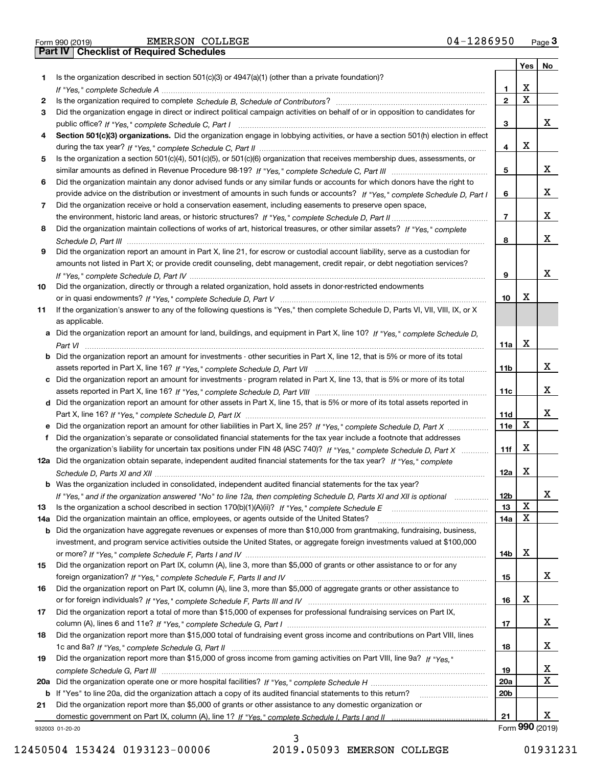| Form 990 (2019) |  |  |
|-----------------|--|--|

|     |                                                                                                                                       |                 | Yes | No                    |
|-----|---------------------------------------------------------------------------------------------------------------------------------------|-----------------|-----|-----------------------|
| 1.  | Is the organization described in section 501(c)(3) or 4947(a)(1) (other than a private foundation)?                                   |                 |     |                       |
|     |                                                                                                                                       | 1               | X   |                       |
| 2   |                                                                                                                                       | $\mathbf{2}$    | X   |                       |
| 3   | Did the organization engage in direct or indirect political campaign activities on behalf of or in opposition to candidates for       |                 |     |                       |
|     |                                                                                                                                       | 3               |     | X.                    |
| 4   | Section 501(c)(3) organizations. Did the organization engage in lobbying activities, or have a section 501(h) election in effect      |                 |     |                       |
|     |                                                                                                                                       | 4               | х   |                       |
| 5   | Is the organization a section 501(c)(4), 501(c)(5), or 501(c)(6) organization that receives membership dues, assessments, or          |                 |     |                       |
|     |                                                                                                                                       | 5               |     | x                     |
| 6   | Did the organization maintain any donor advised funds or any similar funds or accounts for which donors have the right to             |                 |     |                       |
|     | provide advice on the distribution or investment of amounts in such funds or accounts? If "Yes," complete Schedule D, Part I          | 6               |     | X.                    |
| 7   | Did the organization receive or hold a conservation easement, including easements to preserve open space,                             |                 |     | X.                    |
|     |                                                                                                                                       | $\overline{7}$  |     |                       |
| 8   | Did the organization maintain collections of works of art, historical treasures, or other similar assets? If "Yes," complete          | 8               |     | X.                    |
| 9   | Did the organization report an amount in Part X, line 21, for escrow or custodial account liability, serve as a custodian for         |                 |     |                       |
|     | amounts not listed in Part X; or provide credit counseling, debt management, credit repair, or debt negotiation services?             |                 |     |                       |
|     |                                                                                                                                       | 9               |     | х                     |
| 10  | Did the organization, directly or through a related organization, hold assets in donor-restricted endowments                          |                 |     |                       |
|     |                                                                                                                                       | 10              | х   |                       |
| 11  | If the organization's answer to any of the following questions is "Yes," then complete Schedule D, Parts VI, VII, VIII, IX, or X      |                 |     |                       |
|     | as applicable.                                                                                                                        |                 |     |                       |
|     | a Did the organization report an amount for land, buildings, and equipment in Part X, line 10? If "Yes," complete Schedule D,         |                 |     |                       |
|     |                                                                                                                                       | 11a             | х   |                       |
|     | <b>b</b> Did the organization report an amount for investments - other securities in Part X, line 12, that is 5% or more of its total |                 |     |                       |
|     |                                                                                                                                       | 11 <sub>b</sub> |     | X                     |
|     | c Did the organization report an amount for investments - program related in Part X, line 13, that is 5% or more of its total         |                 |     |                       |
|     |                                                                                                                                       | 11c             |     | x                     |
|     | d Did the organization report an amount for other assets in Part X, line 15, that is 5% or more of its total assets reported in       |                 |     |                       |
|     |                                                                                                                                       | <b>11d</b>      |     | х                     |
| e   | Did the organization report an amount for other liabilities in Part X, line 25? If "Yes," complete Schedule D, Part X                 | 11e             | х   |                       |
| f   | Did the organization's separate or consolidated financial statements for the tax year include a footnote that addresses               |                 |     |                       |
|     | the organization's liability for uncertain tax positions under FIN 48 (ASC 740)? If "Yes," complete Schedule D, Part X                | 11f             | x   |                       |
|     | 12a Did the organization obtain separate, independent audited financial statements for the tax year? If "Yes," complete               |                 |     |                       |
|     |                                                                                                                                       | 12a             | X   |                       |
|     | <b>b</b> Was the organization included in consolidated, independent audited financial statements for the tax year?                    |                 |     |                       |
|     | If "Yes," and if the organization answered "No" to line 12a, then completing Schedule D, Parts XI and XII is optional                 | 12 <sub>b</sub> |     |                       |
| 13  | Is the organization a school described in section 170(b)(1)(A)(ii)? If "Yes," complete Schedule E                                     | 13              | X   |                       |
| 14a | Did the organization maintain an office, employees, or agents outside of the United States?                                           | 14a             | х   |                       |
|     | <b>b</b> Did the organization have aggregate revenues or expenses of more than \$10,000 from grantmaking, fundraising, business,      |                 |     |                       |
|     | investment, and program service activities outside the United States, or aggregate foreign investments valued at \$100,000            |                 |     |                       |
|     |                                                                                                                                       | 14b             | х   |                       |
| 15  | Did the organization report on Part IX, column (A), line 3, more than \$5,000 of grants or other assistance to or for any             |                 |     |                       |
|     |                                                                                                                                       | 15              |     | X.                    |
| 16  | Did the organization report on Part IX, column (A), line 3, more than \$5,000 of aggregate grants or other assistance to              |                 |     |                       |
|     |                                                                                                                                       | 16              | x   |                       |
| 17  | Did the organization report a total of more than \$15,000 of expenses for professional fundraising services on Part IX,               |                 |     |                       |
|     |                                                                                                                                       | 17              |     | X                     |
| 18  | Did the organization report more than \$15,000 total of fundraising event gross income and contributions on Part VIII, lines          |                 |     |                       |
|     |                                                                                                                                       | 18              |     | x                     |
| 19  | Did the organization report more than \$15,000 of gross income from gaming activities on Part VIII, line 9a? If "Yes."                |                 |     |                       |
|     |                                                                                                                                       | 19              |     | x                     |
|     |                                                                                                                                       | 20a             |     | x                     |
|     | b If "Yes" to line 20a, did the organization attach a copy of its audited financial statements to this return?                        | 20 <sub>b</sub> |     |                       |
| 21  | Did the organization report more than \$5,000 of grants or other assistance to any domestic organization or                           |                 |     |                       |
|     |                                                                                                                                       | 21              |     | X.<br>Form 990 (2019) |
|     | 932003 01-20-20                                                                                                                       |                 |     |                       |

932003 01-20-20

3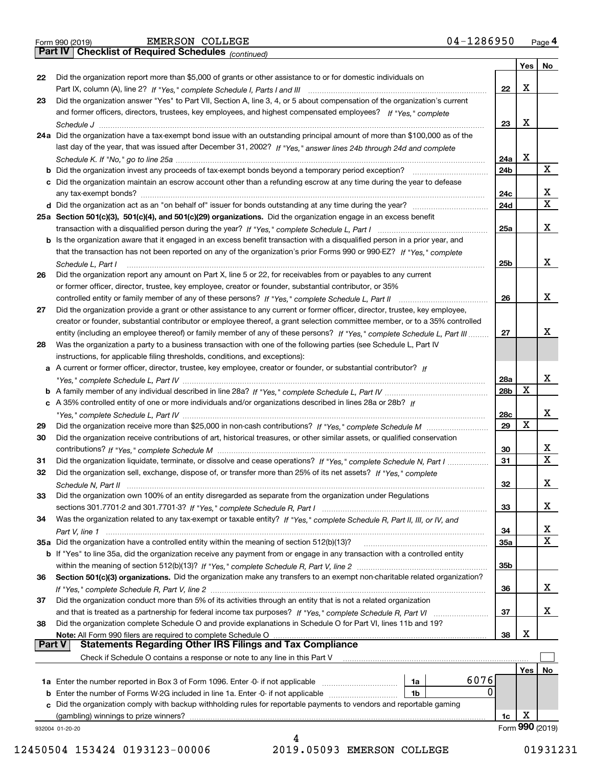| Form 990 (2019) |  |  |
|-----------------|--|--|
|                 |  |  |

*(continued)*

|          |                                                                                                                                    |                 | Yes | No              |
|----------|------------------------------------------------------------------------------------------------------------------------------------|-----------------|-----|-----------------|
| 22       | Did the organization report more than \$5,000 of grants or other assistance to or for domestic individuals on                      |                 |     |                 |
|          |                                                                                                                                    | 22              | X   |                 |
| 23       | Did the organization answer "Yes" to Part VII, Section A, line 3, 4, or 5 about compensation of the organization's current         |                 |     |                 |
|          | and former officers, directors, trustees, key employees, and highest compensated employees? If "Yes," complete                     |                 |     |                 |
|          |                                                                                                                                    | 23              | X   |                 |
|          | 24a Did the organization have a tax-exempt bond issue with an outstanding principal amount of more than \$100,000 as of the        |                 |     |                 |
|          | last day of the year, that was issued after December 31, 2002? If "Yes," answer lines 24b through 24d and complete                 |                 |     |                 |
|          |                                                                                                                                    | 24a             | X   |                 |
|          | <b>b</b> Did the organization invest any proceeds of tax-exempt bonds beyond a temporary period exception?                         | 24b             |     | x               |
|          | c Did the organization maintain an escrow account other than a refunding escrow at any time during the year to defease             |                 |     |                 |
|          |                                                                                                                                    | 24c             |     | х               |
|          |                                                                                                                                    | 24d             |     | $\mathbf X$     |
|          | 25a Section 501(c)(3), 501(c)(4), and 501(c)(29) organizations. Did the organization engage in an excess benefit                   |                 |     |                 |
|          |                                                                                                                                    | 25a             |     | х               |
|          | b Is the organization aware that it engaged in an excess benefit transaction with a disqualified person in a prior year, and       |                 |     |                 |
|          | that the transaction has not been reported on any of the organization's prior Forms 990 or 990-EZ? If "Yes," complete              |                 |     |                 |
|          | Schedule L, Part I                                                                                                                 | 25b             |     | x               |
| 26       | Did the organization report any amount on Part X, line 5 or 22, for receivables from or payables to any current                    |                 |     |                 |
|          | or former officer, director, trustee, key employee, creator or founder, substantial contributor, or 35%                            |                 |     |                 |
|          |                                                                                                                                    | 26              |     | x               |
| 27       | Did the organization provide a grant or other assistance to any current or former officer, director, trustee, key employee,        |                 |     |                 |
|          | creator or founder, substantial contributor or employee thereof, a grant selection committee member, or to a 35% controlled        |                 |     |                 |
|          | entity (including an employee thereof) or family member of any of these persons? If "Yes," complete Schedule L, Part III           | 27              |     | x               |
| 28       | Was the organization a party to a business transaction with one of the following parties (see Schedule L, Part IV                  |                 |     |                 |
|          | instructions, for applicable filing thresholds, conditions, and exceptions):                                                       |                 |     |                 |
|          | a A current or former officer, director, trustee, key employee, creator or founder, or substantial contributor? If                 |                 |     |                 |
|          |                                                                                                                                    | 28a             |     | x               |
|          |                                                                                                                                    | 28 <sub>b</sub> | х   |                 |
|          | c A 35% controlled entity of one or more individuals and/or organizations described in lines 28a or 28b? If                        |                 |     | x               |
|          |                                                                                                                                    | 28c<br>29       | Х   |                 |
| 29<br>30 | Did the organization receive contributions of art, historical treasures, or other similar assets, or qualified conservation        |                 |     |                 |
|          |                                                                                                                                    | 30              |     | х               |
| 31       | Did the organization liquidate, terminate, or dissolve and cease operations? If "Yes," complete Schedule N, Part I                 | 31              |     | х               |
| 32       | Did the organization sell, exchange, dispose of, or transfer more than 25% of its net assets? If "Yes," complete                   |                 |     |                 |
|          |                                                                                                                                    | 32              |     | х               |
| 33       | Did the organization own 100% of an entity disregarded as separate from the organization under Regulations                         |                 |     |                 |
|          |                                                                                                                                    | 33              |     | х               |
| 34       | Was the organization related to any tax-exempt or taxable entity? If "Yes," complete Schedule R, Part II, III, or IV, and          |                 |     |                 |
|          |                                                                                                                                    | 34              |     | х               |
|          | 35a Did the organization have a controlled entity within the meaning of section 512(b)(13)?                                        | <b>35a</b>      |     | х               |
|          | <b>b</b> If "Yes" to line 35a, did the organization receive any payment from or engage in any transaction with a controlled entity |                 |     |                 |
|          |                                                                                                                                    | 35b             |     |                 |
| 36       | Section 501(c)(3) organizations. Did the organization make any transfers to an exempt non-charitable related organization?         |                 |     |                 |
|          |                                                                                                                                    | 36              |     | х               |
| 37       | Did the organization conduct more than 5% of its activities through an entity that is not a related organization                   |                 |     |                 |
|          |                                                                                                                                    | 37              |     | х               |
| 38       | Did the organization complete Schedule O and provide explanations in Schedule O for Part VI, lines 11b and 19?                     |                 |     |                 |
|          | Note: All Form 990 filers are required to complete Schedule O                                                                      | 38              | X   |                 |
| ∣ Part V | <b>Statements Regarding Other IRS Filings and Tax Compliance</b>                                                                   |                 |     |                 |
|          | Check if Schedule O contains a response or note to any line in this Part V                                                         |                 |     |                 |
|          |                                                                                                                                    |                 | Yes | No              |
|          | 6076<br><b>1a</b> Enter the number reported in Box 3 of Form 1096. Enter -0- if not applicable <i>manumumumum</i><br>1a            |                 |     |                 |
|          | 0<br><b>b</b> Enter the number of Forms W-2G included in line 1a. Enter -0- if not applicable <i>manumumumum</i><br>1b             |                 |     |                 |
|          | c Did the organization comply with backup withholding rules for reportable payments to vendors and reportable gaming               |                 |     |                 |
|          | (gambling) winnings to prize winners?                                                                                              | 1c              | X   |                 |
|          | 932004 01-20-20                                                                                                                    |                 |     | Form 990 (2019) |
|          | 4                                                                                                                                  |                 |     |                 |

 <sup>12450504 153424 0193123-00006 2019.05093</sup> EMERSON COLLEGE 01931231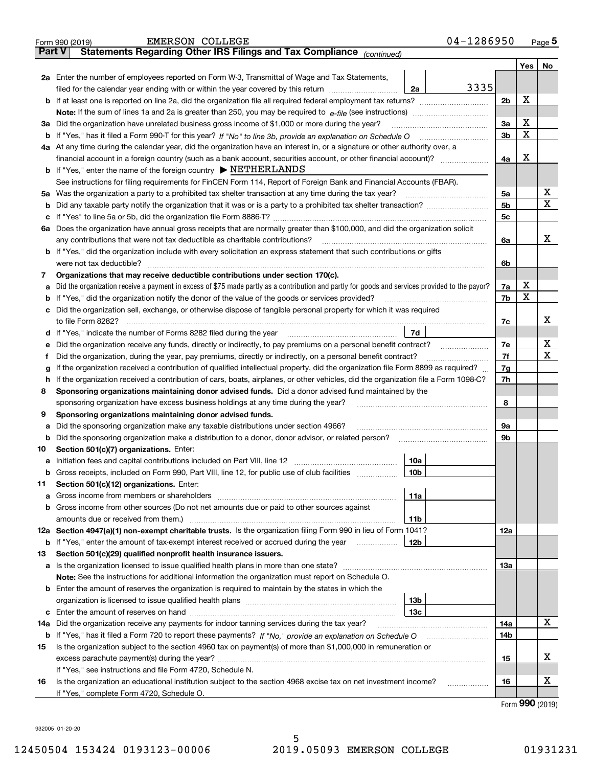|               | 04-1286950<br><b>EMERSON COLLEGE</b><br>Form 990 (2019)                                                                                                                           |                |     | Page $5$ |
|---------------|-----------------------------------------------------------------------------------------------------------------------------------------------------------------------------------|----------------|-----|----------|
| <b>Part V</b> | Statements Regarding Other IRS Filings and Tax Compliance (continued)                                                                                                             |                |     |          |
|               |                                                                                                                                                                                   |                | Yes | No       |
|               | 2a Enter the number of employees reported on Form W-3, Transmittal of Wage and Tax Statements,                                                                                    |                |     |          |
|               | 3335<br>filed for the calendar year ending with or within the year covered by this return [11] [11] the calendar year ending with or within the year covered by this return<br>2a |                |     |          |
|               |                                                                                                                                                                                   | 2 <sub>b</sub> | X   |          |
|               | <b>Note:</b> If the sum of lines 1a and 2a is greater than 250, you may be required to $e$ -file (see instructions) <i>managererous</i>                                           |                |     |          |
|               | 3a Did the organization have unrelated business gross income of \$1,000 or more during the year?                                                                                  | За             | X   |          |
|               |                                                                                                                                                                                   | 3b             | X   |          |
|               | 4a At any time during the calendar year, did the organization have an interest in, or a signature or other authority over, a                                                      |                |     |          |
|               |                                                                                                                                                                                   | 4а             | X   |          |
|               | <b>b</b> If "Yes," enter the name of the foreign country $\triangleright$ <b>NETHERLANDS</b>                                                                                      |                |     |          |
|               | See instructions for filing requirements for FinCEN Form 114, Report of Foreign Bank and Financial Accounts (FBAR).                                                               |                |     |          |
|               | 5a Was the organization a party to a prohibited tax shelter transaction at any time during the tax year?                                                                          | 5a             |     | х        |
|               |                                                                                                                                                                                   | 5b             |     | X        |
|               |                                                                                                                                                                                   | 5c             |     |          |
|               | 6a Does the organization have annual gross receipts that are normally greater than \$100,000, and did the organization solicit                                                    |                |     |          |
|               | any contributions that were not tax deductible as charitable contributions?                                                                                                       | 6a             |     | x        |
|               | <b>b</b> If "Yes," did the organization include with every solicitation an express statement that such contributions or gifts                                                     |                |     |          |
|               | were not tax deductible?                                                                                                                                                          | 6b             |     |          |
| 7             | Organizations that may receive deductible contributions under section 170(c).                                                                                                     |                |     |          |
|               | a Did the organization receive a payment in excess of \$75 made partly as a contribution and partly for goods and services provided to the payor?                                 | 7a             | х   |          |
|               | <b>b</b> If "Yes," did the organization notify the donor of the value of the goods or services provided?                                                                          | 7b             | x   |          |
|               | c Did the organization sell, exchange, or otherwise dispose of tangible personal property for which it was required                                                               |                |     |          |
|               |                                                                                                                                                                                   | 7c             |     | х        |
|               | 7d                                                                                                                                                                                |                |     |          |
|               | e Did the organization receive any funds, directly or indirectly, to pay premiums on a personal benefit contract?                                                                 | 7e             |     | х        |
| Ť             | Did the organization, during the year, pay premiums, directly or indirectly, on a personal benefit contract?                                                                      | 7f             |     | X        |
| g             | If the organization received a contribution of qualified intellectual property, did the organization file Form 8899 as required?                                                  | 7g             |     |          |
|               | h If the organization received a contribution of cars, boats, airplanes, or other vehicles, did the organization file a Form 1098-C?                                              | 7h             |     |          |
| 8             | Sponsoring organizations maintaining donor advised funds. Did a donor advised fund maintained by the                                                                              |                |     |          |
|               | sponsoring organization have excess business holdings at any time during the year?                                                                                                | 8              |     |          |
| 9             | Sponsoring organizations maintaining donor advised funds.                                                                                                                         |                |     |          |
| а             | Did the sponsoring organization make any taxable distributions under section 4966?                                                                                                | 9а             |     |          |
|               | <b>b</b> Did the sponsoring organization make a distribution to a donor, donor advisor, or related person?                                                                        | 9b             |     |          |
| 10            | Section 501(c)(7) organizations. Enter:                                                                                                                                           |                |     |          |
|               | 10a                                                                                                                                                                               |                |     |          |
|               | <b>b</b> Gross receipts, included on Form 990, Part VIII, line 12, for public use of club facilities <i>manumum</i><br>10b                                                        |                |     |          |
| 11            | Section 501(c)(12) organizations. Enter:                                                                                                                                          |                |     |          |
|               | 11a                                                                                                                                                                               |                |     |          |
|               | b Gross income from other sources (Do not net amounts due or paid to other sources against                                                                                        |                |     |          |
|               | 11b                                                                                                                                                                               |                |     |          |
|               | 12a Section 4947(a)(1) non-exempt charitable trusts. Is the organization filing Form 990 in lieu of Form 1041?                                                                    | 12a            |     |          |
|               | <b>b</b> If "Yes," enter the amount of tax-exempt interest received or accrued during the year<br>12b                                                                             |                |     |          |
| 13            | Section 501(c)(29) qualified nonprofit health insurance issuers.                                                                                                                  |                |     |          |
|               |                                                                                                                                                                                   | 13а            |     |          |
|               | Note: See the instructions for additional information the organization must report on Schedule O.                                                                                 |                |     |          |
|               | <b>b</b> Enter the amount of reserves the organization is required to maintain by the states in which the                                                                         |                |     |          |
|               | 13 <sub>b</sub>                                                                                                                                                                   |                |     |          |
|               | 13с                                                                                                                                                                               |                |     |          |
| 14a           | Did the organization receive any payments for indoor tanning services during the tax year?                                                                                        | 14a            |     | X        |
|               |                                                                                                                                                                                   | 14b            |     |          |
| 15            | Is the organization subject to the section 4960 tax on payment(s) of more than \$1,000,000 in remuneration or                                                                     |                |     |          |
|               |                                                                                                                                                                                   | 15             |     | х        |
|               | If "Yes," see instructions and file Form 4720, Schedule N.                                                                                                                        |                |     |          |
| 16            | Is the organization an educational institution subject to the section 4968 excise tax on net investment income?<br>.                                                              | 16             |     | х        |
|               | If "Yes," complete Form 4720, Schedule O.                                                                                                                                         |                |     |          |
|               |                                                                                                                                                                                   |                | റററ |          |

Form (2019) **990**

932005 01-20-20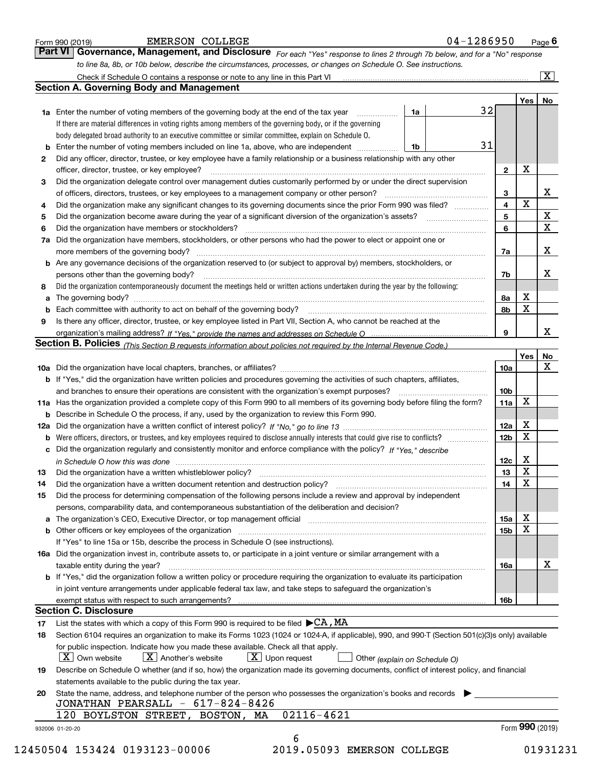|    |                                                                                                                                                  |    |                 |             | $\overline{\mathbf{x}}$                 |
|----|--------------------------------------------------------------------------------------------------------------------------------------------------|----|-----------------|-------------|-----------------------------------------|
|    | <b>Section A. Governing Body and Management</b>                                                                                                  |    |                 |             |                                         |
|    |                                                                                                                                                  | 32 |                 | Yes   No    |                                         |
|    | <b>1a</b> Enter the number of voting members of the governing body at the end of the tax year<br>1a                                              |    |                 |             |                                         |
|    | If there are material differences in voting rights among members of the governing body, or if the governing                                      |    |                 |             |                                         |
|    | body delegated broad authority to an executive committee or similar committee, explain on Schedule O.                                            | 31 |                 |             |                                         |
|    | Enter the number of voting members included on line 1a, above, who are independent<br>1b                                                         |    |                 |             |                                         |
| 2  | Did any officer, director, trustee, or key employee have a family relationship or a business relationship with any other                         |    |                 | х           |                                         |
|    | officer, director, trustee, or key employee?                                                                                                     |    | $\mathbf{2}$    |             |                                         |
| 3  | Did the organization delegate control over management duties customarily performed by or under the direct supervision                            |    |                 |             |                                         |
|    | of officers, directors, trustees, or key employees to a management company or other person?                                                      |    | 3               | $\mathbf X$ | X                                       |
| 4  | Did the organization make any significant changes to its governing documents since the prior Form 990 was filed?                                 |    | 4               |             |                                         |
| 5  |                                                                                                                                                  |    | 5               |             | $\mathbf{X}$<br>$\overline{\textbf{x}}$ |
| 6  | Did the organization have members or stockholders?                                                                                               |    | 6               |             |                                         |
| 7a | Did the organization have members, stockholders, or other persons who had the power to elect or appoint one or                                   |    |                 |             |                                         |
|    |                                                                                                                                                  |    | 7a              |             | X                                       |
|    | <b>b</b> Are any governance decisions of the organization reserved to (or subject to approval by) members, stockholders, or                      |    |                 |             |                                         |
|    | persons other than the governing body?                                                                                                           |    | 7b              |             | х                                       |
| 8  | Did the organization contemporaneously document the meetings held or written actions undertaken during the year by the following:                |    |                 |             |                                         |
| а  |                                                                                                                                                  |    | 8а              | х           |                                         |
| b  |                                                                                                                                                  |    | 8b              | X           |                                         |
| 9  | Is there any officer, director, trustee, or key employee listed in Part VII, Section A, who cannot be reached at the                             |    |                 |             |                                         |
|    |                                                                                                                                                  |    | 9               |             | x                                       |
|    | Section B. Policies (This Section B requests information about policies not required by the Internal Revenue Code.)                              |    |                 |             |                                         |
|    |                                                                                                                                                  |    |                 | Yes         | No<br>X                                 |
|    |                                                                                                                                                  |    | 10a             |             |                                         |
|    | <b>b</b> If "Yes," did the organization have written policies and procedures governing the activities of such chapters, affiliates,              |    |                 |             |                                         |
|    |                                                                                                                                                  |    | 10 <sub>b</sub> |             |                                         |
|    | 11a Has the organization provided a complete copy of this Form 990 to all members of its governing body before filing the form?                  |    | 11a             | x           |                                         |
|    | <b>b</b> Describe in Schedule O the process, if any, used by the organization to review this Form 990.                                           |    |                 |             |                                         |
|    |                                                                                                                                                  |    | 12a             | x           |                                         |
| b  | Were officers, directors, or trustees, and key employees required to disclose annually interests that could give rise to conflicts?              |    | 12 <sub>b</sub> | X           |                                         |
|    | c Did the organization regularly and consistently monitor and enforce compliance with the policy? If "Yes," describe                             |    |                 |             |                                         |
|    | in Schedule O how this was done measured and contain an according to the state of the state of the state of th                                   |    | 12c             | X           |                                         |
| 13 |                                                                                                                                                  |    | 13              | $\mathbf X$ |                                         |
|    | Did the organization have a written document retention and destruction policy? [11] manufaction policy?                                          |    | 14              | X           |                                         |
| 14 |                                                                                                                                                  |    |                 |             |                                         |
| 15 | Did the process for determining compensation of the following persons include a review and approval by independent                               |    |                 |             |                                         |
|    | persons, comparability data, and contemporaneous substantiation of the deliberation and decision?                                                |    |                 |             |                                         |
|    | a The organization's CEO, Executive Director, or top management official [111] [11] manument material manument                                   |    | 15a             | x           |                                         |
|    |                                                                                                                                                  |    | 15 <sub>b</sub> | X           |                                         |
|    | If "Yes" to line 15a or 15b, describe the process in Schedule O (see instructions).                                                              |    |                 |             |                                         |
|    | 16a Did the organization invest in, contribute assets to, or participate in a joint venture or similar arrangement with a                        |    |                 |             |                                         |
|    | taxable entity during the year?                                                                                                                  |    | 16a             |             | х                                       |
|    | b If "Yes," did the organization follow a written policy or procedure requiring the organization to evaluate its participation                   |    |                 |             |                                         |
|    | in joint venture arrangements under applicable federal tax law, and take steps to safeguard the organization's                                   |    |                 |             |                                         |
|    |                                                                                                                                                  |    | 16b             |             |                                         |
|    | <b>Section C. Disclosure</b>                                                                                                                     |    |                 |             |                                         |
| 17 | List the states with which a copy of this Form 990 is required to be filed $\blacktriangleright$ CA, MA                                          |    |                 |             |                                         |
| 18 | Section 6104 requires an organization to make its Forms 1023 (1024 or 1024-A, if applicable), 990, and 990-T (Section 501(c)(3)s only) available |    |                 |             |                                         |
|    | for public inspection. Indicate how you made these available. Check all that apply.                                                              |    |                 |             |                                         |
|    | $X$ Upon request<br>$\mid$ $\rm X\mid$ Own website<br>$X$ Another's website<br>Other (explain on Schedule O)                                     |    |                 |             |                                         |
| 19 | Describe on Schedule O whether (and if so, how) the organization made its governing documents, conflict of interest policy, and financial        |    |                 |             |                                         |
|    | statements available to the public during the tax year.                                                                                          |    |                 |             |                                         |
| 20 | State the name, address, and telephone number of the person who possesses the organization's books and records                                   |    |                 |             |                                         |
|    | JONATHAN PEARSALL - 617-824-8426<br>02116-4621<br>120 BOYLSTON STREET, BOSTON, MA                                                                |    |                 |             |                                         |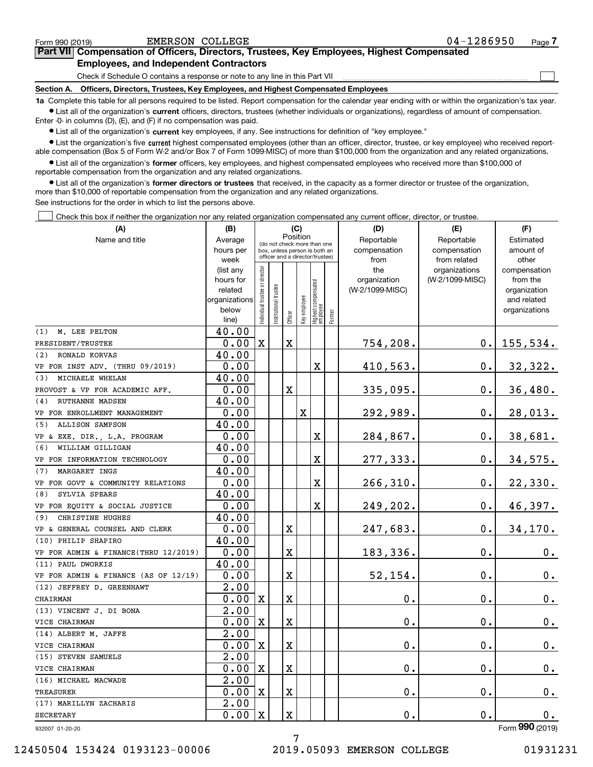| Form 990 (2019) | EMERSON COLLEGE                                                                                                                                           | 04-1286950 | Page - |
|-----------------|-----------------------------------------------------------------------------------------------------------------------------------------------------------|------------|--------|
|                 | Part VII Compensation of Officers, Directors, Trustees, Key Employees, Highest Compensated                                                                |            |        |
|                 | <b>Employees, and Independent Contractors</b>                                                                                                             |            |        |
|                 | Check if Schedule O contains a response or note to any line in this Part VII                                                                              |            |        |
| Section A.      | Officers, Directors, Trustees, Key Employees, and Highest Compensated Employees                                                                           |            |        |
|                 | to Complete this tople for all persons required to be listed. Benef compensation for the colondary very ending with or within the examination's tax year. |            |        |

**1a •** List all of the organization's current officers, directors, trustees (whether individuals or organizations), regardless of amount of compensation. all persons required to be listed. Report compensation for the calendar year ending with or within the organization's tax ye Enter -0- in columns (D), (E), and (F) if no compensation was paid.

 $\bullet$  List all of the organization's  $\,$ current key employees, if any. See instructions for definition of "key employee."

**•** List the organization's five current highest compensated employees (other than an officer, director, trustee, or key employee) who received reportable compensation (Box 5 of Form W-2 and/or Box 7 of Form 1099-MISC) of more than \$100,000 from the organization and any related organizations.

**•** List all of the organization's former officers, key employees, and highest compensated employees who received more than \$100,000 of reportable compensation from the organization and any related organizations.

**former directors or trustees**  ¥ List all of the organization's that received, in the capacity as a former director or trustee of the organization, more than \$10,000 of reportable compensation from the organization and any related organizations.

See instructions for the order in which to list the persons above.

Check this box if neither the organization nor any related organization compensated any current officer, director, or trustee.  $\mathcal{L}^{\text{max}}$ 

| (A)                                  | (B)                    |                                |                                                                  | (C)                     |              |                                   |        | (D)                 | (E)                              | (F)                      |
|--------------------------------------|------------------------|--------------------------------|------------------------------------------------------------------|-------------------------|--------------|-----------------------------------|--------|---------------------|----------------------------------|--------------------------|
| Name and title                       | Average                |                                | (do not check more than one                                      | Position                |              |                                   |        | Reportable          | Reportable                       | Estimated                |
|                                      | hours per              |                                | box, unless person is both an<br>officer and a director/trustee) |                         |              |                                   |        | compensation        | compensation                     | amount of                |
|                                      | week                   |                                |                                                                  |                         |              |                                   |        | from                | from related                     | other                    |
|                                      | (list any<br>hours for |                                |                                                                  |                         |              |                                   |        | the<br>organization | organizations<br>(W-2/1099-MISC) | compensation<br>from the |
|                                      | related                |                                |                                                                  |                         |              |                                   |        | (W-2/1099-MISC)     |                                  | organization             |
|                                      | organizations          |                                |                                                                  |                         |              |                                   |        |                     |                                  | and related              |
|                                      | below                  | Individual trustee or director | Institutional trustee                                            |                         | Key employee |                                   |        |                     |                                  | organizations            |
|                                      | line)                  |                                |                                                                  | Officer                 |              | Highest compensated<br>  employee | Former |                     |                                  |                          |
| M. LEE PELTON<br>(1)                 | 40.00                  |                                |                                                                  |                         |              |                                   |        |                     |                                  |                          |
| PRESIDENT/TRUSTEE                    | 0.00                   | X                              |                                                                  | $\rm X$                 |              |                                   |        | 754,208.            | 0.                               | 155, 534.                |
| (2) RONALD KORVAS                    | 40.00                  |                                |                                                                  |                         |              |                                   |        |                     |                                  |                          |
| VP FOR INST ADV. (THRU 09/2019)      | 0.00                   |                                |                                                                  |                         |              | $\mathbf X$                       |        | 410,563.            | 0.                               | 32,322.                  |
| MICHAELE WHELAN<br>(3)               | 40.00                  |                                |                                                                  |                         |              |                                   |        |                     |                                  |                          |
| PROVOST & VP FOR ACADEMIC AFF.       | 0.00                   |                                |                                                                  | $\overline{\mathbf{X}}$ |              |                                   |        | 335,095.            | 0.                               | 36,480.                  |
| <b>RUTHANNE MADSEN</b><br>(4)        | 40.00                  |                                |                                                                  |                         |              |                                   |        |                     |                                  |                          |
| VP FOR ENROLLMENT MANAGEMENT         | 0.00                   |                                |                                                                  |                         | $\mathbf x$  |                                   |        | 292,989.            | 0.                               | 28,013.                  |
| (5)<br><b>ALLISON SAMPSON</b>        | 40.00                  |                                |                                                                  |                         |              |                                   |        |                     |                                  |                          |
| VP & EXE. DIR., L.A. PROGRAM         | 0.00                   |                                |                                                                  |                         |              | х                                 |        | 284,867.            | 0.                               | 38,681.                  |
| WILLIAM GILLIGAN<br>(6)              | 40.00                  |                                |                                                                  |                         |              |                                   |        |                     |                                  |                          |
| VP FOR INFORMATION TECHNOLOGY        | 0.00                   |                                |                                                                  |                         |              | $\mathbf X$                       |        | 277,333.            | 0.                               | 34,575.                  |
| MARGARET INGS<br>(7)                 | 40.00                  |                                |                                                                  |                         |              |                                   |        |                     |                                  |                          |
| VP FOR GOVT & COMMUNITY RELATIONS    | 0.00                   |                                |                                                                  |                         |              | $\mathbf X$                       |        | 266,310.            | 0.                               | 22,330.                  |
| SYLVIA SPEARS<br>(8)                 | 40.00                  |                                |                                                                  |                         |              |                                   |        |                     |                                  |                          |
| VP FOR EQUITY & SOCIAL JUSTICE       | 0.00                   |                                |                                                                  |                         |              | $\mathbf X$                       |        | 249,202.            | $0$ .                            | 46,397.                  |
| CHRISTINE HUGHES<br>(9)              | 40.00                  |                                |                                                                  |                         |              |                                   |        |                     |                                  |                          |
| VP & GENERAL COUNSEL AND CLERK       | 0.00                   |                                |                                                                  | X                       |              |                                   |        | 247,683.            | 0.                               | 34, 170.                 |
| (10) PHILIP SHAPIRO                  | 40.00                  |                                |                                                                  |                         |              |                                   |        |                     |                                  |                          |
| VP FOR ADMIN & FINANCE(THRU 12/2019) | 0.00                   |                                |                                                                  | $\overline{\textbf{X}}$ |              |                                   |        | 183,336.            | Ο.                               | 0.                       |
| (11) PAUL DWORKIS                    | 40.00                  |                                |                                                                  |                         |              |                                   |        |                     |                                  |                          |
| VP FOR ADMIN & FINANCE (AS OF 12/19) | 0.00                   |                                |                                                                  | X                       |              |                                   |        | 52,154.             | 0.                               | 0.                       |
| (12) JEFFREY D. GREENHAWT            | $\overline{2.00}$      |                                |                                                                  |                         |              |                                   |        |                     |                                  |                          |
| CHAIRMAN                             | 0.00                   | х                              |                                                                  | X                       |              |                                   |        | 0.                  | 0.                               | 0.                       |
| (13) VINCENT J. DI BONA              | $\overline{2}$ .00     |                                |                                                                  |                         |              |                                   |        |                     |                                  |                          |
| VICE CHAIRMAN                        | 0.00                   | х                              |                                                                  | X                       |              |                                   |        | 0.                  | 0.                               | 0.                       |
| (14) ALBERT M. JAFFE                 | 2.00                   |                                |                                                                  |                         |              |                                   |        |                     |                                  |                          |
| VICE CHAIRMAN                        | 0.00                   | $\mathbf X$                    |                                                                  | X                       |              |                                   |        | 0.                  | 0.                               | 0.                       |
| (15) STEVEN SAMUELS                  | 2.00                   |                                |                                                                  |                         |              |                                   |        |                     |                                  |                          |
| VICE CHAIRMAN                        | 0.00                   | $\mathbf X$                    |                                                                  | X                       |              |                                   |        | $\mathbf 0$ .       | 0.                               | 0.                       |
| (16) MICHAEL MACWADE                 | 2.00                   |                                |                                                                  |                         |              |                                   |        |                     |                                  |                          |
| <b>TREASURER</b>                     | 0.00                   | $\mathbf X$                    |                                                                  | X                       |              |                                   |        | 0.                  | 0.                               | 0.                       |
| (17) MARILLYN ZACHARIS               | $\overline{2.00}$      |                                |                                                                  |                         |              |                                   |        |                     |                                  |                          |
| <b>SECRETARY</b>                     | 0.00                   | X                              |                                                                  | X                       |              |                                   |        | 0.                  | 0.                               | $0$ .                    |
| 932007 01-20-20                      |                        |                                |                                                                  |                         |              |                                   |        |                     |                                  | Form 990 (2019)          |

7

12450504 153424 0193123-00006 2019.05093 EMERSON COLLEGE 01931231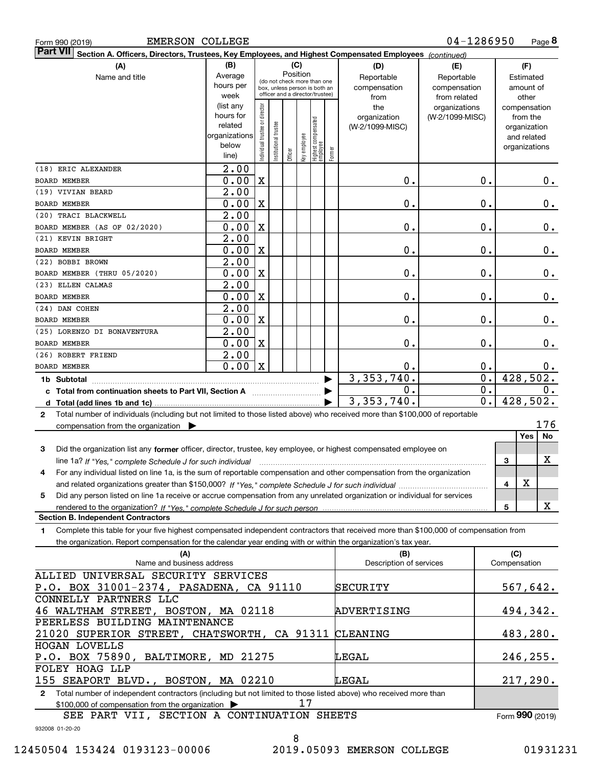|  | Form 990 (2019) |
|--|-----------------|

| Part VII Section A. Officers, Directors, Trustees, Key Employees, and Highest Compensated Employees (continued)                                                                               |                                                                      |                                |                       |          |              |                                   |        |                    |                 |                        |                             |
|-----------------------------------------------------------------------------------------------------------------------------------------------------------------------------------------------|----------------------------------------------------------------------|--------------------------------|-----------------------|----------|--------------|-----------------------------------|--------|--------------------|-----------------|------------------------|-----------------------------|
| (A)                                                                                                                                                                                           | (B)                                                                  |                                |                       |          | (C)          |                                   |        | (D)                | (E)             |                        | (F)                         |
| Name and title                                                                                                                                                                                | Average                                                              |                                |                       | Position |              | (do not check more than one       |        | Reportable         | Reportable      |                        | Estimated                   |
|                                                                                                                                                                                               | hours per                                                            |                                |                       |          |              | box, unless person is both an     |        | compensation       | compensation    |                        | amount of                   |
|                                                                                                                                                                                               | week                                                                 |                                |                       |          |              | officer and a director/trustee)   |        | from               | from related    |                        | other                       |
|                                                                                                                                                                                               | (list any<br>hours for                                               |                                |                       |          |              |                                   |        | the                | organizations   |                        | compensation                |
|                                                                                                                                                                                               | related                                                              |                                |                       |          |              |                                   |        | organization       | (W-2/1099-MISC) |                        | from the                    |
|                                                                                                                                                                                               | organizations                                                        |                                |                       |          |              |                                   |        | (W-2/1099-MISC)    |                 |                        | organization<br>and related |
|                                                                                                                                                                                               | below                                                                | Individual trustee or director | Institutional trustee |          |              |                                   |        |                    |                 |                        | organizations               |
|                                                                                                                                                                                               | line)                                                                |                                |                       | Officer  | Key employee | Highest compensated<br>  employee | Former |                    |                 |                        |                             |
| (18) ERIC ALEXANDER                                                                                                                                                                           | 2.00                                                                 |                                |                       |          |              |                                   |        |                    |                 |                        |                             |
| <b>BOARD MEMBER</b>                                                                                                                                                                           | 0.00                                                                 | $\mathbf X$                    |                       |          |              |                                   |        | 0.                 |                 | 0.                     | $0$ .                       |
| (19) VIVIAN BEARD                                                                                                                                                                             | 2.00                                                                 |                                |                       |          |              |                                   |        |                    |                 |                        |                             |
| <b>BOARD MEMBER</b>                                                                                                                                                                           | 0.00                                                                 | $\mathbf X$                    |                       |          |              |                                   |        | 0.                 |                 | 0.                     | 0.                          |
| (20) TRACI BLACKWELL                                                                                                                                                                          | 2.00                                                                 |                                |                       |          |              |                                   |        |                    |                 |                        |                             |
| BOARD MEMBER (AS OF 02/2020)                                                                                                                                                                  | 0.00                                                                 | $\mathbf X$                    |                       |          |              |                                   |        | 0.                 |                 | 0.                     | 0.                          |
| (21) KEVIN BRIGHT                                                                                                                                                                             | 2.00                                                                 |                                |                       |          |              |                                   |        |                    |                 |                        |                             |
| <b>BOARD MEMBER</b>                                                                                                                                                                           | 0.00                                                                 | $\mathbf X$                    |                       |          |              |                                   |        | 0.                 |                 | 0.                     | 0.                          |
| (22) BOBBI BROWN                                                                                                                                                                              | 2.00                                                                 |                                |                       |          |              |                                   |        |                    |                 |                        |                             |
| BOARD MEMBER (THRU 05/2020)                                                                                                                                                                   | 0.00                                                                 | $\mathbf X$                    |                       |          |              |                                   |        | 0.                 |                 | 0.                     | 0.                          |
| (23) ELLEN CALMAS                                                                                                                                                                             | 2.00                                                                 |                                |                       |          |              |                                   |        |                    |                 |                        |                             |
| <b>BOARD MEMBER</b>                                                                                                                                                                           | 0.00                                                                 | $\mathbf X$                    |                       |          |              |                                   |        | 0.                 |                 | 0.                     | 0.                          |
| (24) DAN COHEN                                                                                                                                                                                | 2.00                                                                 |                                |                       |          |              |                                   |        |                    |                 |                        |                             |
| <b>BOARD MEMBER</b>                                                                                                                                                                           | 0.00                                                                 | $\mathbf X$                    |                       |          |              |                                   |        | 0.                 |                 | 0.                     | 0.                          |
| (25) LORENZO DI BONAVENTURA                                                                                                                                                                   | 2.00                                                                 |                                |                       |          |              |                                   |        |                    |                 |                        |                             |
| <b>BOARD MEMBER</b>                                                                                                                                                                           | 0.00                                                                 | $\mathbf X$                    |                       |          |              |                                   |        | 0.                 |                 | 0.                     | 0.                          |
| (26) ROBERT FRIEND                                                                                                                                                                            | 2.00                                                                 |                                |                       |          |              |                                   |        |                    |                 |                        |                             |
| <b>BOARD MEMBER</b>                                                                                                                                                                           | 0.00                                                                 | $\mathbf X$                    |                       |          |              |                                   |        | 0.<br>3, 353, 740. |                 | 0.<br>$\overline{0}$ . | $0$ .<br>428,502.           |
| 1b Subtotal                                                                                                                                                                                   |                                                                      |                                |                       |          |              |                                   |        | $\mathbf 0$ .      |                 | 0.                     | 0.                          |
| c Total from continuation sheets to Part VII, Section A manufactor continues                                                                                                                  |                                                                      |                                |                       |          |              |                                   |        | 3, 353, 740.       |                 | 0.                     | 428,502.                    |
|                                                                                                                                                                                               |                                                                      |                                |                       |          |              |                                   |        |                    |                 |                        |                             |
| Total number of individuals (including but not limited to those listed above) who received more than \$100,000 of reportable<br>2<br>compensation from the organization $\blacktriangleright$ |                                                                      |                                |                       |          |              |                                   |        |                    |                 |                        | 176                         |
|                                                                                                                                                                                               |                                                                      |                                |                       |          |              |                                   |        |                    |                 |                        | <b>Yes</b><br>No            |
| Did the organization list any former officer, director, trustee, key employee, or highest compensated employee on<br>3                                                                        |                                                                      |                                |                       |          |              |                                   |        |                    |                 |                        |                             |
| line 1a? If "Yes," complete Schedule J for such individual                                                                                                                                    |                                                                      |                                |                       |          |              |                                   |        |                    |                 |                        | х<br>3                      |
| For any individual listed on line 1a, is the sum of reportable compensation and other compensation from the organization<br>4                                                                 |                                                                      |                                |                       |          |              |                                   |        |                    |                 |                        |                             |
|                                                                                                                                                                                               |                                                                      |                                |                       |          |              |                                   |        |                    |                 |                        | X<br>4                      |
| Did any person listed on line 1a receive or accrue compensation from any unrelated organization or individual for services<br>5                                                               |                                                                      |                                |                       |          |              |                                   |        |                    |                 |                        |                             |
|                                                                                                                                                                                               |                                                                      |                                |                       |          |              |                                   |        |                    |                 |                        | X<br>5                      |
| <b>Section B. Independent Contractors</b>                                                                                                                                                     |                                                                      |                                |                       |          |              |                                   |        |                    |                 |                        |                             |
| Complete this table for your five highest compensated independent contractors that received more than \$100,000 of compensation from<br>1                                                     |                                                                      |                                |                       |          |              |                                   |        |                    |                 |                        |                             |
| the organization. Report compensation for the calendar year ending with or within the organization's tax year.                                                                                |                                                                      |                                |                       |          |              |                                   |        |                    |                 |                        |                             |
| (A)                                                                                                                                                                                           |                                                                      |                                |                       |          |              |                                   |        | (B)                |                 |                        | (C)                         |
|                                                                                                                                                                                               | Name and business address<br>Description of services<br>Compensation |                                |                       |          |              |                                   |        |                    |                 |                        |                             |
| ALLIED UNIVERSAL SECURITY SERVICES                                                                                                                                                            |                                                                      |                                |                       |          |              |                                   |        |                    |                 |                        |                             |
| P.O. BOX 31001-2374, PASADENA, CA 91110                                                                                                                                                       |                                                                      |                                |                       |          |              |                                   |        | SECURITY           |                 |                        | 567,642.                    |
| CONNELLY PARTNERS LLC                                                                                                                                                                         |                                                                      |                                |                       |          |              |                                   |        |                    |                 |                        |                             |
| 46 WALTHAM STREET, BOSTON, MA 02118                                                                                                                                                           |                                                                      |                                |                       |          |              |                                   |        | ADVERTISING        |                 |                        | 494,342.                    |
| PEERLESS BUILDING MAINTENANCE                                                                                                                                                                 |                                                                      |                                |                       |          |              |                                   |        |                    |                 |                        |                             |
| 21020 SUPERIOR STREET, CHATSWORTH, CA 91311 CLEANING                                                                                                                                          |                                                                      |                                |                       |          |              |                                   |        |                    |                 |                        | 483,280.                    |
| <b>HOGAN LOVELLS</b>                                                                                                                                                                          |                                                                      |                                |                       |          |              |                                   |        |                    |                 |                        |                             |

**2**Total number of independent contractors (including but not limited to those listed above) who received more than \$100,000 of compensation from the organization  $\blacktriangleright$ 155 SEAPORT BLVD., BOSTON, MA 02210 17 LEGAL

SEE PART VII, SECTION A CONTINUATION SHEETS

Form (2019) **990**

246,255.

217,290.

932008 01-20-20

FOLEY HOAG LLP

P.O. BOX 75890, BALTIMORE, MD 21275

LEGAL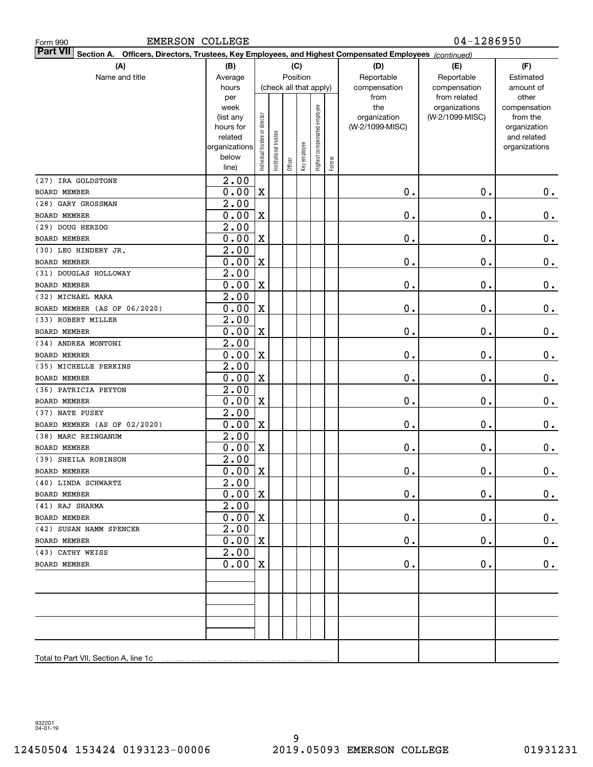| <b>EMERSON COLLEGE</b><br>Form 990                                                                                    |                      |                                |                       |         |                        |                              |        |                 | 04-1286950      |                             |  |  |  |
|-----------------------------------------------------------------------------------------------------------------------|----------------------|--------------------------------|-----------------------|---------|------------------------|------------------------------|--------|-----------------|-----------------|-----------------------------|--|--|--|
| Part VII<br>Officers, Directors, Trustees, Key Employees, and Highest Compensated Employees (continued)<br>Section A. |                      |                                |                       |         |                        |                              |        |                 |                 |                             |  |  |  |
| (A)                                                                                                                   | (B)                  |                                |                       |         | (C)                    |                              |        | (D)             | (E)             | (F)                         |  |  |  |
| Name and title                                                                                                        | Average              |                                |                       |         | Position               |                              |        | Reportable      | Reportable      | Estimated                   |  |  |  |
|                                                                                                                       | hours                |                                |                       |         | (check all that apply) |                              |        | compensation    | compensation    | amount of                   |  |  |  |
|                                                                                                                       | per                  |                                |                       |         |                        |                              |        | from            | from related    | other                       |  |  |  |
|                                                                                                                       | week                 |                                |                       |         |                        |                              |        | the             | organizations   | compensation                |  |  |  |
|                                                                                                                       | (list any            |                                |                       |         |                        |                              |        | organization    | (W-2/1099-MISC) | from the                    |  |  |  |
|                                                                                                                       | hours for<br>related |                                |                       |         |                        |                              |        | (W-2/1099-MISC) |                 | organization<br>and related |  |  |  |
|                                                                                                                       | organizations        |                                |                       |         |                        |                              |        |                 |                 | organizations               |  |  |  |
|                                                                                                                       | below                | Individual trustee or director | Institutional trustee |         | Key employee           | Highest compensated employee |        |                 |                 |                             |  |  |  |
|                                                                                                                       | line)                |                                |                       | Officer |                        |                              | Former |                 |                 |                             |  |  |  |
| (27) IRA GOLDSTONE                                                                                                    | 2.00                 |                                |                       |         |                        |                              |        |                 |                 |                             |  |  |  |
| <b>BOARD MEMBER</b>                                                                                                   | 0.00                 | $\mathbf X$                    |                       |         |                        |                              |        | $\mathbf 0$ .   | 0.              | $0_{.}$                     |  |  |  |
| (28) GARY GROSSMAN                                                                                                    | $\overline{2.00}$    |                                |                       |         |                        |                              |        |                 |                 |                             |  |  |  |
| <b>BOARD MEMBER</b>                                                                                                   | 0.00                 | $\mathbf X$                    |                       |         |                        |                              |        | 0.              | 0.              | $0_{.}$                     |  |  |  |
| (29) DOUG HERZOG                                                                                                      | $\overline{2.00}$    |                                |                       |         |                        |                              |        |                 |                 |                             |  |  |  |
| <b>BOARD MEMBER</b>                                                                                                   | 0.00                 | $\mathbf X$                    |                       |         |                        |                              |        | 0.              | 0.              | $0_{.}$                     |  |  |  |
| (30) LEO HINDERY JR.                                                                                                  | $\overline{2.00}$    |                                |                       |         |                        |                              |        |                 |                 |                             |  |  |  |
| <b>BOARD MEMBER</b>                                                                                                   | 0.00                 | $\mathbf X$                    |                       |         |                        |                              |        | 0.              | 0.              | $0_{.}$                     |  |  |  |
| (31) DOUGLAS HOLLOWAY                                                                                                 | $\overline{2.00}$    |                                |                       |         |                        |                              |        |                 |                 |                             |  |  |  |
| <b>BOARD MEMBER</b>                                                                                                   | 0.00                 | $\mathbf X$                    |                       |         |                        |                              |        | 0.              | 0.              | $0_{.}$                     |  |  |  |
| (32) MICHAEL MARA                                                                                                     | $\overline{2.00}$    |                                |                       |         |                        |                              |        |                 |                 |                             |  |  |  |
| BOARD MEMBER (AS OF 06/2020)                                                                                          | 0.00                 | $\mathbf X$                    |                       |         |                        |                              |        | 0.              | 0.              | $0_{.}$                     |  |  |  |
| (33) ROBERT MILLER                                                                                                    | $\overline{2.00}$    |                                |                       |         |                        |                              |        |                 |                 |                             |  |  |  |
| <b>BOARD MEMBER</b>                                                                                                   | 0.00                 | $\mathbf X$                    |                       |         |                        |                              |        | 0.              | 0.              | $0_{.}$                     |  |  |  |
| (34) ANDREA MONTONI                                                                                                   | $\overline{2.00}$    |                                |                       |         |                        |                              |        |                 |                 |                             |  |  |  |
| <b>BOARD MEMBER</b>                                                                                                   | 0.00                 | $\mathbf X$                    |                       |         |                        |                              |        | 0.              | 0.              | $\mathbf 0$ .               |  |  |  |
| (35) MICHELLE PERKINS                                                                                                 | $\overline{2.00}$    |                                |                       |         |                        |                              |        |                 |                 |                             |  |  |  |
| <b>BOARD MEMBER</b>                                                                                                   | 0.00                 | $\mathbf X$                    |                       |         |                        |                              |        | 0.              | 0.              | $\mathbf 0$ .               |  |  |  |
| (36) PATRICIA PEYTON                                                                                                  | $\overline{2.00}$    | $\mathbf X$                    |                       |         |                        |                              |        |                 | 0.              |                             |  |  |  |
| <b>BOARD MEMBER</b>                                                                                                   | 0.00                 |                                |                       |         |                        |                              |        | 0.              |                 | $\mathbf 0$ .               |  |  |  |
| (37) NATE PUSEY<br>BOARD MEMBER (AS OF 02/2020)                                                                       | 2.00<br>0.00         | $\mathbf X$                    |                       |         |                        |                              |        | 0.              | 0.              | 0.                          |  |  |  |
| (38) MARC REINGANUM                                                                                                   | 2.00                 |                                |                       |         |                        |                              |        |                 |                 |                             |  |  |  |
| <b>BOARD MEMBER</b>                                                                                                   | 0.00                 | $\mathbf X$                    |                       |         |                        |                              |        | 0.              | 0.              | 0.                          |  |  |  |
| (39) SHEILA ROBINSON                                                                                                  | $\overline{2.00}$    |                                |                       |         |                        |                              |        |                 |                 |                             |  |  |  |
| BOARD MEMBER                                                                                                          | $0.00$ X             |                                |                       |         |                        |                              |        | $\pmb{0}$ .     | $\mathbf 0$ .   | 0.                          |  |  |  |
| (40) LINDA SCHWARTZ                                                                                                   | $\overline{2}$ .00   |                                |                       |         |                        |                              |        |                 |                 |                             |  |  |  |
| BOARD MEMBER                                                                                                          | 0.00                 | X                              |                       |         |                        |                              |        | 0.              | 0.              | 0.                          |  |  |  |
| (41) RAJ SHARMA                                                                                                       | 2.00                 |                                |                       |         |                        |                              |        |                 |                 |                             |  |  |  |
| BOARD MEMBER                                                                                                          | 0.00                 | X                              |                       |         |                        |                              |        | 0.              | 0.              | 0.                          |  |  |  |
| (42) SUSAN NAMM SPENCER                                                                                               | 2.00                 |                                |                       |         |                        |                              |        |                 |                 |                             |  |  |  |
| BOARD MEMBER                                                                                                          | 0.00                 | X                              |                       |         |                        |                              |        | 0.              | 0.              | 0.                          |  |  |  |
| (43) CATHY WEISS                                                                                                      | 2.00                 |                                |                       |         |                        |                              |        |                 |                 |                             |  |  |  |
| BOARD MEMBER                                                                                                          | 0.00                 | X                              |                       |         |                        |                              |        | О.              | $\mathbf 0$ .   | 0.                          |  |  |  |
|                                                                                                                       |                      |                                |                       |         |                        |                              |        |                 |                 |                             |  |  |  |
|                                                                                                                       |                      |                                |                       |         |                        |                              |        |                 |                 |                             |  |  |  |
|                                                                                                                       |                      |                                |                       |         |                        |                              |        |                 |                 |                             |  |  |  |
|                                                                                                                       |                      |                                |                       |         |                        |                              |        |                 |                 |                             |  |  |  |
|                                                                                                                       |                      |                                |                       |         |                        |                              |        |                 |                 |                             |  |  |  |
|                                                                                                                       |                      |                                |                       |         |                        |                              |        |                 |                 |                             |  |  |  |
| Total to Part VII, Section A, line 1c                                                                                 |                      |                                |                       |         |                        |                              |        |                 |                 |                             |  |  |  |

932201 04-01-19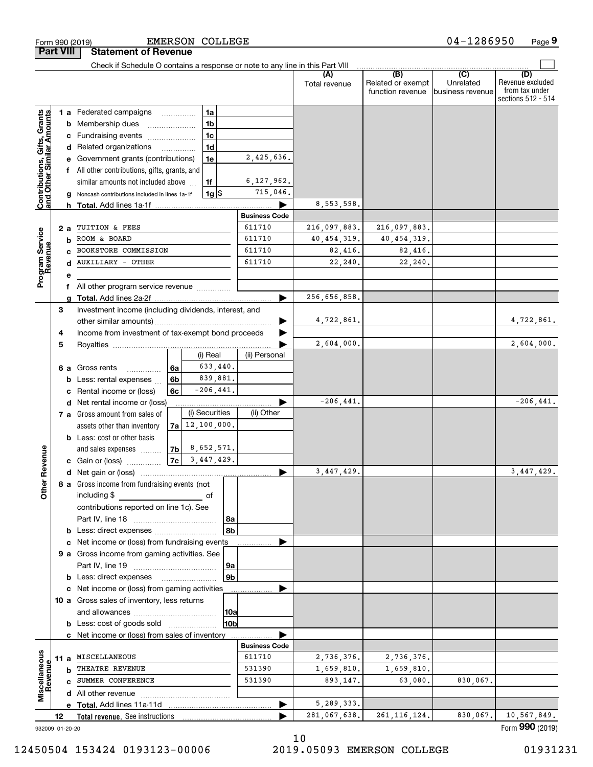|                                                           |                 |   | Check if Schedule O contains a response or note to any line in this Part VIII                       |    |                     |                        |                      |               |                                              |                                      |                                                                 |
|-----------------------------------------------------------|-----------------|---|-----------------------------------------------------------------------------------------------------|----|---------------------|------------------------|----------------------|---------------|----------------------------------------------|--------------------------------------|-----------------------------------------------------------------|
|                                                           |                 |   |                                                                                                     |    |                     |                        |                      | Total revenue | (B)<br>Related or exempt<br>function revenue | (C)<br>Unrelated<br>business revenue | (D)<br>Revenue excluded<br>from tax under<br>sections 512 - 514 |
|                                                           |                 |   | 1 a Federated campaigns                                                                             |    | l 1a                |                        |                      |               |                                              |                                      |                                                                 |
| Contributions, Gifts, Grants<br>and Other Similar Amounts |                 |   | <b>b</b> Membership dues                                                                            |    | 1 <sub>b</sub>      |                        |                      |               |                                              |                                      |                                                                 |
|                                                           |                 |   | c Fundraising events                                                                                |    | 1 <sub>c</sub>      |                        |                      |               |                                              |                                      |                                                                 |
|                                                           |                 |   | d Related organizations                                                                             |    | 1 <sub>d</sub>      |                        |                      |               |                                              |                                      |                                                                 |
|                                                           |                 |   | e Government grants (contributions)                                                                 |    | 1e                  |                        | 2,425,636.           |               |                                              |                                      |                                                                 |
|                                                           |                 |   | f All other contributions, gifts, grants, and                                                       |    |                     |                        |                      |               |                                              |                                      |                                                                 |
|                                                           |                 |   | similar amounts not included above                                                                  |    | 1f                  |                        | 6, 127, 962.         |               |                                              |                                      |                                                                 |
|                                                           |                 |   | g Noncash contributions included in lines 1a-1f                                                     |    | $1g$ \$             |                        | 715,046.             |               |                                              |                                      |                                                                 |
|                                                           |                 |   | h Total. Add lines 1a-1f                                                                            |    |                     |                        |                      | 8,553,598.    |                                              |                                      |                                                                 |
|                                                           |                 |   |                                                                                                     |    |                     |                        | <b>Business Code</b> |               |                                              |                                      |                                                                 |
|                                                           | 2а              |   | TUITION & FEES                                                                                      |    |                     |                        | 611710               | 216,097,883.  | 216,097,883.                                 |                                      |                                                                 |
| Program Service<br>Revenue                                | b               |   | ROOM & BOARD                                                                                        |    |                     |                        | 611710               | 40, 454, 319. | 40, 454, 319.                                |                                      |                                                                 |
|                                                           |                 |   | BOOKSTORE COMMISSION                                                                                |    |                     |                        | 611710               | 82,416.       | 82,416.                                      |                                      |                                                                 |
|                                                           |                 |   | <b>AUXILIARY - OTHER</b>                                                                            |    |                     |                        | 611710               | 22,240.       | 22,240.                                      |                                      |                                                                 |
|                                                           |                 |   |                                                                                                     |    |                     |                        |                      |               |                                              |                                      |                                                                 |
|                                                           |                 |   | f All other program service revenue                                                                 |    |                     |                        |                      |               |                                              |                                      |                                                                 |
|                                                           |                 |   |                                                                                                     |    |                     |                        |                      | 256,656,858.  |                                              |                                      |                                                                 |
|                                                           | З               |   | Investment income (including dividends, interest, and                                               |    |                     |                        |                      |               |                                              |                                      |                                                                 |
|                                                           |                 |   |                                                                                                     |    |                     |                        |                      | 4,722,861.    |                                              |                                      | 4,722,861.                                                      |
|                                                           | 4               |   | Income from investment of tax-exempt bond proceeds                                                  |    |                     |                        |                      |               |                                              |                                      |                                                                 |
|                                                           | 5               |   |                                                                                                     |    |                     |                        |                      | 2,604,000.    |                                              |                                      | 2,604,000.                                                      |
|                                                           |                 |   |                                                                                                     |    | (i) Real            |                        | (ii) Personal        |               |                                              |                                      |                                                                 |
|                                                           |                 |   | 6 a Gross rents<br>.                                                                                | 6a | 633,440.            |                        |                      |               |                                              |                                      |                                                                 |
|                                                           |                 |   | <b>b</b> Less: rental expenses                                                                      | 6b | 839,881.            |                        |                      |               |                                              |                                      |                                                                 |
|                                                           |                 |   | c Rental income or (loss)                                                                           | 6с | $-206, 441.$        |                        |                      |               |                                              |                                      |                                                                 |
|                                                           |                 |   | d Net rental income or (loss)                                                                       |    |                     |                        |                      | $-206, 441.$  |                                              |                                      | $-206, 441.$                                                    |
|                                                           |                 |   | 7 a Gross amount from sales of                                                                      |    | (i) Securities      |                        | (ii) Other           |               |                                              |                                      |                                                                 |
|                                                           |                 |   | assets other than inventory                                                                         |    | $7a$ $12,100,000$ . |                        |                      |               |                                              |                                      |                                                                 |
|                                                           |                 |   | <b>b</b> Less: cost or other basis                                                                  |    |                     |                        |                      |               |                                              |                                      |                                                                 |
|                                                           |                 |   | and sales expenses                                                                                  |    | $7b$ 8, 652, 571.   |                        |                      |               |                                              |                                      |                                                                 |
| ther Revenue                                              |                 |   | c Gain or (loss)                                                                                    | 7c | 3,447,429.          |                        |                      | 3,447,429.    |                                              |                                      | 3,447,429.                                                      |
|                                                           |                 |   |                                                                                                     |    |                     |                        |                      |               |                                              |                                      |                                                                 |
|                                                           |                 |   | 8 a Gross income from fundraising events (not                                                       |    |                     |                        |                      |               |                                              |                                      |                                                                 |
| 0                                                         |                 |   | including \$                                                                                        |    | 0t                  |                        |                      |               |                                              |                                      |                                                                 |
|                                                           |                 |   | contributions reported on line 1c). See                                                             |    |                     |                        |                      |               |                                              |                                      |                                                                 |
|                                                           |                 |   |                                                                                                     |    |                     | l 8a<br>8 <sub>b</sub> |                      |               |                                              |                                      |                                                                 |
|                                                           |                 |   | <b>b</b> Less: direct expenses <b>constants b</b><br>c Net income or (loss) from fundraising events |    |                     |                        |                      |               |                                              |                                      |                                                                 |
|                                                           |                 |   | 9 a Gross income from gaming activities. See                                                        |    |                     |                        |                      |               |                                              |                                      |                                                                 |
|                                                           |                 |   |                                                                                                     |    |                     | 9a                     |                      |               |                                              |                                      |                                                                 |
|                                                           |                 |   |                                                                                                     |    |                     | 9 <sub>b</sub>         |                      |               |                                              |                                      |                                                                 |
|                                                           |                 |   | c Net income or (loss) from gaming activities                                                       |    |                     |                        |                      |               |                                              |                                      |                                                                 |
|                                                           |                 |   | 10 a Gross sales of inventory, less returns                                                         |    |                     |                        |                      |               |                                              |                                      |                                                                 |
|                                                           |                 |   |                                                                                                     |    |                     | 10a                    |                      |               |                                              |                                      |                                                                 |
|                                                           |                 |   | <b>b</b> Less: cost of goods sold                                                                   |    |                     | 10b                    |                      |               |                                              |                                      |                                                                 |
|                                                           |                 |   | c Net income or (loss) from sales of inventory                                                      |    |                     |                        |                      |               |                                              |                                      |                                                                 |
|                                                           |                 |   |                                                                                                     |    |                     |                        | <b>Business Code</b> |               |                                              |                                      |                                                                 |
|                                                           |                 |   | 11 a MISCELLANEOUS                                                                                  |    |                     |                        | 611710               | 2,736,376.    | 2,736,376.                                   |                                      |                                                                 |
|                                                           |                 | b | THEATRE REVENUE                                                                                     |    |                     |                        | 531390               | 1,659,810.    | 1,659,810.                                   |                                      |                                                                 |
|                                                           |                 |   | SUMMER CONFERENCE                                                                                   |    |                     |                        | 531390               | 893,147.      | 63,080.                                      | 830,067.                             |                                                                 |
| Miscellaneous<br>Revenue                                  |                 |   |                                                                                                     |    |                     |                        |                      |               |                                              |                                      |                                                                 |
|                                                           |                 |   |                                                                                                     |    |                     |                        |                      | 5,289,333.    |                                              |                                      |                                                                 |
|                                                           | 12              |   | Total revenue. See instructions                                                                     |    |                     |                        |                      | 281,067,638.  | 261, 116, 124.                               | 830,067.                             | 10,567,849.                                                     |
|                                                           | 932009 01-20-20 |   |                                                                                                     |    |                     |                        |                      |               |                                              |                                      | Form 990 (2019)                                                 |

# 12450504 153424 0193123-00006 2019.05093 EMERSON COLLEGE 01931231

10

EMERSON COLLEGE

**Part VIII Statement of Revenue**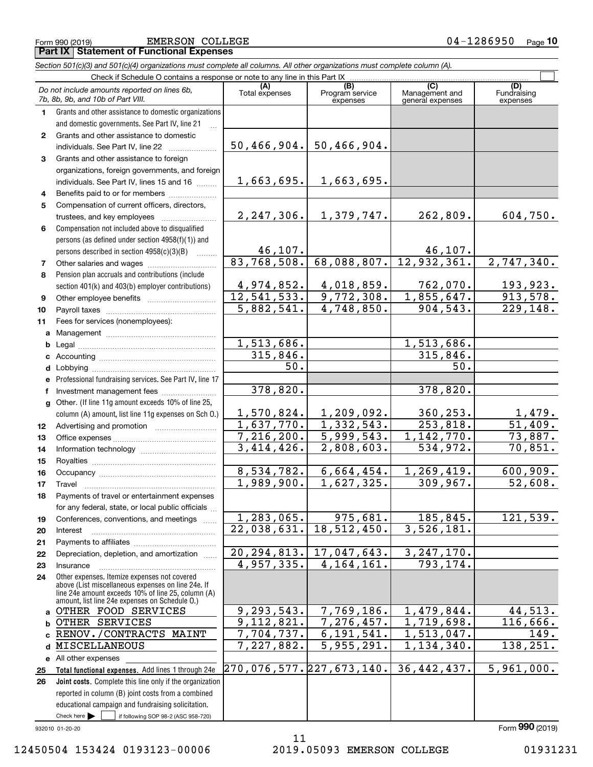Form 990 (2019) EMERSON COLLEGE 0 4-1 2 8 6 9 5 0 <sub>Page</sub> **Part IX Statement of Functional Expenses**

|                | Section 501(c)(3) and 501(c)(4) organizations must complete all columns. All other organizations must complete column (A).                                                                                 |                          |                                    |                                           |                                |
|----------------|------------------------------------------------------------------------------------------------------------------------------------------------------------------------------------------------------------|--------------------------|------------------------------------|-------------------------------------------|--------------------------------|
|                | Check if Schedule O contains a response or note to any line in this Part IX                                                                                                                                |                          |                                    |                                           |                                |
|                | Do not include amounts reported on lines 6b,<br>7b, 8b, 9b, and 10b of Part VIII.                                                                                                                          | (A)<br>Total expenses    | (B)<br>Program service<br>expenses | (C)<br>Management and<br>general expenses | (D)<br>Fundraising<br>expenses |
| 1.             | Grants and other assistance to domestic organizations                                                                                                                                                      |                          |                                    |                                           |                                |
|                | and domestic governments. See Part IV, line 21                                                                                                                                                             |                          |                                    |                                           |                                |
| $\mathbf{2}$   | Grants and other assistance to domestic                                                                                                                                                                    |                          |                                    |                                           |                                |
|                | individuals. See Part IV, line 22                                                                                                                                                                          | 50, 466, 904.            | 50,466,904.                        |                                           |                                |
| 3              | Grants and other assistance to foreign                                                                                                                                                                     |                          |                                    |                                           |                                |
|                | organizations, foreign governments, and foreign                                                                                                                                                            |                          |                                    |                                           |                                |
|                | individuals. See Part IV, lines 15 and 16                                                                                                                                                                  | 1,663,695.               | 1,663,695.                         |                                           |                                |
| 4              | Benefits paid to or for members                                                                                                                                                                            |                          |                                    |                                           |                                |
| 5              | Compensation of current officers, directors,                                                                                                                                                               |                          |                                    |                                           |                                |
|                | trustees, and key employees                                                                                                                                                                                | 2, 247, 306.             | 1,379,747.                         | 262,809.                                  | 604,750.                       |
| 6              | Compensation not included above to disqualified                                                                                                                                                            |                          |                                    |                                           |                                |
|                | persons (as defined under section 4958(f)(1)) and                                                                                                                                                          |                          |                                    |                                           |                                |
|                | persons described in section 4958(c)(3)(B)<br><b>Bassica</b>                                                                                                                                               | <u>46,107.</u>           |                                    | $\frac{46,107.}{12,932,361.}$             |                                |
| $\overline{7}$ | Other salaries and wages                                                                                                                                                                                   | $\overline{83,768,508.}$ | 68,088,807.                        |                                           | 2,747,340.                     |
| 8              | Pension plan accruals and contributions (include                                                                                                                                                           |                          |                                    |                                           |                                |
|                | section 401(k) and 403(b) employer contributions)                                                                                                                                                          | 4,974,852.               | 4,018,859.                         | 762,070.                                  | 193,923.                       |
| 9              |                                                                                                                                                                                                            | 12, 541, 533.            | 9,772,308.                         | $\overline{1,855}$ , 647.                 | 913,578.                       |
| 10             |                                                                                                                                                                                                            | $\overline{5,882,541}$ . | 4,748,850.                         | 904,543.                                  | 229,148.                       |
| 11             | Fees for services (nonemployees):                                                                                                                                                                          |                          |                                    |                                           |                                |
|                |                                                                                                                                                                                                            |                          |                                    |                                           |                                |
| b              |                                                                                                                                                                                                            | 1,513,686.               |                                    | 1,513,686.                                |                                |
| c              |                                                                                                                                                                                                            | 315,846.<br>50.          |                                    | 315,846.<br>50.                           |                                |
| d              |                                                                                                                                                                                                            |                          |                                    |                                           |                                |
|                | Professional fundraising services. See Part IV, line 17                                                                                                                                                    | 378,820.                 |                                    | 378,820.                                  |                                |
| f              | Investment management fees                                                                                                                                                                                 |                          |                                    |                                           |                                |
| $\mathbf{q}$   | Other. (If line 11g amount exceeds 10% of line 25,                                                                                                                                                         | 1,570,824.               | 1,209,092.                         | 360, 253.                                 |                                |
|                | column (A) amount, list line 11g expenses on Sch O.)                                                                                                                                                       | 1,637,770.               | $\overline{1,332,543}$ .           | 253,818.                                  | $\frac{1,479}{51,409}$ .       |
| 12             |                                                                                                                                                                                                            | 7,216,200.               | 5,999,543.                         | 1,142,770.                                | 73,887.                        |
| 13<br>14       |                                                                                                                                                                                                            | 3,414,426.               | 2,808,603.                         | 534,972.                                  | 70,851.                        |
| 15             |                                                                                                                                                                                                            |                          |                                    |                                           |                                |
| 16             |                                                                                                                                                                                                            | 8,534,782.               | 6,664,454.                         | 1,269,419.                                | 600,909.                       |
| 17             |                                                                                                                                                                                                            | 1,989,900.               | 1,627,325.                         | 309,967.                                  | 52,608.                        |
| 18             | Payments of travel or entertainment expenses                                                                                                                                                               |                          |                                    |                                           |                                |
|                | for any federal, state, or local public officials                                                                                                                                                          |                          |                                    |                                           |                                |
| 19             | Conferences, conventions, and meetings                                                                                                                                                                     | 1,283,065.               | 975,681.                           | 185,845.                                  | 121,539.                       |
| 20             | Interest                                                                                                                                                                                                   | 22,038,631.              | 18,512,450.                        | 3,526,181.                                |                                |
| 21             |                                                                                                                                                                                                            |                          |                                    |                                           |                                |
| 22             | Depreciation, depletion, and amortization                                                                                                                                                                  | 20, 294, 813.            | 17,047,643.                        | 3, 247, 170.                              |                                |
| 23             | Insurance                                                                                                                                                                                                  | 4,957,335.               | 4, 164, 161.                       | 793,174.                                  |                                |
| 24             | Other expenses. Itemize expenses not covered<br>above (List miscellaneous expenses on line 24e. If<br>line 24e amount exceeds 10% of line 25, column (A)<br>amount, list line 24e expenses on Schedule O.) |                          |                                    |                                           |                                |
| a              | OTHER FOOD SERVICES                                                                                                                                                                                        | 9,293,543.               | 7,769,186.                         | 1,479,844.                                | 44,513.                        |
| b              | OTHER SERVICES                                                                                                                                                                                             | 9,112,821.               | 7,276,457.                         | 1,719,698.                                | 116,666.                       |
|                | RENOV./CONTRACTS<br><b>MAINT</b>                                                                                                                                                                           | 7,704,737.               | 6,191,541.                         | 1,513,047.                                | 149.                           |
| d              | MISCELLANEOUS                                                                                                                                                                                              | 7,227,882.               | 5,955,291.                         | 1,134,340.                                | 138,251.                       |
|                | e All other expenses                                                                                                                                                                                       |                          |                                    |                                           |                                |
| 25             | Total functional expenses. Add lines 1 through 24e                                                                                                                                                         | 270,076,577.227,673,140. |                                    | 36, 442, 437.                             | 5,961,000.                     |
| 26             | Joint costs. Complete this line only if the organization                                                                                                                                                   |                          |                                    |                                           |                                |
|                | reported in column (B) joint costs from a combined                                                                                                                                                         |                          |                                    |                                           |                                |
|                | educational campaign and fundraising solicitation.                                                                                                                                                         |                          |                                    |                                           |                                |

932010 01-20-20

Check here  $\blacktriangleright$ 

Check here  $\bullet$  if following SOP 98-2 (ASC 958-720)

11 12450504 153424 0193123-00006 2019.05093 EMERSON COLLEGE 01931231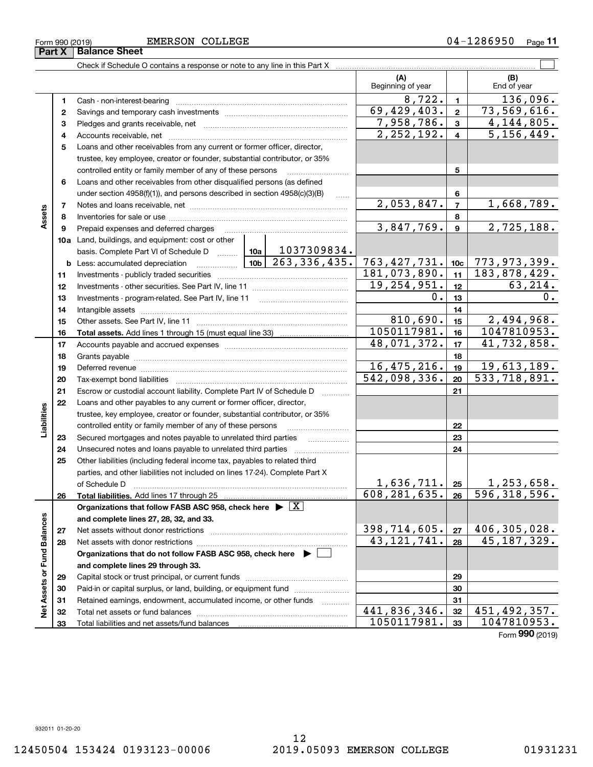**Part X Balance Sheet**

Check if Schedule O contains a response or note to any line in this Part X ..........

|                             |          |                                                                                                                                |  |                                                                                                                       | (A)<br>Beginning of year |                           |                         | (B)<br>End of year           |                          |
|-----------------------------|----------|--------------------------------------------------------------------------------------------------------------------------------|--|-----------------------------------------------------------------------------------------------------------------------|--------------------------|---------------------------|-------------------------|------------------------------|--------------------------|
|                             | 1        | Cash - non-interest-bearing                                                                                                    |  |                                                                                                                       |                          | 8,722.                    | 1                       |                              | 136,096.                 |
|                             | 2        |                                                                                                                                |  |                                                                                                                       |                          | $\overline{69,429,403}$ . | $\mathbf 2$             | 73,569,616.                  |                          |
|                             | з        |                                                                                                                                |  |                                                                                                                       |                          | 7,958,786.                | $\mathbf{3}$            |                              | 4, 144, 805.             |
|                             | 4        |                                                                                                                                |  |                                                                                                                       |                          | 2,252,192.                | $\overline{\mathbf{4}}$ |                              | $\overline{5,156,449}$ . |
|                             | 5        | Loans and other receivables from any current or former officer, director,                                                      |  |                                                                                                                       |                          |                           |                         |                              |                          |
|                             |          | trustee, key employee, creator or founder, substantial contributor, or 35%                                                     |  |                                                                                                                       |                          |                           |                         |                              |                          |
|                             |          | controlled entity or family member of any of these persons                                                                     |  |                                                                                                                       |                          |                           | 5                       |                              |                          |
|                             | 6        | Loans and other receivables from other disqualified persons (as defined                                                        |  |                                                                                                                       |                          |                           |                         |                              |                          |
|                             |          | under section 4958(f)(1)), and persons described in section 4958(c)(3)(B)                                                      |  |                                                                                                                       |                          |                           | 6                       |                              |                          |
|                             | 7        |                                                                                                                                |  |                                                                                                                       |                          | 2,053,847.                | $\overline{7}$          |                              | 1,668,789.               |
| Assets                      | 8        |                                                                                                                                |  |                                                                                                                       | 8                        |                           |                         |                              |                          |
|                             | 9        | Prepaid expenses and deferred charges                                                                                          |  |                                                                                                                       |                          | 3,847,769.                | $\mathbf{9}$            |                              | 2,725,188.               |
|                             |          | 10a Land, buildings, and equipment: cost or other                                                                              |  |                                                                                                                       |                          |                           |                         |                              |                          |
|                             |          | basis. Complete Part VI of Schedule D  10a                                                                                     |  | 1037309834.                                                                                                           |                          |                           |                         |                              |                          |
|                             |          | <b>b</b> Less: accumulated depreciation                                                                                        |  | $\frac{106}{263}$ , 336, 435.                                                                                         |                          | 763, 427, 731.            | 10 <sub>c</sub>         | <u>773,973,399.</u>          |                          |
|                             | 11       |                                                                                                                                |  |                                                                                                                       |                          | 181,073,890.              | 11                      | 183,878,429.                 |                          |
|                             | 12       |                                                                                                                                |  |                                                                                                                       |                          | 19, 254, 951.             | 12                      |                              | 63,214.                  |
|                             | 13       | Investments - program-related. See Part IV, line 11                                                                            |  | 0.                                                                                                                    | 13                       |                           | 0.                      |                              |                          |
|                             | 14       |                                                                                                                                |  |                                                                                                                       | 14                       |                           |                         |                              |                          |
|                             | 15       |                                                                                                                                |  |                                                                                                                       | 810,690.                 | 15                        |                         | 2,494,968.                   |                          |
|                             | 16       |                                                                                                                                |  |                                                                                                                       |                          | 1050117981.               | 16                      | 1047810953.                  |                          |
|                             | 17       |                                                                                                                                |  |                                                                                                                       |                          | 48,071,372.               | 17                      | 41,732,858.                  |                          |
|                             | 18       |                                                                                                                                |  |                                                                                                                       |                          |                           | 18                      |                              |                          |
|                             | 19       | Deferred revenue manual contracts and contracts are all the manual contracts and contracts are all the contracts of            |  | 16, 475, 216.                                                                                                         | 19                       | 19,613,189.               |                         |                              |                          |
|                             | 20       |                                                                                                                                |  | 542,098,336.                                                                                                          | 20                       | 533,718,891.              |                         |                              |                          |
|                             | 21       | Escrow or custodial account liability. Complete Part IV of Schedule D                                                          |  |                                                                                                                       |                          |                           | 21                      |                              |                          |
|                             | 22       | Loans and other payables to any current or former officer, director,                                                           |  |                                                                                                                       |                          |                           |                         |                              |                          |
| Liabilities                 |          | trustee, key employee, creator or founder, substantial contributor, or 35%                                                     |  |                                                                                                                       |                          |                           |                         |                              |                          |
|                             |          | controlled entity or family member of any of these persons                                                                     |  |                                                                                                                       |                          |                           | 22                      |                              |                          |
|                             | 23<br>24 | Secured mortgages and notes payable to unrelated third parties<br>Unsecured notes and loans payable to unrelated third parties |  | <u>alian di Santana di Santana di Santana di Santana di Santana di Santana di Santana di Santana di Santana di Sa</u> |                          |                           | 23<br>24                |                              |                          |
|                             | 25       | Other liabilities (including federal income tax, payables to related third                                                     |  |                                                                                                                       |                          |                           |                         |                              |                          |
|                             |          | parties, and other liabilities not included on lines 17-24). Complete Part X                                                   |  |                                                                                                                       |                          |                           |                         |                              |                          |
|                             |          | of Schedule D                                                                                                                  |  |                                                                                                                       |                          | 1,636,711.                | 25                      |                              | 1,253,658.               |
|                             | 26       | Total liabilities. Add lines 17 through 25                                                                                     |  |                                                                                                                       |                          | 608, 281, 635.            | 26                      | $\overline{596, 318, 596}$ . |                          |
|                             |          | Organizations that follow FASB ASC 958, check here $\overline{\triangleright \big[ \overline{X} \big]}$                        |  |                                                                                                                       |                          |                           |                         |                              |                          |
|                             |          | and complete lines 27, 28, 32, and 33.                                                                                         |  |                                                                                                                       |                          |                           |                         |                              |                          |
|                             | 27       | Net assets without donor restrictions                                                                                          |  | 398,714,605.                                                                                                          | 27                       | 406, 305, 028.            |                         |                              |                          |
|                             | 28       | Net assets with donor restrictions                                                                                             |  | $\overline{43,121,741}$ .                                                                                             | 28                       | 45, 187, 329.             |                         |                              |                          |
|                             |          | Organizations that do not follow FASB ASC 958, check here ▶                                                                    |  |                                                                                                                       |                          |                           |                         |                              |                          |
|                             |          | and complete lines 29 through 33.                                                                                              |  |                                                                                                                       |                          |                           |                         |                              |                          |
| Net Assets or Fund Balances | 29       |                                                                                                                                |  |                                                                                                                       |                          | 29                        |                         |                              |                          |
|                             | 30       | Paid-in or capital surplus, or land, building, or equipment fund                                                               |  |                                                                                                                       |                          |                           | 30                      |                              |                          |
|                             | 31       | Retained earnings, endowment, accumulated income, or other funds                                                               |  | .                                                                                                                     |                          |                           | 31                      |                              |                          |
|                             | 32       | Total net assets or fund balances                                                                                              |  |                                                                                                                       |                          | 441,836,346.              | 32                      | 451,492,357.                 |                          |
|                             | 33       |                                                                                                                                |  |                                                                                                                       |                          | 1050117981.               | 33                      | 1047810953.                  |                          |

 $\mathcal{L}^{\text{max}}$ 

Form (2019) **990**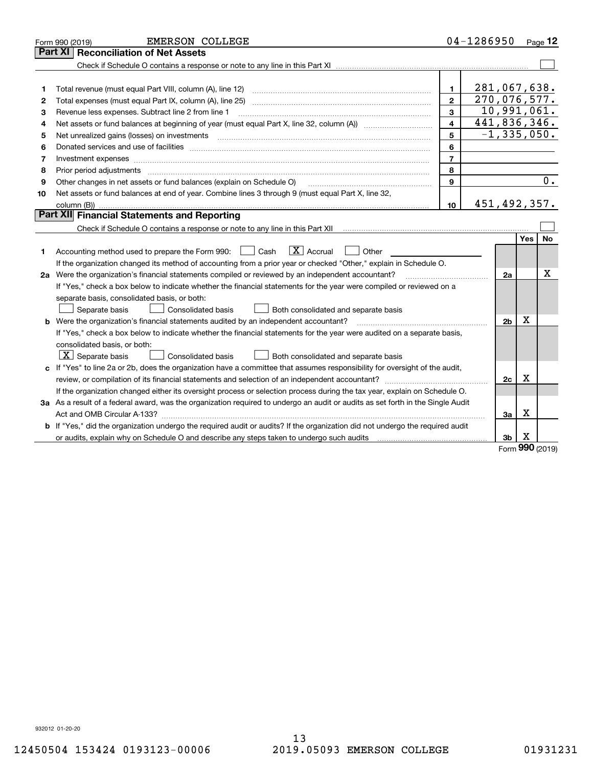|                                                                                                                           | <b>EMERSON COLLEGE</b><br>Form 990 (2019)                                                                                       |                | 04-1286950      |                |                     | Page $12$ |  |
|---------------------------------------------------------------------------------------------------------------------------|---------------------------------------------------------------------------------------------------------------------------------|----------------|-----------------|----------------|---------------------|-----------|--|
|                                                                                                                           | Part XI   Reconciliation of Net Assets                                                                                          |                |                 |                |                     |           |  |
|                                                                                                                           |                                                                                                                                 |                |                 |                |                     |           |  |
|                                                                                                                           |                                                                                                                                 |                |                 |                |                     |           |  |
| 1                                                                                                                         |                                                                                                                                 | 1.             |                 | 281,067,638.   |                     |           |  |
| 2                                                                                                                         |                                                                                                                                 | $\mathbf{2}$   |                 | 270,076,577.   |                     |           |  |
| з                                                                                                                         | Revenue less expenses. Subtract line 2 from line 1                                                                              | 3              |                 | 10,991,061.    |                     |           |  |
| 4                                                                                                                         |                                                                                                                                 | 4              |                 | 441,836,346.   |                     |           |  |
| 5                                                                                                                         | Net unrealized gains (losses) on investments                                                                                    |                | $-1, 335, 050.$ |                |                     |           |  |
| 6                                                                                                                         |                                                                                                                                 | 6              |                 |                |                     |           |  |
| 7                                                                                                                         | Investment expenses www.communication.com/www.communication.com/www.communication.com/www.com                                   | $\overline{7}$ |                 |                |                     |           |  |
| 8                                                                                                                         | Prior period adjustments www.communication.communication.com/news/communication.com/news/communication.com/new                  | 8              |                 |                |                     |           |  |
| 9                                                                                                                         | Other changes in net assets or fund balances (explain on Schedule O)                                                            | 9              |                 |                |                     | 0.        |  |
| 10                                                                                                                        | Net assets or fund balances at end of year. Combine lines 3 through 9 (must equal Part X, line 32,                              |                |                 |                |                     |           |  |
|                                                                                                                           |                                                                                                                                 | 10             |                 | 451,492,357.   |                     |           |  |
|                                                                                                                           | <b>Part XII</b> Financial Statements and Reporting                                                                              |                |                 |                |                     |           |  |
|                                                                                                                           |                                                                                                                                 |                |                 |                |                     |           |  |
|                                                                                                                           |                                                                                                                                 |                |                 |                | Yes                 | <b>No</b> |  |
| 1.                                                                                                                        | $\boxed{\mathbf{X}}$ Accrual<br>Accounting method used to prepare the Form 990: <u>[</u> Cash<br>Other                          |                |                 |                |                     |           |  |
|                                                                                                                           | If the organization changed its method of accounting from a prior year or checked "Other," explain in Schedule O.               |                |                 |                |                     |           |  |
|                                                                                                                           | 2a Were the organization's financial statements compiled or reviewed by an independent accountant?                              |                |                 | 2a             |                     | Х         |  |
|                                                                                                                           | If "Yes," check a box below to indicate whether the financial statements for the year were compiled or reviewed on a            |                |                 |                |                     |           |  |
|                                                                                                                           | separate basis, consolidated basis, or both:                                                                                    |                |                 |                |                     |           |  |
|                                                                                                                           | Separate basis<br><b>Consolidated basis</b><br>Both consolidated and separate basis                                             |                |                 |                |                     |           |  |
|                                                                                                                           | b Were the organization's financial statements audited by an independent accountant?                                            |                |                 | 2 <sub>b</sub> | х                   |           |  |
|                                                                                                                           | If "Yes," check a box below to indicate whether the financial statements for the year were audited on a separate basis,         |                |                 |                |                     |           |  |
|                                                                                                                           | consolidated basis, or both:                                                                                                    |                |                 |                |                     |           |  |
|                                                                                                                           | $\lfloor x \rfloor$ Separate basis<br>Consolidated basis<br>Both consolidated and separate basis                                |                |                 |                |                     |           |  |
|                                                                                                                           | c If "Yes" to line 2a or 2b, does the organization have a committee that assumes responsibility for oversight of the audit,     |                |                 |                |                     |           |  |
|                                                                                                                           |                                                                                                                                 |                |                 | 2c             | $\mathbf X$         |           |  |
| If the organization changed either its oversight process or selection process during the tax year, explain on Schedule O. |                                                                                                                                 |                |                 |                |                     |           |  |
|                                                                                                                           | 3a As a result of a federal award, was the organization required to undergo an audit or audits as set forth in the Single Audit |                |                 |                |                     |           |  |
|                                                                                                                           |                                                                                                                                 |                |                 | За             | Х                   |           |  |
|                                                                                                                           | b If "Yes," did the organization undergo the required audit or audits? If the organization did not undergo the required audit   |                |                 |                |                     |           |  |
|                                                                                                                           |                                                                                                                                 |                |                 | 3b             | х<br>$\overline{a}$ |           |  |

Form (2019) **990**

932012 01-20-20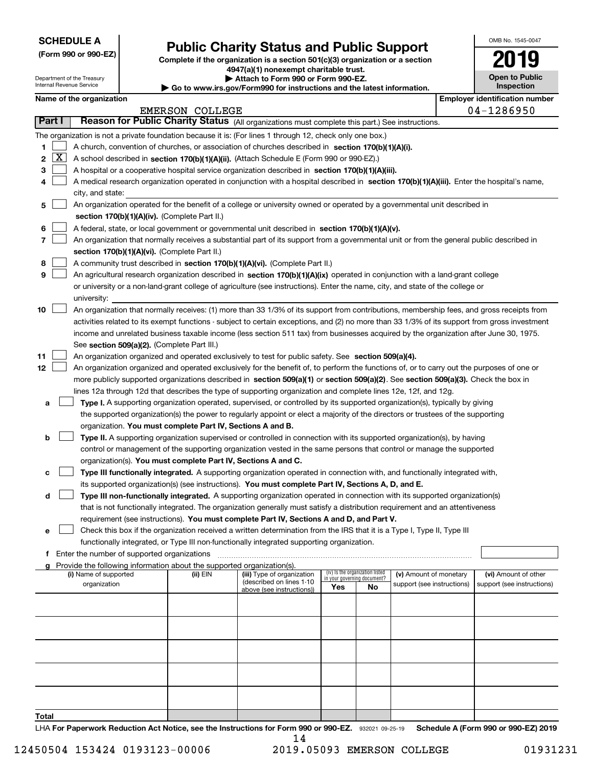| <b>SCHEDULE A</b> |  |
|-------------------|--|
|-------------------|--|

|  |  |  | (Form 990 or 990-EZ) |
|--|--|--|----------------------|
|--|--|--|----------------------|

# **Public Charity Status and Public Support**

**Complete if the organization is a section 501(c)(3) organization or a section 4947(a)(1) nonexempt charitable trust. | Attach to Form 990 or Form 990-EZ.** 

| OMB No. 1545-0047                   |
|-------------------------------------|
| 2019                                |
| <b>Open to Public</b><br>Inspection |

|    |               | Department of the Treasury<br>Internal Revenue Service                                                                                    |  |                                                                        | ▶ Attach to Form 990 or Form 990-EZ.<br>Go to www.irs.gov/Form990 for instructions and the latest information.                                |     |                                                                |                            |  | <b>Open to Public</b><br><b>Inspection</b> |  |
|----|---------------|-------------------------------------------------------------------------------------------------------------------------------------------|--|------------------------------------------------------------------------|-----------------------------------------------------------------------------------------------------------------------------------------------|-----|----------------------------------------------------------------|----------------------------|--|--------------------------------------------|--|
|    |               | Name of the organization                                                                                                                  |  |                                                                        |                                                                                                                                               |     |                                                                |                            |  | <b>Employer identification number</b>      |  |
|    |               |                                                                                                                                           |  | <b>EMERSON COLLEGE</b>                                                 |                                                                                                                                               |     |                                                                |                            |  | 04-1286950                                 |  |
|    | <b>Part I</b> |                                                                                                                                           |  |                                                                        | Reason for Public Charity Status (All organizations must complete this part.) See instructions.                                               |     |                                                                |                            |  |                                            |  |
|    |               |                                                                                                                                           |  |                                                                        | The organization is not a private foundation because it is: (For lines 1 through 12, check only one box.)                                     |     |                                                                |                            |  |                                            |  |
| 1  |               |                                                                                                                                           |  |                                                                        | A church, convention of churches, or association of churches described in section 170(b)(1)(A)(i).                                            |     |                                                                |                            |  |                                            |  |
| 2  | <u>  x</u>    |                                                                                                                                           |  |                                                                        | A school described in section 170(b)(1)(A)(ii). (Attach Schedule E (Form 990 or 990-EZ).)                                                     |     |                                                                |                            |  |                                            |  |
| 3  |               |                                                                                                                                           |  |                                                                        | A hospital or a cooperative hospital service organization described in section 170(b)(1)(A)(iii).                                             |     |                                                                |                            |  |                                            |  |
| 4  |               |                                                                                                                                           |  |                                                                        | A medical research organization operated in conjunction with a hospital described in section 170(b)(1)(A)(iii). Enter the hospital's name,    |     |                                                                |                            |  |                                            |  |
|    |               | city, and state:                                                                                                                          |  |                                                                        |                                                                                                                                               |     |                                                                |                            |  |                                            |  |
| 5  |               |                                                                                                                                           |  |                                                                        | An organization operated for the benefit of a college or university owned or operated by a governmental unit described in                     |     |                                                                |                            |  |                                            |  |
|    |               |                                                                                                                                           |  | section 170(b)(1)(A)(iv). (Complete Part II.)                          |                                                                                                                                               |     |                                                                |                            |  |                                            |  |
| 6  |               |                                                                                                                                           |  |                                                                        | A federal, state, or local government or governmental unit described in section 170(b)(1)(A)(v).                                              |     |                                                                |                            |  |                                            |  |
| 7  |               | An organization that normally receives a substantial part of its support from a governmental unit or from the general public described in |  |                                                                        |                                                                                                                                               |     |                                                                |                            |  |                                            |  |
|    |               |                                                                                                                                           |  | section 170(b)(1)(A)(vi). (Complete Part II.)                          |                                                                                                                                               |     |                                                                |                            |  |                                            |  |
| 8  |               |                                                                                                                                           |  |                                                                        | A community trust described in section 170(b)(1)(A)(vi). (Complete Part II.)                                                                  |     |                                                                |                            |  |                                            |  |
| 9  |               |                                                                                                                                           |  |                                                                        | An agricultural research organization described in section 170(b)(1)(A)(ix) operated in conjunction with a land-grant college                 |     |                                                                |                            |  |                                            |  |
|    |               |                                                                                                                                           |  |                                                                        | or university or a non-land-grant college of agriculture (see instructions). Enter the name, city, and state of the college or                |     |                                                                |                            |  |                                            |  |
|    |               | university:                                                                                                                               |  |                                                                        |                                                                                                                                               |     |                                                                |                            |  |                                            |  |
| 10 |               |                                                                                                                                           |  |                                                                        | An organization that normally receives: (1) more than 33 1/3% of its support from contributions, membership fees, and gross receipts from     |     |                                                                |                            |  |                                            |  |
|    |               |                                                                                                                                           |  |                                                                        | activities related to its exempt functions - subject to certain exceptions, and (2) no more than 33 1/3% of its support from gross investment |     |                                                                |                            |  |                                            |  |
|    |               |                                                                                                                                           |  |                                                                        | income and unrelated business taxable income (less section 511 tax) from businesses acquired by the organization after June 30, 1975.         |     |                                                                |                            |  |                                            |  |
|    |               |                                                                                                                                           |  | See section 509(a)(2). (Complete Part III.)                            |                                                                                                                                               |     |                                                                |                            |  |                                            |  |
| 11 |               |                                                                                                                                           |  |                                                                        | An organization organized and operated exclusively to test for public safety. See section 509(a)(4).                                          |     |                                                                |                            |  |                                            |  |
| 12 |               |                                                                                                                                           |  |                                                                        | An organization organized and operated exclusively for the benefit of, to perform the functions of, or to carry out the purposes of one or    |     |                                                                |                            |  |                                            |  |
|    |               |                                                                                                                                           |  |                                                                        | more publicly supported organizations described in section 509(a)(1) or section 509(a)(2). See section 509(a)(3). Check the box in            |     |                                                                |                            |  |                                            |  |
|    |               |                                                                                                                                           |  |                                                                        | lines 12a through 12d that describes the type of supporting organization and complete lines 12e, 12f, and 12g.                                |     |                                                                |                            |  |                                            |  |
| а  |               |                                                                                                                                           |  |                                                                        | Type I. A supporting organization operated, supervised, or controlled by its supported organization(s), typically by giving                   |     |                                                                |                            |  |                                            |  |
|    |               |                                                                                                                                           |  |                                                                        | the supported organization(s) the power to regularly appoint or elect a majority of the directors or trustees of the supporting               |     |                                                                |                            |  |                                            |  |
|    |               |                                                                                                                                           |  | organization. You must complete Part IV, Sections A and B.             |                                                                                                                                               |     |                                                                |                            |  |                                            |  |
| b  |               |                                                                                                                                           |  |                                                                        | Type II. A supporting organization supervised or controlled in connection with its supported organization(s), by having                       |     |                                                                |                            |  |                                            |  |
|    |               |                                                                                                                                           |  |                                                                        | control or management of the supporting organization vested in the same persons that control or manage the supported                          |     |                                                                |                            |  |                                            |  |
|    |               |                                                                                                                                           |  | organization(s). You must complete Part IV, Sections A and C.          |                                                                                                                                               |     |                                                                |                            |  |                                            |  |
| c  |               |                                                                                                                                           |  |                                                                        | Type III functionally integrated. A supporting organization operated in connection with, and functionally integrated with,                    |     |                                                                |                            |  |                                            |  |
|    |               |                                                                                                                                           |  |                                                                        | its supported organization(s) (see instructions). You must complete Part IV, Sections A, D, and E.                                            |     |                                                                |                            |  |                                            |  |
| d  |               |                                                                                                                                           |  |                                                                        | Type III non-functionally integrated. A supporting organization operated in connection with its supported organization(s)                     |     |                                                                |                            |  |                                            |  |
|    |               |                                                                                                                                           |  |                                                                        | that is not functionally integrated. The organization generally must satisfy a distribution requirement and an attentiveness                  |     |                                                                |                            |  |                                            |  |
|    |               |                                                                                                                                           |  |                                                                        | requirement (see instructions). You must complete Part IV, Sections A and D, and Part V.                                                      |     |                                                                |                            |  |                                            |  |
| е  |               |                                                                                                                                           |  |                                                                        | Check this box if the organization received a written determination from the IRS that it is a Type I, Type II, Type III                       |     |                                                                |                            |  |                                            |  |
|    |               |                                                                                                                                           |  |                                                                        | functionally integrated, or Type III non-functionally integrated supporting organization.                                                     |     |                                                                |                            |  |                                            |  |
| f  |               | Enter the number of supported organizations                                                                                               |  |                                                                        |                                                                                                                                               |     |                                                                |                            |  |                                            |  |
|    |               |                                                                                                                                           |  | Provide the following information about the supported organization(s). |                                                                                                                                               |     |                                                                |                            |  |                                            |  |
|    |               | (i) Name of supported                                                                                                                     |  | (ii) EIN                                                               | (iii) Type of organization<br>(described on lines 1-10                                                                                        |     | (iv) Is the organization listed<br>in your governing document? | (v) Amount of monetary     |  | (vi) Amount of other                       |  |
|    |               | organization                                                                                                                              |  |                                                                        | above (see instructions))                                                                                                                     | Yes | No                                                             | support (see instructions) |  | support (see instructions)                 |  |
|    |               |                                                                                                                                           |  |                                                                        |                                                                                                                                               |     |                                                                |                            |  |                                            |  |
|    |               |                                                                                                                                           |  |                                                                        |                                                                                                                                               |     |                                                                |                            |  |                                            |  |
|    |               |                                                                                                                                           |  |                                                                        |                                                                                                                                               |     |                                                                |                            |  |                                            |  |
|    |               |                                                                                                                                           |  |                                                                        |                                                                                                                                               |     |                                                                |                            |  |                                            |  |
|    |               |                                                                                                                                           |  |                                                                        |                                                                                                                                               |     |                                                                |                            |  |                                            |  |
|    |               |                                                                                                                                           |  |                                                                        |                                                                                                                                               |     |                                                                |                            |  |                                            |  |
|    |               |                                                                                                                                           |  |                                                                        |                                                                                                                                               |     |                                                                |                            |  |                                            |  |
|    |               |                                                                                                                                           |  |                                                                        |                                                                                                                                               |     |                                                                |                            |  |                                            |  |
|    |               |                                                                                                                                           |  |                                                                        |                                                                                                                                               |     |                                                                |                            |  |                                            |  |
|    |               |                                                                                                                                           |  |                                                                        |                                                                                                                                               |     |                                                                |                            |  |                                            |  |

**Total**

LHA For Paperwork Reduction Act Notice, see the Instructions for Form 990 or 990-EZ. 932021 09-25-19 Schedule A (Form 990 or 990-EZ) 2019 14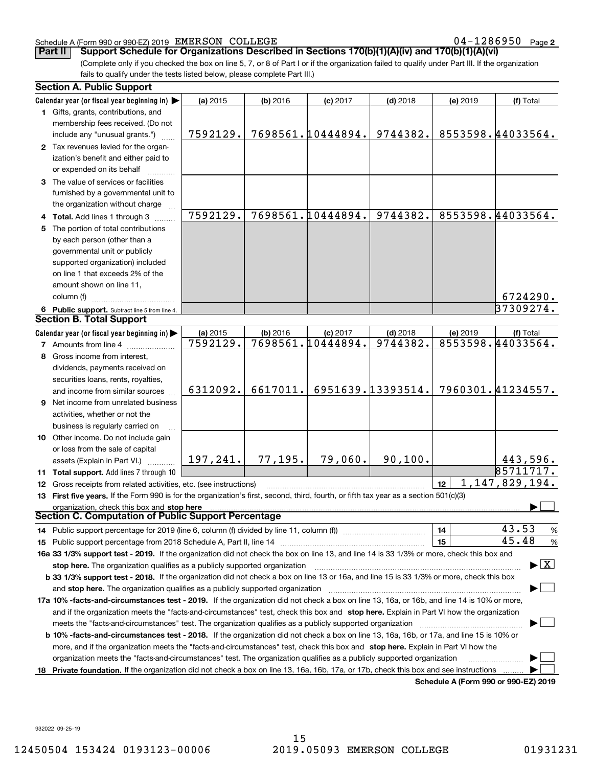### Schedule A (Form 990 or 990-EZ) 2019 Page EMERSON COLLEGE 04-1286950

04-1286950 Page 2

(Complete only if you checked the box on line 5, 7, or 8 of Part I or if the organization failed to qualify under Part III. If the organization **Part II Support Schedule for Organizations Described in Sections 170(b)(1)(A)(iv) and 170(b)(1)(A)(vi)**

fails to qualify under the tests listed below, please complete Part III.)

| Calendar year (or fiscal year beginning in) $\blacktriangleright$<br>(a) 2015<br>(b) 2016<br>$(d)$ 2018<br>(f) Total<br>$(c)$ 2017<br>(e) 2019<br>1 Gifts, grants, contributions, and<br>membership fees received. (Do not<br>7698561.10444894.<br>8553598.44033564.<br>9744382.<br>7592129.<br>include any "unusual grants.")<br>2 Tax revenues levied for the organ-<br>ization's benefit and either paid to<br>or expended on its behalf<br>3 The value of services or facilities<br>furnished by a governmental unit to<br>the organization without charge<br>7698561.10444894.<br>8553598.44033564.<br>7592129.<br>9744382.<br>4 Total. Add lines 1 through 3<br>The portion of total contributions<br>by each person (other than a<br>governmental unit or publicly<br>supported organization) included<br>on line 1 that exceeds 2% of the<br>amount shown on line 11,<br>6724290.<br>column (f)<br>37309274.<br>6 Public support. Subtract line 5 from line 4.<br><b>Section B. Total Support</b><br>Calendar year (or fiscal year beginning in) $\blacktriangleright$<br>(a) 2015<br>(b) 2016<br>$(d)$ 2018<br>(e) 2019<br>$(c)$ 2017<br>(f) Total<br>8553598.44033564.<br>7592129.<br>7698561.10444894.<br>9744382.<br><b>7</b> Amounts from line 4<br>Gross income from interest,<br>8<br>dividends, payments received on |        |  |  |  |  |  |
|--------------------------------------------------------------------------------------------------------------------------------------------------------------------------------------------------------------------------------------------------------------------------------------------------------------------------------------------------------------------------------------------------------------------------------------------------------------------------------------------------------------------------------------------------------------------------------------------------------------------------------------------------------------------------------------------------------------------------------------------------------------------------------------------------------------------------------------------------------------------------------------------------------------------------------------------------------------------------------------------------------------------------------------------------------------------------------------------------------------------------------------------------------------------------------------------------------------------------------------------------------------------------------------------------------------------------------------|--------|--|--|--|--|--|
|                                                                                                                                                                                                                                                                                                                                                                                                                                                                                                                                                                                                                                                                                                                                                                                                                                                                                                                                                                                                                                                                                                                                                                                                                                                                                                                                      |        |  |  |  |  |  |
|                                                                                                                                                                                                                                                                                                                                                                                                                                                                                                                                                                                                                                                                                                                                                                                                                                                                                                                                                                                                                                                                                                                                                                                                                                                                                                                                      |        |  |  |  |  |  |
|                                                                                                                                                                                                                                                                                                                                                                                                                                                                                                                                                                                                                                                                                                                                                                                                                                                                                                                                                                                                                                                                                                                                                                                                                                                                                                                                      |        |  |  |  |  |  |
|                                                                                                                                                                                                                                                                                                                                                                                                                                                                                                                                                                                                                                                                                                                                                                                                                                                                                                                                                                                                                                                                                                                                                                                                                                                                                                                                      |        |  |  |  |  |  |
|                                                                                                                                                                                                                                                                                                                                                                                                                                                                                                                                                                                                                                                                                                                                                                                                                                                                                                                                                                                                                                                                                                                                                                                                                                                                                                                                      |        |  |  |  |  |  |
|                                                                                                                                                                                                                                                                                                                                                                                                                                                                                                                                                                                                                                                                                                                                                                                                                                                                                                                                                                                                                                                                                                                                                                                                                                                                                                                                      |        |  |  |  |  |  |
|                                                                                                                                                                                                                                                                                                                                                                                                                                                                                                                                                                                                                                                                                                                                                                                                                                                                                                                                                                                                                                                                                                                                                                                                                                                                                                                                      |        |  |  |  |  |  |
|                                                                                                                                                                                                                                                                                                                                                                                                                                                                                                                                                                                                                                                                                                                                                                                                                                                                                                                                                                                                                                                                                                                                                                                                                                                                                                                                      |        |  |  |  |  |  |
|                                                                                                                                                                                                                                                                                                                                                                                                                                                                                                                                                                                                                                                                                                                                                                                                                                                                                                                                                                                                                                                                                                                                                                                                                                                                                                                                      |        |  |  |  |  |  |
|                                                                                                                                                                                                                                                                                                                                                                                                                                                                                                                                                                                                                                                                                                                                                                                                                                                                                                                                                                                                                                                                                                                                                                                                                                                                                                                                      |        |  |  |  |  |  |
|                                                                                                                                                                                                                                                                                                                                                                                                                                                                                                                                                                                                                                                                                                                                                                                                                                                                                                                                                                                                                                                                                                                                                                                                                                                                                                                                      |        |  |  |  |  |  |
|                                                                                                                                                                                                                                                                                                                                                                                                                                                                                                                                                                                                                                                                                                                                                                                                                                                                                                                                                                                                                                                                                                                                                                                                                                                                                                                                      |        |  |  |  |  |  |
|                                                                                                                                                                                                                                                                                                                                                                                                                                                                                                                                                                                                                                                                                                                                                                                                                                                                                                                                                                                                                                                                                                                                                                                                                                                                                                                                      |        |  |  |  |  |  |
|                                                                                                                                                                                                                                                                                                                                                                                                                                                                                                                                                                                                                                                                                                                                                                                                                                                                                                                                                                                                                                                                                                                                                                                                                                                                                                                                      |        |  |  |  |  |  |
|                                                                                                                                                                                                                                                                                                                                                                                                                                                                                                                                                                                                                                                                                                                                                                                                                                                                                                                                                                                                                                                                                                                                                                                                                                                                                                                                      |        |  |  |  |  |  |
|                                                                                                                                                                                                                                                                                                                                                                                                                                                                                                                                                                                                                                                                                                                                                                                                                                                                                                                                                                                                                                                                                                                                                                                                                                                                                                                                      |        |  |  |  |  |  |
|                                                                                                                                                                                                                                                                                                                                                                                                                                                                                                                                                                                                                                                                                                                                                                                                                                                                                                                                                                                                                                                                                                                                                                                                                                                                                                                                      |        |  |  |  |  |  |
|                                                                                                                                                                                                                                                                                                                                                                                                                                                                                                                                                                                                                                                                                                                                                                                                                                                                                                                                                                                                                                                                                                                                                                                                                                                                                                                                      |        |  |  |  |  |  |
|                                                                                                                                                                                                                                                                                                                                                                                                                                                                                                                                                                                                                                                                                                                                                                                                                                                                                                                                                                                                                                                                                                                                                                                                                                                                                                                                      |        |  |  |  |  |  |
|                                                                                                                                                                                                                                                                                                                                                                                                                                                                                                                                                                                                                                                                                                                                                                                                                                                                                                                                                                                                                                                                                                                                                                                                                                                                                                                                      |        |  |  |  |  |  |
|                                                                                                                                                                                                                                                                                                                                                                                                                                                                                                                                                                                                                                                                                                                                                                                                                                                                                                                                                                                                                                                                                                                                                                                                                                                                                                                                      |        |  |  |  |  |  |
|                                                                                                                                                                                                                                                                                                                                                                                                                                                                                                                                                                                                                                                                                                                                                                                                                                                                                                                                                                                                                                                                                                                                                                                                                                                                                                                                      |        |  |  |  |  |  |
|                                                                                                                                                                                                                                                                                                                                                                                                                                                                                                                                                                                                                                                                                                                                                                                                                                                                                                                                                                                                                                                                                                                                                                                                                                                                                                                                      |        |  |  |  |  |  |
|                                                                                                                                                                                                                                                                                                                                                                                                                                                                                                                                                                                                                                                                                                                                                                                                                                                                                                                                                                                                                                                                                                                                                                                                                                                                                                                                      |        |  |  |  |  |  |
|                                                                                                                                                                                                                                                                                                                                                                                                                                                                                                                                                                                                                                                                                                                                                                                                                                                                                                                                                                                                                                                                                                                                                                                                                                                                                                                                      |        |  |  |  |  |  |
| securities loans, rents, royalties,<br>6951639.13393514.<br>7960301.41234557.<br>6312092.<br>6617011.<br>and income from similar sources                                                                                                                                                                                                                                                                                                                                                                                                                                                                                                                                                                                                                                                                                                                                                                                                                                                                                                                                                                                                                                                                                                                                                                                             |        |  |  |  |  |  |
| <b>9</b> Net income from unrelated business                                                                                                                                                                                                                                                                                                                                                                                                                                                                                                                                                                                                                                                                                                                                                                                                                                                                                                                                                                                                                                                                                                                                                                                                                                                                                          |        |  |  |  |  |  |
|                                                                                                                                                                                                                                                                                                                                                                                                                                                                                                                                                                                                                                                                                                                                                                                                                                                                                                                                                                                                                                                                                                                                                                                                                                                                                                                                      |        |  |  |  |  |  |
| activities, whether or not the                                                                                                                                                                                                                                                                                                                                                                                                                                                                                                                                                                                                                                                                                                                                                                                                                                                                                                                                                                                                                                                                                                                                                                                                                                                                                                       |        |  |  |  |  |  |
| business is regularly carried on                                                                                                                                                                                                                                                                                                                                                                                                                                                                                                                                                                                                                                                                                                                                                                                                                                                                                                                                                                                                                                                                                                                                                                                                                                                                                                     |        |  |  |  |  |  |
| 10 Other income. Do not include gain                                                                                                                                                                                                                                                                                                                                                                                                                                                                                                                                                                                                                                                                                                                                                                                                                                                                                                                                                                                                                                                                                                                                                                                                                                                                                                 |        |  |  |  |  |  |
| or loss from the sale of capital<br>197,241.<br>77, 195.<br>79,060.<br>90, 100.<br>443,596.                                                                                                                                                                                                                                                                                                                                                                                                                                                                                                                                                                                                                                                                                                                                                                                                                                                                                                                                                                                                                                                                                                                                                                                                                                          |        |  |  |  |  |  |
| assets (Explain in Part VI.)<br>85711717.                                                                                                                                                                                                                                                                                                                                                                                                                                                                                                                                                                                                                                                                                                                                                                                                                                                                                                                                                                                                                                                                                                                                                                                                                                                                                            |        |  |  |  |  |  |
| 11 Total support. Add lines 7 through 10<br>1, 147, 829, 194.<br>12                                                                                                                                                                                                                                                                                                                                                                                                                                                                                                                                                                                                                                                                                                                                                                                                                                                                                                                                                                                                                                                                                                                                                                                                                                                                  |        |  |  |  |  |  |
| Gross receipts from related activities, etc. (see instructions)<br>12<br>13 First five years. If the Form 990 is for the organization's first, second, third, fourth, or fifth tax year as a section 501(c)(3)                                                                                                                                                                                                                                                                                                                                                                                                                                                                                                                                                                                                                                                                                                                                                                                                                                                                                                                                                                                                                                                                                                                       |        |  |  |  |  |  |
|                                                                                                                                                                                                                                                                                                                                                                                                                                                                                                                                                                                                                                                                                                                                                                                                                                                                                                                                                                                                                                                                                                                                                                                                                                                                                                                                      |        |  |  |  |  |  |
| organization, check this box and stop here<br>Section C. Computation of Public Support Percentage                                                                                                                                                                                                                                                                                                                                                                                                                                                                                                                                                                                                                                                                                                                                                                                                                                                                                                                                                                                                                                                                                                                                                                                                                                    |        |  |  |  |  |  |
| 43.53                                                                                                                                                                                                                                                                                                                                                                                                                                                                                                                                                                                                                                                                                                                                                                                                                                                                                                                                                                                                                                                                                                                                                                                                                                                                                                                                |        |  |  |  |  |  |
| 14<br>45.48<br>15                                                                                                                                                                                                                                                                                                                                                                                                                                                                                                                                                                                                                                                                                                                                                                                                                                                                                                                                                                                                                                                                                                                                                                                                                                                                                                                    | %<br>% |  |  |  |  |  |
| 16a 33 1/3% support test - 2019. If the organization did not check the box on line 13, and line 14 is 33 1/3% or more, check this box and                                                                                                                                                                                                                                                                                                                                                                                                                                                                                                                                                                                                                                                                                                                                                                                                                                                                                                                                                                                                                                                                                                                                                                                            |        |  |  |  |  |  |
| $\blacktriangleright$ $\mid$ X                                                                                                                                                                                                                                                                                                                                                                                                                                                                                                                                                                                                                                                                                                                                                                                                                                                                                                                                                                                                                                                                                                                                                                                                                                                                                                       |        |  |  |  |  |  |
| stop here. The organization qualifies as a publicly supported organization                                                                                                                                                                                                                                                                                                                                                                                                                                                                                                                                                                                                                                                                                                                                                                                                                                                                                                                                                                                                                                                                                                                                                                                                                                                           |        |  |  |  |  |  |
| b 33 1/3% support test - 2018. If the organization did not check a box on line 13 or 16a, and line 15 is 33 1/3% or more, check this box                                                                                                                                                                                                                                                                                                                                                                                                                                                                                                                                                                                                                                                                                                                                                                                                                                                                                                                                                                                                                                                                                                                                                                                             |        |  |  |  |  |  |
| and stop here. The organization qualifies as a publicly supported organization                                                                                                                                                                                                                                                                                                                                                                                                                                                                                                                                                                                                                                                                                                                                                                                                                                                                                                                                                                                                                                                                                                                                                                                                                                                       |        |  |  |  |  |  |
| 17a 10% -facts-and-circumstances test - 2019. If the organization did not check a box on line 13, 16a, or 16b, and line 14 is 10% or more,                                                                                                                                                                                                                                                                                                                                                                                                                                                                                                                                                                                                                                                                                                                                                                                                                                                                                                                                                                                                                                                                                                                                                                                           |        |  |  |  |  |  |
| and if the organization meets the "facts-and-circumstances" test, check this box and stop here. Explain in Part VI how the organization                                                                                                                                                                                                                                                                                                                                                                                                                                                                                                                                                                                                                                                                                                                                                                                                                                                                                                                                                                                                                                                                                                                                                                                              |        |  |  |  |  |  |
| meets the "facts-and-circumstances" test. The organization qualifies as a publicly supported organization                                                                                                                                                                                                                                                                                                                                                                                                                                                                                                                                                                                                                                                                                                                                                                                                                                                                                                                                                                                                                                                                                                                                                                                                                            |        |  |  |  |  |  |
| <b>b 10% -facts-and-circumstances test - 2018.</b> If the organization did not check a box on line 13, 16a, 16b, or 17a, and line 15 is 10% or                                                                                                                                                                                                                                                                                                                                                                                                                                                                                                                                                                                                                                                                                                                                                                                                                                                                                                                                                                                                                                                                                                                                                                                       |        |  |  |  |  |  |
| more, and if the organization meets the "facts-and-circumstances" test, check this box and stop here. Explain in Part VI how the                                                                                                                                                                                                                                                                                                                                                                                                                                                                                                                                                                                                                                                                                                                                                                                                                                                                                                                                                                                                                                                                                                                                                                                                     |        |  |  |  |  |  |
| organization meets the "facts-and-circumstances" test. The organization qualifies as a publicly supported organization                                                                                                                                                                                                                                                                                                                                                                                                                                                                                                                                                                                                                                                                                                                                                                                                                                                                                                                                                                                                                                                                                                                                                                                                               |        |  |  |  |  |  |
| Private foundation. If the organization did not check a box on line 13, 16a, 16b, 17a, or 17b, check this box and see instructions<br>18.<br>Schedule A (Form 990 or 990-F7) 2019                                                                                                                                                                                                                                                                                                                                                                                                                                                                                                                                                                                                                                                                                                                                                                                                                                                                                                                                                                                                                                                                                                                                                    |        |  |  |  |  |  |

**Schedule A (Form 990 or 990-EZ) 2019**

932022 09-25-19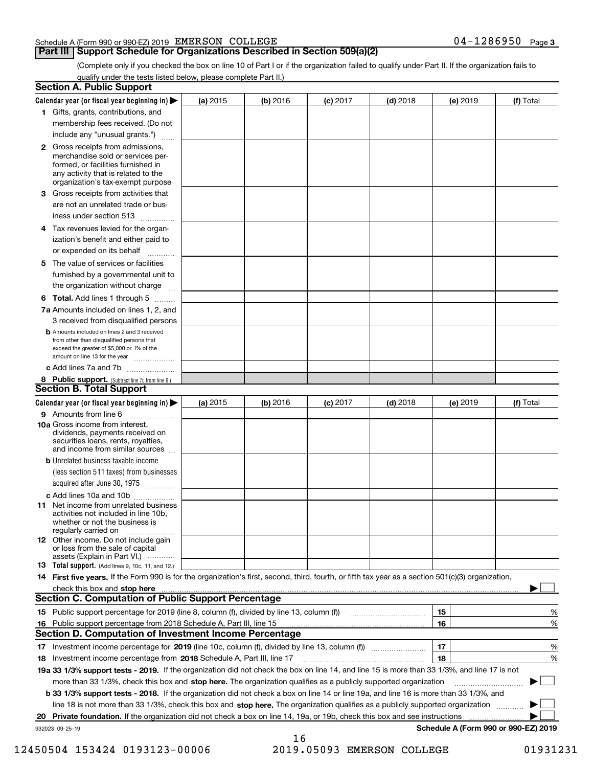### Schedule A (Form 990 or 990-EZ) 2019 Page EMERSON COLLEGE 04-1286950

### **Part III** | Support Schedule for Organizations Described in Section 509(a)(2)

(Complete only if you checked the box on line 10 of Part I or if the organization failed to qualify under Part II. If the organization fails to qualify under the tests listed below, please complete Part II.)

|     | <b>Section A. Public Support</b>                                                                                                                                                                                               |            |          |                 |            |          |                                      |
|-----|--------------------------------------------------------------------------------------------------------------------------------------------------------------------------------------------------------------------------------|------------|----------|-----------------|------------|----------|--------------------------------------|
|     | Calendar year (or fiscal year beginning in) $\blacktriangleright$                                                                                                                                                              | (a) 2015   | (b) 2016 | <b>(c)</b> 2017 | $(d)$ 2018 | (e) 2019 | (f) Total                            |
|     | 1 Gifts, grants, contributions, and                                                                                                                                                                                            |            |          |                 |            |          |                                      |
|     | membership fees received. (Do not                                                                                                                                                                                              |            |          |                 |            |          |                                      |
|     | include any "unusual grants.")                                                                                                                                                                                                 |            |          |                 |            |          |                                      |
|     | <b>2</b> Gross receipts from admissions,<br>merchandise sold or services per-<br>formed, or facilities furnished in<br>any activity that is related to the<br>organization's tax-exempt purpose                                |            |          |                 |            |          |                                      |
|     | 3 Gross receipts from activities that<br>are not an unrelated trade or bus-                                                                                                                                                    |            |          |                 |            |          |                                      |
|     | iness under section 513                                                                                                                                                                                                        |            |          |                 |            |          |                                      |
|     | 4 Tax revenues levied for the organ-<br>ization's benefit and either paid to                                                                                                                                                   |            |          |                 |            |          |                                      |
|     | or expended on its behalf<br>.                                                                                                                                                                                                 |            |          |                 |            |          |                                      |
|     | 5 The value of services or facilities<br>furnished by a governmental unit to<br>the organization without charge                                                                                                                |            |          |                 |            |          |                                      |
|     | <b>6 Total.</b> Add lines 1 through 5                                                                                                                                                                                          |            |          |                 |            |          |                                      |
|     | 7a Amounts included on lines 1, 2, and<br>3 received from disqualified persons                                                                                                                                                 |            |          |                 |            |          |                                      |
|     | <b>b</b> Amounts included on lines 2 and 3 received<br>from other than disqualified persons that<br>exceed the greater of \$5,000 or 1% of the<br>amount on line 13 for the year                                               |            |          |                 |            |          |                                      |
|     | c Add lines 7a and 7b                                                                                                                                                                                                          |            |          |                 |            |          |                                      |
|     | 8 Public support. (Subtract line 7c from line 6.)<br><b>Section B. Total Support</b>                                                                                                                                           |            |          |                 |            |          |                                      |
|     | Calendar year (or fiscal year beginning in)                                                                                                                                                                                    | (a) $2015$ | (b) 2016 | <b>(c)</b> 2017 | $(d)$ 2018 | (e) 2019 | (f) Total                            |
|     | 9 Amounts from line 6                                                                                                                                                                                                          |            |          |                 |            |          |                                      |
|     | 10a Gross income from interest,<br>dividends, payments received on<br>securities loans, rents, royalties,<br>and income from similar sources                                                                                   |            |          |                 |            |          |                                      |
|     | <b>b</b> Unrelated business taxable income<br>(less section 511 taxes) from businesses<br>acquired after June 30, 1975 [10001]                                                                                                 |            |          |                 |            |          |                                      |
|     | c Add lines 10a and 10b                                                                                                                                                                                                        |            |          |                 |            |          |                                      |
|     | 11 Net income from unrelated business<br>activities not included in line 10b,<br>whether or not the business is<br>regularly carried on                                                                                        |            |          |                 |            |          |                                      |
|     | <b>12</b> Other income. Do not include gain<br>or loss from the sale of capital<br>assets (Explain in Part VI.)                                                                                                                |            |          |                 |            |          |                                      |
|     | 13 Total support. (Add lines 9, 10c, 11, and 12.)                                                                                                                                                                              |            |          |                 |            |          |                                      |
|     | 14 First five years. If the Form 990 is for the organization's first, second, third, fourth, or fifth tax year as a section 501(c)(3) organization,                                                                            |            |          |                 |            |          |                                      |
|     | check this box and stop here communication and content to the state of the state of the state of the state of the state of the state of the state of the state of the state of the state of the state of the state of the stat |            |          |                 |            |          |                                      |
|     | <b>Section C. Computation of Public Support Percentage</b>                                                                                                                                                                     |            |          |                 |            |          |                                      |
|     |                                                                                                                                                                                                                                |            |          |                 |            | 15       | %                                    |
| 16. | Public support percentage from 2018 Schedule A, Part III, line 15                                                                                                                                                              |            |          |                 |            | 16       | %                                    |
|     | <b>Section D. Computation of Investment Income Percentage</b>                                                                                                                                                                  |            |          |                 |            |          |                                      |
|     | 17 Investment income percentage for 2019 (line 10c, column (f), divided by line 13, column (f))                                                                                                                                |            |          |                 |            | 17       | %                                    |
|     | 18 Investment income percentage from 2018 Schedule A, Part III, line 17                                                                                                                                                        |            |          |                 |            | 18       | %                                    |
|     | 19a 33 1/3% support tests - 2019. If the organization did not check the box on line 14, and line 15 is more than 33 1/3%, and line 17 is not                                                                                   |            |          |                 |            |          |                                      |
|     | more than 33 1/3%, check this box and stop here. The organization qualifies as a publicly supported organization                                                                                                               |            |          |                 |            |          | $\sim$ 1                             |
|     | b 33 1/3% support tests - 2018. If the organization did not check a box on line 14 or line 19a, and line 16 is more than 33 1/3%, and                                                                                          |            |          |                 |            |          |                                      |
|     | line 18 is not more than 33 1/3%, check this box and stop here. The organization qualifies as a publicly supported organization                                                                                                |            |          |                 |            |          |                                      |
| 20  | Private foundation. If the organization did not check a box on line 14, 19a, or 19b, check this box and see instructions                                                                                                       |            |          |                 |            |          | Schedule A (Form 990 or 990-EZ) 2019 |
|     | 932023 09-25-19                                                                                                                                                                                                                |            | 16       |                 |            |          |                                      |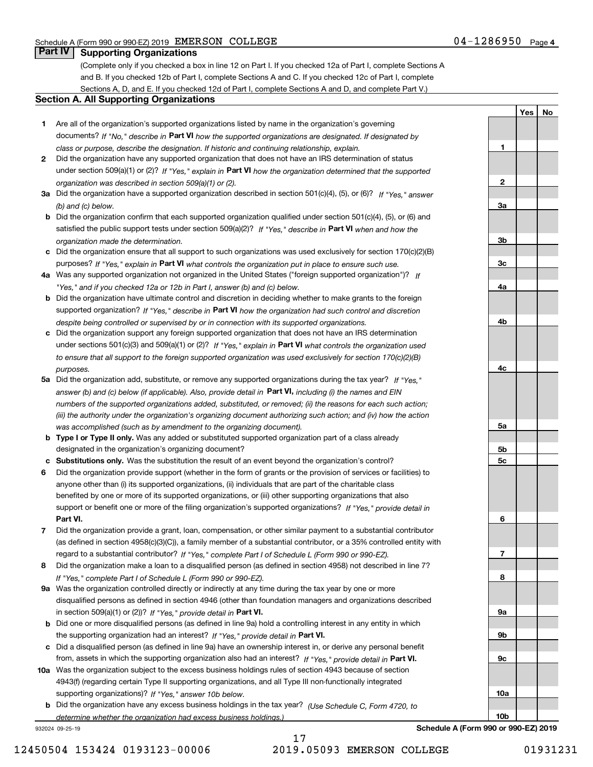**1**

**2**

**3a**

**3b**

**3c**

**4a**

**4b**

**YesNo**

# **Part IV Supporting Organizations**

(Complete only if you checked a box in line 12 on Part I. If you checked 12a of Part I, complete Sections A and B. If you checked 12b of Part I, complete Sections A and C. If you checked 12c of Part I, complete Sections A, D, and E. If you checked 12d of Part I, complete Sections A and D, and complete Part V.)

### **Section A. All Supporting Organizations**

- **1** Are all of the organization's supported organizations listed by name in the organization's governing documents? If "No," describe in **Part VI** how the supported organizations are designated. If designated by *class or purpose, describe the designation. If historic and continuing relationship, explain.*
- **2** Did the organization have any supported organization that does not have an IRS determination of status under section 509(a)(1) or (2)? If "Yes," explain in Part VI how the organization determined that the supported *organization was described in section 509(a)(1) or (2).*
- **3a** Did the organization have a supported organization described in section 501(c)(4), (5), or (6)? If "Yes," answer *(b) and (c) below.*
- **b** Did the organization confirm that each supported organization qualified under section 501(c)(4), (5), or (6) and satisfied the public support tests under section 509(a)(2)? If "Yes," describe in **Part VI** when and how the *organization made the determination.*
- **c**Did the organization ensure that all support to such organizations was used exclusively for section 170(c)(2)(B) purposes? If "Yes," explain in **Part VI** what controls the organization put in place to ensure such use.
- **4a***If* Was any supported organization not organized in the United States ("foreign supported organization")? *"Yes," and if you checked 12a or 12b in Part I, answer (b) and (c) below.*
- **b** Did the organization have ultimate control and discretion in deciding whether to make grants to the foreign supported organization? If "Yes," describe in **Part VI** how the organization had such control and discretion *despite being controlled or supervised by or in connection with its supported organizations.*
- **c** Did the organization support any foreign supported organization that does not have an IRS determination under sections 501(c)(3) and 509(a)(1) or (2)? If "Yes," explain in **Part VI** what controls the organization used *to ensure that all support to the foreign supported organization was used exclusively for section 170(c)(2)(B) purposes.*
- **5a** Did the organization add, substitute, or remove any supported organizations during the tax year? If "Yes," answer (b) and (c) below (if applicable). Also, provide detail in **Part VI,** including (i) the names and EIN *numbers of the supported organizations added, substituted, or removed; (ii) the reasons for each such action; (iii) the authority under the organization's organizing document authorizing such action; and (iv) how the action was accomplished (such as by amendment to the organizing document).*
- **b** Type I or Type II only. Was any added or substituted supported organization part of a class already designated in the organization's organizing document?
- **cSubstitutions only.**  Was the substitution the result of an event beyond the organization's control?
- **6** Did the organization provide support (whether in the form of grants or the provision of services or facilities) to **Part VI.** *If "Yes," provide detail in* support or benefit one or more of the filing organization's supported organizations? anyone other than (i) its supported organizations, (ii) individuals that are part of the charitable class benefited by one or more of its supported organizations, or (iii) other supporting organizations that also
- **7**Did the organization provide a grant, loan, compensation, or other similar payment to a substantial contributor *If "Yes," complete Part I of Schedule L (Form 990 or 990-EZ).* regard to a substantial contributor? (as defined in section 4958(c)(3)(C)), a family member of a substantial contributor, or a 35% controlled entity with
- **8** Did the organization make a loan to a disqualified person (as defined in section 4958) not described in line 7? *If "Yes," complete Part I of Schedule L (Form 990 or 990-EZ).*
- **9a** Was the organization controlled directly or indirectly at any time during the tax year by one or more in section 509(a)(1) or (2))? If "Yes," *provide detail in* <code>Part VI.</code> disqualified persons as defined in section 4946 (other than foundation managers and organizations described
- **b** Did one or more disqualified persons (as defined in line 9a) hold a controlling interest in any entity in which the supporting organization had an interest? If "Yes," provide detail in P**art VI**.
- **c**Did a disqualified person (as defined in line 9a) have an ownership interest in, or derive any personal benefit from, assets in which the supporting organization also had an interest? If "Yes," provide detail in P**art VI.**
- **10a** Was the organization subject to the excess business holdings rules of section 4943 because of section supporting organizations)? If "Yes," answer 10b below. 4943(f) (regarding certain Type II supporting organizations, and all Type III non-functionally integrated
- **b** Did the organization have any excess business holdings in the tax year? (Use Schedule C, Form 4720, to *determine whether the organization had excess business holdings.)*

932024 09-25-19

17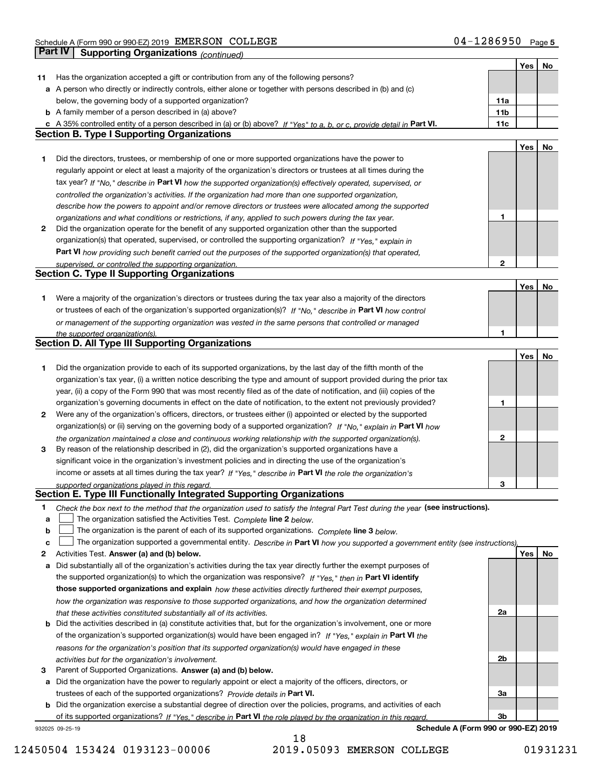|    |                                                                                                                                   |              | Yes | No |
|----|-----------------------------------------------------------------------------------------------------------------------------------|--------------|-----|----|
| 11 | Has the organization accepted a gift or contribution from any of the following persons?                                           |              |     |    |
|    | a A person who directly or indirectly controls, either alone or together with persons described in (b) and (c)                    |              |     |    |
|    | below, the governing body of a supported organization?                                                                            | 11a          |     |    |
|    | <b>b</b> A family member of a person described in (a) above?                                                                      | 11b          |     |    |
|    | c A 35% controlled entity of a person described in (a) or (b) above? If "Yes" to a, b, or c, provide detail in Part VI.           | 11c          |     |    |
|    | <b>Section B. Type I Supporting Organizations</b>                                                                                 |              |     |    |
|    |                                                                                                                                   |              | Yes | No |
| 1  | Did the directors, trustees, or membership of one or more supported organizations have the power to                               |              |     |    |
|    | regularly appoint or elect at least a majority of the organization's directors or trustees at all times during the                |              |     |    |
|    |                                                                                                                                   |              |     |    |
|    | tax year? If "No," describe in Part VI how the supported organization(s) effectively operated, supervised, or                     |              |     |    |
|    | controlled the organization's activities. If the organization had more than one supported organization,                           |              |     |    |
|    | describe how the powers to appoint and/or remove directors or trustees were allocated among the supported                         |              |     |    |
|    | organizations and what conditions or restrictions, if any, applied to such powers during the tax year.                            | 1            |     |    |
| 2  | Did the organization operate for the benefit of any supported organization other than the supported                               |              |     |    |
|    | organization(s) that operated, supervised, or controlled the supporting organization? If "Yes," explain in                        |              |     |    |
|    | Part VI how providing such benefit carried out the purposes of the supported organization(s) that operated,                       |              |     |    |
|    | supervised, or controlled the supporting organization.<br><b>Section C. Type II Supporting Organizations</b>                      | $\mathbf{2}$ |     |    |
|    |                                                                                                                                   |              |     |    |
|    |                                                                                                                                   |              | Yes | No |
| 1  | Were a majority of the organization's directors or trustees during the tax year also a majority of the directors                  |              |     |    |
|    | or trustees of each of the organization's supported organization(s)? If "No," describe in Part VI how control                     |              |     |    |
|    | or management of the supporting organization was vested in the same persons that controlled or managed                            |              |     |    |
|    | the supported organization(s).                                                                                                    | 1            |     |    |
|    | <b>Section D. All Type III Supporting Organizations</b>                                                                           |              |     |    |
|    |                                                                                                                                   |              | Yes | No |
| 1  | Did the organization provide to each of its supported organizations, by the last day of the fifth month of the                    |              |     |    |
|    | organization's tax year, (i) a written notice describing the type and amount of support provided during the prior tax             |              |     |    |
|    | year, (ii) a copy of the Form 990 that was most recently filed as of the date of notification, and (iii) copies of the            |              |     |    |
|    | organization's governing documents in effect on the date of notification, to the extent not previously provided?                  | 1            |     |    |
| 2  | Were any of the organization's officers, directors, or trustees either (i) appointed or elected by the supported                  |              |     |    |
|    | organization(s) or (ii) serving on the governing body of a supported organization? If "No," explain in Part VI how                |              |     |    |
|    | the organization maintained a close and continuous working relationship with the supported organization(s).                       | $\mathbf{2}$ |     |    |
| 3  | By reason of the relationship described in (2), did the organization's supported organizations have a                             |              |     |    |
|    | significant voice in the organization's investment policies and in directing the use of the organization's                        |              |     |    |
|    | income or assets at all times during the tax year? If "Yes," describe in Part VI the role the organization's                      |              |     |    |
|    | supported organizations played in this regard.                                                                                    | 3            |     |    |
|    | Section E. Type III Functionally Integrated Supporting Organizations                                                              |              |     |    |
| 1  | Check the box next to the method that the organization used to satisfy the Integral Part Test during the year (see instructions). |              |     |    |
| a  | The organization satisfied the Activities Test. Complete line 2 below.                                                            |              |     |    |
| b  | The organization is the parent of each of its supported organizations. Complete line 3 below.                                     |              |     |    |
| c  | The organization supported a governmental entity. Describe in Part VI how you supported a government entity (see instructions),   |              |     |    |
| 2  | Activities Test. Answer (a) and (b) below.                                                                                        |              | Yes | No |
| a  | Did substantially all of the organization's activities during the tax year directly further the exempt purposes of                |              |     |    |
|    | the supported organization(s) to which the organization was responsive? If "Yes," then in Part VI identify                        |              |     |    |
|    | those supported organizations and explain how these activities directly furthered their exempt purposes,                          |              |     |    |
|    | how the organization was responsive to those supported organizations, and how the organization determined                         |              |     |    |
|    | that these activities constituted substantially all of its activities.                                                            | 2a           |     |    |
| b  | Did the activities described in (a) constitute activities that, but for the organization's involvement, one or more               |              |     |    |
|    | of the organization's supported organization(s) would have been engaged in? If "Yes," explain in Part VI the                      |              |     |    |
|    | reasons for the organization's position that its supported organization(s) would have engaged in these                            |              |     |    |
|    | activities but for the organization's involvement.                                                                                | 2b           |     |    |
| 3  | Parent of Supported Organizations. Answer (a) and (b) below.                                                                      |              |     |    |
|    | a Did the organization have the power to regularly appoint or elect a majority of the officers, directors, or                     |              |     |    |
|    | trustees of each of the supported organizations? Provide details in Part VI.                                                      | За           |     |    |
|    | <b>b</b> Did the organization exercise a substantial degree of direction over the policies, programs, and activities of each      |              |     |    |
|    | of its supported organizations? If "Yes." describe in Part VI the role played by the organization in this regard.                 | Зb           |     |    |
|    | Schedule A (Form 990 or 990-EZ) 2019<br>932025 09-25-19                                                                           |              |     |    |

12450504 153424 0193123-00006 2019.05093 EMERSON COLLEGE 01931231

18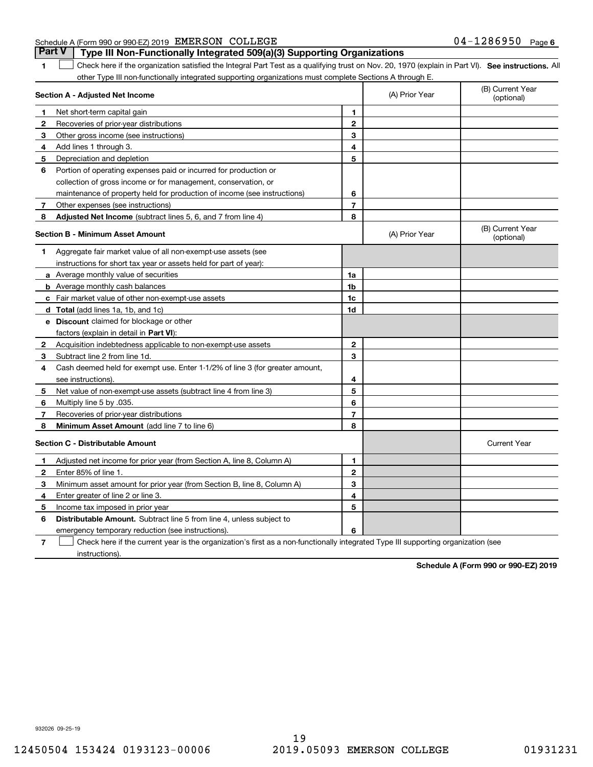| Schedule A (Form 990 or 990-EZ) 2019 EMERSON COLLEGE |  |                                                                                  | $04 - 1286950$ Page 6 |  |
|------------------------------------------------------|--|----------------------------------------------------------------------------------|-----------------------|--|
|                                                      |  | Part V   Type III Non-Functionally Integrated 509(a)(3) Supporting Organizations |                       |  |

**1**

**SEP 10. See instructions.** All antegral Part Test as a qualifying trust on Nov. 20, 1970 (explain in Part VI). See instructions. All other Type III non-functionally integrated supporting organizations must complete Sections A through E.  $\mathcal{L}^{\text{max}}$ 

|              | Section A - Adjusted Net Income                                              |                | (A) Prior Year | (B) Current Year<br>(optional) |
|--------------|------------------------------------------------------------------------------|----------------|----------------|--------------------------------|
| 1.           | Net short-term capital gain                                                  | 1              |                |                                |
| 2            | Recoveries of prior-year distributions                                       | $\overline{2}$ |                |                                |
| З            | Other gross income (see instructions)                                        | 3              |                |                                |
| 4            | Add lines 1 through 3.                                                       | 4              |                |                                |
| 5            | Depreciation and depletion                                                   | 5              |                |                                |
| 6            | Portion of operating expenses paid or incurred for production or             |                |                |                                |
|              | collection of gross income or for management, conservation, or               |                |                |                                |
|              | maintenance of property held for production of income (see instructions)     | 6              |                |                                |
| 7            | Other expenses (see instructions)                                            | $\overline{7}$ |                |                                |
| 8            | Adjusted Net Income (subtract lines 5, 6, and 7 from line 4)                 | 8              |                |                                |
|              | <b>Section B - Minimum Asset Amount</b>                                      |                | (A) Prior Year | (B) Current Year<br>(optional) |
| 1            | Aggregate fair market value of all non-exempt-use assets (see                |                |                |                                |
|              | instructions for short tax year or assets held for part of year):            |                |                |                                |
|              | a Average monthly value of securities                                        | 1a             |                |                                |
|              | <b>b</b> Average monthly cash balances                                       | 1b             |                |                                |
|              | c Fair market value of other non-exempt-use assets                           | 1c             |                |                                |
|              | d Total (add lines 1a, 1b, and 1c)                                           | 1d             |                |                                |
|              | e Discount claimed for blockage or other                                     |                |                |                                |
|              | factors (explain in detail in Part VI):                                      |                |                |                                |
| 2            | Acquisition indebtedness applicable to non-exempt-use assets                 | $\mathbf{2}$   |                |                                |
| 3            | Subtract line 2 from line 1d.                                                | 3              |                |                                |
| 4            | Cash deemed held for exempt use. Enter 1-1/2% of line 3 (for greater amount, |                |                |                                |
|              | see instructions).                                                           | 4              |                |                                |
| 5            | Net value of non-exempt-use assets (subtract line 4 from line 3)             | 5              |                |                                |
| 6            | Multiply line 5 by .035.                                                     | 6              |                |                                |
| 7            | Recoveries of prior-year distributions                                       | $\overline{7}$ |                |                                |
| 8            | Minimum Asset Amount (add line 7 to line 6)                                  | 8              |                |                                |
|              | <b>Section C - Distributable Amount</b>                                      |                |                | <b>Current Year</b>            |
| 1            | Adjusted net income for prior year (from Section A, line 8, Column A)        | 1              |                |                                |
| $\mathbf{2}$ | Enter 85% of line 1.                                                         | $\overline{2}$ |                |                                |
| 3            | Minimum asset amount for prior year (from Section B, line 8, Column A)       | 3              |                |                                |
| 4            | Enter greater of line 2 or line 3.                                           | 4              |                |                                |
| 5            | Income tax imposed in prior year                                             | 5              |                |                                |
| 6            | <b>Distributable Amount.</b> Subtract line 5 from line 4, unless subject to  |                |                |                                |
|              | emergency temporary reduction (see instructions).                            | 6              |                |                                |
|              |                                                                              |                |                |                                |

**7**Check here if the current year is the organization's first as a non-functionally integrated Type III supporting organization (see instructions).

**Schedule A (Form 990 or 990-EZ) 2019**

932026 09-25-19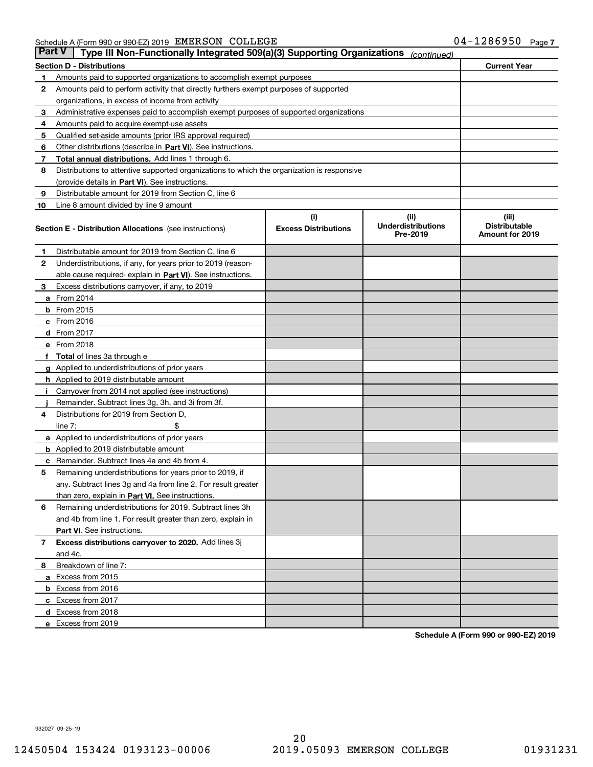| Part V | Type III Non-Functionally Integrated 509(a)(3) Supporting Organizations                    |                             | (continued)                           |                                         |
|--------|--------------------------------------------------------------------------------------------|-----------------------------|---------------------------------------|-----------------------------------------|
|        | <b>Section D - Distributions</b>                                                           |                             |                                       | <b>Current Year</b>                     |
| 1      | Amounts paid to supported organizations to accomplish exempt purposes                      |                             |                                       |                                         |
| 2      | Amounts paid to perform activity that directly furthers exempt purposes of supported       |                             |                                       |                                         |
|        | organizations, in excess of income from activity                                           |                             |                                       |                                         |
| з      | Administrative expenses paid to accomplish exempt purposes of supported organizations      |                             |                                       |                                         |
| 4      | Amounts paid to acquire exempt-use assets                                                  |                             |                                       |                                         |
| 5      | Qualified set-aside amounts (prior IRS approval required)                                  |                             |                                       |                                         |
| 6      | Other distributions (describe in Part VI). See instructions.                               |                             |                                       |                                         |
| 7      | <b>Total annual distributions.</b> Add lines 1 through 6.                                  |                             |                                       |                                         |
| 8      | Distributions to attentive supported organizations to which the organization is responsive |                             |                                       |                                         |
|        | (provide details in Part VI). See instructions.                                            |                             |                                       |                                         |
| 9      | Distributable amount for 2019 from Section C, line 6                                       |                             |                                       |                                         |
| 10     | Line 8 amount divided by line 9 amount                                                     |                             |                                       |                                         |
|        |                                                                                            | (i)                         | (iii)                                 | (iii)                                   |
|        | <b>Section E - Distribution Allocations</b> (see instructions)                             | <b>Excess Distributions</b> | <b>Underdistributions</b><br>Pre-2019 | <b>Distributable</b><br>Amount for 2019 |
| 1      | Distributable amount for 2019 from Section C, line 6                                       |                             |                                       |                                         |
| 2      | Underdistributions, if any, for years prior to 2019 (reason-                               |                             |                                       |                                         |
|        | able cause required- explain in <b>Part VI</b> ). See instructions.                        |                             |                                       |                                         |
| з      | Excess distributions carryover, if any, to 2019                                            |                             |                                       |                                         |
|        | <b>a</b> From 2014                                                                         |                             |                                       |                                         |
|        | <b>b</b> From 2015                                                                         |                             |                                       |                                         |
|        | $c$ From 2016                                                                              |                             |                                       |                                         |
|        | d From 2017                                                                                |                             |                                       |                                         |
|        | e From 2018                                                                                |                             |                                       |                                         |
|        | Total of lines 3a through e                                                                |                             |                                       |                                         |
|        | <b>g</b> Applied to underdistributions of prior years                                      |                             |                                       |                                         |
|        | <b>h</b> Applied to 2019 distributable amount                                              |                             |                                       |                                         |
|        | Carryover from 2014 not applied (see instructions)                                         |                             |                                       |                                         |
|        | Remainder. Subtract lines 3g, 3h, and 3i from 3f.                                          |                             |                                       |                                         |
| 4      | Distributions for 2019 from Section D,                                                     |                             |                                       |                                         |
|        | line $7:$                                                                                  |                             |                                       |                                         |
|        | <b>a</b> Applied to underdistributions of prior years                                      |                             |                                       |                                         |
|        | <b>b</b> Applied to 2019 distributable amount                                              |                             |                                       |                                         |
| с      | Remainder. Subtract lines 4a and 4b from 4.                                                |                             |                                       |                                         |
| 5      | Remaining underdistributions for years prior to 2019, if                                   |                             |                                       |                                         |
|        | any. Subtract lines 3g and 4a from line 2. For result greater                              |                             |                                       |                                         |
|        | than zero, explain in Part VI. See instructions.                                           |                             |                                       |                                         |
| 6      | Remaining underdistributions for 2019. Subtract lines 3h                                   |                             |                                       |                                         |
|        | and 4b from line 1. For result greater than zero, explain in                               |                             |                                       |                                         |
|        | Part VI. See instructions.                                                                 |                             |                                       |                                         |
| 7      | Excess distributions carryover to 2020. Add lines 3j                                       |                             |                                       |                                         |
|        | and 4c.                                                                                    |                             |                                       |                                         |
| 8      | Breakdown of line 7:                                                                       |                             |                                       |                                         |
|        | a Excess from 2015                                                                         |                             |                                       |                                         |
|        | <b>b</b> Excess from 2016                                                                  |                             |                                       |                                         |
|        | c Excess from 2017                                                                         |                             |                                       |                                         |
|        | d Excess from 2018                                                                         |                             |                                       |                                         |
|        | e Excess from 2019                                                                         |                             |                                       |                                         |
|        |                                                                                            |                             |                                       |                                         |

**Schedule A (Form 990 or 990-EZ) 2019**

932027 09-25-19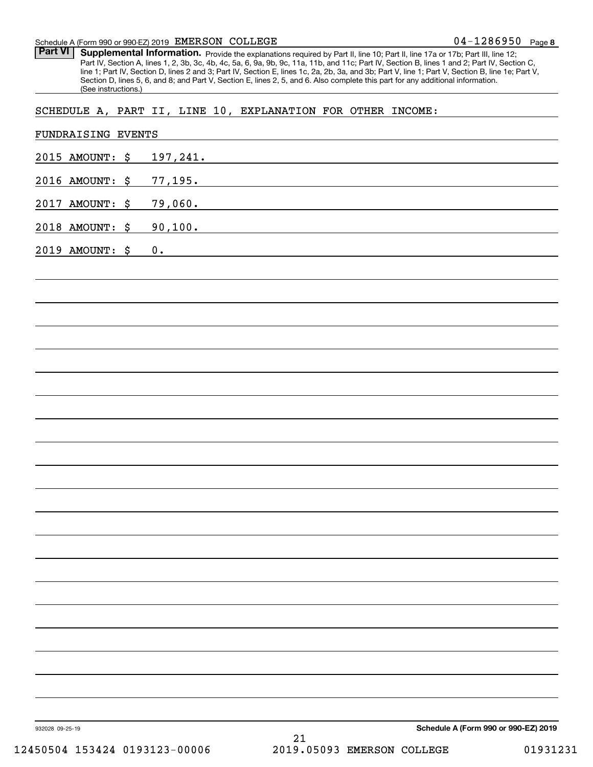### Schedule A (Form 990 or 990-EZ) 2019 Page EMERSON COLLEGE

Part VI | Supplemental Information. Provide the explanations required by Part II, line 10; Part II, line 17a or 17b; Part III, line 12; Part IV, Section A, lines 1, 2, 3b, 3c, 4b, 4c, 5a, 6, 9a, 9b, 9c, 11a, 11b, and 11c; Part IV, Section B, lines 1 and 2; Part IV, Section C, line 1; Part IV, Section D, lines 2 and 3; Part IV, Section E, lines 1c, 2a, 2b, 3a, and 3b; Part V, line 1; Part V, Section B, line 1e; Part V, Section D, lines 5, 6, and 8; and Part V, Section E, lines 2, 5, and 6. Also complete this part for any additional information. (See instructions.)

## SCHEDULE A, PART II, LINE 10, EXPLANATION FOR OTHER INCOME:

| 2015 AMOUNT: \$ | 197,241.                                            |
|-----------------|-----------------------------------------------------|
| 2016 AMOUNT: \$ | 77,195.                                             |
| 2017 AMOUNT: \$ | 79,060.                                             |
| 2018 AMOUNT: \$ | 90,100.                                             |
| 2019 AMOUNT: \$ | 0.                                                  |
|                 |                                                     |
|                 |                                                     |
|                 |                                                     |
|                 |                                                     |
|                 |                                                     |
|                 |                                                     |
|                 |                                                     |
|                 |                                                     |
|                 |                                                     |
|                 |                                                     |
|                 |                                                     |
|                 |                                                     |
|                 |                                                     |
|                 |                                                     |
|                 |                                                     |
|                 |                                                     |
|                 |                                                     |
|                 |                                                     |
|                 |                                                     |
|                 |                                                     |
| 932028 09-25-19 | Schedule A (Form 990 or 990-EZ) 2019<br>$2\sqrt{1}$ |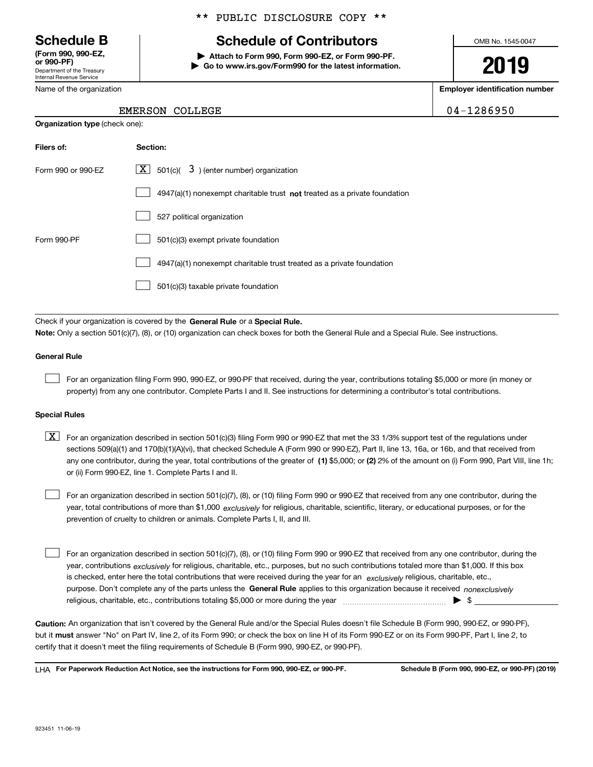Department of the Treasury Internal Revenue Service **(Form 990, 990-EZ, or 990-PF)**

Name of the organization

**Organization type** (check one):

### \*\* PUBLIC DISCLOSURE COPY \*\*

# **Schedule B Schedule of Contributors**

**| Attach to Form 990, Form 990-EZ, or Form 990-PF. | Go to www.irs.gov/Form990 for the latest information.** OMB No. 1545-0047

**2019**

**Employer identification number**

|  | EMERSON COLLEGE | 04-1286950 |
|--|-----------------|------------|
|--|-----------------|------------|

| Filers of:         | Section:                                                                    |
|--------------------|-----------------------------------------------------------------------------|
| Form 990 or 990-EZ | $X$ 501(c)( 3) (enter number) organization                                  |
|                    | $4947(a)(1)$ nonexempt charitable trust not treated as a private foundation |
|                    | 527 political organization                                                  |
| Form 990-PF        | 501(c)(3) exempt private foundation                                         |
|                    | 4947(a)(1) nonexempt charitable trust treated as a private foundation       |
|                    | 501(c)(3) taxable private foundation                                        |

Check if your organization is covered by the **General Rule** or a **Special Rule. Note:**  Only a section 501(c)(7), (8), or (10) organization can check boxes for both the General Rule and a Special Rule. See instructions.

### **General Rule**

 $\mathcal{L}^{\text{max}}$ 

For an organization filing Form 990, 990-EZ, or 990-PF that received, during the year, contributions totaling \$5,000 or more (in money or property) from any one contributor. Complete Parts I and II. See instructions for determining a contributor's total contributions.

### **Special Rules**

any one contributor, during the year, total contributions of the greater of  $\,$  (1) \$5,000; or **(2)** 2% of the amount on (i) Form 990, Part VIII, line 1h;  $\boxed{\textbf{X}}$  For an organization described in section 501(c)(3) filing Form 990 or 990-EZ that met the 33 1/3% support test of the regulations under sections 509(a)(1) and 170(b)(1)(A)(vi), that checked Schedule A (Form 990 or 990-EZ), Part II, line 13, 16a, or 16b, and that received from or (ii) Form 990-EZ, line 1. Complete Parts I and II.

year, total contributions of more than \$1,000 *exclusively* for religious, charitable, scientific, literary, or educational purposes, or for the For an organization described in section 501(c)(7), (8), or (10) filing Form 990 or 990-EZ that received from any one contributor, during the prevention of cruelty to children or animals. Complete Parts I, II, and III.  $\mathcal{L}^{\text{max}}$ 

purpose. Don't complete any of the parts unless the **General Rule** applies to this organization because it received *nonexclusively* year, contributions <sub>exclusively</sub> for religious, charitable, etc., purposes, but no such contributions totaled more than \$1,000. If this box is checked, enter here the total contributions that were received during the year for an  $\;$ exclusively religious, charitable, etc., For an organization described in section 501(c)(7), (8), or (10) filing Form 990 or 990-EZ that received from any one contributor, during the religious, charitable, etc., contributions totaling \$5,000 or more during the year  $\Box$ — $\Box$   $\Box$  $\mathcal{L}^{\text{max}}$ 

**Caution:**  An organization that isn't covered by the General Rule and/or the Special Rules doesn't file Schedule B (Form 990, 990-EZ, or 990-PF),  **must** but it answer "No" on Part IV, line 2, of its Form 990; or check the box on line H of its Form 990-EZ or on its Form 990-PF, Part I, line 2, to certify that it doesn't meet the filing requirements of Schedule B (Form 990, 990-EZ, or 990-PF).

**For Paperwork Reduction Act Notice, see the instructions for Form 990, 990-EZ, or 990-PF. Schedule B (Form 990, 990-EZ, or 990-PF) (2019)** LHA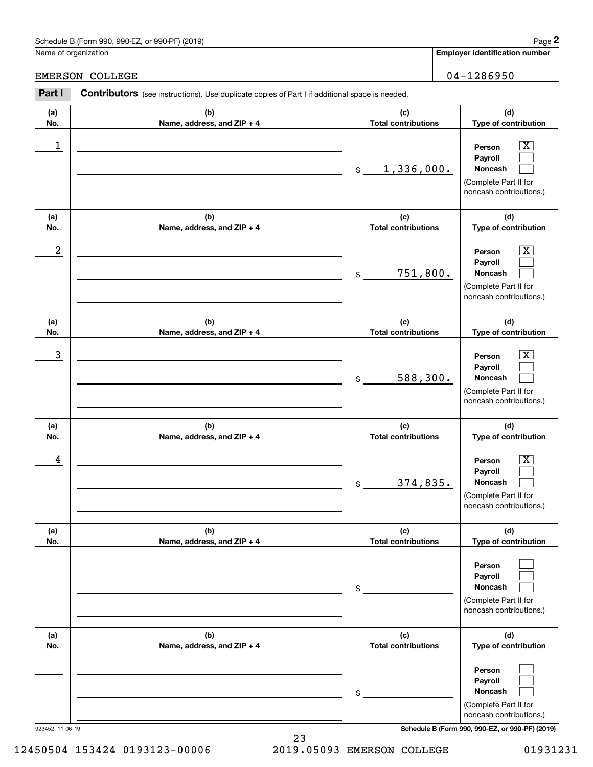# Schedule B (Form 990, 990-EZ, or 990-PF) (2019) Page 2

# EMERSON COLLEGE 2004-1286950

|                  | Schedule B (Form 990, 990-EZ, or 990-PF) (2019)                                                |                                   | Page 2                                                                                                    |
|------------------|------------------------------------------------------------------------------------------------|-----------------------------------|-----------------------------------------------------------------------------------------------------------|
|                  | Name of organization                                                                           |                                   | <b>Employer identification number</b>                                                                     |
|                  | <b>EMERSON COLLEGE</b>                                                                         |                                   | $04 - 1286950$                                                                                            |
| Part I           | Contributors (see instructions). Use duplicate copies of Part I if additional space is needed. |                                   |                                                                                                           |
| (a)<br>No.       | (b)<br>Name, address, and ZIP + 4                                                              | (c)<br><b>Total contributions</b> | (d)<br>Type of contribution                                                                               |
| 1                |                                                                                                | 1,336,000.<br>\$                  | $\overline{\text{X}}$<br>Person<br>Payroll<br>Noncash<br>(Complete Part II for<br>noncash contributions.) |
| (a)<br>No.       | (b)<br>Name, address, and ZIP + 4                                                              | (c)<br><b>Total contributions</b> | (d)<br>Type of contribution                                                                               |
| $\boldsymbol{2}$ |                                                                                                | 751,800.<br>\$                    | $\overline{\text{X}}$<br>Person<br>Payroll<br>Noncash<br>(Complete Part II for<br>noncash contributions.) |
| (a)<br>No.       | (b)<br>Name, address, and ZIP + 4                                                              | (c)<br><b>Total contributions</b> | (d)<br>Type of contribution                                                                               |
| 3                |                                                                                                | 588,300.<br>\$                    | $\overline{\text{X}}$<br>Person<br>Payroll<br>Noncash<br>(Complete Part II for<br>noncash contributions.) |
| (a)<br>No.       | (b)<br>Name, address, and ZIP + 4                                                              | (c)<br><b>Total contributions</b> | (d)<br>Type of contribution                                                                               |
| 4                |                                                                                                | 374,835.<br>\$                    | $\mathbf{X}$<br>Person<br>Payroll<br>Noncash<br>(Complete Part II for<br>noncash contributions.)          |
| (a)<br>No.       | (b)<br>Name, address, and ZIP + 4                                                              | (c)<br><b>Total contributions</b> | (d)<br>Type of contribution                                                                               |
|                  |                                                                                                | \$                                | Person<br>Payroll<br>Noncash<br>(Complete Part II for<br>noncash contributions.)                          |
| (a)<br>No.       | (b)<br>Name, address, and ZIP + 4                                                              | (c)<br><b>Total contributions</b> | (d)<br>Type of contribution                                                                               |
|                  |                                                                                                | \$                                | Person<br>Payroll<br>Noncash<br>(Complete Part II for<br>noncash contributions.)                          |

923452 11-06-19 **Schedule B (Form 990, 990-EZ, or 990-PF) (2019)**

23 12450504 153424 0193123-00006 2019.05093 EMERSON COLLEGE 01931231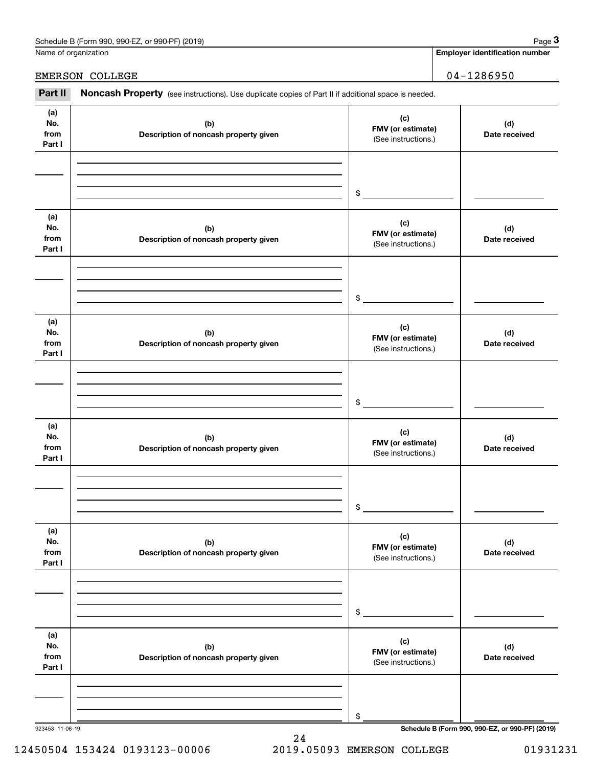| Schedule B (Form 990, 9<br>or 990-PF)<br>(2019)<br>990-EZ<br>Page |  |
|-------------------------------------------------------------------|--|
|-------------------------------------------------------------------|--|

|                              | Schedule B (Form 990, 990-EZ, or 990-PF) (2019)                                                     |                                                 | Page 3                                          |
|------------------------------|-----------------------------------------------------------------------------------------------------|-------------------------------------------------|-------------------------------------------------|
|                              | Name of organization                                                                                |                                                 | <b>Employer identification number</b>           |
|                              | EMERSON COLLEGE                                                                                     |                                                 | $04 - 1286950$                                  |
| Part II                      | Noncash Property (see instructions). Use duplicate copies of Part II if additional space is needed. |                                                 |                                                 |
| (a)<br>No.<br>from<br>Part I | (b)<br>Description of noncash property given                                                        | (c)<br>FMV (or estimate)<br>(See instructions.) | (d)<br>Date received                            |
|                              |                                                                                                     | \$                                              |                                                 |
| (a)<br>No.<br>from<br>Part I | (b)<br>Description of noncash property given                                                        | (c)<br>FMV (or estimate)<br>(See instructions.) | (d)<br>Date received                            |
|                              |                                                                                                     | \$                                              |                                                 |
| (a)<br>No.<br>from<br>Part I | (b)<br>Description of noncash property given                                                        | (c)<br>FMV (or estimate)<br>(See instructions.) | (d)<br>Date received                            |
|                              |                                                                                                     | \$                                              |                                                 |
| (a)<br>No.<br>from<br>Part I | (b)<br>Description of noncash property given                                                        | (c)<br>FMV (or estimate)<br>(See instructions.) | (d)<br>Date received                            |
|                              |                                                                                                     | \$                                              |                                                 |
| (a)<br>No.<br>from<br>Part I | (b)<br>Description of noncash property given                                                        | (c)<br>FMV (or estimate)<br>(See instructions.) | (d)<br>Date received                            |
|                              |                                                                                                     | \$                                              |                                                 |
| (a)<br>No.<br>from<br>Part I | (b)<br>Description of noncash property given                                                        | (c)<br>FMV (or estimate)<br>(See instructions.) | (d)<br>Date received                            |
|                              |                                                                                                     | \$                                              |                                                 |
| 923453 11-06-19              |                                                                                                     |                                                 | Schedule B (Form 990, 990-EZ, or 990-PF) (2019) |

24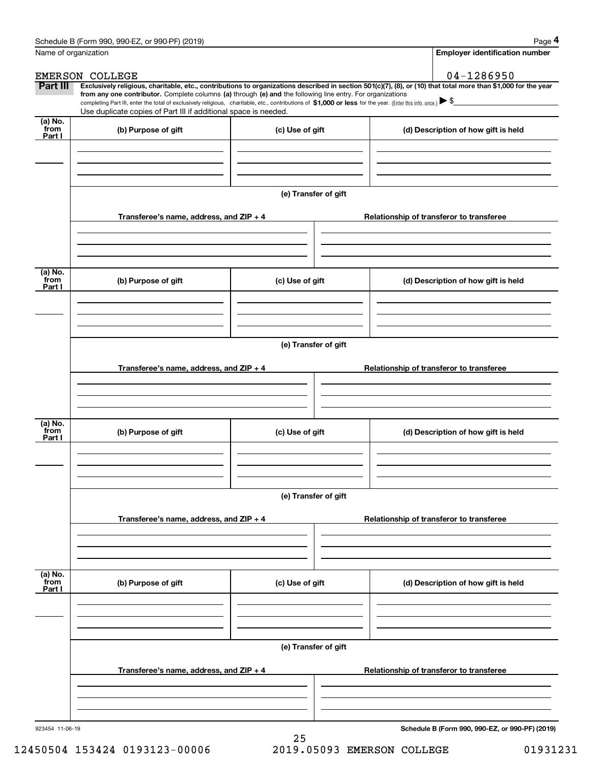|                           | Schedule B (Form 990, 990-EZ, or 990-PF) (2019)                                                                                                                                                                                 |                      | Page 4                                                                                                                                                         |  |  |  |  |  |  |
|---------------------------|---------------------------------------------------------------------------------------------------------------------------------------------------------------------------------------------------------------------------------|----------------------|----------------------------------------------------------------------------------------------------------------------------------------------------------------|--|--|--|--|--|--|
| Name of organization      |                                                                                                                                                                                                                                 |                      | <b>Employer identification number</b>                                                                                                                          |  |  |  |  |  |  |
|                           | <b>EMERSON COLLEGE</b>                                                                                                                                                                                                          |                      | 04-1286950                                                                                                                                                     |  |  |  |  |  |  |
| Part III                  | from any one contributor. Complete columns (a) through (e) and the following line entry. For organizations                                                                                                                      |                      | Exclusively religious, charitable, etc., contributions to organizations described in section 501(c)(7), (8), or (10) that total more than \$1,000 for the year |  |  |  |  |  |  |
|                           | completing Part III, enter the total of exclusively religious, charitable, etc., contributions of \$1,000 or less for the year. (Enter this info. once.) \\$<br>Use duplicate copies of Part III if additional space is needed. |                      |                                                                                                                                                                |  |  |  |  |  |  |
| (a) No.                   |                                                                                                                                                                                                                                 |                      |                                                                                                                                                                |  |  |  |  |  |  |
| from<br>Part I            | (b) Purpose of gift                                                                                                                                                                                                             | (c) Use of gift      | (d) Description of how gift is held                                                                                                                            |  |  |  |  |  |  |
|                           |                                                                                                                                                                                                                                 |                      |                                                                                                                                                                |  |  |  |  |  |  |
|                           |                                                                                                                                                                                                                                 |                      |                                                                                                                                                                |  |  |  |  |  |  |
|                           |                                                                                                                                                                                                                                 |                      |                                                                                                                                                                |  |  |  |  |  |  |
|                           |                                                                                                                                                                                                                                 | (e) Transfer of gift |                                                                                                                                                                |  |  |  |  |  |  |
|                           | Transferee's name, address, and ZIP + 4                                                                                                                                                                                         |                      | Relationship of transferor to transferee                                                                                                                       |  |  |  |  |  |  |
|                           |                                                                                                                                                                                                                                 |                      |                                                                                                                                                                |  |  |  |  |  |  |
|                           |                                                                                                                                                                                                                                 |                      |                                                                                                                                                                |  |  |  |  |  |  |
|                           |                                                                                                                                                                                                                                 |                      |                                                                                                                                                                |  |  |  |  |  |  |
| (a) No.<br>from<br>Part I | (b) Purpose of gift                                                                                                                                                                                                             | (c) Use of gift      | (d) Description of how gift is held                                                                                                                            |  |  |  |  |  |  |
|                           |                                                                                                                                                                                                                                 |                      |                                                                                                                                                                |  |  |  |  |  |  |
|                           |                                                                                                                                                                                                                                 |                      |                                                                                                                                                                |  |  |  |  |  |  |
|                           |                                                                                                                                                                                                                                 |                      |                                                                                                                                                                |  |  |  |  |  |  |
|                           | (e) Transfer of gift                                                                                                                                                                                                            |                      |                                                                                                                                                                |  |  |  |  |  |  |
|                           |                                                                                                                                                                                                                                 |                      |                                                                                                                                                                |  |  |  |  |  |  |
|                           | Transferee's name, address, and ZIP + 4                                                                                                                                                                                         |                      | Relationship of transferor to transferee                                                                                                                       |  |  |  |  |  |  |
|                           |                                                                                                                                                                                                                                 |                      |                                                                                                                                                                |  |  |  |  |  |  |
|                           |                                                                                                                                                                                                                                 |                      |                                                                                                                                                                |  |  |  |  |  |  |
| (a) No.                   |                                                                                                                                                                                                                                 |                      |                                                                                                                                                                |  |  |  |  |  |  |
| from<br>Part I            | (b) Purpose of gift                                                                                                                                                                                                             | (c) Use of gift      | (d) Description of how gift is held                                                                                                                            |  |  |  |  |  |  |
|                           |                                                                                                                                                                                                                                 |                      |                                                                                                                                                                |  |  |  |  |  |  |
|                           |                                                                                                                                                                                                                                 |                      |                                                                                                                                                                |  |  |  |  |  |  |
|                           |                                                                                                                                                                                                                                 |                      |                                                                                                                                                                |  |  |  |  |  |  |
|                           |                                                                                                                                                                                                                                 | (e) Transfer of gift |                                                                                                                                                                |  |  |  |  |  |  |
|                           | Transferee's name, address, and ZIP + 4                                                                                                                                                                                         |                      | Relationship of transferor to transferee                                                                                                                       |  |  |  |  |  |  |
|                           |                                                                                                                                                                                                                                 |                      |                                                                                                                                                                |  |  |  |  |  |  |
|                           |                                                                                                                                                                                                                                 |                      |                                                                                                                                                                |  |  |  |  |  |  |
|                           |                                                                                                                                                                                                                                 |                      |                                                                                                                                                                |  |  |  |  |  |  |
| (a) No.<br>from<br>Part I | (b) Purpose of gift                                                                                                                                                                                                             | (c) Use of gift      | (d) Description of how gift is held                                                                                                                            |  |  |  |  |  |  |
|                           |                                                                                                                                                                                                                                 |                      |                                                                                                                                                                |  |  |  |  |  |  |
|                           |                                                                                                                                                                                                                                 |                      |                                                                                                                                                                |  |  |  |  |  |  |
|                           |                                                                                                                                                                                                                                 |                      |                                                                                                                                                                |  |  |  |  |  |  |
|                           |                                                                                                                                                                                                                                 | (e) Transfer of gift |                                                                                                                                                                |  |  |  |  |  |  |
|                           |                                                                                                                                                                                                                                 |                      |                                                                                                                                                                |  |  |  |  |  |  |
|                           | Transferee's name, address, and $ZIP + 4$                                                                                                                                                                                       |                      | Relationship of transferor to transferee                                                                                                                       |  |  |  |  |  |  |
|                           |                                                                                                                                                                                                                                 |                      |                                                                                                                                                                |  |  |  |  |  |  |
|                           |                                                                                                                                                                                                                                 |                      |                                                                                                                                                                |  |  |  |  |  |  |
| 923454 11-06-19           |                                                                                                                                                                                                                                 |                      | Schedule B (Form 990, 990-EZ, or 990-PF) (2019)                                                                                                                |  |  |  |  |  |  |
|                           |                                                                                                                                                                                                                                 |                      |                                                                                                                                                                |  |  |  |  |  |  |

12450504 153424 0193123-00006 2019.05093 EMERSON COLLEGE 01931231

25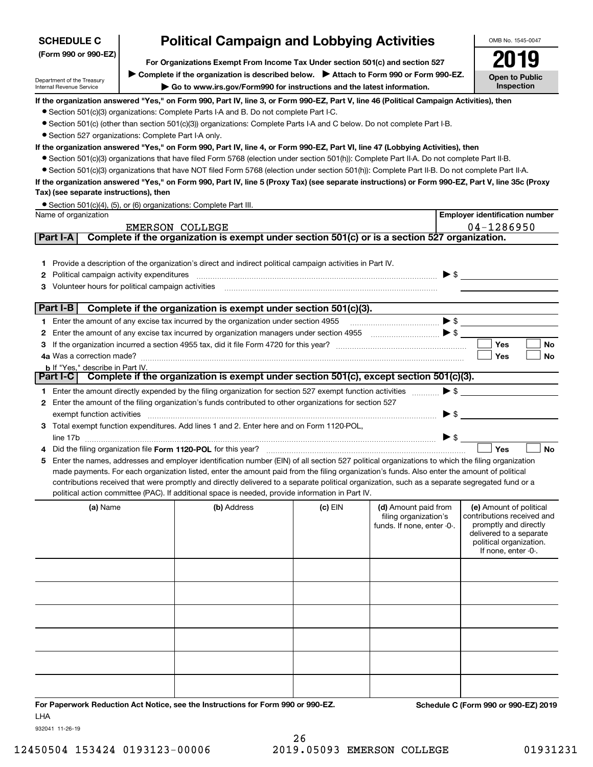| LE C | <b>Political Campaign and Lobbying Activities</b> |  |
|------|---------------------------------------------------|--|
|      |                                                   |  |

OMB No. 1545-0047

**Open to Public Inspection**

**2019**

**(Form 990 or 990-EZ)**

**For Organizations Exempt From Income Tax Under section 501(c) and section 527** ▶ Complete if the organization is described below. ▶ Attach to Form 990 or Form 990-EZ.

Department of the Treasury Internal Revenue Service

**SCHEDU** 

**| Go to www.irs.gov/Form990 for instructions and the latest information.**

**If the organization answered "Yes," on Form 990, Part IV, line 3, or Form 990-EZ, Part V, line 46 (Political Campaign Activities), then**

- Section 501(c)(3) organizations: Complete Parts I-A and B. Do not complete Part I-C.
- ¥ Section 501(c) (other than section 501(c)(3)) organizations: Complete Parts I-A and C below. Do not complete Part I-B.
- Section 527 organizations: Complete Part I-A only.

### **If the organization answered "Yes," on Form 990, Part IV, line 4, or Form 990-EZ, Part VI, line 47 (Lobbying Activities), then**

- Section 501(c)(3) organizations that have filed Form 5768 (election under section 501(h)): Complete Part II-A. Do not complete Part II-B.
- ¥ Section 501(c)(3) organizations that have NOT filed Form 5768 (election under section 501(h)): Complete Part II-B. Do not complete Part II-A.

### **If the organization answered "Yes," on Form 990, Part IV, line 5 (Proxy Tax) (see separate instructions) or Form 990-EZ, Part V, line 35c (Proxy Tax) (see separate instructions), then**

| • Section 501(c)(4), (5), or (6) organizations: Complete Part III. |  |
|--------------------------------------------------------------------|--|
|--------------------------------------------------------------------|--|

| 04-1286950<br>EMERSON COLLEGE<br>Complete if the organization is exempt under section 501(c) or is a section 527 organization.<br><b>Part I-A</b>    |           |
|------------------------------------------------------------------------------------------------------------------------------------------------------|-----------|
|                                                                                                                                                      |           |
|                                                                                                                                                      |           |
|                                                                                                                                                      |           |
| 1 Provide a description of the organization's direct and indirect political campaign activities in Part IV.                                          |           |
| $\blacktriangleright$ \$<br><b>2</b> Political campaign activity expenditures                                                                        |           |
| Volunteer hours for political campaign activities                                                                                                    |           |
| Part I-B<br>Complete if the organization is exempt under section 501(c)(3).                                                                          |           |
| 1 Enter the amount of any excise tax incurred by the organization under section 4955                                                                 |           |
| 2                                                                                                                                                    |           |
| Yes                                                                                                                                                  | <b>No</b> |
| 4a Was a correction made?<br>Yes                                                                                                                     | <b>No</b> |
| <b>b</b> If "Yes," describe in Part IV.                                                                                                              |           |
| Complete if the organization is exempt under section 501(c), except section 501(c)(3).<br>Part I-C                                                   |           |
| $\blacktriangleright$ \$<br>1 Enter the amount directly expended by the filing organization for section 527 exempt function activities               |           |
| Enter the amount of the filing organization's funds contributed to other organizations for section 527<br>$\mathbf{2}$                               |           |
| $\blacktriangleright$ \$<br>exempt function activities exercised and activities and activities are accommodal and activities and activities          |           |
| Total exempt function expenditures. Add lines 1 and 2. Enter here and on Form 1120-POL,<br>3                                                         |           |
| >                                                                                                                                                    |           |
| Yes<br>4 Did the filing organization file Form 1120-POL for this year?                                                                               | <b>No</b> |
| Enter the names, addresses and employer identification number (EIN) of all section 527 political organizations to which the filing organization<br>5 |           |
| made payments. For each organization listed, enter the amount paid from the filing organization's funds. Also enter the amount of political          |           |
| contributions received that were promptly and directly delivered to a separate political organization, such as a separate segregated fund or a       |           |
| political action committee (PAC). If additional space is needed, provide information in Part IV.                                                     |           |
| (b) Address<br>(e) Amount of political<br>(a) Name<br>$(c)$ EIN<br>(d) Amount paid from                                                              |           |
| contributions received and<br>filing organization's                                                                                                  |           |

| <b>a</b> Ivanie | ( <b>D</b> ) Address | ויום נט | (a) Alliount paid from<br>filing organization's<br>funds. If none, enter -0-. | <b>(e)</b> Alliount of political<br>contributions received and<br>promptly and directly<br>delivered to a separate<br>political organization.<br>If none, enter -0-. |
|-----------------|----------------------|---------|-------------------------------------------------------------------------------|----------------------------------------------------------------------------------------------------------------------------------------------------------------------|
|                 |                      |         |                                                                               |                                                                                                                                                                      |
|                 |                      |         |                                                                               |                                                                                                                                                                      |
|                 |                      |         |                                                                               |                                                                                                                                                                      |
|                 |                      |         |                                                                               |                                                                                                                                                                      |
|                 |                      |         |                                                                               |                                                                                                                                                                      |
|                 |                      |         |                                                                               |                                                                                                                                                                      |

**For Paperwork Reduction Act Notice, see the Instructions for Form 990 or 990-EZ. Schedule C (Form 990 or 990-EZ) 2019** LHA

932041 11-26-19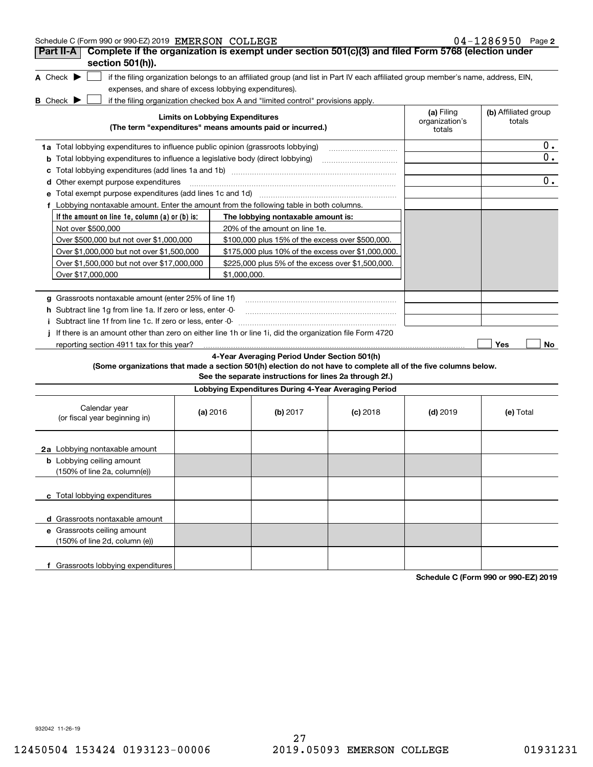| Schedule C (Form 990 or 990-EZ) 2019 EMERSON COLLEGE                                                            |                                        |                                                                                                         |                                                                                                                                   |                                        | $04 - 1286950$ Page 2          |
|-----------------------------------------------------------------------------------------------------------------|----------------------------------------|---------------------------------------------------------------------------------------------------------|-----------------------------------------------------------------------------------------------------------------------------------|----------------------------------------|--------------------------------|
| Complete if the organization is exempt under section 501(c)(3) and filed Form 5768 (election under<br>Part II-A |                                        |                                                                                                         |                                                                                                                                   |                                        |                                |
| section 501(h)).<br>A Check $\blacktriangleright$                                                               |                                        |                                                                                                         | if the filing organization belongs to an affiliated group (and list in Part IV each affiliated group member's name, address, EIN, |                                        |                                |
| expenses, and share of excess lobbying expenditures).                                                           |                                        |                                                                                                         |                                                                                                                                   |                                        |                                |
| <b>B</b> Check $\blacktriangleright$                                                                            |                                        | if the filing organization checked box A and "limited control" provisions apply.                        |                                                                                                                                   |                                        |                                |
|                                                                                                                 | <b>Limits on Lobbying Expenditures</b> | (The term "expenditures" means amounts paid or incurred.)                                               |                                                                                                                                   | (a) Filing<br>organization's<br>totals | (b) Affiliated group<br>totals |
| 1a Total lobbying expenditures to influence public opinion (grassroots lobbying)                                |                                        |                                                                                                         |                                                                                                                                   |                                        | 0.                             |
|                                                                                                                 |                                        |                                                                                                         |                                                                                                                                   |                                        | 0.                             |
| <b>b</b> Total lobbying expenditures to influence a legislative body (direct lobbying)                          |                                        |                                                                                                         |                                                                                                                                   |                                        |                                |
| с                                                                                                               |                                        |                                                                                                         |                                                                                                                                   |                                        | 0.                             |
| <b>d</b> Other exempt purpose expenditures                                                                      |                                        |                                                                                                         |                                                                                                                                   |                                        |                                |
| e Total exempt purpose expenditures (add lines 1c and 1d)                                                       |                                        |                                                                                                         |                                                                                                                                   |                                        |                                |
| f Lobbying nontaxable amount. Enter the amount from the following table in both columns.                        |                                        |                                                                                                         |                                                                                                                                   |                                        |                                |
| If the amount on line 1e, column $(a)$ or $(b)$ is:                                                             |                                        | The lobbying nontaxable amount is:                                                                      |                                                                                                                                   |                                        |                                |
| Not over \$500,000                                                                                              |                                        | 20% of the amount on line 1e.                                                                           |                                                                                                                                   |                                        |                                |
| Over \$500,000 but not over \$1,000,000                                                                         |                                        | \$100,000 plus 15% of the excess over \$500,000.                                                        |                                                                                                                                   |                                        |                                |
| Over \$1,000,000 but not over \$1,500,000                                                                       |                                        | \$175,000 plus 10% of the excess over \$1,000,000.                                                      |                                                                                                                                   |                                        |                                |
| Over \$1,500,000 but not over \$17,000,000                                                                      |                                        | \$225,000 plus 5% of the excess over \$1,500,000.                                                       |                                                                                                                                   |                                        |                                |
| Over \$17,000,000                                                                                               | \$1,000,000.                           |                                                                                                         |                                                                                                                                   |                                        |                                |
|                                                                                                                 |                                        |                                                                                                         |                                                                                                                                   |                                        |                                |
| g Grassroots nontaxable amount (enter 25% of line 1f)                                                           |                                        |                                                                                                         |                                                                                                                                   |                                        |                                |
| <b>h</b> Subtract line 1g from line 1a. If zero or less, enter -0-                                              |                                        |                                                                                                         |                                                                                                                                   |                                        |                                |
| i Subtract line 1f from line 1c. If zero or less, enter -0-                                                     |                                        |                                                                                                         |                                                                                                                                   |                                        |                                |
| j If there is an amount other than zero on either line 1h or line 1i, did the organization file Form 4720       |                                        |                                                                                                         |                                                                                                                                   |                                        |                                |
| reporting section 4911 tax for this year?                                                                       |                                        |                                                                                                         |                                                                                                                                   |                                        | Yes<br>No.                     |
| (Some organizations that made a section 501(h) election do not have to complete all of the five columns below.  |                                        | 4-Year Averaging Period Under Section 501(h)<br>See the separate instructions for lines 2a through 2f.) |                                                                                                                                   |                                        |                                |
|                                                                                                                 |                                        | Lobbying Expenditures During 4-Year Averaging Period                                                    |                                                                                                                                   |                                        |                                |
| Calendar year<br>(or fiscal year beginning in)                                                                  | (a) 2016                               | (b) 2017                                                                                                | $(c)$ 2018                                                                                                                        | $(d)$ 2019                             | (e) Total                      |
| 2a Lobbying nontaxable amount                                                                                   |                                        |                                                                                                         |                                                                                                                                   |                                        |                                |
| <b>b</b> Lobbying ceiling amount<br>(150% of line 2a, column(e))                                                |                                        |                                                                                                         |                                                                                                                                   |                                        |                                |
| c Total lobbying expenditures                                                                                   |                                        |                                                                                                         |                                                                                                                                   |                                        |                                |
| d Grassroots nontaxable amount                                                                                  |                                        |                                                                                                         |                                                                                                                                   |                                        |                                |
| e Grassroots ceiling amount<br>(150% of line 2d, column (e))                                                    |                                        |                                                                                                         |                                                                                                                                   |                                        |                                |
| f Grassroots lobbying expenditures                                                                              |                                        |                                                                                                         |                                                                                                                                   |                                        |                                |

**Schedule C (Form 990 or 990-EZ) 2019**

932042 11-26-19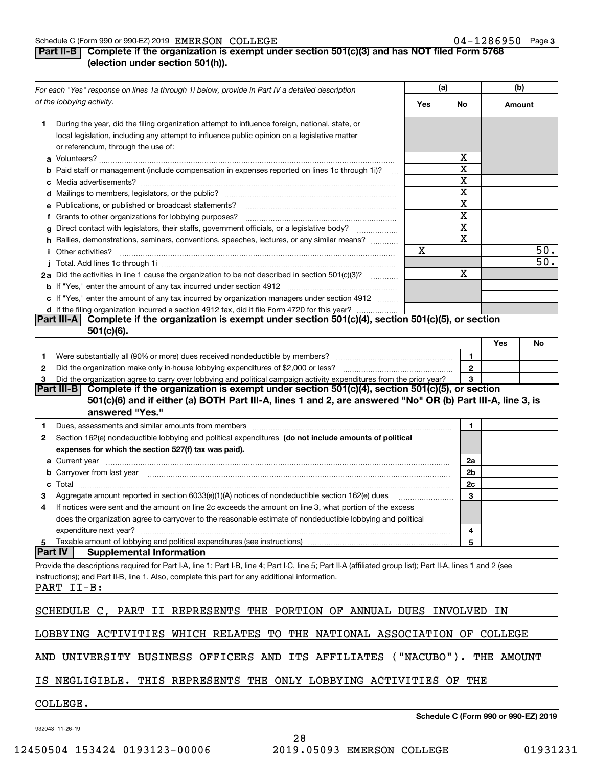### Schedule C (Form 990 or 990-EZ) 2019  $\, {\rm EMERSON} \,$   $\rm COLLEGE \,$  . The contract of the contract of the contract of the contract of the contract of the contract of the contract of the contract of the contract of the contract o

### **3**

## **Part II-B Complete if the organization is exempt under section 501(c)(3) and has NOT filed Form 5768 (election under section 501(h)).**

| For each "Yes" response on lines 1a through 1i below, provide in Part IV a detailed description |                                                                                                                                                                                                                                                                                                                                         | (a)        |              | (b)        |     |
|-------------------------------------------------------------------------------------------------|-----------------------------------------------------------------------------------------------------------------------------------------------------------------------------------------------------------------------------------------------------------------------------------------------------------------------------------------|------------|--------------|------------|-----|
|                                                                                                 | of the lobbying activity.                                                                                                                                                                                                                                                                                                               | Yes        | No           | Amount     |     |
| 1.                                                                                              | During the year, did the filing organization attempt to influence foreign, national, state, or<br>local legislation, including any attempt to influence public opinion on a legislative matter<br>or referendum, through the use of:                                                                                                    |            |              |            |     |
|                                                                                                 |                                                                                                                                                                                                                                                                                                                                         |            | x            |            |     |
|                                                                                                 | <b>b</b> Paid staff or management (include compensation in expenses reported on lines 1c through 1i)?<br>$\sim$                                                                                                                                                                                                                         |            | X            |            |     |
|                                                                                                 |                                                                                                                                                                                                                                                                                                                                         |            | X            |            |     |
|                                                                                                 |                                                                                                                                                                                                                                                                                                                                         |            | X            |            |     |
|                                                                                                 | e Publications, or published or broadcast statements?                                                                                                                                                                                                                                                                                   |            | X            |            |     |
|                                                                                                 | f Grants to other organizations for lobbying purposes?                                                                                                                                                                                                                                                                                  |            | X            |            |     |
|                                                                                                 | g Direct contact with legislators, their staffs, government officials, or a legislative body?<br>.                                                                                                                                                                                                                                      |            | X            |            |     |
|                                                                                                 | h Rallies, demonstrations, seminars, conventions, speeches, lectures, or any similar means?                                                                                                                                                                                                                                             |            | X            |            |     |
|                                                                                                 | <i>i</i> Other activities?                                                                                                                                                                                                                                                                                                              | X          |              |            | 50. |
|                                                                                                 |                                                                                                                                                                                                                                                                                                                                         |            |              |            | 50. |
|                                                                                                 | 2a Did the activities in line 1 cause the organization to be not described in section 501(c)(3)?                                                                                                                                                                                                                                        |            | x            |            |     |
|                                                                                                 |                                                                                                                                                                                                                                                                                                                                         |            |              |            |     |
|                                                                                                 | c If "Yes," enter the amount of any tax incurred by organization managers under section 4912                                                                                                                                                                                                                                            |            |              |            |     |
|                                                                                                 | d If the filing organization incurred a section 4912 tax, did it file Form 4720 for this year?<br>Complete if the organization is exempt under section 501(c)(4), section 501(c)(5), or section<br> Part III-A                                                                                                                          |            |              |            |     |
|                                                                                                 | $501(c)(6)$ .                                                                                                                                                                                                                                                                                                                           |            |              |            |     |
|                                                                                                 |                                                                                                                                                                                                                                                                                                                                         |            |              | Yes        | No  |
| 1.                                                                                              |                                                                                                                                                                                                                                                                                                                                         |            | 1            |            |     |
| 2                                                                                               |                                                                                                                                                                                                                                                                                                                                         |            | $\mathbf{2}$ |            |     |
| 3                                                                                               | Did the organization agree to carry over lobbying and political campaign activity expenditures from the prior year?<br>Part III-B Complete if the organization is exempt under section 501(c)(4), section 501(c)(5), or section                                                                                                         |            | 3            |            |     |
|                                                                                                 | 501(c)(6) and if either (a) BOTH Part III-A, lines 1 and 2, are answered "No" OR (b) Part III-A, line 3, is<br>answered "Yes."                                                                                                                                                                                                          |            |              |            |     |
| 1.<br>2                                                                                         | Dues, assessments and similar amounts from members [11] matter content to the state of the state of the state of the state of the state of the state of the state of the state of the state of the state of the state of the s<br>Section 162(e) nondeductible lobbying and political expenditures (do not include amounts of political |            | 1.           |            |     |
|                                                                                                 | expenses for which the section 527(f) tax was paid).                                                                                                                                                                                                                                                                                    |            |              |            |     |
|                                                                                                 | <b>a</b> Current year                                                                                                                                                                                                                                                                                                                   |            | 2a           |            |     |
|                                                                                                 | <b>b</b> Carryover from last year manufactured and content to content the content of the content of the content of the content of the content of the content of the content of the content of the content of the content of the con                                                                                                     |            | 2b           |            |     |
| c                                                                                               |                                                                                                                                                                                                                                                                                                                                         |            | 2c           |            |     |
| з                                                                                               | Aggregate amount reported in section 6033(e)(1)(A) notices of nondeductible section 162(e) dues                                                                                                                                                                                                                                         |            | 3            |            |     |
| 4                                                                                               | If notices were sent and the amount on line 2c exceeds the amount on line 3, what portion of the excess                                                                                                                                                                                                                                 |            |              |            |     |
|                                                                                                 | does the organization agree to carryover to the reasonable estimate of nondeductible lobbying and political                                                                                                                                                                                                                             |            |              |            |     |
|                                                                                                 | expenditure next year?                                                                                                                                                                                                                                                                                                                  |            | 4            |            |     |
| 5<br> Part IV                                                                                   | Taxable amount of lobbying and political expenditures (see instructions)                                                                                                                                                                                                                                                                |            | 5            |            |     |
|                                                                                                 | <b>Supplemental Information</b>                                                                                                                                                                                                                                                                                                         |            |              |            |     |
|                                                                                                 | Provide the descriptions required for Part I-A, line 1; Part I-B, line 4; Part I-C, line 5; Part II-A (affiliated group list); Part II-A, lines 1 and 2 (see<br>instructions); and Part II-B, line 1. Also, complete this part for any additional information.<br>PART II-B:                                                            |            |              |            |     |
|                                                                                                 | SCHEDULE C, PART II REPRESENTS THE PORTION OF ANNUAL DUES INVOLVED                                                                                                                                                                                                                                                                      |            |              | ΙN         |     |
|                                                                                                 | LOBBYING ACTIVITIES WHICH RELATES TO THE NATIONAL ASSOCIATION OF COLLEGE                                                                                                                                                                                                                                                                |            |              |            |     |
| AND                                                                                             | UNIVERSITY BUSINESS OFFICERS AND ITS AFFILIATES                                                                                                                                                                                                                                                                                         | "NACUBO"). |              | THE AMOUNT |     |
| TR.                                                                                             | THIS REPRESENTS THE ONLY LOBBYING ACTIVITIES OF<br>NEGLIGIBLE.                                                                                                                                                                                                                                                                          |            | THE          |            |     |
|                                                                                                 | COLLECT                                                                                                                                                                                                                                                                                                                                 |            |              |            |     |

COLLEGE.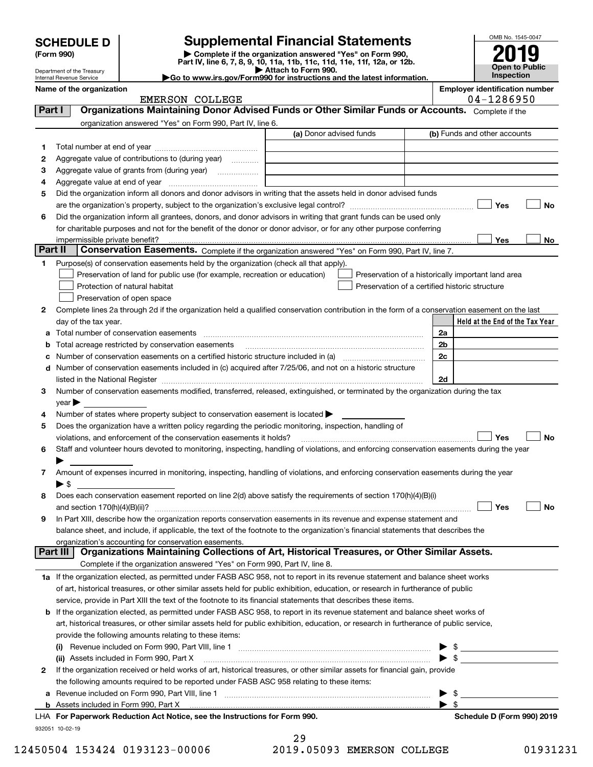| <b>SCHEDULE D</b> |
|-------------------|
|                   |

| (Form 990) |  |
|------------|--|
|------------|--|

# **Supplemental Financial Statements**

(Form 990)<br>
Pepartment of the Treasury<br>
Department of the Treasury<br>
Department of the Treasury<br>
Department of the Treasury<br> **Co to www.irs.gov/Form990 for instructions and the latest information.**<br> **Co to www.irs.gov/Form9** 

<code>Part I</code>  $|$   $|$  Organizations Maintaining Donor Advised Funds or Other Similar Funds or Accounts.  $\,$  <code>Complete</code> if the



Department of the Treasury Internal Revenue Service

| Name of the organization | Emplover identification number |
|--------------------------|--------------------------------|
|--------------------------|--------------------------------|

EMERSON COLLEGE 2004-1286950

|         | organization answered "Yes" on Form 990, Part IV, line 6.                                                                                                                                                                     |                         |                                                    |
|---------|-------------------------------------------------------------------------------------------------------------------------------------------------------------------------------------------------------------------------------|-------------------------|----------------------------------------------------|
|         |                                                                                                                                                                                                                               | (a) Donor advised funds | (b) Funds and other accounts                       |
| 1       |                                                                                                                                                                                                                               |                         |                                                    |
| 2       | Aggregate value of contributions to (during year)                                                                                                                                                                             |                         |                                                    |
| з       | Aggregate value of grants from (during year)                                                                                                                                                                                  |                         |                                                    |
| 4       |                                                                                                                                                                                                                               |                         |                                                    |
| 5       | Did the organization inform all donors and donor advisors in writing that the assets held in donor advised funds                                                                                                              |                         |                                                    |
|         |                                                                                                                                                                                                                               |                         | Yes<br>No                                          |
| 6       | Did the organization inform all grantees, donors, and donor advisors in writing that grant funds can be used only                                                                                                             |                         |                                                    |
|         | for charitable purposes and not for the benefit of the donor or donor advisor, or for any other purpose conferring                                                                                                            |                         |                                                    |
|         | impermissible private benefit?                                                                                                                                                                                                |                         | Yes<br>No                                          |
| Part II | Conservation Easements. Complete if the organization answered "Yes" on Form 990, Part IV, line 7.                                                                                                                             |                         |                                                    |
| 1       | Purpose(s) of conservation easements held by the organization (check all that apply).                                                                                                                                         |                         |                                                    |
|         | Preservation of land for public use (for example, recreation or education)                                                                                                                                                    |                         | Preservation of a historically important land area |
|         | Protection of natural habitat                                                                                                                                                                                                 |                         | Preservation of a certified historic structure     |
|         | Preservation of open space                                                                                                                                                                                                    |                         |                                                    |
| 2       | Complete lines 2a through 2d if the organization held a qualified conservation contribution in the form of a conservation easement on the last                                                                                |                         |                                                    |
|         | day of the tax year.                                                                                                                                                                                                          |                         | Held at the End of the Tax Year                    |
| a       | Total number of conservation easements                                                                                                                                                                                        |                         | 2a                                                 |
|         | Total acreage restricted by conservation easements                                                                                                                                                                            |                         | 2 <sub>b</sub>                                     |
|         | Number of conservation easements on a certified historic structure included in (a) manufacture included in (a)                                                                                                                |                         | 2c                                                 |
| d       | Number of conservation easements included in (c) acquired after 7/25/06, and not on a historic structure                                                                                                                      |                         |                                                    |
|         | listed in the National Register [11, 1200] [12] The National Register [11, 1200] [12] The National Register [11, 1200] [12] The National Register [11, 1200] [12] The National Register [11, 1200] [12] The National Register |                         | 2d                                                 |
| з       | Number of conservation easements modified, transferred, released, extinguished, or terminated by the organization during the tax                                                                                              |                         |                                                    |
|         | $year \blacktriangleright$                                                                                                                                                                                                    |                         |                                                    |
| 4       | Number of states where property subject to conservation easement is located >                                                                                                                                                 |                         |                                                    |
| 5       | Does the organization have a written policy regarding the periodic monitoring, inspection, handling of                                                                                                                        |                         | Yes<br>No                                          |
| 6       | violations, and enforcement of the conservation easements it holds?<br>Staff and volunteer hours devoted to monitoring, inspecting, handling of violations, and enforcing conservation easements during the year              |                         |                                                    |
|         |                                                                                                                                                                                                                               |                         |                                                    |
| 7       | Amount of expenses incurred in monitoring, inspecting, handling of violations, and enforcing conservation easements during the year                                                                                           |                         |                                                    |
|         | ▶ \$                                                                                                                                                                                                                          |                         |                                                    |
| 8       | Does each conservation easement reported on line 2(d) above satisfy the requirements of section 170(h)(4)(B)(i)                                                                                                               |                         |                                                    |
|         |                                                                                                                                                                                                                               |                         | Yes<br>No                                          |
| 9       | In Part XIII, describe how the organization reports conservation easements in its revenue and expense statement and                                                                                                           |                         |                                                    |
|         | balance sheet, and include, if applicable, the text of the footnote to the organization's financial statements that describes the                                                                                             |                         |                                                    |
|         | organization's accounting for conservation easements.                                                                                                                                                                         |                         |                                                    |
|         | Part III   Organizations Maintaining Collections of Art, Historical Treasures, or Other Similar Assets.                                                                                                                       |                         |                                                    |
|         | Complete if the organization answered "Yes" on Form 990, Part IV, line 8.                                                                                                                                                     |                         |                                                    |
|         | 1a If the organization elected, as permitted under FASB ASC 958, not to report in its revenue statement and balance sheet works                                                                                               |                         |                                                    |
|         | of art, historical treasures, or other similar assets held for public exhibition, education, or research in furtherance of public                                                                                             |                         |                                                    |
|         | service, provide in Part XIII the text of the footnote to its financial statements that describes these items.                                                                                                                |                         |                                                    |
|         | <b>b</b> If the organization elected, as permitted under FASB ASC 958, to report in its revenue statement and balance sheet works of                                                                                          |                         |                                                    |
|         | art, historical treasures, or other similar assets held for public exhibition, education, or research in furtherance of public service,                                                                                       |                         |                                                    |
|         | provide the following amounts relating to these items:                                                                                                                                                                        |                         |                                                    |
|         |                                                                                                                                                                                                                               |                         |                                                    |
|         | (ii) Assets included in Form 990, Part X                                                                                                                                                                                      |                         | $\blacktriangleright$ \$                           |
| 2       | If the organization received or held works of art, historical treasures, or other similar assets for financial gain, provide                                                                                                  |                         |                                                    |
|         | the following amounts required to be reported under FASB ASC 958 relating to these items:                                                                                                                                     |                         |                                                    |
| а       | Revenue included on Form 990, Part VIII, line 1 [2000] [2000] [2000] [2000] [3000] [3000] [3000] [3000] [3000                                                                                                                 |                         | \$                                                 |
|         |                                                                                                                                                                                                                               |                         | -\$                                                |
|         | LHA For Paperwork Reduction Act Notice, see the Instructions for Form 990.                                                                                                                                                    |                         | Schedule D (Form 990) 2019                         |
|         | 932051 10-02-19                                                                                                                                                                                                               |                         |                                                    |

29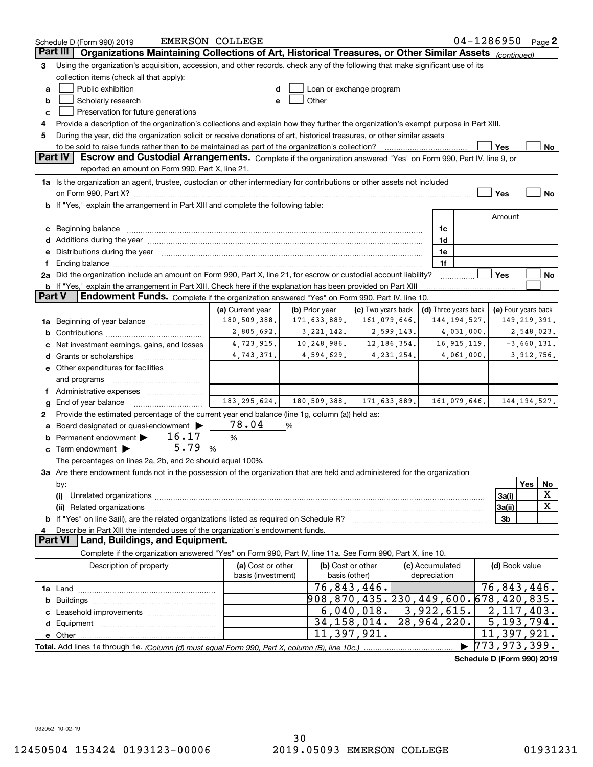|          | Schedule D (Form 990) 2019                                                                                                                                                                                                                          | <b>EMERSON COLLEGE</b> |   |                                                                                                                                                                                                                                |                           |               |                 | $04 - 1286950$ Page 2      |                            |     |                  |
|----------|-----------------------------------------------------------------------------------------------------------------------------------------------------------------------------------------------------------------------------------------------------|------------------------|---|--------------------------------------------------------------------------------------------------------------------------------------------------------------------------------------------------------------------------------|---------------------------|---------------|-----------------|----------------------------|----------------------------|-----|------------------|
| Part III | Organizations Maintaining Collections of Art, Historical Treasures, or Other Similar Assets (continued)                                                                                                                                             |                        |   |                                                                                                                                                                                                                                |                           |               |                 |                            |                            |     |                  |
| З        | Using the organization's acquisition, accession, and other records, check any of the following that make significant use of its                                                                                                                     |                        |   |                                                                                                                                                                                                                                |                           |               |                 |                            |                            |     |                  |
|          | collection items (check all that apply):                                                                                                                                                                                                            |                        |   |                                                                                                                                                                                                                                |                           |               |                 |                            |                            |     |                  |
| a        | Public exhibition                                                                                                                                                                                                                                   |                        |   | Loan or exchange program                                                                                                                                                                                                       |                           |               |                 |                            |                            |     |                  |
| b        | Scholarly research                                                                                                                                                                                                                                  | е                      |   | Other and the control of the control of the control of the control of the control of the control of the control of the control of the control of the control of the control of the control of the control of the control of th |                           |               |                 |                            |                            |     |                  |
| c        | Preservation for future generations                                                                                                                                                                                                                 |                        |   |                                                                                                                                                                                                                                |                           |               |                 |                            |                            |     |                  |
| 4        | Provide a description of the organization's collections and explain how they further the organization's exempt purpose in Part XIII.                                                                                                                |                        |   |                                                                                                                                                                                                                                |                           |               |                 |                            |                            |     |                  |
| 5        | During the year, did the organization solicit or receive donations of art, historical treasures, or other similar assets                                                                                                                            |                        |   |                                                                                                                                                                                                                                |                           |               |                 |                            |                            |     |                  |
|          | to be sold to raise funds rather than to be maintained as part of the organization's collection?                                                                                                                                                    |                        |   |                                                                                                                                                                                                                                |                           |               |                 |                            | Yes                        |     | No               |
|          | <b>Part IV</b><br>Escrow and Custodial Arrangements. Complete if the organization answered "Yes" on Form 990, Part IV, line 9, or                                                                                                                   |                        |   |                                                                                                                                                                                                                                |                           |               |                 |                            |                            |     |                  |
|          | reported an amount on Form 990, Part X, line 21.                                                                                                                                                                                                    |                        |   |                                                                                                                                                                                                                                |                           |               |                 |                            |                            |     |                  |
|          | 1a Is the organization an agent, trustee, custodian or other intermediary for contributions or other assets not included                                                                                                                            |                        |   |                                                                                                                                                                                                                                |                           |               |                 |                            |                            |     |                  |
|          |                                                                                                                                                                                                                                                     |                        |   |                                                                                                                                                                                                                                |                           |               |                 |                            | Yes                        |     | No               |
|          | <b>b</b> If "Yes," explain the arrangement in Part XIII and complete the following table:                                                                                                                                                           |                        |   |                                                                                                                                                                                                                                |                           |               |                 |                            |                            |     |                  |
|          |                                                                                                                                                                                                                                                     |                        |   |                                                                                                                                                                                                                                |                           |               |                 |                            | Amount                     |     |                  |
| с        | Beginning balance<br>Additions during the year manufactured and an account of the year manufactured and account of the year manufactured and account of the year manufactured and account of the year manufactured and account of the year manufact |                        |   |                                                                                                                                                                                                                                |                           |               | 1c<br>1d        |                            |                            |     |                  |
|          | Distributions during the year manufactured and an account of the year manufactured and the year manufactured and the year manufactured and the year manufactured and the year manufactured and the year manufactured and the y                      |                        |   |                                                                                                                                                                                                                                |                           |               | 1e              |                            |                            |     |                  |
|          | Ending balance manufacture contract contract contract contract contract contract contract contract contract contract contract contract contract contract contract contract contract contract contract contract contract contra                      |                        |   |                                                                                                                                                                                                                                |                           |               | 1f              |                            |                            |     |                  |
|          | 2a Did the organization include an amount on Form 990, Part X, line 21, for escrow or custodial account liability?                                                                                                                                  |                        |   |                                                                                                                                                                                                                                |                           |               |                 |                            | Yes                        |     | No               |
|          | <b>b</b> If "Yes," explain the arrangement in Part XIII. Check here if the explanation has been provided on Part XIII                                                                                                                               |                        |   |                                                                                                                                                                                                                                |                           |               |                 |                            |                            |     |                  |
| Part V   | <b>Endowment Funds.</b> Complete if the organization answered "Yes" on Form 990, Part IV, line 10.                                                                                                                                                  |                        |   |                                                                                                                                                                                                                                |                           |               |                 |                            |                            |     |                  |
|          |                                                                                                                                                                                                                                                     | (a) Current year       |   | (b) Prior year                                                                                                                                                                                                                 | (c) Two years back        |               |                 | (d) Three years back       | (e) Four years back        |     |                  |
| 1a       | Beginning of year balance                                                                                                                                                                                                                           | 180,509,388.           |   | 171,633,889.                                                                                                                                                                                                                   | 161,079,646.              |               |                 | 144, 194, 527.             | 149, 219, 391.             |     |                  |
| b        |                                                                                                                                                                                                                                                     | 2,805,692.             |   | 3, 221, 142.                                                                                                                                                                                                                   |                           | 2,599,143.    |                 | 4,031,000.                 |                            |     | 2,548,023.       |
|          | Net investment earnings, gains, and losses                                                                                                                                                                                                          | 4,723,915.             |   | 10,248,986.                                                                                                                                                                                                                    |                           | 12, 186, 354. |                 | 16, 915, 119.              |                            |     | $-3,660,131.$    |
|          |                                                                                                                                                                                                                                                     | 4,743,371.             |   | 4,594,629.                                                                                                                                                                                                                     |                           | 4, 231, 254.  |                 | 4,061,000.                 |                            |     | 3,912,756.       |
|          | e Other expenditures for facilities                                                                                                                                                                                                                 |                        |   |                                                                                                                                                                                                                                |                           |               |                 |                            |                            |     |                  |
|          | and programs                                                                                                                                                                                                                                        |                        |   |                                                                                                                                                                                                                                |                           |               |                 |                            |                            |     |                  |
|          |                                                                                                                                                                                                                                                     |                        |   |                                                                                                                                                                                                                                |                           |               |                 |                            |                            |     |                  |
| g        | End of year balance                                                                                                                                                                                                                                 | 183, 295, 624.         |   | 180, 509, 388.                                                                                                                                                                                                                 | 171, 633, 889.            |               |                 | 161,079,646.               | 144, 194, 527.             |     |                  |
| 2        | Provide the estimated percentage of the current year end balance (line 1g, column (a)) held as:                                                                                                                                                     |                        |   |                                                                                                                                                                                                                                |                           |               |                 |                            |                            |     |                  |
|          | Board designated or quasi-endowment >                                                                                                                                                                                                               | 78.04                  | % |                                                                                                                                                                                                                                |                           |               |                 |                            |                            |     |                  |
|          | Permanent endowment > 16.17                                                                                                                                                                                                                         | %                      |   |                                                                                                                                                                                                                                |                           |               |                 |                            |                            |     |                  |
| c        | 5.79<br>Term endowment $\blacktriangleright$                                                                                                                                                                                                        | %                      |   |                                                                                                                                                                                                                                |                           |               |                 |                            |                            |     |                  |
|          | The percentages on lines 2a, 2b, and 2c should equal 100%.                                                                                                                                                                                          |                        |   |                                                                                                                                                                                                                                |                           |               |                 |                            |                            |     |                  |
|          | 3a Are there endowment funds not in the possession of the organization that are held and administered for the organization                                                                                                                          |                        |   |                                                                                                                                                                                                                                |                           |               |                 |                            |                            |     |                  |
|          | by:                                                                                                                                                                                                                                                 |                        |   |                                                                                                                                                                                                                                |                           |               |                 |                            |                            | Yes | No               |
|          | (i)                                                                                                                                                                                                                                                 |                        |   |                                                                                                                                                                                                                                |                           |               |                 |                            | 3a(i)                      |     | X<br>$\mathbf X$ |
|          |                                                                                                                                                                                                                                                     |                        |   |                                                                                                                                                                                                                                |                           |               |                 |                            | 3a(ii)                     |     |                  |
|          |                                                                                                                                                                                                                                                     |                        |   |                                                                                                                                                                                                                                |                           |               |                 |                            | 3b                         |     |                  |
|          | Describe in Part XIII the intended uses of the organization's endowment funds.<br>Land, Buildings, and Equipment.<br>Part VI                                                                                                                        |                        |   |                                                                                                                                                                                                                                |                           |               |                 |                            |                            |     |                  |
|          | Complete if the organization answered "Yes" on Form 990, Part IV, line 11a. See Form 990, Part X, line 10.                                                                                                                                          |                        |   |                                                                                                                                                                                                                                |                           |               |                 |                            |                            |     |                  |
|          | Description of property                                                                                                                                                                                                                             | (a) Cost or other      |   |                                                                                                                                                                                                                                | (b) Cost or other         |               | (c) Accumulated |                            | (d) Book value             |     |                  |
|          |                                                                                                                                                                                                                                                     | basis (investment)     |   | basis (other)                                                                                                                                                                                                                  |                           |               | depreciation    |                            |                            |     |                  |
|          |                                                                                                                                                                                                                                                     |                        |   |                                                                                                                                                                                                                                | 76,843,446.               |               |                 |                            | 76,843,446.                |     |                  |
| b        |                                                                                                                                                                                                                                                     |                        |   | 908,870,435.230,449,600.678,420,835.                                                                                                                                                                                           |                           |               |                 |                            |                            |     |                  |
|          |                                                                                                                                                                                                                                                     |                        |   |                                                                                                                                                                                                                                | 6,040,018.                |               | 3,922,615.      |                            | $\overline{2,117,403}$ .   |     |                  |
| d        |                                                                                                                                                                                                                                                     |                        |   |                                                                                                                                                                                                                                | $\overline{34,158,014}$ . |               | 28,964,220.     |                            | $\overline{5}$ , 193, 794. |     |                  |
|          |                                                                                                                                                                                                                                                     |                        |   |                                                                                                                                                                                                                                | 11,397,921.               |               |                 |                            | 11,397,921.                |     |                  |
|          |                                                                                                                                                                                                                                                     |                        |   |                                                                                                                                                                                                                                |                           |               |                 |                            | 773,973,399.               |     |                  |
|          |                                                                                                                                                                                                                                                     |                        |   |                                                                                                                                                                                                                                |                           |               |                 | Schodule D (Form 000) 2010 |                            |     |                  |

**Schedule D (Form 990) 2019**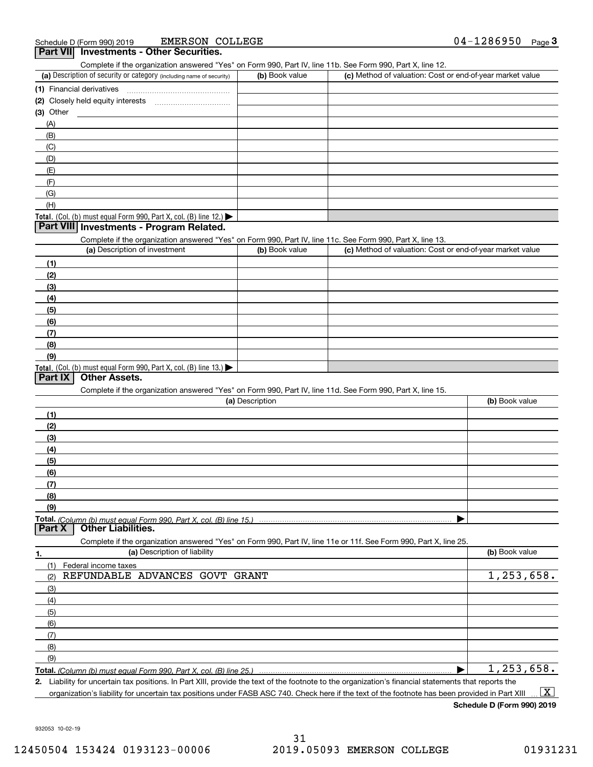|                | Part VIII investments - Other Securities.<br>Complete if the organization answered "Yes" on Form 990, Part IV, line 11b. See Form 990, Part X, line 12. |                 |                                                           |                |
|----------------|---------------------------------------------------------------------------------------------------------------------------------------------------------|-----------------|-----------------------------------------------------------|----------------|
|                | (a) Description of security or category (including name of security)                                                                                    | (b) Book value  | (c) Method of valuation: Cost or end-of-year market value |                |
|                |                                                                                                                                                         |                 |                                                           |                |
|                |                                                                                                                                                         |                 |                                                           |                |
| (3) Other      |                                                                                                                                                         |                 |                                                           |                |
| (A)            |                                                                                                                                                         |                 |                                                           |                |
| (B)            |                                                                                                                                                         |                 |                                                           |                |
| (C)            |                                                                                                                                                         |                 |                                                           |                |
| (D)            |                                                                                                                                                         |                 |                                                           |                |
| (E)            |                                                                                                                                                         |                 |                                                           |                |
| (F)            |                                                                                                                                                         |                 |                                                           |                |
| (G)            |                                                                                                                                                         |                 |                                                           |                |
| (H)            |                                                                                                                                                         |                 |                                                           |                |
|                | Total. (Col. (b) must equal Form 990, Part X, col. (B) line 12.)                                                                                        |                 |                                                           |                |
|                | Part VIII Investments - Program Related.                                                                                                                |                 |                                                           |                |
|                | Complete if the organization answered "Yes" on Form 990, Part IV, line 11c. See Form 990, Part X, line 13.                                              |                 |                                                           |                |
|                | (a) Description of investment                                                                                                                           | (b) Book value  | (c) Method of valuation: Cost or end-of-year market value |                |
| (1)            |                                                                                                                                                         |                 |                                                           |                |
| (2)            |                                                                                                                                                         |                 |                                                           |                |
| (3)            |                                                                                                                                                         |                 |                                                           |                |
| (4)            |                                                                                                                                                         |                 |                                                           |                |
| (5)            |                                                                                                                                                         |                 |                                                           |                |
| (6)            |                                                                                                                                                         |                 |                                                           |                |
| (7)            |                                                                                                                                                         |                 |                                                           |                |
| (8)            |                                                                                                                                                         |                 |                                                           |                |
| (9)            |                                                                                                                                                         |                 |                                                           |                |
|                | Total. (Col. (b) must equal Form 990, Part X, col. (B) line 13.)                                                                                        |                 |                                                           |                |
| <b>Part IX</b> | <b>Other Assets.</b>                                                                                                                                    |                 |                                                           |                |
|                | Complete if the organization answered "Yes" on Form 990, Part IV, line 11d. See Form 990, Part X, line 15.                                              |                 |                                                           |                |
|                |                                                                                                                                                         | (a) Description |                                                           | (b) Book value |
| (1)            |                                                                                                                                                         |                 |                                                           |                |
| (2)            |                                                                                                                                                         |                 |                                                           |                |
| (3)            |                                                                                                                                                         |                 |                                                           |                |
| (4)            |                                                                                                                                                         |                 |                                                           |                |
| (5)            |                                                                                                                                                         |                 |                                                           |                |
| (6)            |                                                                                                                                                         |                 |                                                           |                |
| (7)            |                                                                                                                                                         |                 |                                                           |                |
| (8)            |                                                                                                                                                         |                 |                                                           |                |
| (9)            |                                                                                                                                                         |                 |                                                           |                |
| <b>Part X</b>  | Total. (Column (b) must equal Form 990. Part X. col. (B) line 15.)<br><b>Other Liabilities.</b>                                                         |                 |                                                           |                |
|                | Complete if the organization answered "Yes" on Form 990, Part IV, line 11e or 11f. See Form 990, Part X, line 25.                                       |                 |                                                           |                |
| 1.             | (a) Description of liability                                                                                                                            |                 |                                                           | (b) Book value |
| (1)            | Federal income taxes                                                                                                                                    |                 |                                                           |                |
| (2)            | REFUNDABLE ADVANCES GOVT                                                                                                                                | GRANT           |                                                           | 1,253,658.     |
| (3)            |                                                                                                                                                         |                 |                                                           |                |
| (4)            |                                                                                                                                                         |                 |                                                           |                |
| (5)            |                                                                                                                                                         |                 |                                                           |                |
| (6)            |                                                                                                                                                         |                 |                                                           |                |
| (7)            |                                                                                                                                                         |                 |                                                           |                |
| (8)            |                                                                                                                                                         |                 |                                                           |                |
|                |                                                                                                                                                         |                 |                                                           |                |
| (9)            |                                                                                                                                                         |                 |                                                           | 1,253,658.     |

**2.** Liability for uncertain tax positions. In Part XIII, provide the text of the footnote to the organization's financial statements that reports the organization's liability for uncertain tax positions under FASB ASC 740. Check here if the text of the footnote has been provided in Part XIII  $\boxed{\text{X}}$ 

**Schedule D (Form 990) 2019**

932053 10-02-19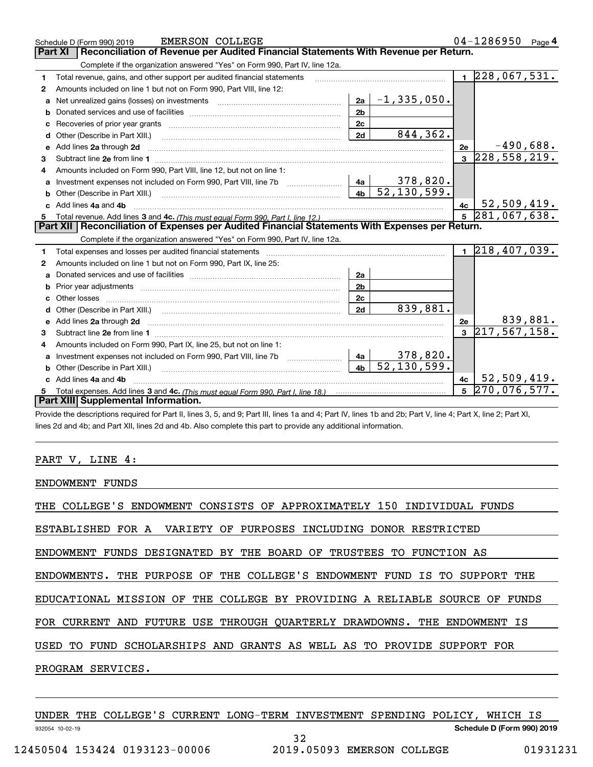|              | <b>EMERSON COLLEGE</b><br>Schedule D (Form 990) 2019                                                                       |                |                             |                | 04-1286950                     | Page $4$    |
|--------------|----------------------------------------------------------------------------------------------------------------------------|----------------|-----------------------------|----------------|--------------------------------|-------------|
|              | Reconciliation of Revenue per Audited Financial Statements With Revenue per Return.<br>Part XI                             |                |                             |                |                                |             |
|              | Complete if the organization answered "Yes" on Form 990, Part IV, line 12a.                                                |                |                             |                |                                |             |
| 1            | Total revenue, gains, and other support per audited financial statements                                                   |                |                             | $\blacksquare$ | $\overline{228,067,531}$ .     |             |
| $\mathbf{2}$ | Amounts included on line 1 but not on Form 990, Part VIII, line 12:                                                        |                |                             |                |                                |             |
| a            |                                                                                                                            | 2a             | $-1, 335, 050.$             |                |                                |             |
|              |                                                                                                                            | 2 <sub>b</sub> |                             |                |                                |             |
|              |                                                                                                                            | 2c             |                             |                |                                |             |
| d            |                                                                                                                            | 2d             | 844,362.                    |                |                                |             |
| е            | Add lines 2a through 2d                                                                                                    |                |                             | 2e             |                                | $-490,688.$ |
| 3            |                                                                                                                            |                |                             | $\mathbf{3}$   | $\overline{228, 558, 219.}$    |             |
| 4            | Amounts included on Form 990, Part VIII, line 12, but not on line 1:                                                       |                |                             |                |                                |             |
|              |                                                                                                                            |                |                             |                |                                |             |
| b            | Other (Describe in Part XIII.) <b>Construction Contract Construction</b> Chemistry Chemistry Chemistry Chemistry Chemistry | 4 <sub>b</sub> | $\overline{52}$ , 130, 599. |                |                                |             |
|              | c Add lines 4a and 4b                                                                                                      |                |                             | 4с             | 52,509,419.                    |             |
|              |                                                                                                                            |                |                             |                |                                |             |
|              |                                                                                                                            |                |                             | 5 <sup>1</sup> | 281,067,638.                   |             |
|              | Part XII   Reconciliation of Expenses per Audited Financial Statements With Expenses per Return.                           |                |                             |                |                                |             |
|              | Complete if the organization answered "Yes" on Form 990, Part IV, line 12a.                                                |                |                             |                |                                |             |
| 1            | Total expenses and losses per audited financial statements                                                                 |                |                             |                | $1 \overline{218,407,039}$ .   |             |
| 2            | Amounts included on line 1 but not on Form 990, Part IX, line 25:                                                          |                |                             |                |                                |             |
| a            |                                                                                                                            | 2a             |                             |                |                                |             |
|              |                                                                                                                            | 2 <sub>b</sub> |                             |                |                                |             |
| c            |                                                                                                                            | 2c             |                             |                |                                |             |
| d            |                                                                                                                            | 2d             | 839,881.                    |                |                                |             |
|              |                                                                                                                            |                |                             | 2e             |                                | 839,881.    |
| 3            |                                                                                                                            |                |                             |                | $3 \overline{217, 567, 158}$ . |             |
| 4            | Amounts included on Form 990, Part IX, line 25, but not on line 1:                                                         |                |                             |                |                                |             |
| a            |                                                                                                                            | 4a             | $378,820$ .                 |                |                                |             |
| b            | Other (Describe in Part XIII.) [100] [100] [100] [100] [100] [100] [100] [100] [100] [100] [100] [100] [100] [             | 4 <sub>b</sub> | 52, 130, 599.               |                |                                |             |
|              | Add lines 4a and 4b                                                                                                        |                |                             | 4c             | 52,509,419.                    |             |
|              | Part XIII Supplemental Information.                                                                                        |                |                             | 5              | 270,076,577.                   |             |

Provide the descriptions required for Part II, lines 3, 5, and 9; Part III, lines 1a and 4; Part IV, lines 1b and 2b; Part V, line 4; Part X, line 2; Part XI, lines 2d and 4b; and Part XII, lines 2d and 4b. Also complete this part to provide any additional information.

### PART V, LINE 4:

ENDOWMENT FUNDS

THE COLLEGE'S ENDOWMENT CONSISTS OF APPROXIMATELY 150 INDIVIDUAL FUNDS

ESTABLISHED FOR A VARIETY OF PURPOSES INCLUDING DONOR RESTRICTED

ENDOWMENT FUNDS DESIGNATED BY THE BOARD OF TRUSTEES TO FUNCTION AS

ENDOWMENTS. THE PURPOSE OF THE COLLEGE'S ENDOWMENT FUND IS TO SUPPORT THE

EDUCATIONAL MISSION OF THE COLLEGE BY PROVIDING A RELIABLE SOURCE OF FUNDS

FOR CURRENT AND FUTURE USE THROUGH QUARTERLY DRAWDOWNS. THE ENDOWMENT IS

USED TO FUND SCHOLARSHIPS AND GRANTS AS WELL AS TO PROVIDE SUPPORT FOR

PROGRAM SERVICES.

|                 | UNDER |  |                               |  | THE COLLEGE'S CURRENT LONG-TERM INVESTMENT SPENDING POLICY, |  | WHICH IS |          |
|-----------------|-------|--|-------------------------------|--|-------------------------------------------------------------|--|----------|----------|
| 932054 10-02-19 |       |  |                               |  | Schedule D (Form 990) 2019                                  |  |          |          |
|                 |       |  |                               |  |                                                             |  |          |          |
|                 |       |  | 12450504 153424 0193123-00006 |  | 2019.05093 EMERSON COLLEGE                                  |  |          | 01931231 |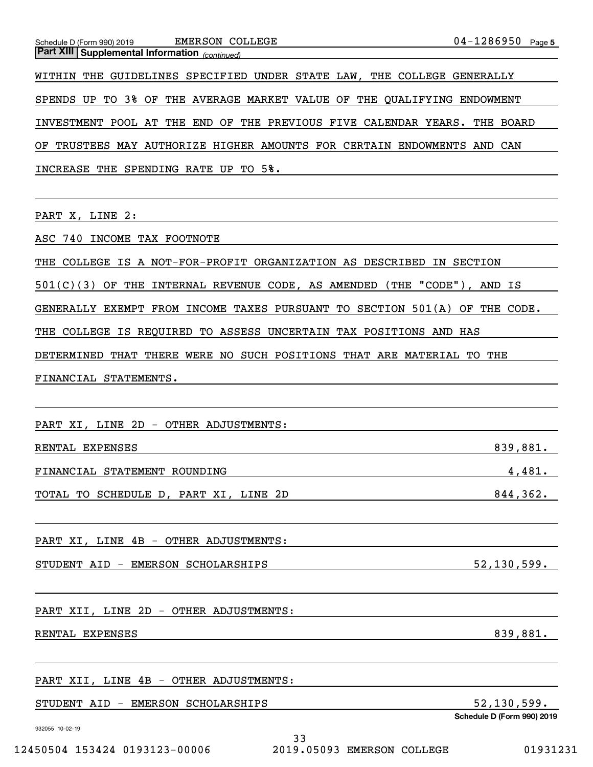| $04 - 1286950$ Page 5<br>EMERSON COLLEGE<br>Schedule D (Form 990) 2019<br><b>Part XIII Supplemental Information</b> (continued)                     |  |
|-----------------------------------------------------------------------------------------------------------------------------------------------------|--|
| WITHIN THE GUIDELINES SPECIFIED UNDER STATE LAW, THE COLLEGE GENERALLY                                                                              |  |
| SPENDS UP TO 3% OF THE AVERAGE MARKET VALUE OF THE QUALIFYING ENDOWMENT                                                                             |  |
| INVESTMENT POOL AT THE END OF THE PREVIOUS FIVE CALENDAR YEARS. THE BOARD                                                                           |  |
| TRUSTEES MAY AUTHORIZE HIGHER AMOUNTS FOR CERTAIN ENDOWMENTS AND CAN<br>OF                                                                          |  |
| INCREASE THE SPENDING RATE UP TO 5%.                                                                                                                |  |
|                                                                                                                                                     |  |
| PART X, LINE 2:                                                                                                                                     |  |
| ASC 740 INCOME TAX FOOTNOTE                                                                                                                         |  |
| THE COLLEGE IS A NOT-FOR-PROFIT ORGANIZATION AS DESCRIBED IN SECTION                                                                                |  |
| $501(C)(3)$ OF THE INTERNAL REVENUE CODE, AS AMENDED (THE "CODE"), AND IS                                                                           |  |
| GENERALLY EXEMPT FROM INCOME TAXES PURSUANT TO SECTION 501(A) OF THE CODE.                                                                          |  |
| THE COLLEGE IS REQUIRED TO ASSESS UNCERTAIN TAX POSITIONS AND HAS                                                                                   |  |
| DETERMINED THAT THERE WERE NO SUCH POSITIONS THAT ARE MATERIAL TO THE                                                                               |  |
| FINANCIAL STATEMENTS.                                                                                                                               |  |
|                                                                                                                                                     |  |
| PART XI, LINE 2D - OTHER ADJUSTMENTS:                                                                                                               |  |
| 839,881.<br>RENTAL EXPENSES<br><u> 1989 - Johann Barbara, marka a shekara tsa 1989 - An tsa 1989 - An tsa 1989 - An tsa 1989 - An tsa 1989 - An</u> |  |
| FINANCIAL STATEMENT ROUNDING<br>4,481.                                                                                                              |  |
| 844,362.<br>TOTAL TO SCHEDULE D, PART XI, LINE 2D                                                                                                   |  |
|                                                                                                                                                     |  |
| PART XI, LINE 4B - OTHER ADJUSTMENTS:                                                                                                               |  |
| 52, 130, 599.<br>STUDENT AID - EMERSON SCHOLARSHIPS                                                                                                 |  |
|                                                                                                                                                     |  |
| PART XII, LINE 2D - OTHER ADJUSTMENTS:                                                                                                              |  |
| 839,881.<br>RENTAL EXPENSES                                                                                                                         |  |
|                                                                                                                                                     |  |
| PART XII, LINE 4B - OTHER ADJUSTMENTS:                                                                                                              |  |
| 52, 130, 599.<br>STUDENT AID - EMERSON SCHOLARSHIPS<br>Schedule D (Form 990) 2019                                                                   |  |

932055 10-02-19

33 12450504 153424 0193123-00006 2019.05093 EMERSON COLLEGE 01931231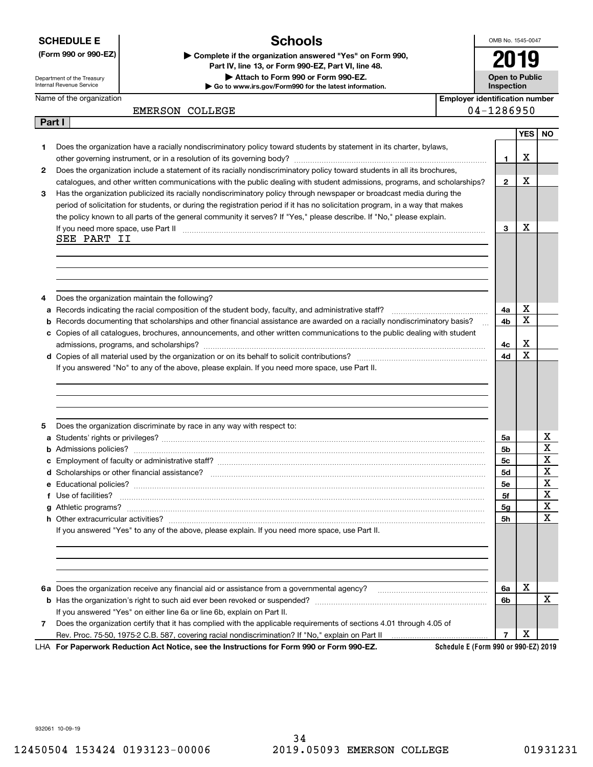**SCHEDULE E**

**(Form 990 or 990-EZ) | Complete if the organization answered "Yes" on Form 990,** 

Department of the Treasury Internal Revenue Service

**Part I**

**Schools**

**| Go to www.irs.gov/Form990 for the latest information.**

**| Attach to Form 990 or Form 990-EZ.**

**Part IV, line 13, or Form 990-EZ, Part VI, line 48.**

OMB No. 1545-0047

**Open to Public Inspection2019**

|  | <b>Inspectio</b> |
|--|------------------|
|--|------------------|

Name of the organization

**Employer identification number** EMERSON COLLEGE 2004-1286950

| Does the organization have a racially nondiscriminatory policy toward students by statement in its charter, bylaws,<br>1<br>Х<br>$\mathbf{1}$<br>Does the organization include a statement of its racially nondiscriminatory policy toward students in all its brochures,<br>$\mathbf{2}$ |                         |
|-------------------------------------------------------------------------------------------------------------------------------------------------------------------------------------------------------------------------------------------------------------------------------------------|-------------------------|
|                                                                                                                                                                                                                                                                                           |                         |
|                                                                                                                                                                                                                                                                                           |                         |
|                                                                                                                                                                                                                                                                                           |                         |
| Х<br>$\mathbf{2}$<br>catalogues, and other written communications with the public dealing with student admissions, programs, and scholarships?                                                                                                                                            |                         |
| Has the organization publicized its racially nondiscriminatory policy through newspaper or broadcast media during the<br>3                                                                                                                                                                |                         |
| period of solicitation for students, or during the registration period if it has no solicitation program, in a way that makes                                                                                                                                                             |                         |
| the policy known to all parts of the general community it serves? If "Yes," please describe. If "No," please explain.                                                                                                                                                                     |                         |
| X<br>3<br>If you need more space, use Part II <b>manufacture and continuum contracts</b> and a series and a series of the manufacture of the space of the manufacture of the space of the manufacture of the space of the manufacture of the                                              |                         |
| SEE PART II                                                                                                                                                                                                                                                                               |                         |
|                                                                                                                                                                                                                                                                                           |                         |
|                                                                                                                                                                                                                                                                                           |                         |
|                                                                                                                                                                                                                                                                                           |                         |
|                                                                                                                                                                                                                                                                                           |                         |
| Does the organization maintain the following?<br>4<br>х<br>4a                                                                                                                                                                                                                             |                         |
| a<br>X<br>Records documenting that scholarships and other financial assistance are awarded on a racially nondiscriminatory basis?<br>4b<br>b                                                                                                                                              |                         |
| c Copies of all catalogues, brochures, announcements, and other written communications to the public dealing with student                                                                                                                                                                 |                         |
| х<br>4с                                                                                                                                                                                                                                                                                   |                         |
| $\mathbf x$<br>4d                                                                                                                                                                                                                                                                         |                         |
| If you answered "No" to any of the above, please explain. If you need more space, use Part II.                                                                                                                                                                                            |                         |
|                                                                                                                                                                                                                                                                                           |                         |
|                                                                                                                                                                                                                                                                                           |                         |
|                                                                                                                                                                                                                                                                                           |                         |
|                                                                                                                                                                                                                                                                                           |                         |
| Does the organization discriminate by race in any way with respect to:<br>5                                                                                                                                                                                                               |                         |
| 5а                                                                                                                                                                                                                                                                                        | х                       |
| 5b<br>b                                                                                                                                                                                                                                                                                   | $\overline{\mathbf{x}}$ |
| 5c<br>c                                                                                                                                                                                                                                                                                   | $\mathbf X$             |
| 5d                                                                                                                                                                                                                                                                                        | $\mathbf X$             |
| 5e                                                                                                                                                                                                                                                                                        | $\mathbf X$             |
| Use of facilities?<br>5f                                                                                                                                                                                                                                                                  | $\mathbf X$             |
| 5 <sub>g</sub>                                                                                                                                                                                                                                                                            | $\overline{\mathbf{x}}$ |
| 5h                                                                                                                                                                                                                                                                                        | $\overline{\mathbf{x}}$ |
| If you answered "Yes" to any of the above, please explain. If you need more space, use Part II.                                                                                                                                                                                           |                         |
|                                                                                                                                                                                                                                                                                           |                         |
|                                                                                                                                                                                                                                                                                           |                         |
|                                                                                                                                                                                                                                                                                           |                         |
| х                                                                                                                                                                                                                                                                                         |                         |
| 6a Does the organization receive any financial aid or assistance from a governmental agency?<br>6a                                                                                                                                                                                        | X                       |
| 6b<br>If you answered "Yes" on either line 6a or line 6b, explain on Part II.                                                                                                                                                                                                             |                         |
| Does the organization certify that it has complied with the applicable requirements of sections 4.01 through 4.05 of<br>7                                                                                                                                                                 |                         |
| х<br>Rev. Proc. 75-50, 1975-2 C.B. 587, covering racial nondiscrimination? If "No," explain on Part II<br>7                                                                                                                                                                               |                         |
| Schedule E (Form 990 or 990-EZ) 2019<br>LHA For Paperwork Reduction Act Notice, see the Instructions for Form 990 or Form 990-EZ.                                                                                                                                                         |                         |

932061 10-09-19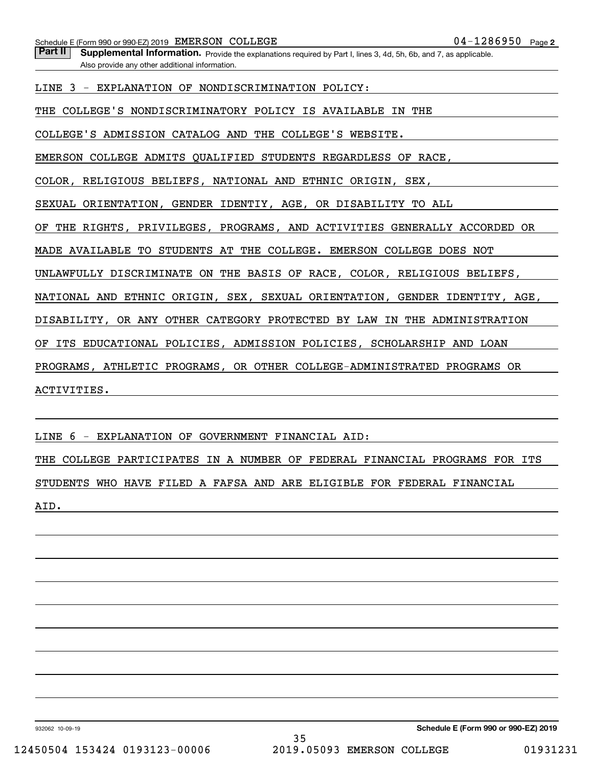Part II | Supplemental Information. Provide the explanations required by Part I, lines 3, 4d, 5h, 6b, and 7, as applicable. Also provide any other additional information.

LINE 3 - EXPLANATION OF NONDISCRIMINATION POLICY:

THE COLLEGE'S NONDISCRIMINATORY POLICY IS AVAILABLE IN THE

COLLEGE'S ADMISSION CATALOG AND THE COLLEGE'S WEBSITE.

EMERSON COLLEGE ADMITS QUALIFIED STUDENTS REGARDLESS OF RACE,

COLOR, RELIGIOUS BELIEFS, NATIONAL AND ETHNIC ORIGIN, SEX,

SEXUAL ORIENTATION, GENDER IDENTIY, AGE, OR DISABILITY TO ALL

OF THE RIGHTS, PRIVILEGES, PROGRAMS, AND ACTIVITIES GENERALLY ACCORDED OR

MADE AVAILABLE TO STUDENTS AT THE COLLEGE. EMERSON COLLEGE DOES NOT

UNLAWFULLY DISCRIMINATE ON THE BASIS OF RACE, COLOR, RELIGIOUS BELIEFS,

NATIONAL AND ETHNIC ORIGIN, SEX, SEXUAL ORIENTATION, GENDER IDENTITY, AGE,

DISABILITY, OR ANY OTHER CATEGORY PROTECTED BY LAW IN THE ADMINISTRATION

OF ITS EDUCATIONAL POLICIES, ADMISSION POLICIES, SCHOLARSHIP AND LOAN

PROGRAMS, ATHLETIC PROGRAMS, OR OTHER COLLEGE-ADMINISTRATED PROGRAMS OR

ACTIVITIES.

LINE 6 - EXPLANATION OF GOVERNMENT FINANCIAL AID:

THE COLLEGE PARTICIPATES IN A NUMBER OF FEDERAL FINANCIAL PROGRAMS FOR ITS STUDENTS WHO HAVE FILED A FAFSA AND ARE ELIGIBLE FOR FEDERAL FINANCIAL AID.

932062 10-09-19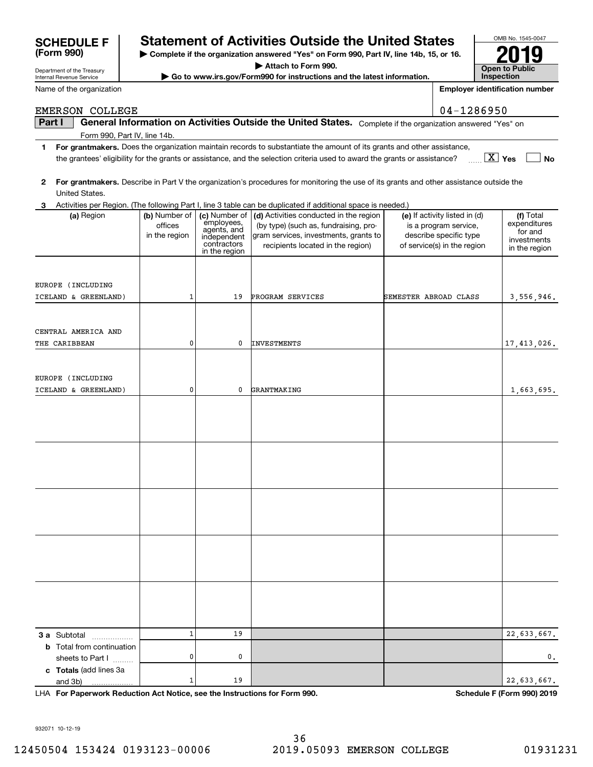932071 10-12-19

# **SCHEDULE F Statement of Activities Outside the United States**

**| Complete if the organization answered "Yes" on Form 990, Part IV, line 14b, 15, or 16.**

**| Attach to Form 990.**

**| Go to www.irs.gov/Form990 for instructions and the latest information.**

**Part I**  $\parallel$  General Information on Activities Outside the United States. Complete if the organization answered "Yes" on

EMERSON COLLEGE 04-1286950

**1For grantmakers.**  Does the organization maintain records to substantiate the amount of its grants and other assistance,

the grantees' eligibility for the grants or assistance, and the selection criteria used to award the grants or assistance?

| 2<br>United States.                                                  |                                           |                                                                          | For grantmakers. Describe in Part V the organization's procedures for monitoring the use of its grants and other assistance outside the                                             |                                                                                                                 |                                                                      |
|----------------------------------------------------------------------|-------------------------------------------|--------------------------------------------------------------------------|-------------------------------------------------------------------------------------------------------------------------------------------------------------------------------------|-----------------------------------------------------------------------------------------------------------------|----------------------------------------------------------------------|
|                                                                      |                                           |                                                                          | 3 Activities per Region. (The following Part I, line 3 table can be duplicated if additional space is needed.)                                                                      |                                                                                                                 |                                                                      |
| (a) Region                                                           | (b) Number of<br>offices<br>in the region | employees,<br>agents, and<br>independent<br>contractors<br>in the region | (c) Number of $\vert$ (d) Activities conducted in the region<br>(by type) (such as, fundraising, pro-<br>gram services, investments, grants to<br>recipients located in the region) | (e) If activity listed in (d)<br>is a program service,<br>describe specific type<br>of service(s) in the region | (f) Total<br>expenditures<br>for and<br>investments<br>in the region |
| EUROPE (INCLUDING<br>ICELAND & GREENLAND)                            | $\mathbf{1}$                              | 19                                                                       | PROGRAM SERVICES                                                                                                                                                                    | SEMESTER ABROAD CLASS                                                                                           | 3,556,946.                                                           |
| CENTRAL AMERICA AND<br>THE CARIBBEAN                                 | $\mathbf 0$                               | $\mathbf 0$                                                              | <b>INVESTMENTS</b>                                                                                                                                                                  |                                                                                                                 | 17,413,026.                                                          |
| EUROPE (INCLUDING<br>ICELAND & GREENLAND)                            | $\mathbf 0$                               | $\mathbf 0$                                                              | GRANTMAKING                                                                                                                                                                         |                                                                                                                 | 1,663,695.                                                           |
|                                                                      |                                           |                                                                          |                                                                                                                                                                                     |                                                                                                                 |                                                                      |
|                                                                      |                                           |                                                                          |                                                                                                                                                                                     |                                                                                                                 |                                                                      |
|                                                                      |                                           |                                                                          |                                                                                                                                                                                     |                                                                                                                 |                                                                      |
|                                                                      |                                           |                                                                          |                                                                                                                                                                                     |                                                                                                                 |                                                                      |
|                                                                      |                                           |                                                                          |                                                                                                                                                                                     |                                                                                                                 |                                                                      |
|                                                                      | $\mathbf{1}$                              | 19                                                                       |                                                                                                                                                                                     |                                                                                                                 | 22,633,667.                                                          |
| 3 a Subtotal<br><b>b</b> Total from continuation<br>sheets to Part I | 0                                         | $\mathbf 0$                                                              |                                                                                                                                                                                     |                                                                                                                 | 0.                                                                   |
| c Totals (add lines 3a<br>and 3b)                                    | $\mathbf{1}$                              | 19                                                                       |                                                                                                                                                                                     |                                                                                                                 | 22,633,667.                                                          |

36

**For Paperwork Reduction Act Notice, see the Instructions for Form 990. Schedule F (Form 990) 2019** LHA

| S   | OMB No. 1545-0047                   |
|-----|-------------------------------------|
| 16. |                                     |
|     | <b>Open to Public</b><br>Inspection |

**Employer identification number**

**Yes No** X

Department of the Treasury Internal Revenue Service

**(Form 990)**

 $\mathbf{c}$ 

|  | Name of the organization |
|--|--------------------------|
|  |                          |

Form 990, Part IV, line 14b.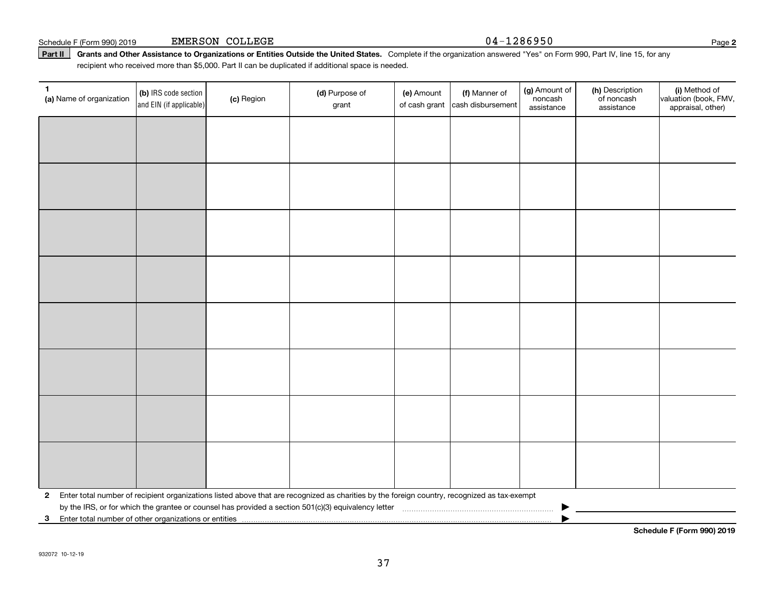**1**

**3**Enter total number of other organizations or entities |

by the IRS, or for which the grantee or counsel has provided a section 501(c)(3) equivalency letter  $\ldots$   $\ldots$   $\ldots$   $\ldots$   $\ldots$   $\ldots$   $\ldots$   $\ldots$   $\ldots$   $\ldots$   $\ldots$   $\ldots$   $\ldots$   $\ldots$   $\ldots$   $\ldots$   $\ldots$   $\ldots$   $\ldots$   $\ldots$   $\$ 

(c) Region

**(a)** Name of organization  $\begin{bmatrix} 1 & 0 \\ 0 & 1 \end{bmatrix}$  (c) Region **(b)**  IRS code section

and EIN (if applicable)

**Schedule F (Form 990) 2019**

(i) Method of valuation (book, FMV, appraisal, other)

### Schedule F (Form 990) 2019 Page EMERSON COLLEGE 04-1286950

(g) Amount of noncashassistance

(h) Description of noncash assistance

**(d)** Purpose of **c c (e)** Amount **c (f)** 

(e) Amount

of cash grant |cash disbursement

(f) Manner of

(a)  $\Box$  (a)  $\Box$  (a)  $\Box$  (a)  $\Box$  (a)  $\Box$  (a)  $\Box$  (a)  $\Box$  (a)  $\Box$  (a)  $\Box$  (b)  $\Box$  (b)  $\Box$  (b)  $\Box$  (scription  $\Box$  (i)

grant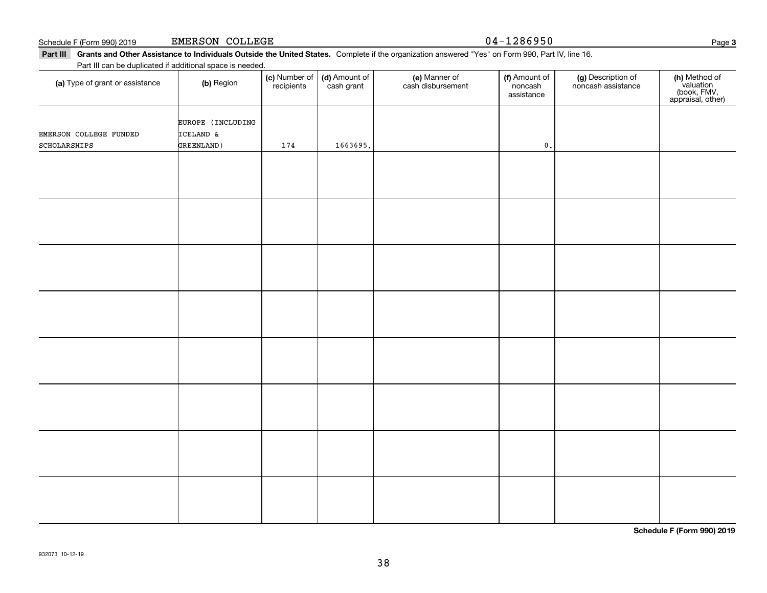**(a)** Type of grant or assistance  $\qquad$  **(b)** Region

Part III can be duplicated if additional space is needed.

| EMERSON COLLEGE FUNDED<br>SCHOLARSHIPS | EUROPE (INCLUDING<br>ICELAND &<br>GREENLAND) | 174 | 1663695. | $\mathbf 0$ . |  |
|----------------------------------------|----------------------------------------------|-----|----------|---------------|--|
|                                        |                                              |     |          |               |  |
|                                        |                                              |     |          |               |  |
|                                        |                                              |     |          |               |  |
|                                        |                                              |     |          |               |  |
|                                        |                                              |     |          |               |  |
|                                        |                                              |     |          |               |  |
|                                        |                                              |     |          |               |  |
|                                        |                                              |     |          |               |  |

Schedule F (Form 990) 2019 Page EMERSON COLLEGE 04-1286950

Part III Grants and Other Assistance to Individuals Outside the United States. Complete if the organization answered "Yes" on Form 990, Part IV, line 16.

(d) Amount of cash grant

(c) Number of recipients

noncash assistance

(f) Amount of noncashassistance

**(c)** Number of **| (d)** Amount of **| (e)** Manner of **| (f)** Amount of **| (g)** Description of **| (h)** 

(e) Manner of cash disbursement Page 3

**(h)** Method of<br>valuation<br>(book, FMV,<br>appraisal, other)

**Schedule F (Form 990) 2019**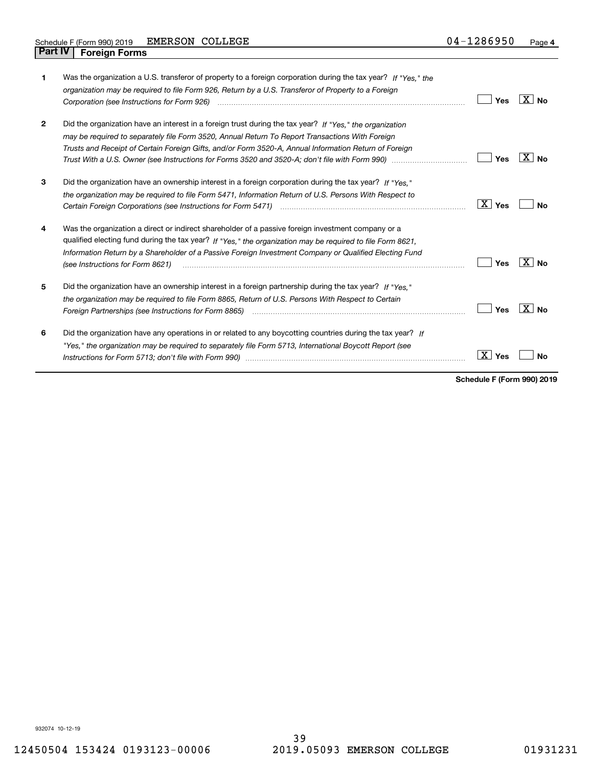| 1            | Was the organization a U.S. transferor of property to a foreign corporation during the tax year? If "Yes," the<br>organization may be required to file Form 926, Return by a U.S. Transferor of Property to a Foreign<br>Corporation (see Instructions for Form 926) <i>manual content content corporation</i> (see Instructions for Form 926)                 | Yes       | $X \mid N_0$ |
|--------------|----------------------------------------------------------------------------------------------------------------------------------------------------------------------------------------------------------------------------------------------------------------------------------------------------------------------------------------------------------------|-----------|--------------|
| $\mathbf{2}$ | Did the organization have an interest in a foreign trust during the tax year? If "Yes," the organization<br>may be required to separately file Form 3520, Annual Return To Report Transactions With Foreign<br>Trusts and Receipt of Certain Foreign Gifts, and/or Form 3520-A, Annual Information Return of Foreign                                           | Yes       | $X $ No      |
| 3            | Did the organization have an ownership interest in a foreign corporation during the tax year? If "Yes."<br>the organization may be required to file Form 5471, Information Return of U.S. Persons With Respect to<br>Certain Foreign Corporations (see Instructions for Form 5471) manufactured contains the context control context                           | X<br>Yes  | Nο           |
| 4            | Was the organization a direct or indirect shareholder of a passive foreign investment company or a<br>qualified electing fund during the tax year? If "Yes," the organization may be required to file Form 8621,<br>Information Return by a Shareholder of a Passive Foreign Investment Company or Qualified Electing Fund<br>(see Instructions for Form 8621) | Yes       | $X $ No      |
| 5            | Did the organization have an ownership interest in a foreign partnership during the tax year? If "Yes."<br>the organization may be required to file Form 8865, Return of U.S. Persons With Respect to Certain<br>Foreign Partnerships (see Instructions for Form 8865)                                                                                         | Yes       | $X \mid N_0$ |
| 6            | Did the organization have any operations in or related to any boycotting countries during the tax year? If<br>"Yes," the organization may be required to separately file Form 5713, International Boycott Report (see                                                                                                                                          | ΧI<br>Yes | N٥           |

**Schedule F (Form 990) 2019**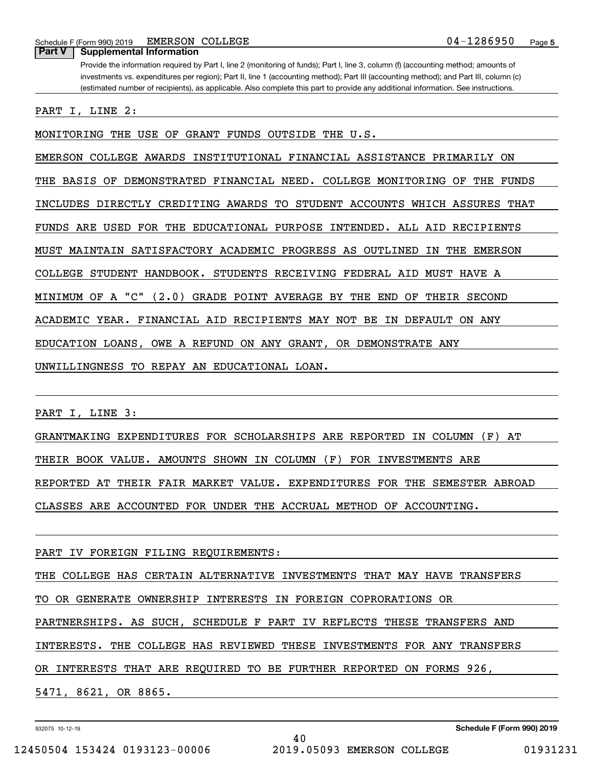Schedule F (Form 990) 2019 BMERSON COLLEGE  $04-1286950$ EMERSON COLLEGE

**Part V Supplemental Information**

Provide the information required by Part I, line 2 (monitoring of funds); Part I, line 3, column (f) (accounting method; amounts of investments vs. expenditures per region); Part II, line 1 (accounting method); Part III (accounting method); and Part III, column (c) (estimated number of recipients), as applicable. Also complete this part to provide any additional information. See instructions.

PART I, LINE 2:

MONITORING THE USE OF GRANT FUNDS OUTSIDE THE U.S.

EMERSON COLLEGE AWARDS INSTITUTIONAL FINANCIAL ASSISTANCE PRIMARILY ON

THE BASIS OF DEMONSTRATED FINANCIAL NEED. COLLEGE MONITORING OF THE FUNDS

INCLUDES DIRECTLY CREDITING AWARDS TO STUDENT ACCOUNTS WHICH ASSURES THAT

FUNDS ARE USED FOR THE EDUCATIONAL PURPOSE INTENDED. ALL AID RECIPIENTS

MUST MAINTAIN SATISFACTORY ACADEMIC PROGRESS AS OUTLINED IN THE EMERSON

COLLEGE STUDENT HANDBOOK. STUDENTS RECEIVING FEDERAL AID MUST HAVE A

MINIMUM OF A "C" (2.0) GRADE POINT AVERAGE BY THE END OF THEIR SECOND

ACADEMIC YEAR. FINANCIAL AID RECIPIENTS MAY NOT BE IN DEFAULT ON ANY

EDUCATION LOANS, OWE A REFUND ON ANY GRANT, OR DEMONSTRATE ANY

UNWILLINGNESS TO REPAY AN EDUCATIONAL LOAN.

PART I, LINE 3:

GRANTMAKING EXPENDITURES FOR SCHOLARSHIPS ARE REPORTED IN COLUMN (F) AT THEIR BOOK VALUE. AMOUNTS SHOWN IN COLUMN (F) FOR INVESTMENTS ARE REPORTED AT THEIR FAIR MARKET VALUE. EXPENDITURES FOR THE SEMESTER ABROAD CLASSES ARE ACCOUNTED FOR UNDER THE ACCRUAL METHOD OF ACCOUNTING.

PART IV FOREIGN FILING REQUIREMENTS:

THE COLLEGE HAS CERTAIN ALTERNATIVE INVESTMENTS THAT MAY HAVE TRANSFERS TO OR GENERATE OWNERSHIP INTERESTS IN FOREIGN COPRORATIONS OR PARTNERSHIPS. AS SUCH, SCHEDULE F PART IV REFLECTS THESE TRANSFERS AND INTERESTS. THE COLLEGE HAS REVIEWED THESE INVESTMENTS FOR ANY TRANSFERS OR INTERESTS THAT ARE REQUIRED TO BE FURTHER REPORTED ON FORMS 926, 5471, 8621, OR 8865.

932075 10-12-19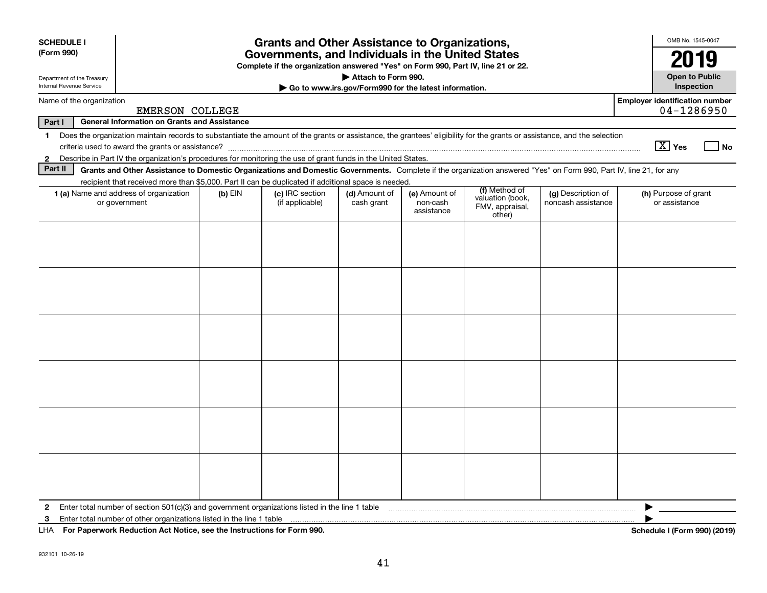| <b>SCHEDULE I</b>          |                                                                                                                                                                          |           | <b>Grants and Other Assistance to Organizations,</b>                                                                                  |                                                       |                                         |                                               |                                          | OMB No. 1545-0047                                   |
|----------------------------|--------------------------------------------------------------------------------------------------------------------------------------------------------------------------|-----------|---------------------------------------------------------------------------------------------------------------------------------------|-------------------------------------------------------|-----------------------------------------|-----------------------------------------------|------------------------------------------|-----------------------------------------------------|
| (Form 990)                 |                                                                                                                                                                          |           | Governments, and Individuals in the United States<br>Complete if the organization answered "Yes" on Form 990, Part IV, line 21 or 22. |                                                       |                                         |                                               |                                          | 2019                                                |
| Department of the Treasury |                                                                                                                                                                          |           |                                                                                                                                       | Attach to Form 990.                                   |                                         |                                               |                                          | <b>Open to Public</b>                               |
| Internal Revenue Service   |                                                                                                                                                                          |           |                                                                                                                                       | Go to www.irs.gov/Form990 for the latest information. |                                         |                                               |                                          | <b>Inspection</b>                                   |
| Name of the organization   | <b>EMERSON COLLEGE</b>                                                                                                                                                   |           |                                                                                                                                       |                                                       |                                         |                                               |                                          | <b>Employer identification number</b><br>04-1286950 |
| Part I                     | <b>General Information on Grants and Assistance</b>                                                                                                                      |           |                                                                                                                                       |                                                       |                                         |                                               |                                          |                                                     |
| $\mathbf 1$                | Does the organization maintain records to substantiate the amount of the grants or assistance, the grantees' eligibility for the grants or assistance, and the selection |           |                                                                                                                                       |                                                       |                                         |                                               |                                          | $\boxed{\text{X}}$ Yes<br>l No                      |
| $\mathbf{2}$               | Describe in Part IV the organization's procedures for monitoring the use of grant funds in the United States.                                                            |           |                                                                                                                                       |                                                       |                                         |                                               |                                          |                                                     |
| Part II                    | Grants and Other Assistance to Domestic Organizations and Domestic Governments. Complete if the organization answered "Yes" on Form 990, Part IV, line 21, for any       |           |                                                                                                                                       |                                                       |                                         |                                               |                                          |                                                     |
|                            | recipient that received more than \$5,000. Part II can be duplicated if additional space is needed.                                                                      |           |                                                                                                                                       |                                                       |                                         | (f) Method of                                 |                                          |                                                     |
|                            | 1 (a) Name and address of organization<br>or government                                                                                                                  | $(b)$ EIN | (c) IRC section<br>(if applicable)                                                                                                    | (d) Amount of<br>cash grant                           | (e) Amount of<br>non-cash<br>assistance | valuation (book,<br>FMV, appraisal,<br>other) | (g) Description of<br>noncash assistance | (h) Purpose of grant<br>or assistance               |
|                            |                                                                                                                                                                          |           |                                                                                                                                       |                                                       |                                         |                                               |                                          |                                                     |
|                            |                                                                                                                                                                          |           |                                                                                                                                       |                                                       |                                         |                                               |                                          |                                                     |
|                            |                                                                                                                                                                          |           |                                                                                                                                       |                                                       |                                         |                                               |                                          |                                                     |
|                            |                                                                                                                                                                          |           |                                                                                                                                       |                                                       |                                         |                                               |                                          |                                                     |
|                            |                                                                                                                                                                          |           |                                                                                                                                       |                                                       |                                         |                                               |                                          |                                                     |
|                            |                                                                                                                                                                          |           |                                                                                                                                       |                                                       |                                         |                                               |                                          |                                                     |
|                            |                                                                                                                                                                          |           |                                                                                                                                       |                                                       |                                         |                                               |                                          |                                                     |
|                            |                                                                                                                                                                          |           |                                                                                                                                       |                                                       |                                         |                                               |                                          |                                                     |
|                            |                                                                                                                                                                          |           |                                                                                                                                       |                                                       |                                         |                                               |                                          |                                                     |
|                            |                                                                                                                                                                          |           |                                                                                                                                       |                                                       |                                         |                                               |                                          |                                                     |
|                            |                                                                                                                                                                          |           |                                                                                                                                       |                                                       |                                         |                                               |                                          |                                                     |
|                            |                                                                                                                                                                          |           |                                                                                                                                       |                                                       |                                         |                                               |                                          |                                                     |
| $\mathbf{2}$               | Enter total number of section 501(c)(3) and government organizations listed in the line 1 table                                                                          |           |                                                                                                                                       |                                                       |                                         |                                               |                                          |                                                     |
| 3                          | Enter total number of other organizations listed in the line 1 table                                                                                                     |           |                                                                                                                                       |                                                       |                                         |                                               |                                          |                                                     |
|                            | LHA For Paperwork Reduction Act Notice, see the Instructions for Form 990.                                                                                               |           |                                                                                                                                       |                                                       |                                         |                                               |                                          | Schedule I (Form 990) (2019)                        |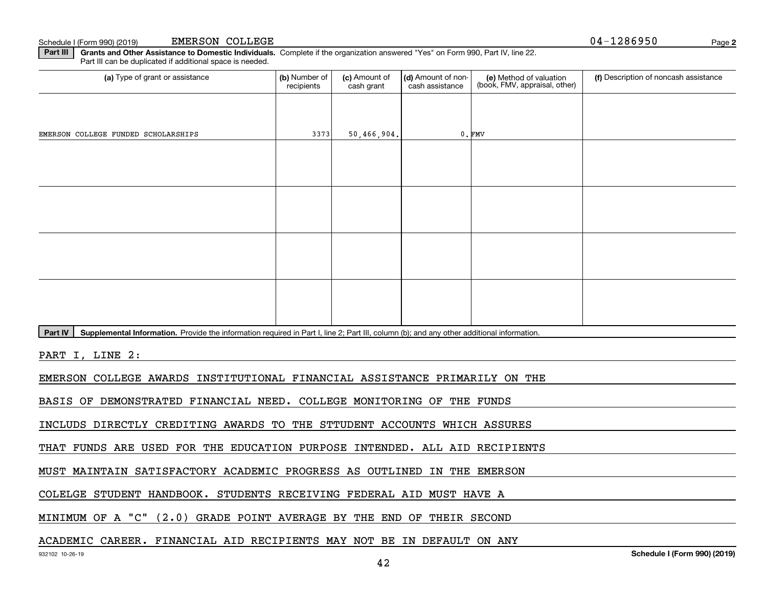**Part III | Grants and Other Assistance to Domestic Individuals. Complete if the organization answered "Yes" on Form 990, Part IV, line 22.** Part III can be duplicated if additional space is needed.

| (a) Type of grant or assistance                                                                                                                      | (b) Number of<br>recipients | (c) Amount of<br>cash grant | (d) Amount of non-<br>cash assistance | (e) Method of valuation<br>(book, FMV, appraisal, other) | (f) Description of noncash assistance |
|------------------------------------------------------------------------------------------------------------------------------------------------------|-----------------------------|-----------------------------|---------------------------------------|----------------------------------------------------------|---------------------------------------|
|                                                                                                                                                      |                             |                             |                                       |                                                          |                                       |
| EMERSON COLLEGE FUNDED SCHOLARSHIPS                                                                                                                  | 3373                        | 50,466,904.                 |                                       | $0.$ FMV                                                 |                                       |
|                                                                                                                                                      |                             |                             |                                       |                                                          |                                       |
|                                                                                                                                                      |                             |                             |                                       |                                                          |                                       |
|                                                                                                                                                      |                             |                             |                                       |                                                          |                                       |
|                                                                                                                                                      |                             |                             |                                       |                                                          |                                       |
|                                                                                                                                                      |                             |                             |                                       |                                                          |                                       |
|                                                                                                                                                      |                             |                             |                                       |                                                          |                                       |
|                                                                                                                                                      |                             |                             |                                       |                                                          |                                       |
|                                                                                                                                                      |                             |                             |                                       |                                                          |                                       |
| Supplemental Information. Provide the information required in Part I, line 2; Part III, column (b); and any other additional information.<br>Part IV |                             |                             |                                       |                                                          |                                       |
| PART I, LINE 2:                                                                                                                                      |                             |                             |                                       |                                                          |                                       |
| EMERSON COLLEGE AWARDS INSTITUTIONAL FINANCIAL ASSISTANCE PRIMARILY ON THE                                                                           |                             |                             |                                       |                                                          |                                       |
| BASIS OF DEMONSTRATED FINANCIAL NEED. COLLEGE MONITORING OF THE FUNDS                                                                                |                             |                             |                                       |                                                          |                                       |
| INCLUDS DIRECTLY CREDITING AWARDS TO THE STTUDENT ACCOUNTS WHICH ASSURES                                                                             |                             |                             |                                       |                                                          |                                       |
| THAT FUNDS ARE USED FOR THE EDUCATION PURPOSE INTENDED. ALL AID RECIPIENTS                                                                           |                             |                             |                                       |                                                          |                                       |

MUST MAINTAIN SATISFACTORY ACADEMIC PROGRESS AS OUTLINED IN THE EMERSON

COLELGE STUDENT HANDBOOK. STUDENTS RECEIVING FEDERAL AID MUST HAVE A

MINIMUM OF A "C" (2.0) GRADE POINT AVERAGE BY THE END OF THEIR SECOND

### ACADEMIC CAREER. FINANCIAL AID RECIPIENTS MAY NOT BE IN DEFAULT ON ANY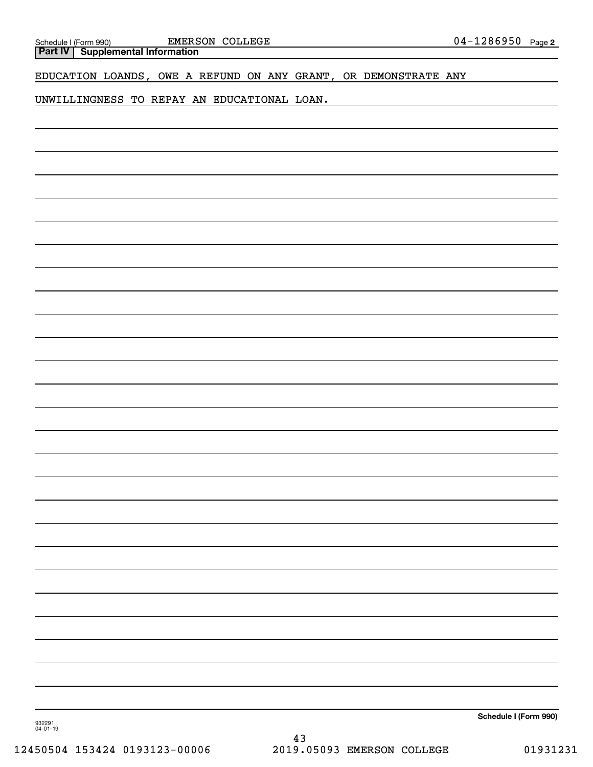| Schedule I (Form<br>990 | <b>EMERSON</b><br>COLLEGE | 0 E<br>. נזנ<br>04.<br>.286950<br>Page: |
|-------------------------|---------------------------|-----------------------------------------|
| ----                    |                           |                                         |

**Part IV Supplemental Information**

# EDUCATION LOANDS, OWE A REFUND ON ANY GRANT, OR DEMONSTRATE ANY

UNWILLINGNESS TO REPAY AN EDUCATIONAL LOAN.

**Schedule I (Form 990)**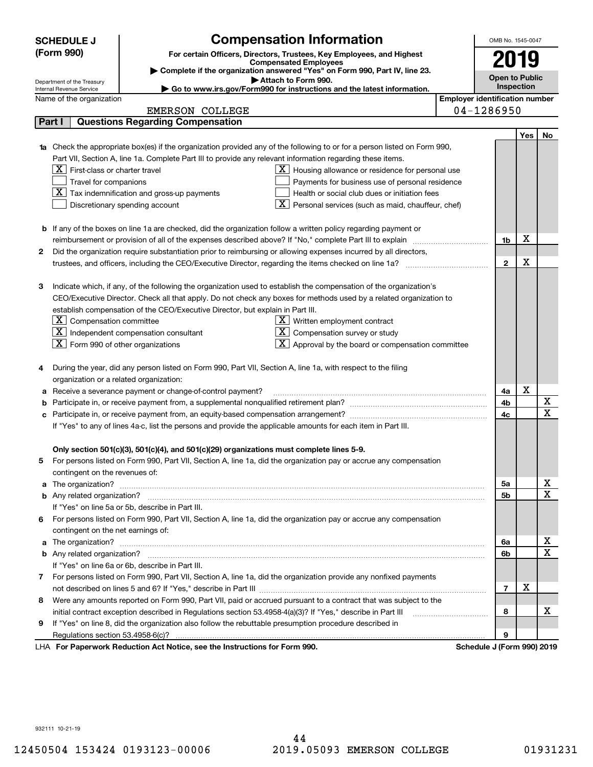|    | <b>SCHEDULE J</b>                                                                                                |                        | <b>Compensation Information</b>                                                                                        |                                       | OMB No. 1545-0047          |     |             |
|----|------------------------------------------------------------------------------------------------------------------|------------------------|------------------------------------------------------------------------------------------------------------------------|---------------------------------------|----------------------------|-----|-------------|
|    | (Form 990)                                                                                                       |                        | For certain Officers, Directors, Trustees, Key Employees, and Highest                                                  |                                       |                            |     |             |
|    |                                                                                                                  |                        | <b>Compensated Employees</b>                                                                                           |                                       | 2019                       |     |             |
|    |                                                                                                                  |                        | Complete if the organization answered "Yes" on Form 990, Part IV, line 23.<br>Attach to Form 990.                      |                                       | <b>Open to Public</b>      |     |             |
|    | Department of the Treasury<br>Internal Revenue Service                                                           |                        | Go to www.irs.gov/Form990 for instructions and the latest information.                                                 |                                       | Inspection                 |     |             |
|    | Name of the organization                                                                                         |                        |                                                                                                                        | <b>Employer identification number</b> |                            |     |             |
|    |                                                                                                                  | <b>EMERSON COLLEGE</b> |                                                                                                                        |                                       | 04-1286950                 |     |             |
|    | <b>Questions Regarding Compensation</b><br>Part I                                                                |                        |                                                                                                                        |                                       |                            |     |             |
|    |                                                                                                                  |                        |                                                                                                                        |                                       |                            | Yes | No          |
|    |                                                                                                                  |                        | Check the appropriate box(es) if the organization provided any of the following to or for a person listed on Form 990, |                                       |                            |     |             |
|    |                                                                                                                  |                        | Part VII, Section A, line 1a. Complete Part III to provide any relevant information regarding these items.             |                                       |                            |     |             |
|    | $X$ First-class or charter travel                                                                                |                        | $ \mathbf{X} $ Housing allowance or residence for personal use                                                         |                                       |                            |     |             |
|    | Travel for companions                                                                                            |                        | Payments for business use of personal residence                                                                        |                                       |                            |     |             |
|    | $\boxed{\textbf{X}}$ Tax indemnification and gross-up payments                                                   |                        | Health or social club dues or initiation fees                                                                          |                                       |                            |     |             |
|    | Discretionary spending account                                                                                   |                        | Personal services (such as maid, chauffeur, chef)                                                                      |                                       |                            |     |             |
|    |                                                                                                                  |                        |                                                                                                                        |                                       |                            |     |             |
|    |                                                                                                                  |                        | <b>b</b> If any of the boxes on line 1a are checked, did the organization follow a written policy regarding payment or |                                       |                            |     |             |
|    |                                                                                                                  |                        | reimbursement or provision of all of the expenses described above? If "No," complete Part III to explain               |                                       | 1b                         | X   |             |
| 2  | Did the organization require substantiation prior to reimbursing or allowing expenses incurred by all directors, |                        |                                                                                                                        |                                       |                            |     |             |
|    |                                                                                                                  |                        | trustees, and officers, including the CEO/Executive Director, regarding the items checked on line 1a?                  |                                       | $\mathbf{2}$               | х   |             |
|    |                                                                                                                  |                        |                                                                                                                        |                                       |                            |     |             |
| з  |                                                                                                                  |                        | Indicate which, if any, of the following the organization used to establish the compensation of the organization's     |                                       |                            |     |             |
|    |                                                                                                                  |                        | CEO/Executive Director. Check all that apply. Do not check any boxes for methods used by a related organization to     |                                       |                            |     |             |
|    | establish compensation of the CEO/Executive Director, but explain in Part III.                                   |                        |                                                                                                                        |                                       |                            |     |             |
|    | $\lfloor \texttt{X} \rfloor$ Compensation committee                                                              |                        | $X$ Written employment contract                                                                                        |                                       |                            |     |             |
|    | $\boxed{\text{X}}$ Independent compensation consultant                                                           |                        | $X$ Compensation survey or study                                                                                       |                                       |                            |     |             |
|    | $\boxed{\textbf{X}}$ Form 990 of other organizations                                                             |                        | $\lfloor x \rfloor$ Approval by the board or compensation committee                                                    |                                       |                            |     |             |
|    |                                                                                                                  |                        |                                                                                                                        |                                       |                            |     |             |
| 4  |                                                                                                                  |                        | During the year, did any person listed on Form 990, Part VII, Section A, line 1a, with respect to the filing           |                                       |                            |     |             |
|    | organization or a related organization:                                                                          |                        |                                                                                                                        |                                       |                            | х   |             |
| а  | Receive a severance payment or change-of-control payment?                                                        |                        |                                                                                                                        |                                       | 4a                         |     | X           |
| b  |                                                                                                                  |                        |                                                                                                                        |                                       | 4b                         |     | $\mathbf x$ |
| c  |                                                                                                                  |                        |                                                                                                                        |                                       | 4c                         |     |             |
|    |                                                                                                                  |                        | If "Yes" to any of lines 4a-c, list the persons and provide the applicable amounts for each item in Part III.          |                                       |                            |     |             |
|    | Only section 501(c)(3), 501(c)(4), and 501(c)(29) organizations must complete lines 5-9.                         |                        |                                                                                                                        |                                       |                            |     |             |
|    |                                                                                                                  |                        | For persons listed on Form 990, Part VII, Section A, line 1a, did the organization pay or accrue any compensation      |                                       |                            |     |             |
|    | contingent on the revenues of:                                                                                   |                        |                                                                                                                        |                                       |                            |     |             |
| a  |                                                                                                                  |                        |                                                                                                                        |                                       | 5а                         |     | x           |
|    |                                                                                                                  |                        |                                                                                                                        |                                       | <b>5b</b>                  |     | X           |
|    | If "Yes" on line 5a or 5b, describe in Part III.                                                                 |                        |                                                                                                                        |                                       |                            |     |             |
| 6. |                                                                                                                  |                        | For persons listed on Form 990, Part VII, Section A, line 1a, did the organization pay or accrue any compensation      |                                       |                            |     |             |
|    | contingent on the net earnings of:                                                                               |                        |                                                                                                                        |                                       |                            |     |             |
| a  |                                                                                                                  |                        |                                                                                                                        |                                       | 6a                         |     | х           |
|    |                                                                                                                  |                        |                                                                                                                        |                                       | 6b                         |     | $\mathbf x$ |
|    | If "Yes" on line 6a or 6b, describe in Part III.                                                                 |                        |                                                                                                                        |                                       |                            |     |             |
|    |                                                                                                                  |                        | 7 For persons listed on Form 990, Part VII, Section A, line 1a, did the organization provide any nonfixed payments     |                                       |                            |     |             |
|    |                                                                                                                  |                        |                                                                                                                        |                                       | $\overline{7}$             | X   |             |
| 8  |                                                                                                                  |                        | Were any amounts reported on Form 990, Part VII, paid or accrued pursuant to a contract that was subject to the        |                                       |                            |     |             |
|    |                                                                                                                  |                        | initial contract exception described in Regulations section 53.4958-4(a)(3)? If "Yes," describe in Part III            |                                       | 8                          |     | х           |
| 9  |                                                                                                                  |                        | If "Yes" on line 8, did the organization also follow the rebuttable presumption procedure described in                 |                                       |                            |     |             |
|    | Regulations section 53.4958-6(c)?                                                                                |                        |                                                                                                                        |                                       |                            |     |             |
|    | LHA For Paperwork Reduction Act Notice, see the Instructions for Form 990.                                       |                        |                                                                                                                        |                                       | Schedule J (Form 990) 2019 |     |             |

932111 10-21-19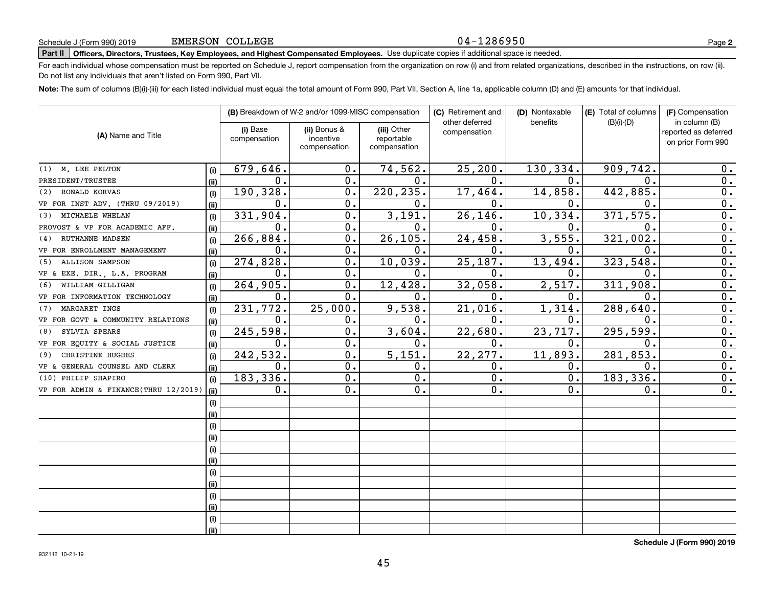### 04-1286950

**2**

# **Part II Officers, Directors, Trustees, Key Employees, and Highest Compensated Employees.**  Schedule J (Form 990) 2019 Page Use duplicate copies if additional space is needed.

For each individual whose compensation must be reported on Schedule J, report compensation from the organization on row (i) and from related organizations, described in the instructions, on row (ii). Do not list any individuals that aren't listed on Form 990, Part VII.

**Note:**  The sum of columns (B)(i)-(iii) for each listed individual must equal the total amount of Form 990, Part VII, Section A, line 1a, applicable column (D) and (E) amounts for that individual.

|                                      |      |                          | (B) Breakdown of W-2 and/or 1099-MISC compensation |                                           | (C) Retirement and             | (D) Nontaxable | (E) Total of columns | (F) Compensation                                           |
|--------------------------------------|------|--------------------------|----------------------------------------------------|-------------------------------------------|--------------------------------|----------------|----------------------|------------------------------------------------------------|
| (A) Name and Title                   |      | (i) Base<br>compensation | (ii) Bonus &<br>incentive<br>compensation          | (iii) Other<br>reportable<br>compensation | other deferred<br>compensation | benefits       | $(B)(i)-(D)$         | in column (B)<br>reported as deferred<br>on prior Form 990 |
| (1) M. LEE PELTON                    | (i)  | 679,646.                 | 0.                                                 | 74,562.                                   | 25, 200.                       | 130, 334.      | 909,742.             | 0.                                                         |
| PRESIDENT/TRUSTEE                    | (ii) | $\mathbf 0$ .            | 0.                                                 | 0.                                        | $0$ .                          | $\mathbf{0}$ . | $\mathbf{0}$         | 0.                                                         |
| RONALD KORVAS<br>(2)                 | (i)  | 190,328.                 | 0.                                                 | 220, 235.                                 | 17,464.                        | 14,858.        | 442,885.             | $\overline{0}$ .                                           |
| VP FOR INST ADV. (THRU 09/2019)      | (ii) | $\mathbf 0$ .            | 0.                                                 | 0.                                        | $\overline{0}$ .               | 0.             | $\mathbf 0$ .        | 0.                                                         |
| MICHAELE WHELAN<br>(3)               | (i)  | 331,904.                 | 0.                                                 | 3,191.                                    | 26, 146.                       | 10,334.        | 371, 575.            | $\overline{0}$ .                                           |
| PROVOST & VP FOR ACADEMIC AFF.       | (ii) | $\mathbf 0$ .            | 0.                                                 | 0.                                        | 0.                             | $\mathbf 0$ .  | $\mathbf{0}$         | $\overline{0}$ .                                           |
| <b>RUTHANNE MADSEN</b><br>(4)        | (i)  | 266, 884.                | 0.                                                 | 26, 105.                                  | 24,458.                        | 3,555.         | 321,002.             | $\overline{0}$ .                                           |
| VP FOR ENROLLMENT MANAGEMENT         | (ii) | $\mathbf 0$ .            | 0.                                                 | 0.                                        | 0.                             | 0.             | $\mathbf 0$ .        | $\overline{0}$ .                                           |
| <b>ALLISON SAMPSON</b><br>(5)        | (i)  | 274,828.                 | 0.                                                 | 10,039.                                   | 25,187.                        | 13,494.        | 323,548.             | 0.                                                         |
| VP & EXE. DIR., L.A. PROGRAM         | (ii) | $\mathbf 0$ .            | $\overline{0}$ .                                   | 0.                                        | $\mathbf 0$ .                  | 0.             | $\mathbf{0}$         | $\overline{0}$ .                                           |
| WILLIAM GILLIGAN<br>(6)              | (i)  | 264,905.                 | 0.                                                 | 12,428.                                   | 32,058.                        | 2,517.         | 311,908.             | $\overline{0}$ .                                           |
| VP FOR INFORMATION TECHNOLOGY        | (ii) | $\mathbf 0$ .            | 0.                                                 | 0.                                        | $\mathbf 0$ .                  | 0.             | $\mathbf 0$ .        | $\overline{0}$ .                                           |
| MARGARET INGS<br>(7)                 | (i)  | 231,772.                 | 25,000.                                            | 9,538.                                    | 21,016.                        | 1,314.         | 288,640              | 0.                                                         |
| VP FOR GOVT & COMMUNITY RELATIONS    | (ii) | $\mathbf 0$ .            | 0.                                                 | 0.                                        | $\mathbf 0$ .                  | 0.             | $\Omega$ .           | 0.                                                         |
| SYLVIA SPEARS<br>(8)                 | (i)  | 245,598.                 | $\overline{0}$ .                                   | 3,604.                                    | 22,680.                        | 23,717.        | 295,599              | $\overline{0}$ .                                           |
| VP FOR EQUITY & SOCIAL JUSTICE       | (ii) | 0.                       | 0.                                                 | 0.                                        | 0.                             | 0.             | 0.                   | $\mathbf 0$ .                                              |
| CHRISTINE HUGHES<br>(9)              | (i)  | 242,532.                 | $\mathbf 0$ .                                      | $\overline{5,151}$ .                      | 22,277.                        | 11,893.        | 281,853              | $\mathbf 0$ .                                              |
| VP & GENERAL COUNSEL AND CLERK       | (ii) | 0.                       | 0.                                                 | 0.                                        | Ο.                             | 0.             | $\mathbf 0$ .        | $\mathbf 0$ .                                              |
| (10) PHILIP SHAPIRO                  | (i)  | 183,336.                 | 0.                                                 | 0.                                        | 0.                             | 0.             | 183, 336.            | $\overline{0}$ .                                           |
| VP FOR ADMIN & FINANCE(THRU 12/2019) | (ii) | 0.                       | 0.                                                 | 0.                                        | 0.                             | $\mathbf 0$ .  | $\mathbf 0$ .        | $\overline{0}$ .                                           |
|                                      | (i)  |                          |                                                    |                                           |                                |                |                      |                                                            |
|                                      | (i)  |                          |                                                    |                                           |                                |                |                      |                                                            |
|                                      | (i)  |                          |                                                    |                                           |                                |                |                      |                                                            |
|                                      | (i)  |                          |                                                    |                                           |                                |                |                      |                                                            |
|                                      | (i)  |                          |                                                    |                                           |                                |                |                      |                                                            |
|                                      | (ii) |                          |                                                    |                                           |                                |                |                      |                                                            |
|                                      | (i)  |                          |                                                    |                                           |                                |                |                      |                                                            |
|                                      | (ii) |                          |                                                    |                                           |                                |                |                      |                                                            |
|                                      | (i)  |                          |                                                    |                                           |                                |                |                      |                                                            |
|                                      | (ii) |                          |                                                    |                                           |                                |                |                      |                                                            |
|                                      | (i)  |                          |                                                    |                                           |                                |                |                      |                                                            |
|                                      | (ii) |                          |                                                    |                                           |                                |                |                      |                                                            |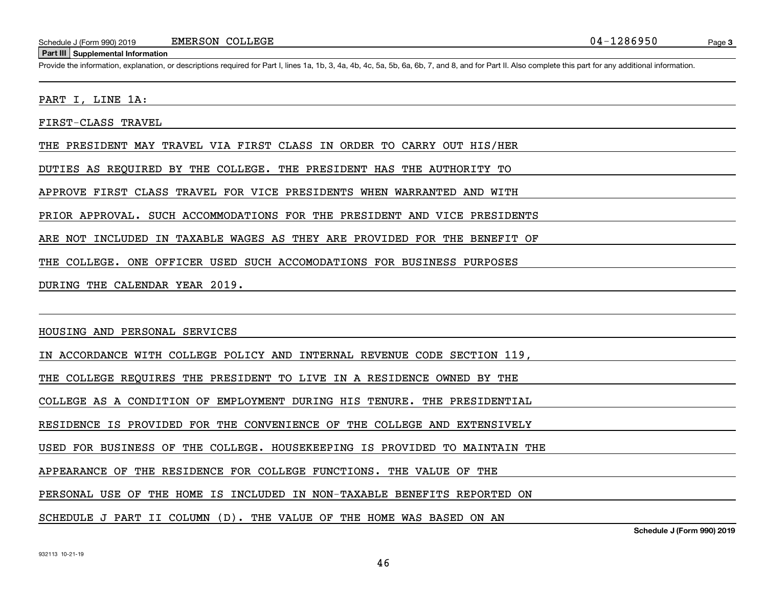#### **Part III Supplemental Information**

Schedule J (Form 990) 2019 EMERSON COLLEGE<br>Part III Supplemental Information<br>Provide the information, explanation, or descriptions required for Part I, lines 1a, 1b, 3, 4a, 4b, 4c, 5a, 5b, 6a, 6b, 7, and 8, and for Part II

PART I, LINE 1A:

FIRST-CLASS TRAVEL

THE PRESIDENT MAY TRAVEL VIA FIRST CLASS IN ORDER TO CARRY OUT HIS/HER

DUTIES AS REQUIRED BY THE COLLEGE. THE PRESIDENT HAS THE AUTHORITY TO

APPROVE FIRST CLASS TRAVEL FOR VICE PRESIDENTS WHEN WARRANTED AND WITH

PRIOR APPROVAL. SUCH ACCOMMODATIONS FOR THE PRESIDENT AND VICE PRESIDENTS

ARE NOT INCLUDED IN TAXABLE WAGES AS THEY ARE PROVIDED FOR THE BENEFIT OF

THE COLLEGE. ONE OFFICER USED SUCH ACCOMODATIONS FOR BUSINESS PURPOSES

DURING THE CALENDAR YEAR 2019.

HOUSING AND PERSONAL SERVICES

IN ACCORDANCE WITH COLLEGE POLICY AND INTERNAL REVENUE CODE SECTION 119,

THE COLLEGE REQUIRES THE PRESIDENT TO LIVE IN A RESIDENCE OWNED BY THE

COLLEGE AS A CONDITION OF EMPLOYMENT DURING HIS TENURE. THE PRESIDENTIAL

RESIDENCE IS PROVIDED FOR THE CONVENIENCE OF THE COLLEGE AND EXTENSIVELY

USED FOR BUSINESS OF THE COLLEGE. HOUSEKEEPING IS PROVIDED TO MAINTAIN THE

APPEARANCE OF THE RESIDENCE FOR COLLEGE FUNCTIONS. THE VALUE OF THE

PERSONAL USE OF THE HOME IS INCLUDED IN NON-TAXABLE BENEFITS REPORTED ON

SCHEDULE J PART II COLUMN (D). THE VALUE OF THE HOME WAS BASED ON AN

**Schedule J (Form 990) 2019**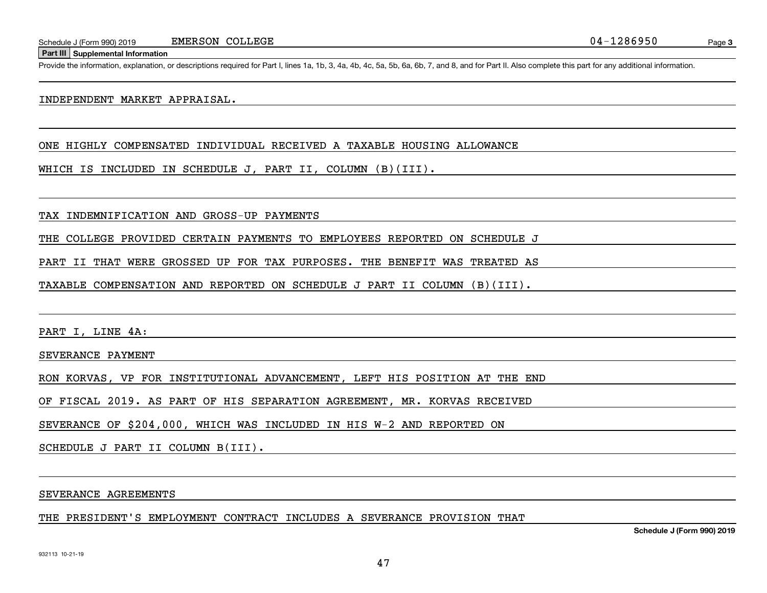**Part III Supplemental Information**

Schedule J (Form 990) 2019 EMERSON COLLEGE<br>Part III Supplemental Information<br>Provide the information, explanation, or descriptions required for Part I, lines 1a, 1b, 3, 4a, 4b, 4c, 5a, 5b, 6a, 6b, 7, and 8, and for Part II

### INDEPENDENT MARKET APPRAISAL.

ONE HIGHLY COMPENSATED INDIVIDUAL RECEIVED A TAXABLE HOUSING ALLOWANCE

WHICH IS INCLUDED IN SCHEDULE J, PART II, COLUMN (B)(III).

TAX INDEMNIFICATION AND GROSS-UP PAYMENTS

THE COLLEGE PROVIDED CERTAIN PAYMENTS TO EMPLOYEES REPORTED ON SCHEDULE J

PART II THAT WERE GROSSED UP FOR TAX PURPOSES. THE BENEFIT WAS TREATED AS

TAXABLE COMPENSATION AND REPORTED ON SCHEDULE J PART II COLUMN (B)(III).

PART I, LINE 4A:

SEVERANCE PAYMENT

RON KORVAS, VP FOR INSTITUTIONAL ADVANCEMENT, LEFT HIS POSITION AT THE END

OF FISCAL 2019. AS PART OF HIS SEPARATION AGREEMENT, MR. KORVAS RECEIVED

SEVERANCE OF \$204,000, WHICH WAS INCLUDED IN HIS W-2 AND REPORTED ON

SCHEDULE J PART II COLUMN B(III).

SEVERANCE AGREEMENTS

THE PRESIDENT'S EMPLOYMENT CONTRACT INCLUDES A SEVERANCE PROVISION THAT

**Schedule J (Form 990) 2019**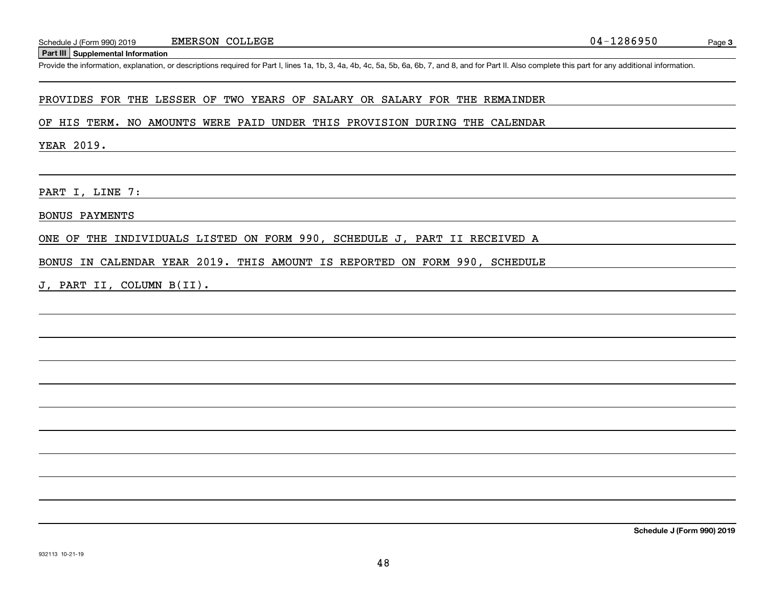#### **Part III Supplemental Information**

Schedule J (Form 990) 2019 EMERSON COLLEGE<br>Part III Supplemental Information<br>Provide the information, explanation, or descriptions required for Part I, lines 1a, 1b, 3, 4a, 4b, 4c, 5a, 5b, 6a, 6b, 7, and 8, and for Part II

### PROVIDES FOR THE LESSER OF TWO YEARS OF SALARY OR SALARY FOR THE REMAINDER

#### OF HIS TERM. NO AMOUNTS WERE PAID UNDER THIS PROVISION DURING THE CALENDAR

YEAR 2019.

PART I, LINE 7:

BONUS PAYMENTS

ONE OF THE INDIVIDUALS LISTED ON FORM 990, SCHEDULE J, PART II RECEIVED A

<u> 1989 - Johann Stoff, Amerikaansk politiker († 1908)</u>

BONUS IN CALENDAR YEAR 2019. THIS AMOUNT IS REPORTED ON FORM 990, SCHEDULE

J, PART II, COLUMN B(II).

**Schedule J (Form 990) 2019**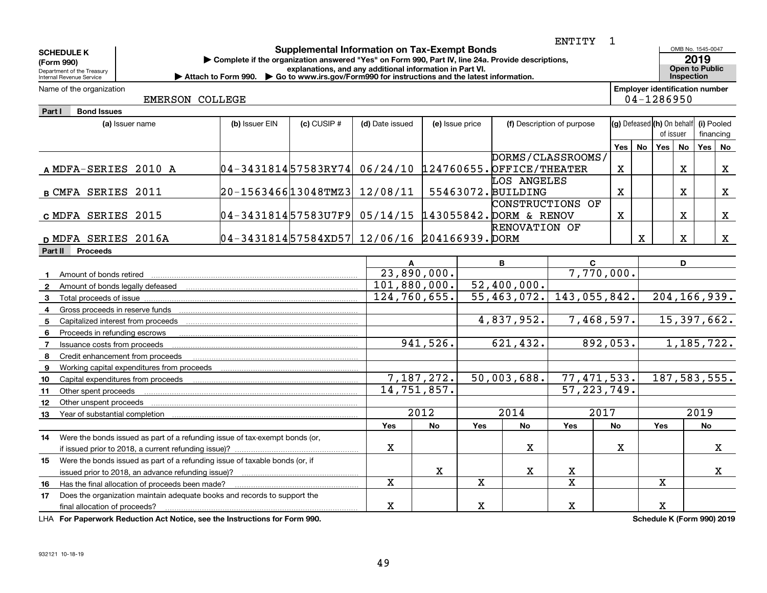| <b>SCHEDULE K</b><br>(Form 990)<br>Department of the Treasury<br>Internal Revenue Service | ENTITY<br><b>Supplemental Information on Tax-Exempt Bonds</b><br>Complete if the organization answered "Yes" on Form 990, Part IV, line 24a. Provide descriptions,<br>explanations, and any additional information in Part VI.<br>Attach to Form 990. $\triangleright$ Go to www.irs.gov/Form990 for instructions and the latest information. |                                                            |                 |                 |              |                 |                                   |                   |             |                                                     |                                          | OMB No. 1545-0047<br>2019<br><b>Open to Public</b><br>Inspection |                         |             |
|-------------------------------------------------------------------------------------------|-----------------------------------------------------------------------------------------------------------------------------------------------------------------------------------------------------------------------------------------------------------------------------------------------------------------------------------------------|------------------------------------------------------------|-----------------|-----------------|--------------|-----------------|-----------------------------------|-------------------|-------------|-----------------------------------------------------|------------------------------------------|------------------------------------------------------------------|-------------------------|-------------|
| Name of the organization                                                                  | EMERSON COLLEGE                                                                                                                                                                                                                                                                                                                               |                                                            |                 |                 |              |                 |                                   |                   |             | <b>Employer identification number</b><br>04-1286950 |                                          |                                                                  |                         |             |
| Part I<br><b>Bond Issues</b>                                                              |                                                                                                                                                                                                                                                                                                                                               |                                                            |                 |                 |              |                 |                                   |                   |             |                                                     |                                          |                                                                  |                         |             |
|                                                                                           | (a) Issuer name                                                                                                                                                                                                                                                                                                                               | (b) Issuer EIN                                             | $(c)$ CUSIP $#$ | (d) Date issued |              | (e) Issue price | (f) Description of purpose        |                   |             | (g) Defeased (h) On behalf                          |                                          | of issuer                                                        | (i) Pooled<br>financing |             |
|                                                                                           |                                                                                                                                                                                                                                                                                                                                               |                                                            |                 |                 |              |                 |                                   |                   | <b>Yes</b>  | No                                                  | Yes                                      | <b>No</b>                                                        | Yes                     | No          |
| A MDFA-SERIES 2010 A                                                                      |                                                                                                                                                                                                                                                                                                                                               | $04-343181457583RY74$ $06/24/10$ 124760655. OFFICE/THEATER |                 |                 |              |                 |                                   | DORMS/CLASSROOMS/ | $\mathbf X$ |                                                     |                                          | $\mathbf X$                                                      |                         | $\mathbf X$ |
| <b>B CMFA SERIES 2011</b>                                                                 |                                                                                                                                                                                                                                                                                                                                               | 20-156346613048TMZ3 12/08/11                               |                 |                 |              |                 | LOS ANGELES<br>55463072. BUILDING |                   | $\mathbf X$ |                                                     |                                          | $\mathbf X$                                                      |                         | X           |
| c MDFA SERIES 2015                                                                        |                                                                                                                                                                                                                                                                                                                                               | $04-343181457583U7F9$ 05/14/15 143055842. DORM & RENOV     |                 |                 |              |                 |                                   | CONSTRUCTIONS OF  | $\mathbf X$ |                                                     |                                          | $\mathbf x$                                                      |                         | X           |
| D MDFA SERIES 2016A                                                                       |                                                                                                                                                                                                                                                                                                                                               | $ 04-3431814 57584XD57 12/06/16 204166939.$ DORM           |                 |                 |              |                 | RENOVATION OF                     |                   |             | $\mathbf x$                                         |                                          | $\mathbf X$                                                      |                         | X           |
| Part II<br><b>Proceeds</b>                                                                |                                                                                                                                                                                                                                                                                                                                               |                                                            |                 |                 |              |                 |                                   |                   |             |                                                     |                                          |                                                                  |                         |             |
|                                                                                           |                                                                                                                                                                                                                                                                                                                                               |                                                            |                 |                 | A            |                 | В                                 | $\mathbf{C}$      |             |                                                     |                                          | D                                                                |                         |             |
| Amount of bonds retired<br>-1                                                             |                                                                                                                                                                                                                                                                                                                                               |                                                            |                 |                 | 23,890,000.  |                 |                                   | 7,770,000.        |             |                                                     |                                          |                                                                  |                         |             |
| Amount of bonds legally defeased<br>$\mathbf{2}$                                          |                                                                                                                                                                                                                                                                                                                                               |                                                            |                 |                 | 101,880,000. |                 | 52,400,000.                       |                   |             |                                                     |                                          |                                                                  |                         |             |
| Total proceeds of issue<br>3                                                              |                                                                                                                                                                                                                                                                                                                                               |                                                            |                 |                 | 124,760,655. |                 | 55, 463, 072.                     | 143,055,842.      |             |                                                     | 204, 166, 939.                           |                                                                  |                         |             |
| Gross proceeds in reserve funds<br>4                                                      |                                                                                                                                                                                                                                                                                                                                               |                                                            |                 |                 |              |                 |                                   |                   |             |                                                     |                                          |                                                                  |                         |             |
| Capitalized interest from proceeds<br>5                                                   |                                                                                                                                                                                                                                                                                                                                               |                                                            |                 |                 |              |                 | 4,837,952.                        | 7,468,597.        |             |                                                     | 15,397,662.                              |                                                                  |                         |             |
| Proceeds in refunding escrows<br>6                                                        |                                                                                                                                                                                                                                                                                                                                               |                                                            |                 |                 |              |                 | 621,432.                          |                   | 892,053.    |                                                     |                                          |                                                                  |                         |             |
| Issuance costs from proceeds<br>$\overline{7}$                                            |                                                                                                                                                                                                                                                                                                                                               |                                                            |                 |                 | 941,526.     |                 |                                   |                   |             |                                                     |                                          | 1,185,722.                                                       |                         |             |
| Credit enhancement from proceeds<br>8                                                     |                                                                                                                                                                                                                                                                                                                                               |                                                            |                 |                 |              |                 |                                   |                   |             |                                                     |                                          |                                                                  |                         |             |
| 9                                                                                         | Working capital expenditures from proceeds<br>Capital expenditures from proceeds                                                                                                                                                                                                                                                              |                                                            |                 |                 | 7,187,272.   |                 | 50,003,688.                       | 77,471,533.       |             |                                                     | 187, 583, 555.                           |                                                                  |                         |             |
| 10<br>Other spent proceeds<br>11                                                          |                                                                                                                                                                                                                                                                                                                                               |                                                            |                 |                 | 14,751,857.  |                 |                                   | 57, 223, 749.     |             |                                                     |                                          |                                                                  |                         |             |
| Other unspent proceeds<br>12                                                              |                                                                                                                                                                                                                                                                                                                                               |                                                            |                 |                 |              |                 |                                   |                   |             |                                                     |                                          |                                                                  |                         |             |
| Year of substantial completion<br>13.                                                     |                                                                                                                                                                                                                                                                                                                                               |                                                            |                 |                 | 2012         |                 | 2014                              |                   | 2017        |                                                     |                                          |                                                                  | 2019                    |             |
|                                                                                           |                                                                                                                                                                                                                                                                                                                                               |                                                            |                 | Yes             | <b>No</b>    | Yes             | <b>No</b>                         | Yes               | <b>No</b>   |                                                     | Yes                                      |                                                                  | <b>No</b>               |             |
| 14                                                                                        | Were the bonds issued as part of a refunding issue of tax-exempt bonds (or,                                                                                                                                                                                                                                                                   |                                                            |                 |                 |              |                 |                                   |                   |             |                                                     |                                          |                                                                  |                         |             |
|                                                                                           |                                                                                                                                                                                                                                                                                                                                               |                                                            |                 | X               |              |                 | $\mathbf X$                       |                   | x           |                                                     |                                          |                                                                  |                         | $\mathbf X$ |
| 15                                                                                        | Were the bonds issued as part of a refunding issue of taxable bonds (or, if                                                                                                                                                                                                                                                                   |                                                            |                 |                 |              |                 |                                   |                   |             |                                                     |                                          |                                                                  |                         |             |
|                                                                                           | issued prior to 2018, an advance refunding issue)?                                                                                                                                                                                                                                                                                            |                                                            |                 |                 | x            |                 | x                                 | x                 |             |                                                     |                                          |                                                                  |                         | x           |
| 16                                                                                        | Has the final allocation of proceeds been made?                                                                                                                                                                                                                                                                                               |                                                            |                 | $\mathbf{x}$    |              | $\mathbf{x}$    |                                   | $\mathbf x$       |             |                                                     | $\mathbf x$                              |                                                                  |                         |             |
| 17 <sup>2</sup>                                                                           | Does the organization maintain adequate books and records to support the                                                                                                                                                                                                                                                                      |                                                            |                 |                 |              |                 |                                   |                   |             |                                                     |                                          |                                                                  |                         |             |
| final allocation of proceeds?                                                             | LITA PROPINSIONAL PROJECTION ARABIANCE CONTINUES IN AN INC. POWER 000                                                                                                                                                                                                                                                                         |                                                            |                 | X               |              | х               |                                   | $\mathbf X$       |             |                                                     | $\mathbf X$<br>$0.11 \pm 0.11 \pm 10.07$ |                                                                  | 0.001004                |             |
|                                                                                           |                                                                                                                                                                                                                                                                                                                                               |                                                            |                 |                 |              |                 |                                   |                   |             |                                                     |                                          |                                                                  |                         |             |

**For Paperwork Reduction Act Notice, see the Instructions for Form 990. Schedule K (Form 990) 2019** LHA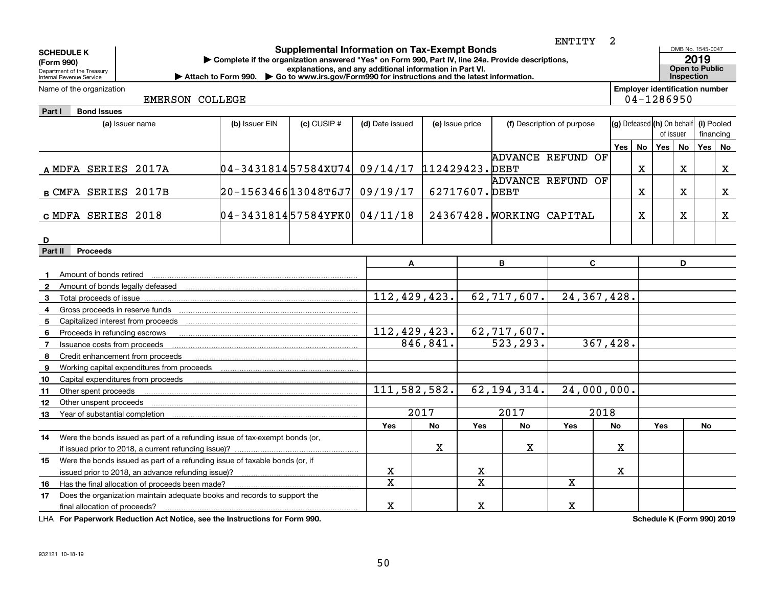|                                                                                                                                         |                        |                                                                                                             |                                                          |                  |              |                 |                           | <b>ENTITY</b>              | 2          |    |                                                     |            |                           |              |
|-----------------------------------------------------------------------------------------------------------------------------------------|------------------------|-------------------------------------------------------------------------------------------------------------|----------------------------------------------------------|------------------|--------------|-----------------|---------------------------|----------------------------|------------|----|-----------------------------------------------------|------------|---------------------------|--------------|
| <b>SCHEDULE K</b>                                                                                                                       |                        | Complete if the organization answered "Yes" on Form 990, Part IV, line 24a. Provide descriptions,           | <b>Supplemental Information on Tax-Exempt Bonds</b>      |                  |              |                 |                           |                            |            |    |                                                     |            | OMB No. 1545-0047<br>2019 |              |
| (Form 990)<br>Department of the Treasury                                                                                                |                        |                                                                                                             | explanations, and any additional information in Part VI. |                  |              |                 |                           |                            |            |    |                                                     |            | <b>Open to Public</b>     |              |
| Internal Revenue Service                                                                                                                |                        | Attach to Form 990. $\triangleright$ Go to www.irs.gov/Form990 for instructions and the latest information. |                                                          |                  |              |                 |                           |                            |            |    |                                                     | Inspection |                           |              |
| Name of the organization                                                                                                                | <b>EMERSON COLLEGE</b> |                                                                                                             |                                                          |                  |              |                 |                           |                            |            |    | <b>Employer identification number</b><br>04-1286950 |            |                           |              |
| Part I<br><b>Bond Issues</b>                                                                                                            |                        |                                                                                                             |                                                          |                  |              |                 |                           |                            |            |    |                                                     |            |                           |              |
| (a) Issuer name                                                                                                                         |                        | (b) Issuer EIN                                                                                              | $(c)$ CUSIP $#$                                          | (d) Date issued  |              | (e) Issue price |                           | (f) Description of purpose |            |    | (g) Defeased (h) On behalf                          |            | (i) Pooled                |              |
|                                                                                                                                         |                        |                                                                                                             |                                                          |                  |              |                 |                           |                            |            |    | of issuer                                           |            |                           | financing    |
|                                                                                                                                         |                        |                                                                                                             |                                                          |                  |              |                 |                           |                            | <b>Yes</b> | No | <b>Yes</b>                                          | <b>No</b>  | Yes                       | <b>No</b>    |
|                                                                                                                                         |                        |                                                                                                             |                                                          |                  |              |                 |                           | ADVANCE REFUND OF          |            |    |                                                     |            |                           |              |
| A MDFA SERIES 2017A                                                                                                                     |                        | 04-343181457584XU74 09/14/17 112429423. DEBT                                                                |                                                          |                  |              |                 |                           |                            |            | x  |                                                     | x          |                           | $\mathbf{x}$ |
|                                                                                                                                         |                        |                                                                                                             |                                                          |                  |              |                 | ADVANCE REFUND            | OF                         |            |    |                                                     |            |                           |              |
| <b>B CMFA SERIES 2017B</b>                                                                                                              |                        | 20-156346613048T6J7                                                                                         |                                                          | 09/19/17         |              | 62717607. DEBT  |                           |                            |            | X  |                                                     | X          |                           | x            |
|                                                                                                                                         |                        |                                                                                                             |                                                          |                  |              |                 |                           |                            |            |    |                                                     |            |                           |              |
| c MDFA SERIES 2018                                                                                                                      |                        | 04-343181457584YFK0 04/11/18                                                                                |                                                          |                  |              |                 | 24367428. WORKING CAPITAL |                            |            | X  |                                                     | x          |                           | $\mathbf x$  |
|                                                                                                                                         |                        |                                                                                                             |                                                          |                  |              |                 |                           |                            |            |    |                                                     |            |                           |              |
| D                                                                                                                                       |                        |                                                                                                             |                                                          |                  |              |                 |                           |                            |            |    |                                                     |            |                           |              |
| Part II<br><b>Proceeds</b>                                                                                                              |                        |                                                                                                             |                                                          |                  |              |                 |                           |                            |            |    |                                                     |            |                           |              |
|                                                                                                                                         |                        |                                                                                                             |                                                          |                  | Α            |                 | B                         | C                          |            |    |                                                     | D          |                           |              |
| Amount of bonds retired<br>$\mathbf{1}$<br>2                                                                                            |                        |                                                                                                             |                                                          |                  |              |                 |                           |                            |            |    |                                                     |            |                           |              |
| 3<br>Total proceeds of issue                                                                                                            |                        |                                                                                                             |                                                          |                  | 112,429,423. |                 | 62,717,607.               | 24, 367, 428.              |            |    |                                                     |            |                           |              |
| 4                                                                                                                                       |                        |                                                                                                             |                                                          |                  |              |                 |                           |                            |            |    |                                                     |            |                           |              |
| 5                                                                                                                                       |                        |                                                                                                             |                                                          |                  |              |                 |                           |                            |            |    |                                                     |            |                           |              |
| 6<br>Proceeds in refunding escrows                                                                                                      |                        |                                                                                                             |                                                          |                  | 112,429,423. |                 | 62, 717, 607.             |                            |            |    |                                                     |            |                           |              |
| Issuance costs from proceeds<br>7                                                                                                       |                        |                                                                                                             |                                                          |                  | 846,841.     |                 | $\overline{523,293.}$     | 367,428.                   |            |    |                                                     |            |                           |              |
| Credit enhancement from proceeds<br>8                                                                                                   |                        |                                                                                                             |                                                          |                  |              |                 |                           |                            |            |    |                                                     |            |                           |              |
| Working capital expenditures from proceeds<br>9                                                                                         |                        |                                                                                                             |                                                          |                  |              |                 |                           |                            |            |    |                                                     |            |                           |              |
| Capital expenditures from proceeds<br>10                                                                                                |                        |                                                                                                             |                                                          |                  |              |                 |                           |                            |            |    |                                                     |            |                           |              |
| Other spent proceeds<br>11                                                                                                              |                        |                                                                                                             |                                                          |                  | 111,582,582. |                 | 62, 194, 314.             | 24,000,000.                |            |    |                                                     |            |                           |              |
| Other unspent proceeds<br>12                                                                                                            |                        |                                                                                                             |                                                          |                  |              |                 |                           |                            |            |    |                                                     |            |                           |              |
| 13                                                                                                                                      |                        |                                                                                                             |                                                          |                  | 2017         |                 | $\overline{201}7$         | 2018                       |            |    |                                                     |            |                           |              |
|                                                                                                                                         |                        |                                                                                                             |                                                          | Yes              | No           | Yes             | No                        | <b>Yes</b>                 | No         |    | Yes                                                 |            | No                        |              |
| Were the bonds issued as part of a refunding issue of tax-exempt bonds (or,<br>14                                                       |                        |                                                                                                             |                                                          |                  |              |                 |                           |                            |            |    |                                                     |            |                           |              |
| if issued prior to 2018, a current refunding issue)?                                                                                    |                        |                                                                                                             |                                                          |                  | х            |                 | х                         |                            | x          |    |                                                     |            |                           |              |
| Were the bonds issued as part of a refunding issue of taxable bonds (or, if<br>15                                                       |                        |                                                                                                             |                                                          |                  |              |                 |                           |                            | x.         |    |                                                     |            |                           |              |
| issued prior to 2018, an advance refunding issue)?                                                                                      |                        |                                                                                                             |                                                          | x<br>$\mathbf x$ |              | x<br>X          |                           | $\mathbf x$                |            |    |                                                     |            |                           |              |
| Has the final allocation of proceeds been made?<br>16<br>Does the organization maintain adequate books and records to support the<br>17 |                        |                                                                                                             |                                                          |                  |              |                 |                           |                            |            |    |                                                     |            |                           |              |
| final allocation of proceeds?                                                                                                           |                        |                                                                                                             |                                                          | x                |              | х               |                           | $\mathbf X$                |            |    |                                                     |            |                           |              |
| <b>LUA For Departments Dedication Act Notice, and the Instructions for Form 000.</b>                                                    |                        |                                                                                                             |                                                          |                  |              |                 |                           |                            |            |    | Cabadula V (Faum 000) 0040                          |            |                           |              |

**For Paperwork Reduction Act Notice, see the Instructions for Form 990. Schedule K (Form 990) 2019** LHA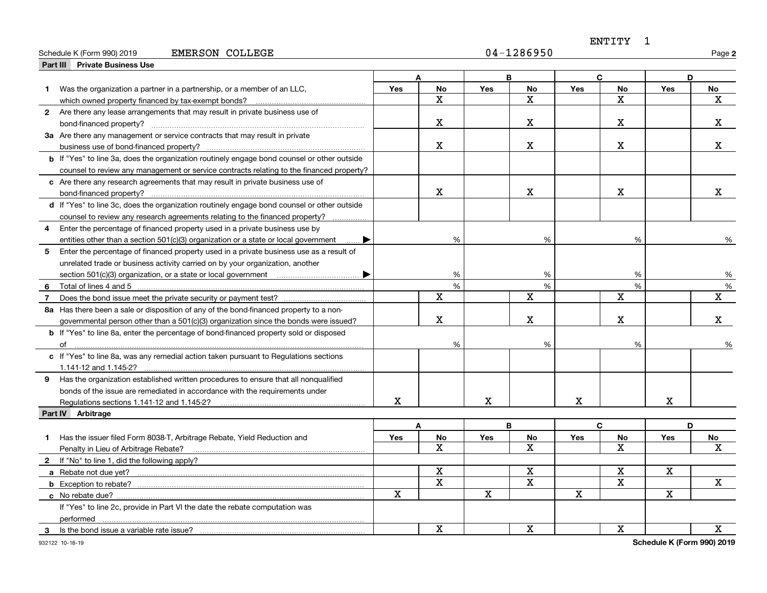### Schedule K (Form 990) 2019 Page EMERSON COLLEGE 04-1286950

ENTITY 1

**2**

|                | <b>Private Business Use</b><br>Part III                                                                                                               |     |                         |            |                         |                         |                         |     |             |
|----------------|-------------------------------------------------------------------------------------------------------------------------------------------------------|-----|-------------------------|------------|-------------------------|-------------------------|-------------------------|-----|-------------|
|                |                                                                                                                                                       |     |                         |            | B                       |                         | C.                      |     | D           |
|                | Was the organization a partner in a partnership, or a member of an LLC,                                                                               | Yes | <b>No</b>               | <b>Yes</b> | No                      | Yes                     | <b>No</b>               | Yes | No          |
|                | which owned property financed by tax-exempt bonds?                                                                                                    |     | $\mathbf X$             |            | $\mathbf X$             |                         | $\mathbf X$             |     | $\mathbf x$ |
|                | 2 Are there any lease arrangements that may result in private business use of                                                                         |     |                         |            |                         |                         |                         |     |             |
|                |                                                                                                                                                       |     | X                       |            | х                       |                         | X                       |     | x           |
|                | 3a Are there any management or service contracts that may result in private                                                                           |     |                         |            |                         |                         |                         |     |             |
|                | business use of bond-financed property?                                                                                                               |     | $\mathbf{x}$            |            | $\mathbf X$             |                         | $\mathbf X$             |     | х           |
|                | <b>b</b> If "Yes" to line 3a, does the organization routinely engage bond counsel or other outside                                                    |     |                         |            |                         |                         |                         |     |             |
|                | counsel to review any management or service contracts relating to the financed property?                                                              |     |                         |            |                         |                         |                         |     |             |
|                | c Are there any research agreements that may result in private business use of                                                                        |     |                         |            |                         |                         |                         |     |             |
|                | bond-financed property?                                                                                                                               |     | X                       |            | Χ                       |                         | $\mathbf X$             |     | x           |
|                | d If "Yes" to line 3c, does the organization routinely engage bond counsel or other outside                                                           |     |                         |            |                         |                         |                         |     |             |
|                | counsel to review any research agreements relating to the financed property?                                                                          |     |                         |            |                         |                         |                         |     |             |
| 4              | Enter the percentage of financed property used in a private business use by                                                                           |     |                         |            |                         |                         |                         |     |             |
|                | entities other than a section 501(c)(3) organization or a state or local government<br>▶                                                              |     | %                       |            | %                       |                         | %                       |     | ℅           |
| 5              | Enter the percentage of financed property used in a private business use as a result of                                                               |     |                         |            |                         |                         |                         |     |             |
|                | unrelated trade or business activity carried on by your organization, another                                                                         |     |                         |            |                         |                         |                         |     |             |
|                | section 501(c)(3) organization, or a state or local government material subsets of the section 501(c)(3) organization, or a state or local government |     | %                       |            | %                       |                         | %                       |     | %           |
| 6              |                                                                                                                                                       |     | %                       |            | %                       |                         | %                       |     | %           |
| $\overline{7}$ |                                                                                                                                                       |     | X                       |            | х                       |                         | $\mathbf X$             |     | X           |
|                | 8a Has there been a sale or disposition of any of the bond-financed property to a non-                                                                |     |                         |            |                         |                         |                         |     |             |
|                | governmental person other than a 501(c)(3) organization since the bonds were issued?                                                                  |     | X                       |            | X                       |                         | X                       |     | X           |
|                | <b>b</b> If "Yes" to line 8a, enter the percentage of bond-financed property sold or disposed                                                         |     |                         |            |                         |                         |                         |     |             |
|                |                                                                                                                                                       |     | %                       |            | %                       |                         | %                       |     | %           |
|                | c If "Yes" to line 8a, was any remedial action taken pursuant to Regulations sections                                                                 |     |                         |            |                         |                         |                         |     |             |
|                | 1.141-12 and 1.145-2?                                                                                                                                 |     |                         |            |                         |                         |                         |     |             |
|                | 9 Has the organization established written procedures to ensure that all nonqualified                                                                 |     |                         |            |                         |                         |                         |     |             |
|                | bonds of the issue are remediated in accordance with the requirements under                                                                           |     |                         |            |                         |                         |                         |     |             |
|                | Regulations sections 1.141-12 and 1.145-2?                                                                                                            | X   |                         | X          |                         | $\mathbf X$             |                         | X   |             |
|                | Part IV Arbitrage                                                                                                                                     |     |                         |            |                         |                         |                         |     |             |
|                |                                                                                                                                                       |     | A                       |            | B                       |                         | $\mathbf{C}$            |     | D           |
| 1              | Has the issuer filed Form 8038-T, Arbitrage Rebate, Yield Reduction and                                                                               | Yes | No                      | Yes        | <b>No</b>               | Yes                     | No                      | Yes | No          |
|                | Penalty in Lieu of Arbitrage Rebate?                                                                                                                  |     | X                       |            | х                       |                         | x                       |     | x           |
|                | 2 If "No" to line 1, did the following apply?                                                                                                         |     |                         |            |                         |                         |                         |     |             |
|                | a Rebate not due yet?                                                                                                                                 |     | $\overline{\mathbf{x}}$ |            | $\overline{\mathbf{x}}$ |                         | $\overline{\mathbf{x}}$ | X   |             |
|                |                                                                                                                                                       |     | $\mathbf X$             |            | $\overline{\mathbf{x}}$ |                         | X                       |     | x           |
|                |                                                                                                                                                       | X   |                         | X          |                         | $\overline{\mathbf{X}}$ |                         | X   |             |
|                | If "Yes" to line 2c, provide in Part VI the date the rebate computation was                                                                           |     |                         |            |                         |                         |                         |     |             |
|                | performed                                                                                                                                             |     |                         |            |                         |                         |                         |     |             |
| 3              | Is the bond issue a variable rate issue?                                                                                                              |     | $\mathbf X$             |            | $\mathbf X$             |                         | X                       |     | $\mathbf X$ |
|                |                                                                                                                                                       |     |                         |            |                         |                         |                         |     |             |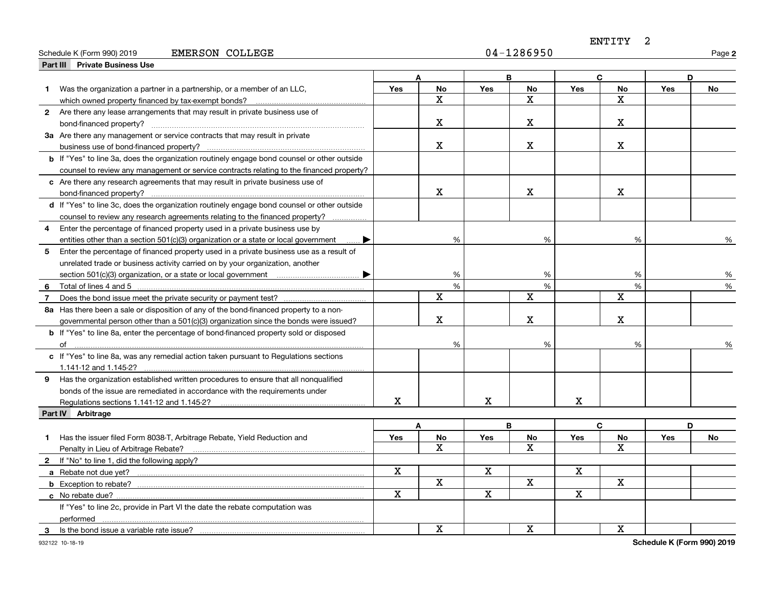#### Schedule K (Form 990) 2019 Page EMERSON COLLEGE 04-1286950

ENTITY 2

**2**

|                | Part III Private Business Use                                                                      |             |              |            |                         |             |                         |            |           |
|----------------|----------------------------------------------------------------------------------------------------|-------------|--------------|------------|-------------------------|-------------|-------------------------|------------|-----------|
|                |                                                                                                    |             | A            |            | B                       |             | C                       |            | D         |
|                | Was the organization a partner in a partnership, or a member of an LLC,                            | <b>Yes</b>  | <b>No</b>    | Yes        | No                      | Yes         | No                      | Yes        | <b>No</b> |
|                | which owned property financed by tax-exempt bonds?                                                 |             | $\mathbf x$  |            | $\overline{\mathbf{x}}$ |             | $\overline{\mathbf{x}}$ |            |           |
|                | 2 Are there any lease arrangements that may result in private business use of                      |             |              |            |                         |             |                         |            |           |
|                |                                                                                                    |             | x            |            | x                       |             | X.                      |            |           |
|                | 3a Are there any management or service contracts that may result in private                        |             |              |            |                         |             |                         |            |           |
|                |                                                                                                    |             | x            |            | x                       |             | $\mathbf X$             |            |           |
|                | <b>b</b> If "Yes" to line 3a, does the organization routinely engage bond counsel or other outside |             |              |            |                         |             |                         |            |           |
|                | counsel to review any management or service contracts relating to the financed property?           |             |              |            |                         |             |                         |            |           |
|                | c Are there any research agreements that may result in private business use of                     |             |              |            |                         |             |                         |            |           |
|                | bond-financed property?                                                                            |             | X            |            | X                       |             | X.                      |            |           |
|                | d If "Yes" to line 3c, does the organization routinely engage bond counsel or other outside        |             |              |            |                         |             |                         |            |           |
|                | counsel to review any research agreements relating to the financed property?                       |             |              |            |                         |             |                         |            |           |
| 4              | Enter the percentage of financed property used in a private business use by                        |             |              |            |                         |             |                         |            |           |
|                | entities other than a section $501(c)(3)$ organization or a state or local government<br>… ▶       |             | %            |            | %                       |             | %                       |            | %         |
| 5              | Enter the percentage of financed property used in a private business use as a result of            |             |              |            |                         |             |                         |            |           |
|                | unrelated trade or business activity carried on by your organization, another                      |             |              |            |                         |             |                         |            |           |
|                | ▸                                                                                                  |             | %            |            | %                       |             | %                       |            | %         |
| 6              | Total of lines 4 and 5                                                                             |             | %            |            | %                       |             | %                       |            | %         |
| $\overline{7}$ |                                                                                                    |             | X            |            | $\mathbf x$             |             | $\overline{\mathbf{x}}$ |            |           |
|                | 8a Has there been a sale or disposition of any of the bond-financed property to a non-             |             |              |            |                         |             |                         |            |           |
|                | governmental person other than a 501(c)(3) organization since the bonds were issued?               |             | X            |            | $\mathbf X$             |             | $\mathbf X$             |            |           |
|                | <b>b</b> If "Yes" to line 8a, enter the percentage of bond-financed property sold or disposed      |             |              |            |                         |             |                         |            |           |
|                |                                                                                                    |             | $\%$         |            | %                       |             | %                       |            |           |
|                | c If "Yes" to line 8a, was any remedial action taken pursuant to Regulations sections              |             |              |            |                         |             |                         |            |           |
|                | 1.141-12 and 1.145-2?                                                                              |             |              |            |                         |             |                         |            |           |
|                | 9 Has the organization established written procedures to ensure that all nonqualified              |             |              |            |                         |             |                         |            |           |
|                | bonds of the issue are remediated in accordance with the requirements under                        |             |              |            |                         |             |                         |            |           |
|                | Regulations sections 1.141-12 and 1.145-2?                                                         | X           |              | X          |                         | $\mathbf X$ |                         |            |           |
|                | Part IV Arbitrage                                                                                  |             |              |            |                         |             |                         |            |           |
|                |                                                                                                    |             | A            |            | B                       |             | C                       |            | D         |
| 1              | Has the issuer filed Form 8038-T, Arbitrage Rebate, Yield Reduction and                            | Yes         | <b>No</b>    | <b>Yes</b> | No                      | Yes         | No                      | <b>Yes</b> | No        |
|                | Penalty in Lieu of Arbitrage Rebate?                                                               |             | $\mathbf{x}$ |            | X                       |             | x                       |            |           |
|                | 2 If "No" to line 1, did the following apply?                                                      |             |              |            |                         |             |                         |            |           |
|                |                                                                                                    | $\mathbf x$ |              | X          |                         | $\mathbf X$ |                         |            |           |
|                |                                                                                                    |             | $\mathbf X$  |            | $\overline{\mathbf{x}}$ |             | $\overline{\mathbf{x}}$ |            |           |
|                | c No rebate due?                                                                                   | $\mathbf X$ |              | X          |                         | $\mathbf X$ |                         |            |           |
|                | If "Yes" to line 2c, provide in Part VI the date the rebate computation was                        |             |              |            |                         |             |                         |            |           |
|                |                                                                                                    |             |              |            |                         |             |                         |            |           |
| 3              | Is the bond issue a variable rate issue?                                                           |             | X            |            | X                       |             | $\mathbf X$             |            |           |

932122 10-18-19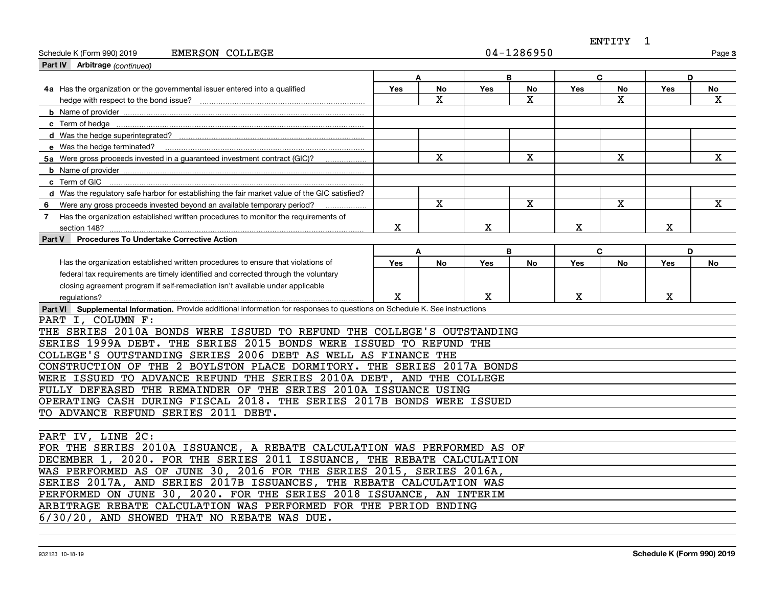ENTITY 1

| Part IV Arbitrage (continued)                                                                                               |                  |           |            |    |            |                         |             |              |  |
|-----------------------------------------------------------------------------------------------------------------------------|------------------|-----------|------------|----|------------|-------------------------|-------------|--------------|--|
|                                                                                                                             |                  |           |            |    |            |                         |             |              |  |
|                                                                                                                             |                  | A         |            | B  | C          |                         | D           |              |  |
| 4a Has the organization or the governmental issuer entered into a qualified                                                 | <b>Yes</b>       | No        | <b>Yes</b> | No | <b>Yes</b> | No                      | <b>Yes</b>  | No           |  |
|                                                                                                                             |                  | Χ         |            | х  |            | x                       |             | х            |  |
|                                                                                                                             |                  |           |            |    |            |                         |             |              |  |
|                                                                                                                             |                  |           |            |    |            |                         |             |              |  |
|                                                                                                                             |                  |           |            |    |            |                         |             |              |  |
|                                                                                                                             |                  |           |            |    |            |                         |             |              |  |
| 5a Were gross proceeds invested in a guaranteed investment contract (GIC)?                                                  |                  | X         |            | X  |            | $\overline{\mathbf{x}}$ |             | $\mathbf{x}$ |  |
|                                                                                                                             |                  |           |            |    |            |                         |             |              |  |
| c Term of GIC                                                                                                               |                  |           |            |    |            |                         |             |              |  |
| d Was the regulatory safe harbor for establishing the fair market value of the GIC satisfied?                               |                  |           |            |    |            |                         |             |              |  |
| 6 Were any gross proceeds invested beyond an available temporary period?                                                    |                  | X         |            | X  |            | X                       |             | X            |  |
| 7 Has the organization established written procedures to monitor the requirements of                                        |                  |           |            |    |            |                         |             |              |  |
| section 148?                                                                                                                | $\mathbf X$      |           | X          |    | X          |                         | $\mathbf X$ |              |  |
| Procedures To Undertake Corrective Action<br>Part V                                                                         |                  |           |            |    |            |                         |             |              |  |
|                                                                                                                             | B<br>C<br>D<br>A |           |            |    |            |                         |             |              |  |
| Has the organization established written procedures to ensure that violations of                                            | <b>Yes</b>       | <b>No</b> | <b>Yes</b> | No | <b>Yes</b> | <b>No</b>               | <b>Yes</b>  | No           |  |
| federal tax requirements are timely identified and corrected through the voluntary                                          |                  |           |            |    |            |                         |             |              |  |
| closing agreement program if self-remediation isn't available under applicable                                              |                  |           |            |    |            |                         |             |              |  |
| regulations?                                                                                                                | x                |           | x          |    | X          |                         | x           |              |  |
| Part VI Supplemental Information. Provide additional information for responses to questions on Schedule K. See instructions |                  |           |            |    |            |                         |             |              |  |
| PART I, COLUMN F:                                                                                                           |                  |           |            |    |            |                         |             |              |  |
| THE SERIES 2010A BONDS WERE ISSUED TO REFUND THE COLLEGE'S OUTSTANDING                                                      |                  |           |            |    |            |                         |             |              |  |
| SERIES 1999A DEBT. THE SERIES 2015 BONDS WERE ISSUED TO REFUND THE                                                          |                  |           |            |    |            |                         |             |              |  |
| COLLEGE'S OUTSTANDING SERIES 2006 DEBT AS WELL AS FINANCE THE                                                               |                  |           |            |    |            |                         |             |              |  |
| CONSTRUCTION OF THE 2 BOYLSTON PLACE DORMITORY. THE SERIES 2017A BONDS                                                      |                  |           |            |    |            |                         |             |              |  |
| WERE ISSUED TO ADVANCE REFUND THE SERIES 2010A DEBT, AND THE COLLEGE                                                        |                  |           |            |    |            |                         |             |              |  |
| FULLY DEFEASED THE REMAINDER OF THE SERIES 2010A ISSUANCE USING                                                             |                  |           |            |    |            |                         |             |              |  |
| OPERATING CASH DURING FISCAL 2018. THE SERIES 2017B BONDS WERE ISSUED                                                       |                  |           |            |    |            |                         |             |              |  |
| TO ADVANCE REFUND SERIES 2011 DEBT.                                                                                         |                  |           |            |    |            |                         |             |              |  |
|                                                                                                                             |                  |           |            |    |            |                         |             |              |  |
| PART IV, LINE 2C:                                                                                                           |                  |           |            |    |            |                         |             |              |  |
| FOR THE SERIES 2010A ISSUANCE, A REBATE CALCULATION WAS PERFORMED AS OF                                                     |                  |           |            |    |            |                         |             |              |  |
| DECEMBER 1, 2020. FOR THE SERIES 2011 ISSUANCE, THE REBATE CALCULATION                                                      |                  |           |            |    |            |                         |             |              |  |
| WAS PERFORMED AS OF JUNE 30, 2016 FOR THE SERIES 2015, SERIES 2016A,                                                        |                  |           |            |    |            |                         |             |              |  |
| SERIES 2017A, AND SERIES 2017B ISSUANCES, THE REBATE CALCULATION WAS                                                        |                  |           |            |    |            |                         |             |              |  |
| PERFORMED ON JUNE 30, 2020. FOR THE SERIES 2018 ISSUANCE, AN INTERIM                                                        |                  |           |            |    |            |                         |             |              |  |

ARBITRAGE REBATE CALCULATION WAS PERFORMED FOR THE PERIOD ENDING

6/30/20, AND SHOWED THAT NO REBATE WAS DUE.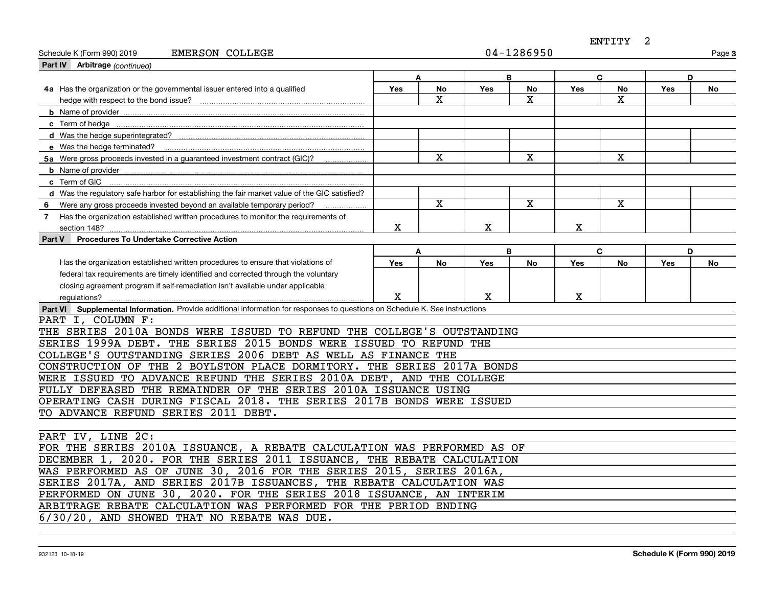ENTITY 2

| <b>EMERSON COLLEGE</b><br>Schedule K (Form 990) 2019                                                                        |            |             |            | 04-1286950  |            |              |     | Page 3 |  |
|-----------------------------------------------------------------------------------------------------------------------------|------------|-------------|------------|-------------|------------|--------------|-----|--------|--|
| Part IV Arbitrage (continued)                                                                                               |            |             |            |             |            |              |     |        |  |
|                                                                                                                             |            | A           | B          |             |            | $\mathbf{C}$ |     | D      |  |
| 4a Has the organization or the governmental issuer entered into a qualified                                                 | Yes        | No          | Yes        | No          | Yes        | No           | Yes | No     |  |
| hedge with respect to the bond issue?                                                                                       |            | $\mathbf X$ |            | x           |            | x            |     |        |  |
|                                                                                                                             |            |             |            |             |            |              |     |        |  |
| c Term of hedge                                                                                                             |            |             |            |             |            |              |     |        |  |
|                                                                                                                             |            |             |            |             |            |              |     |        |  |
| e Was the hedge terminated?                                                                                                 |            |             |            |             |            |              |     |        |  |
| 5a Were gross proceeds invested in a guaranteed investment contract (GIC)?                                                  |            | X           |            | $\mathbf X$ |            | $\mathbf X$  |     |        |  |
| <b>b</b> Name of provider                                                                                                   |            |             |            |             |            |              |     |        |  |
| c Term of GIC                                                                                                               |            |             |            |             |            |              |     |        |  |
| d Was the requlatory safe harbor for establishing the fair market value of the GIC satisfied?                               |            |             |            |             |            |              |     |        |  |
| 6 Were any gross proceeds invested beyond an available temporary period?                                                    |            | X           |            | X           |            | X            |     |        |  |
| 7 Has the organization established written procedures to monitor the requirements of                                        |            |             |            |             |            |              |     |        |  |
| section 148?                                                                                                                | Χ          |             | X          |             | X          |              |     |        |  |
| Procedures To Undertake Corrective Action<br>Part V                                                                         |            |             |            |             |            |              |     |        |  |
|                                                                                                                             | A          |             | D          |             |            |              |     |        |  |
| Has the organization established written procedures to ensure that violations of                                            | <b>Yes</b> | <b>No</b>   | <b>Yes</b> | No          | <b>Yes</b> | <b>No</b>    | Yes | No     |  |
| federal tax requirements are timely identified and corrected through the voluntary                                          |            |             |            |             |            |              |     |        |  |
| closing agreement program if self-remediation isn't available under applicable                                              |            |             |            |             |            |              |     |        |  |
| regulations?                                                                                                                | X          |             | x          |             | x          |              |     |        |  |
| Part VI Supplemental Information. Provide additional information for responses to questions on Schedule K. See instructions |            |             |            |             |            |              |     |        |  |
| PART I, COLUMN F:                                                                                                           |            |             |            |             |            |              |     |        |  |
| THE SERIES 2010A BONDS WERE ISSUED TO REFUND THE COLLEGE'S OUTSTANDING                                                      |            |             |            |             |            |              |     |        |  |
| SERIES 1999A DEBT. THE SERIES 2015 BONDS WERE ISSUED TO REFUND THE                                                          |            |             |            |             |            |              |     |        |  |
| COLLEGE'S OUTSTANDING SERIES 2006 DEBT AS WELL AS FINANCE THE                                                               |            |             |            |             |            |              |     |        |  |
| CONSTRUCTION OF THE 2 BOYLSTON PLACE DORMITORY. THE SERIES 2017A BONDS                                                      |            |             |            |             |            |              |     |        |  |
| WERE ISSUED TO ADVANCE REFUND THE SERIES 2010A DEBT, AND THE COLLEGE                                                        |            |             |            |             |            |              |     |        |  |
| FULLY DEFEASED THE REMAINDER OF THE SERIES 2010A ISSUANCE USING                                                             |            |             |            |             |            |              |     |        |  |
| OPERATING CASH DURING FISCAL 2018. THE SERIES 2017B BONDS WERE ISSUED                                                       |            |             |            |             |            |              |     |        |  |
| TO ADVANCE REFUND SERIES 2011 DEBT.                                                                                         |            |             |            |             |            |              |     |        |  |
|                                                                                                                             |            |             |            |             |            |              |     |        |  |
| PART IV, LINE 2C:                                                                                                           |            |             |            |             |            |              |     |        |  |
| FOR THE SERIES 2010A ISSUANCE, A REBATE CALCULATION WAS PERFORMED AS OF                                                     |            |             |            |             |            |              |     |        |  |
| DECEMBER 1, 2020. FOR THE SERIES 2011 ISSUANCE, THE REBATE CALCULATION                                                      |            |             |            |             |            |              |     |        |  |
| WAS PERFORMED AS OF JUNE 30, 2016 FOR THE SERIES 2015, SERIES 2016A,                                                        |            |             |            |             |            |              |     |        |  |
| SERIES 2017A, AND SERIES 2017B ISSUANCES, THE REBATE CALCULATION WAS                                                        |            |             |            |             |            |              |     |        |  |
| PERFORMED ON JUNE 30, 2020. FOR THE SERIES 2018 ISSUANCE, AN INTERIM                                                        |            |             |            |             |            |              |     |        |  |
| ARBITRAGE REBATE CALCULATION WAS PERFORMED FOR THE PERIOD ENDING                                                            |            |             |            |             |            |              |     |        |  |
| 6/30/20, AND SHOWED THAT NO REBATE WAS DUE.                                                                                 |            |             |            |             |            |              |     |        |  |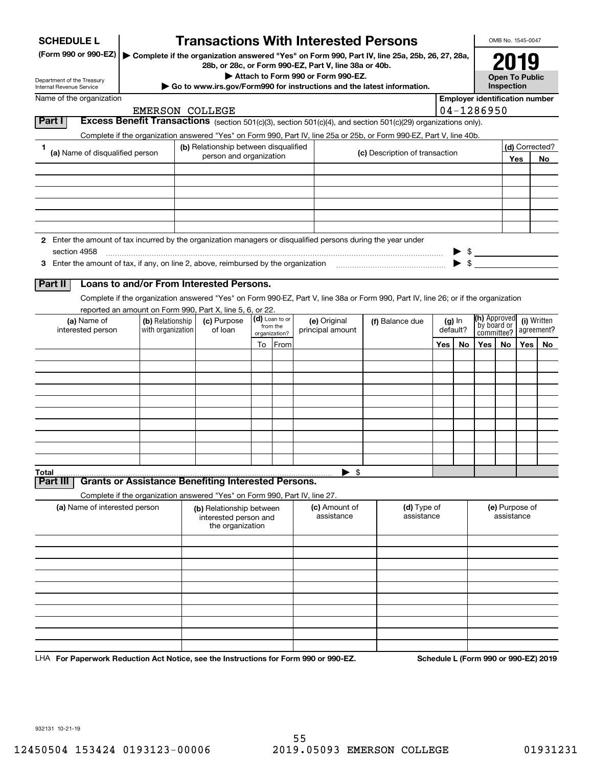| <b>SCHEDULE L</b>                                                                                                             |                                                                          |  | <b>Transactions With Interested Persons</b>                                                                                     |                                |                           |                                                          |                                    |                 |                                                                                                                                    |                              |                |              | OMB No. 1545-0047                                      |     |                                       |
|-------------------------------------------------------------------------------------------------------------------------------|--------------------------------------------------------------------------|--|---------------------------------------------------------------------------------------------------------------------------------|--------------------------------|---------------------------|----------------------------------------------------------|------------------------------------|-----------------|------------------------------------------------------------------------------------------------------------------------------------|------------------------------|----------------|--------------|--------------------------------------------------------|-----|---------------------------------------|
| (Form 990 or 990-EZ)                                                                                                          |                                                                          |  | 28b, or 28c, or Form 990-EZ, Part V, line 38a or 40b.                                                                           |                                |                           |                                                          |                                    |                 | Complete if the organization answered "Yes" on Form 990, Part IV, line 25a, 25b, 26, 27, 28a,                                      |                              |                |              |                                                        |     |                                       |
| Department of the Treasury<br>Internal Revenue Service                                                                        |                                                                          |  |                                                                                                                                 |                                |                           |                                                          | Attach to Form 990 or Form 990-EZ. |                 | Go to www.irs.gov/Form990 for instructions and the latest information.                                                             |                              |                |              | <b>Open To Public</b><br>Inspection                    |     |                                       |
| Name of the organization                                                                                                      |                                                                          |  |                                                                                                                                 |                                |                           |                                                          |                                    |                 |                                                                                                                                    |                              |                |              |                                                        |     | <b>Employer identification number</b> |
|                                                                                                                               | <b>EMERSON COLLEGE</b>                                                   |  |                                                                                                                                 |                                |                           |                                                          |                                    |                 |                                                                                                                                    |                              |                | 04-1286950   |                                                        |     |                                       |
| Part I                                                                                                                        |                                                                          |  |                                                                                                                                 |                                |                           |                                                          |                                    |                 | <b>Excess Benefit Transactions</b> (section 501(c)(3), section 501(c)(4), and section 501(c)(29) organizations only).              |                              |                |              |                                                        |     |                                       |
|                                                                                                                               |                                                                          |  |                                                                                                                                 |                                |                           |                                                          |                                    |                 | Complete if the organization answered "Yes" on Form 990, Part IV, line 25a or 25b, or Form 990-EZ, Part V, line 40b.               |                              |                |              |                                                        |     |                                       |
| 1                                                                                                                             | (b) Relationship between disqualified<br>(a) Name of disqualified person |  |                                                                                                                                 | (c) Description of transaction |                           |                                                          |                                    |                 |                                                                                                                                    |                              | (d) Corrected? |              |                                                        |     |                                       |
|                                                                                                                               |                                                                          |  | person and organization                                                                                                         |                                |                           |                                                          |                                    |                 |                                                                                                                                    |                              |                |              | Yes                                                    | No  |                                       |
|                                                                                                                               |                                                                          |  |                                                                                                                                 |                                |                           |                                                          |                                    |                 |                                                                                                                                    |                              |                |              |                                                        |     |                                       |
|                                                                                                                               |                                                                          |  |                                                                                                                                 |                                |                           |                                                          |                                    |                 |                                                                                                                                    |                              |                |              |                                                        |     |                                       |
|                                                                                                                               |                                                                          |  |                                                                                                                                 |                                |                           |                                                          |                                    |                 |                                                                                                                                    |                              |                |              |                                                        |     |                                       |
|                                                                                                                               |                                                                          |  |                                                                                                                                 |                                |                           |                                                          |                                    |                 |                                                                                                                                    |                              |                |              |                                                        |     |                                       |
|                                                                                                                               |                                                                          |  |                                                                                                                                 |                                |                           |                                                          |                                    |                 |                                                                                                                                    |                              |                |              |                                                        |     |                                       |
| 2 Enter the amount of tax incurred by the organization managers or disqualified persons during the year under<br>section 4958 |                                                                          |  |                                                                                                                                 |                                |                           |                                                          |                                    |                 |                                                                                                                                    |                              |                |              |                                                        |     |                                       |
|                                                                                                                               |                                                                          |  |                                                                                                                                 |                                |                           |                                                          |                                    |                 |                                                                                                                                    |                              | - \$           |              |                                                        |     |                                       |
|                                                                                                                               |                                                                          |  |                                                                                                                                 |                                |                           |                                                          |                                    |                 |                                                                                                                                    |                              |                |              |                                                        |     |                                       |
| Part II                                                                                                                       | Loans to and/or From Interested Persons.                                 |  |                                                                                                                                 |                                |                           |                                                          |                                    |                 |                                                                                                                                    |                              |                |              |                                                        |     |                                       |
|                                                                                                                               |                                                                          |  |                                                                                                                                 |                                |                           |                                                          |                                    |                 | Complete if the organization answered "Yes" on Form 990-EZ, Part V, line 38a or Form 990, Part IV, line 26; or if the organization |                              |                |              |                                                        |     |                                       |
|                                                                                                                               | reported an amount on Form 990, Part X, line 5, 6, or 22.                |  |                                                                                                                                 |                                | (d) Loan to or            |                                                          |                                    |                 |                                                                                                                                    |                              |                | (h) Approved |                                                        |     |                                       |
| (a) Name of<br>interested person                                                                                              | (b) Relationship<br>with organization                                    |  | (c) Purpose<br>of loan                                                                                                          |                                | from the<br>organization? |                                                          | (e) Original<br>principal amount   | (f) Balance due |                                                                                                                                    | $(g)$ In<br>default?         |                |              | (i) Written<br>by board or<br>agreement?<br>committee? |     |                                       |
|                                                                                                                               |                                                                          |  |                                                                                                                                 | To                             | From                      |                                                          |                                    |                 |                                                                                                                                    | Yes                          | No             | Yes          | No                                                     | Yes | No.                                   |
|                                                                                                                               |                                                                          |  |                                                                                                                                 |                                |                           |                                                          |                                    |                 |                                                                                                                                    |                              |                |              |                                                        |     |                                       |
|                                                                                                                               |                                                                          |  |                                                                                                                                 |                                |                           |                                                          |                                    |                 |                                                                                                                                    |                              |                |              |                                                        |     |                                       |
|                                                                                                                               |                                                                          |  |                                                                                                                                 |                                |                           |                                                          |                                    |                 |                                                                                                                                    |                              |                |              |                                                        |     |                                       |
|                                                                                                                               |                                                                          |  |                                                                                                                                 |                                |                           |                                                          |                                    |                 |                                                                                                                                    |                              |                |              |                                                        |     |                                       |
|                                                                                                                               |                                                                          |  |                                                                                                                                 |                                |                           |                                                          |                                    |                 |                                                                                                                                    |                              |                |              |                                                        |     |                                       |
|                                                                                                                               |                                                                          |  |                                                                                                                                 |                                |                           |                                                          |                                    |                 |                                                                                                                                    |                              |                |              |                                                        |     |                                       |
|                                                                                                                               |                                                                          |  |                                                                                                                                 |                                |                           |                                                          |                                    |                 |                                                                                                                                    |                              |                |              |                                                        |     |                                       |
|                                                                                                                               |                                                                          |  |                                                                                                                                 |                                |                           |                                                          |                                    |                 |                                                                                                                                    |                              |                |              |                                                        |     |                                       |
|                                                                                                                               |                                                                          |  |                                                                                                                                 |                                |                           |                                                          |                                    |                 |                                                                                                                                    |                              |                |              |                                                        |     |                                       |
| Total<br>Part II                                                                                                              | <b>Grants or Assistance Benefiting Interested Persons.</b>               |  |                                                                                                                                 |                                |                           |                                                          | $\blacktriangleright$ \$           |                 |                                                                                                                                    |                              |                |              |                                                        |     |                                       |
|                                                                                                                               |                                                                          |  |                                                                                                                                 |                                |                           |                                                          |                                    |                 |                                                                                                                                    |                              |                |              |                                                        |     |                                       |
| (a) Name of interested person                                                                                                 |                                                                          |  | Complete if the organization answered "Yes" on Form 990, Part IV, line 27.<br>(b) Relationship between<br>interested person and |                                |                           | (d) Type of<br>(c) Amount of<br>assistance<br>assistance |                                    |                 |                                                                                                                                    | (e) Purpose of<br>assistance |                |              |                                                        |     |                                       |
|                                                                                                                               |                                                                          |  | the organization                                                                                                                |                                |                           |                                                          |                                    |                 |                                                                                                                                    |                              |                |              |                                                        |     |                                       |
|                                                                                                                               |                                                                          |  |                                                                                                                                 |                                |                           |                                                          |                                    |                 |                                                                                                                                    |                              |                |              |                                                        |     |                                       |
|                                                                                                                               |                                                                          |  |                                                                                                                                 |                                |                           |                                                          |                                    |                 |                                                                                                                                    |                              |                |              |                                                        |     |                                       |
|                                                                                                                               |                                                                          |  |                                                                                                                                 |                                |                           |                                                          |                                    |                 |                                                                                                                                    |                              |                |              |                                                        |     |                                       |
|                                                                                                                               |                                                                          |  |                                                                                                                                 |                                |                           |                                                          |                                    |                 |                                                                                                                                    |                              |                |              |                                                        |     |                                       |
|                                                                                                                               |                                                                          |  |                                                                                                                                 |                                |                           |                                                          |                                    |                 |                                                                                                                                    |                              |                |              |                                                        |     |                                       |
|                                                                                                                               |                                                                          |  |                                                                                                                                 |                                |                           |                                                          |                                    |                 |                                                                                                                                    |                              |                |              |                                                        |     |                                       |
|                                                                                                                               |                                                                          |  |                                                                                                                                 |                                |                           |                                                          |                                    |                 |                                                                                                                                    |                              |                |              |                                                        |     |                                       |
|                                                                                                                               |                                                                          |  |                                                                                                                                 |                                |                           |                                                          |                                    |                 |                                                                                                                                    |                              |                |              |                                                        |     |                                       |
|                                                                                                                               |                                                                          |  |                                                                                                                                 |                                |                           |                                                          |                                    |                 |                                                                                                                                    |                              |                |              |                                                        |     |                                       |

LHA For Paperwork Reduction Act Notice, see the Instructions for Form 990 or 990-EZ. Schedule L (Form 990 or 990-EZ) 2019

932131 10-21-19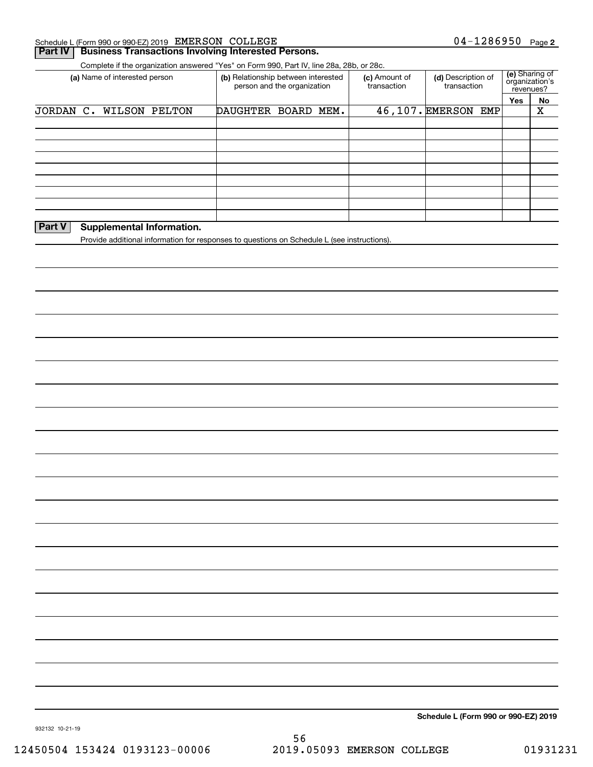| Schedule L (Form 990 or 990-EZ) 2019 $EMERSON$ | COLLEGE | 1286950<br>04- | Page 2 |
|------------------------------------------------|---------|----------------|--------|
|                                                |         |                |        |

### **Part IV Business Transactions Involving Interested Persons.**

Complete if the organization answered "Yes" on Form 990, Part IV, line 28a, 28b, or 28c.

| (a) Name of interested person | (b) Relationship between interested<br>person and the organization |  |  | (c) Amount of<br>transaction | (d) Description of<br>transaction | revenues? | (e) Sharing of<br>organization's |
|-------------------------------|--------------------------------------------------------------------|--|--|------------------------------|-----------------------------------|-----------|----------------------------------|
|                               |                                                                    |  |  |                              |                                   | Yes       | No                               |
| JORDAN C. WILSON PELTON       | DAUGHTER BOARD MEM.                                                |  |  |                              | 46,107. EMERSON EMP               |           | Χ                                |
|                               |                                                                    |  |  |                              |                                   |           |                                  |
|                               |                                                                    |  |  |                              |                                   |           |                                  |
|                               |                                                                    |  |  |                              |                                   |           |                                  |
|                               |                                                                    |  |  |                              |                                   |           |                                  |
|                               |                                                                    |  |  |                              |                                   |           |                                  |
|                               |                                                                    |  |  |                              |                                   |           |                                  |
|                               |                                                                    |  |  |                              |                                   |           |                                  |
|                               |                                                                    |  |  |                              |                                   |           |                                  |
|                               |                                                                    |  |  |                              |                                   |           |                                  |

### **Part V** Supplemental Information.

Provide additional information for responses to questions on Schedule L (see instructions).

**Schedule L (Form 990 or 990-EZ) 2019**

932132 10-21-19

56 12450504 153424 0193123-00006 2019.05093 EMERSON COLLEGE 01931231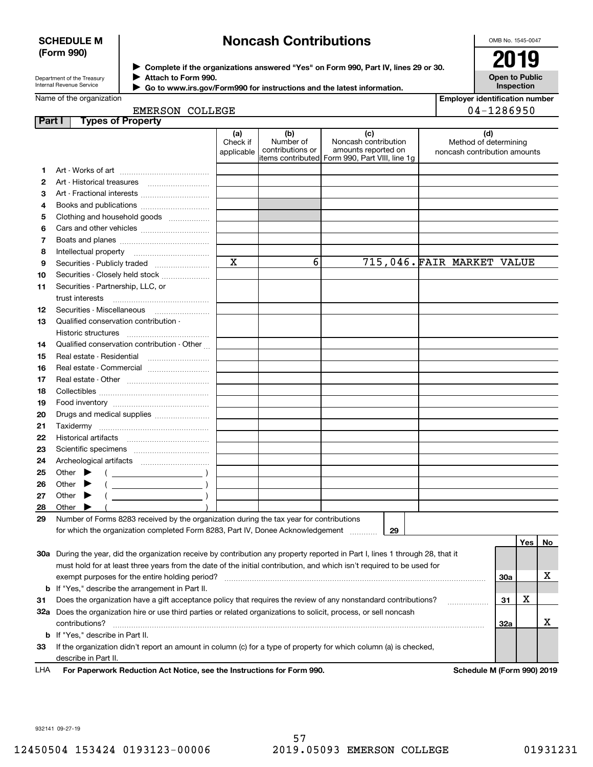### **SCHEDULE M (Form 990)**

# **Noncash Contributions**

OMB No. 1545-0047

Department of the Treasury Internal Revenue Service

**Complete if the organizations answered "Yes" on Form 990, Part IV, lines 29 or 30.** <sup>J</sup>**2019 Attach to Form 990.** J

**Open to Public Inspection**

 $\blacktriangleright$ 

 **Go to www.irs.gov/Form990 for instructions and the latest information.**

| <b>Employer identification number</b> |  |
|---------------------------------------|--|

| <b>EMERSON COLLEGE</b> |  |
|------------------------|--|
| <b>Duanavi</b>         |  |

| Part I | <b>Types of Property</b>                                                                                                       |                        |                               |                                                |                              |            |     |    |
|--------|--------------------------------------------------------------------------------------------------------------------------------|------------------------|-------------------------------|------------------------------------------------|------------------------------|------------|-----|----|
|        |                                                                                                                                | (a)                    | (b)                           | (c)                                            | (d)                          |            |     |    |
|        |                                                                                                                                | Check if<br>applicable | Number of<br>contributions or | Noncash contribution<br>amounts reported on    | Method of determining        |            |     |    |
|        |                                                                                                                                |                        |                               | items contributed Form 990, Part VIII, line 1g | noncash contribution amounts |            |     |    |
| 1.     |                                                                                                                                |                        |                               |                                                |                              |            |     |    |
| 2      |                                                                                                                                |                        |                               |                                                |                              |            |     |    |
| з      | Art - Fractional interests                                                                                                     |                        |                               |                                                |                              |            |     |    |
| 4      | Books and publications                                                                                                         |                        |                               |                                                |                              |            |     |    |
| 5      | Clothing and household goods                                                                                                   |                        |                               |                                                |                              |            |     |    |
| 6      |                                                                                                                                |                        |                               |                                                |                              |            |     |    |
| 7      |                                                                                                                                |                        |                               |                                                |                              |            |     |    |
| 8      | Intellectual property                                                                                                          |                        |                               |                                                |                              |            |     |    |
| 9      |                                                                                                                                | $\mathbf X$            | 6                             |                                                | 715,046. FAIR MARKET VALUE   |            |     |    |
| 10     | Securities - Closely held stock                                                                                                |                        |                               |                                                |                              |            |     |    |
| 11     | Securities - Partnership, LLC, or                                                                                              |                        |                               |                                                |                              |            |     |    |
|        | trust interests                                                                                                                |                        |                               |                                                |                              |            |     |    |
| 12     | Securities - Miscellaneous                                                                                                     |                        |                               |                                                |                              |            |     |    |
| 13     | Qualified conservation contribution -                                                                                          |                        |                               |                                                |                              |            |     |    |
|        | Historic structures                                                                                                            |                        |                               |                                                |                              |            |     |    |
| 14     | Qualified conservation contribution - Other                                                                                    |                        |                               |                                                |                              |            |     |    |
| 15     | Real estate - Residential                                                                                                      |                        |                               |                                                |                              |            |     |    |
| 16     | Real estate - Commercial                                                                                                       |                        |                               |                                                |                              |            |     |    |
| 17     |                                                                                                                                |                        |                               |                                                |                              |            |     |    |
| 18     |                                                                                                                                |                        |                               |                                                |                              |            |     |    |
| 19     |                                                                                                                                |                        |                               |                                                |                              |            |     |    |
| 20     | Drugs and medical supplies                                                                                                     |                        |                               |                                                |                              |            |     |    |
| 21     |                                                                                                                                |                        |                               |                                                |                              |            |     |    |
| 22     |                                                                                                                                |                        |                               |                                                |                              |            |     |    |
| 23     |                                                                                                                                |                        |                               |                                                |                              |            |     |    |
| 24     |                                                                                                                                |                        |                               |                                                |                              |            |     |    |
| 25     | Other $\blacktriangleright$<br>$\overline{\phantom{a}}$ )                                                                      |                        |                               |                                                |                              |            |     |    |
| 26     | Other<br>▸                                                                                                                     |                        |                               |                                                |                              |            |     |    |
| 27     | Other<br>▸                                                                                                                     |                        |                               |                                                |                              |            |     |    |
| 28     | Other                                                                                                                          |                        |                               |                                                |                              |            |     |    |
| 29     | Number of Forms 8283 received by the organization during the tax year for contributions                                        |                        |                               |                                                |                              |            |     |    |
|        | for which the organization completed Form 8283, Part IV, Donee Acknowledgement                                                 |                        |                               | 29                                             |                              |            |     |    |
|        |                                                                                                                                |                        |                               |                                                |                              |            | Yes | No |
|        | 30a During the year, did the organization receive by contribution any property reported in Part I, lines 1 through 28, that it |                        |                               |                                                |                              |            |     |    |
|        | must hold for at least three years from the date of the initial contribution, and which isn't required to be used for          |                        |                               |                                                |                              |            |     |    |
|        | exempt purposes for the entire holding period?                                                                                 |                        |                               |                                                |                              | <b>30a</b> |     | x  |
| b      | If "Yes," describe the arrangement in Part II.                                                                                 |                        |                               |                                                |                              |            |     |    |
| 31     | Does the organization have a gift acceptance policy that requires the review of any nonstandard contributions?                 |                        |                               |                                                |                              | 31         | х   |    |
| 32a    | Does the organization hire or use third parties or related organizations to solicit, process, or sell noncash                  |                        |                               |                                                |                              |            |     |    |
|        | contributions?                                                                                                                 |                        |                               |                                                |                              | 32a        |     | х  |
| b      | If "Yes," describe in Part II.                                                                                                 |                        |                               |                                                |                              |            |     |    |
| 33     | If the organization didn't report an amount in column (c) for a type of property for which column (a) is checked,              |                        |                               |                                                |                              |            |     |    |
|        | describe in Part II.                                                                                                           |                        |                               |                                                |                              |            |     |    |

For Paperwork Reduction Act Notice, see the Instructions for Form 990. Schedule M (Form 990) 2019 LHA

932141 09-27-19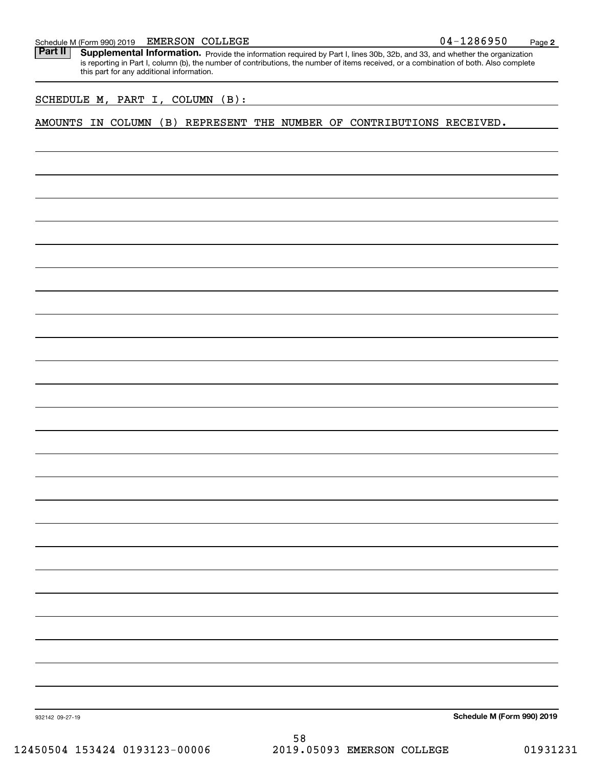Part II | Supplemental Information. Provide the information required by Part I, lines 30b, 32b, and 33, and whether the organization is reporting in Part I, column (b), the number of contributions, the number of items received, or a combination of both. Also complete this part for any additional information.

SCHEDULE M, PART I, COLUMN (B):

AMOUNTS IN COLUMN (B) REPRESENT THE NUMBER OF CONTRIBUTIONS RECEIVED.

**Schedule M (Form 990) 2019**

932142 09-27-19

58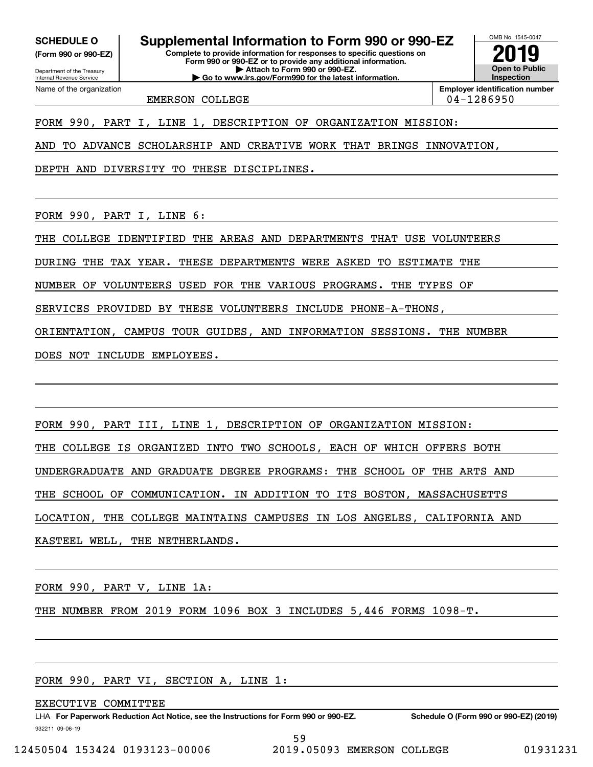**(Form 990 or 990-EZ)**

Department of the Treasury Internal Revenue Service Name of the organization

**SCHEDULE O Supplemental Information to Form 990 or 990-EZ**

**Complete to provide information for responses to specific questions on Form 990 or 990-EZ or to provide any additional information. | Attach to Form 990 or 990-EZ. | Go to www.irs.gov/Form990 for the latest information.**

OMB No. 1545-0047 **Open to Public InspectionEmployer identification number 2019**

EMERSON COLLEGE 2000 104-1286950

FORM 990, PART I, LINE 1, DESCRIPTION OF ORGANIZATION MISSION:

AND TO ADVANCE SCHOLARSHIP AND CREATIVE WORK THAT BRINGS INNOVATION,

DEPTH AND DIVERSITY TO THESE DISCIPLINES.

FORM 990, PART I, LINE 6:

THE COLLEGE IDENTIFIED THE AREAS AND DEPARTMENTS THAT USE VOLUNTEERS

DURING THE TAX YEAR. THESE DEPARTMENTS WERE ASKED TO ESTIMATE THE

NUMBER OF VOLUNTEERS USED FOR THE VARIOUS PROGRAMS. THE TYPES OF

SERVICES PROVIDED BY THESE VOLUNTEERS INCLUDE PHONE-A-THONS,

ORIENTATION, CAMPUS TOUR GUIDES, AND INFORMATION SESSIONS. THE NUMBER

DOES NOT INCLUDE EMPLOYEES.

FORM 990, PART III, LINE 1, DESCRIPTION OF ORGANIZATION MISSION:

THE COLLEGE IS ORGANIZED INTO TWO SCHOOLS, EACH OF WHICH OFFERS BOTH

UNDERGRADUATE AND GRADUATE DEGREE PROGRAMS: THE SCHOOL OF THE ARTS AND

THE SCHOOL OF COMMUNICATION. IN ADDITION TO ITS BOSTON, MASSACHUSETTS

LOCATION, THE COLLEGE MAINTAINS CAMPUSES IN LOS ANGELES, CALIFORNIA AND

KASTEEL WELL, THE NETHERLANDS.

FORM 990, PART V, LINE 1A:

THE NUMBER FROM 2019 FORM 1096 BOX 3 INCLUDES 5,446 FORMS 1098-T.

FORM 990, PART VI, SECTION A, LINE 1:

EXECUTIVE COMMITTEE

932211 09-06-19 LHA For Paperwork Reduction Act Notice, see the Instructions for Form 990 or 990-EZ. Schedule O (Form 990 or 990-EZ) (2019) 59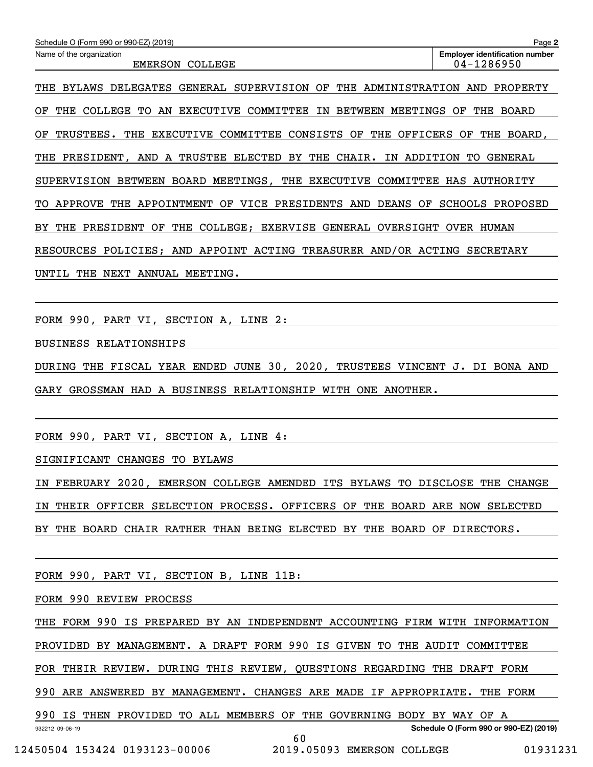| Schedule O (Form 990 or 990-EZ) (2019)                                                          | Page 2                                                  |
|-------------------------------------------------------------------------------------------------|---------------------------------------------------------|
| Name of the organization<br><b>EMERSON</b><br>COLLEGE                                           | <b>Employer identification number</b><br>$04 - 1286950$ |
| SUPERVISION OF<br>THE<br>THE<br>DELEGATES<br>GENERAL<br>ADMINISTRATION<br><b>BYLAWS</b>         | PROPERTY<br>AND                                         |
| COMMITTEE<br>ΟF<br>COLLEGE<br>TO.<br>EXECUTIVE<br><b>BETWEEN</b><br>MEETINGS<br>THE<br>AN<br>IN | OF<br>THE<br><b>BOARD</b>                               |
| CONSISTS<br>THE<br>COMMITTEE<br>ОF<br>THE<br>OFFICERS<br>ΟF<br>TRUSTEES.<br><b>EXECUTIVE</b>    | ΟF<br>THE<br>BOARD,                                     |
| BY<br>THE<br>CHAIR.<br>ADDITION<br>AND<br>TRUSTEE<br>ELECTED<br>THE<br>PRESIDENT,<br>A<br>ΙN    | <b>GENERAL</b><br>TО                                    |
| BOARD<br>MEETINGS,<br>THE<br>EXECUTIVE<br>COMMITTEE<br>SUPERVISION<br>BETWEEN                   | HAS<br>AUTHORITY                                        |
| APPROVE<br>THE<br>APPOINTMENT<br>OF<br>VICE<br>PRESIDENTS<br><b>DEANS</b><br>OF<br>AND<br>TО    | <b>SCHOOLS</b><br>PROPOSED                              |
| THE<br>COLLEGE;<br><b>EXERVISE</b><br>OVERSIGHT<br>THE<br>PRESIDENT<br>ΟF<br>GENERAL<br>ВY      | OVER<br>HUMAN                                           |
| APPOINT ACTING TREASURER AND/OR ACTING<br>POLICIES;<br>AND<br><b>RESOURCES</b>                  | <b>SECRETARY</b>                                        |
| NEXT<br>ANNUAL<br>MEETING.<br>UNTIL<br>THE                                                      |                                                         |

FORM 990, PART VI, SECTION A, LINE 2:

BUSINESS RELATIONSHIPS

DURING THE FISCAL YEAR ENDED JUNE 30, 2020, TRUSTEES VINCENT J. DI BONA AND GARY GROSSMAN HAD A BUSINESS RELATIONSHIP WITH ONE ANOTHER.

FORM 990, PART VI, SECTION A, LINE 4:

SIGNIFICANT CHANGES TO BYLAWS

IN FEBRUARY 2020, EMERSON COLLEGE AMENDED ITS BYLAWS TO DISCLOSE THE CHANGE IN THEIR OFFICER SELECTION PROCESS. OFFICERS OF THE BOARD ARE NOW SELECTED BY THE BOARD CHAIR RATHER THAN BEING ELECTED BY THE BOARD OF DIRECTORS.

FORM 990, PART VI, SECTION B, LINE 11B:

FORM 990 REVIEW PROCESS

THE FORM 990 IS PREPARED BY AN INDEPENDENT ACCOUNTING FIRM WITH INFORMATION

PROVIDED BY MANAGEMENT. A DRAFT FORM 990 IS GIVEN TO THE AUDIT COMMITTEE

FOR THEIR REVIEW. DURING THIS REVIEW, QUESTIONS REGARDING THE DRAFT FORM

990 ARE ANSWERED BY MANAGEMENT. CHANGES ARE MADE IF APPROPRIATE. THE FORM

932212 09-06-19 990 IS THEN PROVIDED TO ALL MEMBERS OF THE GOVERNING BODY BY WAY OF A

60

**Schedule O (Form 990 or 990-EZ) (2019)**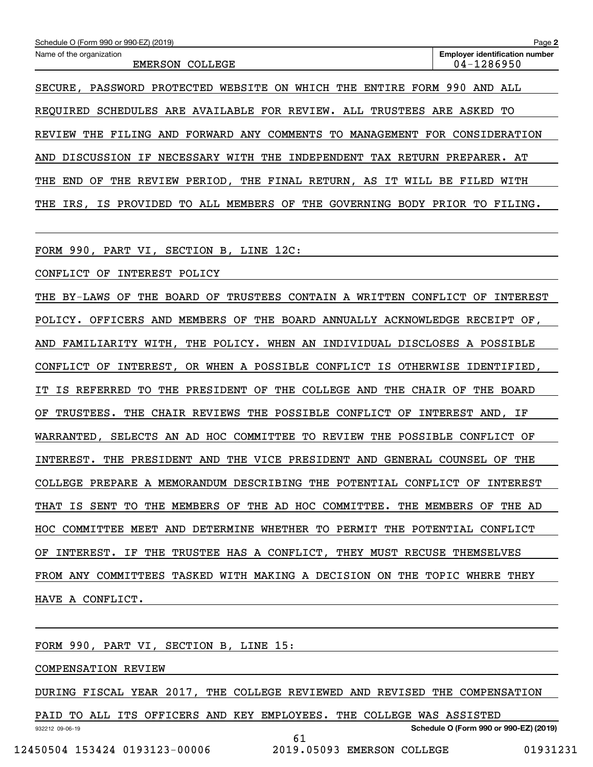| Schedule O (Form 990 or 990-EZ) (2019)                                                    | Page 2                                                  |
|-------------------------------------------------------------------------------------------|---------------------------------------------------------|
| Name of the organization<br><b>EMERSON</b><br>COLLEGE                                     | <b>Employer identification number</b><br>$04 - 1286950$ |
| PASSWORD PROTECTED WEBSITE ON WHICH THE ENTIRE FORM<br>SECURE.                            | 990<br>AND ALL                                          |
| REQUIRED SCHEDULES ARE AVAILABLE FOR REVIEW. ALL TRUSTEES ARE ASKED                       | TО                                                      |
| AND FORWARD ANY COMMENTS TO MANAGEMENT<br><b>REVIEW</b><br>THE<br>FILING                  | FOR CONSIDERATION                                       |
| NECESSARY<br>WITH THE INDEPENDENT TAX RETURN<br>DISCUSSION IF<br>AND                      | PREPARER. AT                                            |
| PERIOD.<br>THE FINAL RETURN.<br>AS IT<br>REVIEW<br>THE<br>WILL<br>THE<br><b>END</b><br>ОF | BE<br>FILED<br>WITH                                     |
|                                                                                           |                                                         |

THE IRS, IS PROVIDED TO ALL MEMBERS OF THE GOVERNING BODY PRIOR TO FILING.

FORM 990, PART VI, SECTION B, LINE 12C:

CONFLICT OF INTEREST POLICY

THE BY-LAWS OF THE BOARD OF TRUSTEES CONTAIN A WRITTEN CONFLICT OF INTEREST POLICY. OFFICERS AND MEMBERS OF THE BOARD ANNUALLY ACKNOWLEDGE RECEIPT OF, AND FAMILIARITY WITH, THE POLICY. WHEN AN INDIVIDUAL DISCLOSES A POSSIBLE CONFLICT OF INTEREST, OR WHEN A POSSIBLE CONFLICT IS OTHERWISE IDENTIFIED, IT IS REFERRED TO THE PRESIDENT OF THE COLLEGE AND THE CHAIR OF THE BOARD OF TRUSTEES. THE CHAIR REVIEWS THE POSSIBLE CONFLICT OF INTEREST AND, IF WARRANTED, SELECTS AN AD HOC COMMITTEE TO REVIEW THE POSSIBLE CONFLICT OF INTEREST. THE PRESIDENT AND THE VICE PRESIDENT AND GENERAL COUNSEL OF THE COLLEGE PREPARE A MEMORANDUM DESCRIBING THE POTENTIAL CONFLICT OF INTEREST THAT IS SENT TO THE MEMBERS OF THE AD HOC COMMITTEE. THE MEMBERS OF THE AD HOC COMMITTEE MEET AND DETERMINE WHETHER TO PERMIT THE POTENTIAL CONFLICT OF INTEREST. IF THE TRUSTEE HAS A CONFLICT, THEY MUST RECUSE THEMSELVES FROM ANY COMMITTEES TASKED WITH MAKING A DECISION ON THE TOPIC WHERE THEY HAVE A CONFLICT.

FORM 990, PART VI, SECTION B, LINE 15:

COMPENSATION REVIEW

DURING FISCAL YEAR 2017, THE COLLEGE REVIEWED AND REVISED THE COMPENSATION

61

932212 09-06-19 PAID TO ALL ITS OFFICERS AND KEY EMPLOYEES. THE COLLEGE WAS ASSISTED

**Schedule O (Form 990 or 990-EZ) (2019)**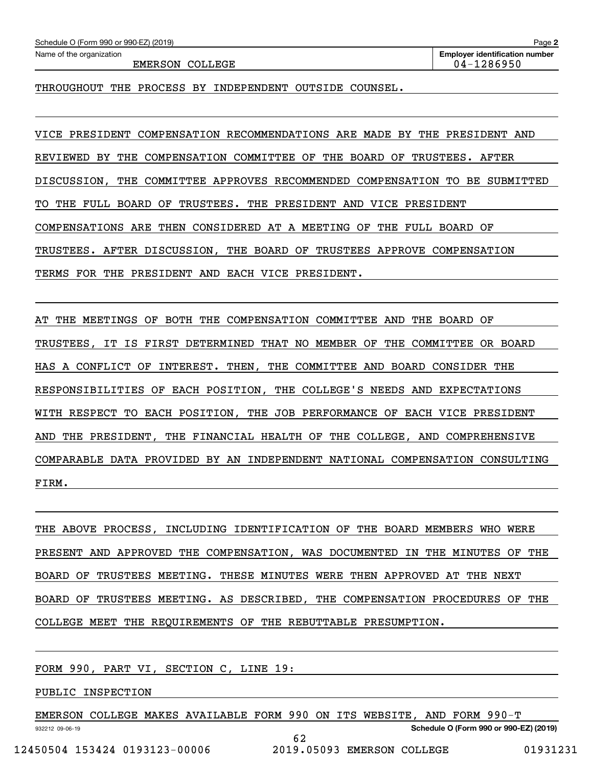EMERSON COLLEGE 2001 2002 1286950

THROUGHOUT THE PROCESS BY INDEPENDENT OUTSIDE COUNSEL.

VICE PRESIDENT COMPENSATION RECOMMENDATIONS ARE MADE BY THE PRESIDENT AND REVIEWED BY THE COMPENSATION COMMITTEE OF THE BOARD OF TRUSTEES. AFTER DISCUSSION, THE COMMITTEE APPROVES RECOMMENDED COMPENSATION TO BE SUBMITTED TO THE FULL BOARD OF TRUSTEES. THE PRESIDENT AND VICE PRESIDENT COMPENSATIONS ARE THEN CONSIDERED AT A MEETING OF THE FULL BOARD OF TRUSTEES. AFTER DISCUSSION, THE BOARD OF TRUSTEES APPROVE COMPENSATION TERMS FOR THE PRESIDENT AND EACH VICE PRESIDENT.

AT THE MEETINGS OF BOTH THE COMPENSATION COMMITTEE AND THE BOARD OF TRUSTEES, IT IS FIRST DETERMINED THAT NO MEMBER OF THE COMMITTEE OR BOARD HAS A CONFLICT OF INTEREST. THEN, THE COMMITTEE AND BOARD CONSIDER THE RESPONSIBILITIES OF EACH POSITION, THE COLLEGE'S NEEDS AND EXPECTATIONS WITH RESPECT TO EACH POSITION, THE JOB PERFORMANCE OF EACH VICE PRESIDENT AND THE PRESIDENT, THE FINANCIAL HEALTH OF THE COLLEGE, AND COMPREHENSIVE COMPARABLE DATA PROVIDED BY AN INDEPENDENT NATIONAL COMPENSATION CONSULTING FIRM.

THE ABOVE PROCESS, INCLUDING IDENTIFICATION OF THE BOARD MEMBERS WHO WERE PRESENT AND APPROVED THE COMPENSATION, WAS DOCUMENTED IN THE MINUTES OF THE BOARD OF TRUSTEES MEETING. THESE MINUTES WERE THEN APPROVED AT THE NEXT BOARD OF TRUSTEES MEETING. AS DESCRIBED, THE COMPENSATION PROCEDURES OF THE COLLEGE MEET THE REQUIREMENTS OF THE REBUTTABLE PRESUMPTION.

FORM 990, PART VI, SECTION C, LINE 19:

PUBLIC INSPECTION

932212 09-06-19 **Schedule O (Form 990 or 990-EZ) (2019)** EMERSON COLLEGE MAKES AVAILABLE FORM 990 ON ITS WEBSITE, AND FORM 990-T 62